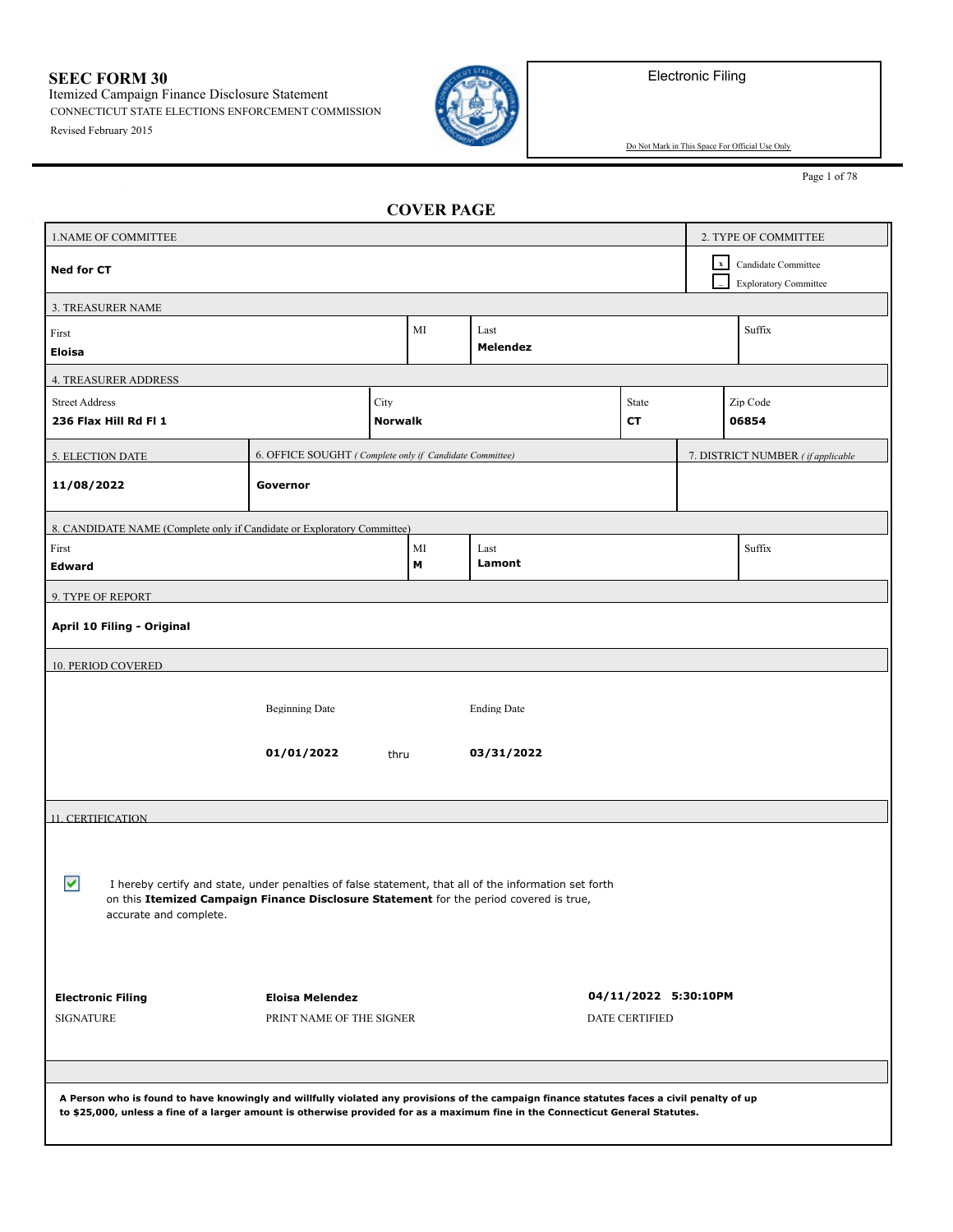Electronic Filing

**SEEC FORM 30** Itemized Campaign Finance Disclosure Statement CONNECTICUT STATE ELECTIONS ENFORCEMENT COMMISSION

Revised February 2015



Do Not Mark in This Space For Official Use Only

Page 1 of 78

## **COVER PAGE**

| 1. NAME OF COMMITTEE                                                                                                                                                                                                                                                         |                                                         | 2. TYPE OF COMMITTEE |  |  |                       |  |                                                     |
|------------------------------------------------------------------------------------------------------------------------------------------------------------------------------------------------------------------------------------------------------------------------------|---------------------------------------------------------|----------------------|--|--|-----------------------|--|-----------------------------------------------------|
| <b>Ned for CT</b>                                                                                                                                                                                                                                                            |                                                         |                      |  |  |                       |  | Candidate Committee<br><b>Exploratory Committee</b> |
| 3. TREASURER NAME                                                                                                                                                                                                                                                            |                                                         |                      |  |  |                       |  |                                                     |
| MI<br>Last<br>First<br>Melendez<br>Eloisa                                                                                                                                                                                                                                    |                                                         |                      |  |  |                       |  | Suffix                                              |
| <b>4. TREASURER ADDRESS</b>                                                                                                                                                                                                                                                  |                                                         |                      |  |  |                       |  |                                                     |
| <b>Street Address</b>                                                                                                                                                                                                                                                        |                                                         | City                 |  |  | State                 |  | Zip Code                                            |
| 236 Flax Hill Rd Fl 1                                                                                                                                                                                                                                                        |                                                         | <b>Norwalk</b>       |  |  | СT                    |  | 06854                                               |
| <b>5. ELECTION DATE</b>                                                                                                                                                                                                                                                      | 6. OFFICE SOUGHT (Complete only if Candidate Committee) |                      |  |  |                       |  | 7. DISTRICT NUMBER (if applicable                   |
| 11/08/2022                                                                                                                                                                                                                                                                   | Governor                                                |                      |  |  |                       |  |                                                     |
| 8. CANDIDATE NAME (Complete only if Candidate or Exploratory Committee)                                                                                                                                                                                                      |                                                         |                      |  |  |                       |  |                                                     |
| First                                                                                                                                                                                                                                                                        | MI<br>Last                                              |                      |  |  |                       |  | Suffix                                              |
| Edward                                                                                                                                                                                                                                                                       | М<br>Lamont                                             |                      |  |  |                       |  |                                                     |
| 9. TYPE OF REPORT                                                                                                                                                                                                                                                            |                                                         |                      |  |  |                       |  |                                                     |
| April 10 Filing - Original                                                                                                                                                                                                                                                   |                                                         |                      |  |  |                       |  |                                                     |
| 10. PERIOD COVERED                                                                                                                                                                                                                                                           |                                                         |                      |  |  |                       |  |                                                     |
| <b>Beginning Date</b><br><b>Ending Date</b><br>01/01/2022<br>03/31/2022<br>thru                                                                                                                                                                                              |                                                         |                      |  |  |                       |  |                                                     |
| 11. CERTIFICATION                                                                                                                                                                                                                                                            |                                                         |                      |  |  |                       |  |                                                     |
| ⊽<br>I hereby certify and state, under penalties of false statement, that all of the information set forth<br>on this Itemized Campaign Finance Disclosure Statement for the period covered is true,<br>accurate and complete.                                               |                                                         |                      |  |  |                       |  |                                                     |
| <b>Electronic Filing</b>                                                                                                                                                                                                                                                     | <b>Eloisa Melendez</b>                                  |                      |  |  | 04/11/2022 5:30:10PM  |  |                                                     |
| <b>SIGNATURE</b>                                                                                                                                                                                                                                                             | PRINT NAME OF THE SIGNER                                |                      |  |  | <b>DATE CERTIFIED</b> |  |                                                     |
|                                                                                                                                                                                                                                                                              |                                                         |                      |  |  |                       |  |                                                     |
|                                                                                                                                                                                                                                                                              |                                                         |                      |  |  |                       |  |                                                     |
| A Person who is found to have knowingly and willfully violated any provisions of the campaign finance statutes faces a civil penalty of up<br>to \$25,000, unless a fine of a larger amount is otherwise provided for as a maximum fine in the Connecticut General Statutes. |                                                         |                      |  |  |                       |  |                                                     |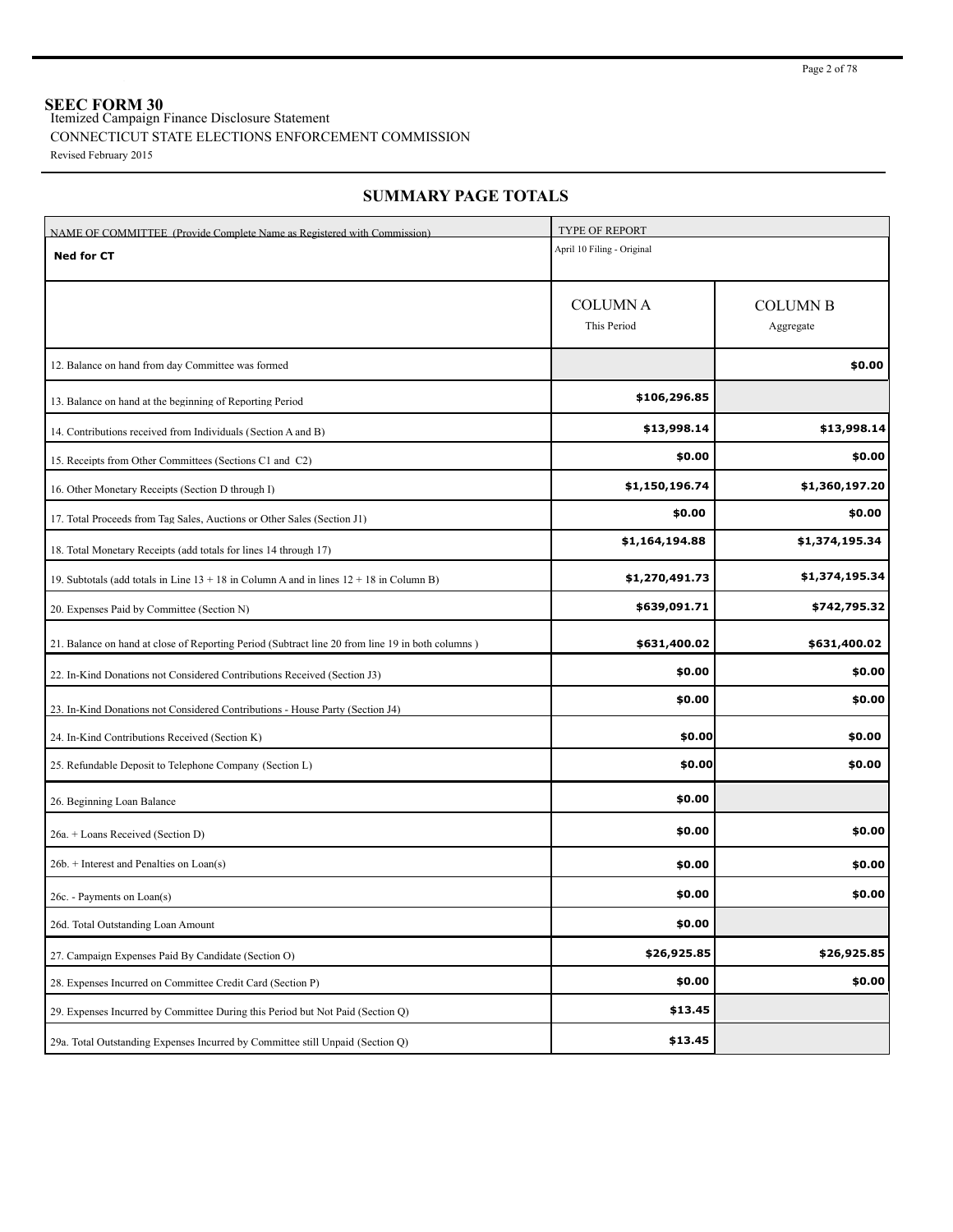**SEEC FORM 30** Itemized Campaign Finance Disclosure Statement

## CONNECTICUT STATE ELECTIONS ENFORCEMENT COMMISSION

Revised February 2015

| NAME OF COMMITTEE (Provide Complete Name as Registered with Commission)                          | <b>TYPE OF REPORT</b>         |                              |
|--------------------------------------------------------------------------------------------------|-------------------------------|------------------------------|
| <b>Ned for CT</b>                                                                                | April 10 Filing - Original    |                              |
|                                                                                                  | <b>COLUMNA</b><br>This Period | <b>COLUMN B</b><br>Aggregate |
| 12. Balance on hand from day Committee was formed                                                |                               | \$0.00                       |
| 13. Balance on hand at the beginning of Reporting Period                                         | \$106,296.85                  |                              |
| 14. Contributions received from Individuals (Section A and B)                                    | \$13,998.14                   | \$13,998.14                  |
| 15. Receipts from Other Committees (Sections C1 and C2)                                          | \$0.00                        | \$0.00                       |
| 16. Other Monetary Receipts (Section D through I)                                                | \$1,150,196.74                | \$1,360,197.20               |
| 17. Total Proceeds from Tag Sales, Auctions or Other Sales (Section J1)                          | \$0.00                        | \$0.00                       |
| 18. Total Monetary Receipts (add totals for lines 14 through 17)                                 | \$1,164,194.88                | \$1,374,195.34               |
| 19. Subtotals (add totals in Line $13 + 18$ in Column A and in lines $12 + 18$ in Column B)      | \$1,270,491.73                | \$1,374,195.34               |
| 20. Expenses Paid by Committee (Section N)                                                       | \$639,091.71                  | \$742,795.32                 |
| 21. Balance on hand at close of Reporting Period (Subtract line 20 from line 19 in both columns) | \$631,400.02                  | \$631,400.02                 |
| 22. In-Kind Donations not Considered Contributions Received (Section J3)                         | \$0.00                        | \$0.00                       |
| 23. In-Kind Donations not Considered Contributions - House Party (Section J4)                    | \$0.00                        | \$0.00                       |
| 24. In-Kind Contributions Received (Section K)                                                   | \$0.00                        | \$0.00                       |
| 25. Refundable Deposit to Telephone Company (Section L)                                          | \$0.00                        | \$0.00                       |
| 26. Beginning Loan Balance                                                                       | \$0.00                        |                              |
| 26a. + Loans Received (Section D)                                                                | \$0.00                        | \$0.00                       |
| $26b.$ + Interest and Penalties on Loan(s)                                                       | \$0.00                        | \$0.00                       |
| 26c. - Payments on Loan(s)                                                                       | \$0.00                        | \$0.00                       |
| 26d. Total Outstanding Loan Amount                                                               | \$0.00                        |                              |
| 27. Campaign Expenses Paid By Candidate (Section O)                                              | \$26,925.85                   | \$26,925.85                  |
| 28. Expenses Incurred on Committee Credit Card (Section P)                                       | \$0.00                        | \$0.00                       |
| 29. Expenses Incurred by Committee During this Period but Not Paid (Section O)                   | \$13.45                       |                              |
| 29a. Total Outstanding Expenses Incurred by Committee still Unpaid (Section Q)                   | \$13.45                       |                              |

## **SUMMARY PAGE TOTALS**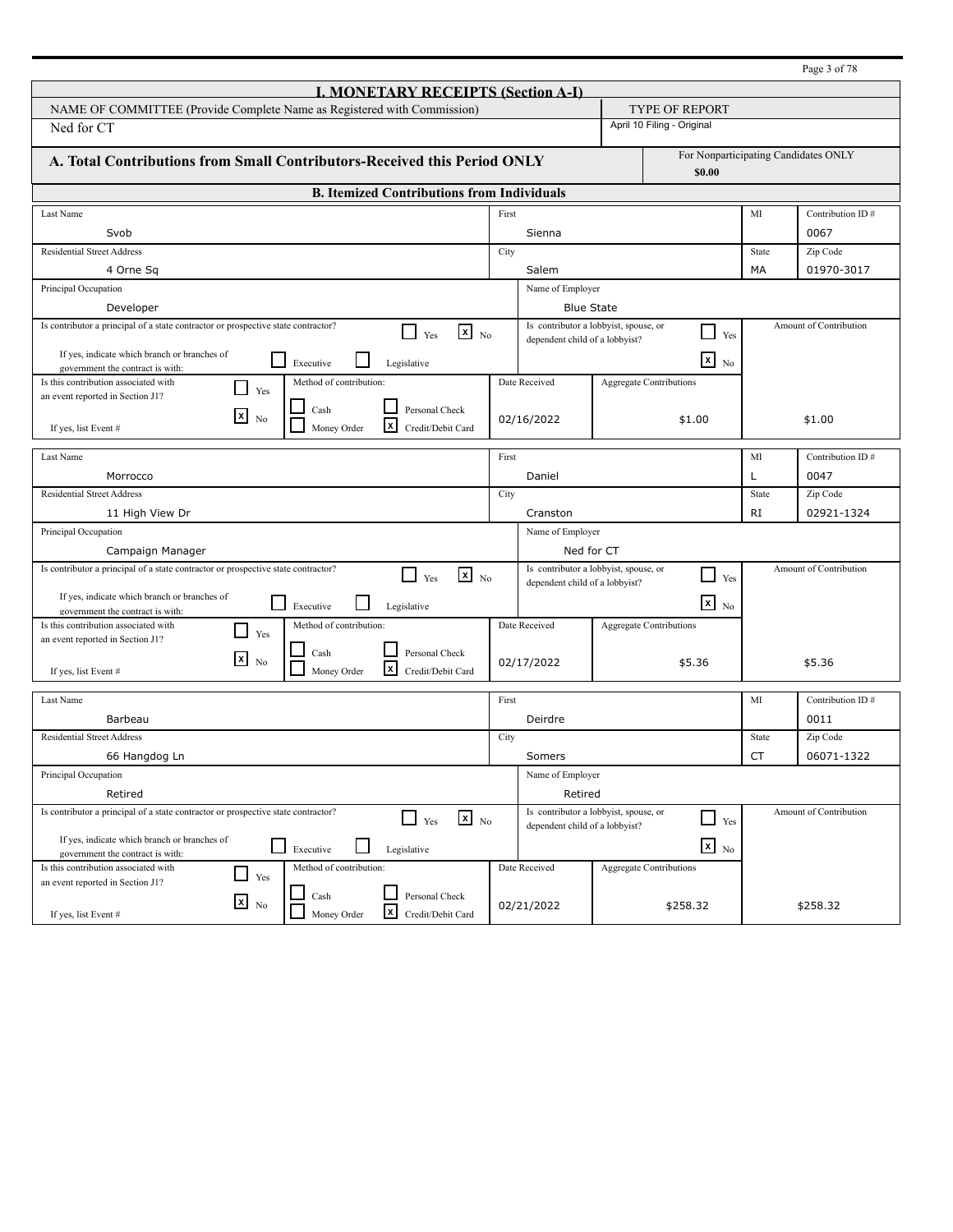|                                                                                                                     |       |                                                                         |                       |                                                |           | Page 3 of 78           |
|---------------------------------------------------------------------------------------------------------------------|-------|-------------------------------------------------------------------------|-----------------------|------------------------------------------------|-----------|------------------------|
| <b>I. MONETARY RECEIPTS (Section A-I)</b>                                                                           |       |                                                                         |                       |                                                |           |                        |
| NAME OF COMMITTEE (Provide Complete Name as Registered with Commission)                                             |       |                                                                         | <b>TYPE OF REPORT</b> |                                                |           |                        |
| Ned for CT                                                                                                          |       |                                                                         |                       | April 10 Filing - Original                     |           |                        |
|                                                                                                                     |       |                                                                         |                       |                                                |           |                        |
| A. Total Contributions from Small Contributors-Received this Period ONLY                                            |       |                                                                         |                       | For Nonparticipating Candidates ONLY<br>\$0.00 |           |                        |
| <b>B.</b> Itemized Contributions from Individuals                                                                   |       |                                                                         |                       |                                                |           |                        |
| Last Name                                                                                                           | First |                                                                         |                       |                                                | MI        | Contribution ID#       |
| Svob                                                                                                                |       | Sienna                                                                  |                       |                                                |           | 0067                   |
| <b>Residential Street Address</b>                                                                                   | City  |                                                                         |                       |                                                | State     | Zip Code               |
| 4 Orne Sq                                                                                                           |       | Salem                                                                   |                       |                                                | МA        | 01970-3017             |
| Principal Occupation                                                                                                |       | Name of Employer                                                        |                       |                                                |           |                        |
| Developer                                                                                                           |       | <b>Blue State</b>                                                       |                       |                                                |           |                        |
| Is contributor a principal of a state contractor or prospective state contractor?                                   |       | Is contributor a lobbyist, spouse, or                                   |                       |                                                |           | Amount of Contribution |
| $\mathbf{X}$ No<br>LΙ<br>Yes                                                                                        |       | dependent child of a lobbyist?                                          |                       | $\blacksquare$<br>Yes                          |           |                        |
| If yes, indicate which branch or branches of<br>$\mathsf{L}$<br>Executive<br>Legislative                            |       |                                                                         |                       | $\overline{\mathbf{x}}$ No                     |           |                        |
| government the contract is with:<br>Is this contribution associated with<br>Method of contribution:                 |       | Date Received                                                           |                       | <b>Aggregate Contributions</b>                 |           |                        |
| - 1<br>Yes<br>an event reported in Section J1?                                                                      |       |                                                                         |                       |                                                |           |                        |
| Cash<br>Personal Check<br>$\boxed{\mathbf{x}}$<br>N <sub>0</sub>                                                    |       | 02/16/2022                                                              |                       | \$1.00                                         |           | \$1.00                 |
| x<br>Money Order<br>Credit/Debit Card<br>If yes, list Event #                                                       |       |                                                                         |                       |                                                |           |                        |
| Last Name                                                                                                           | First |                                                                         |                       |                                                | MI        | Contribution ID#       |
| Morrocco                                                                                                            |       | Daniel                                                                  |                       |                                                | L         | 0047                   |
| <b>Residential Street Address</b>                                                                                   | City  |                                                                         |                       |                                                | State     | Zip Code               |
| 11 High View Dr                                                                                                     |       | Cranston                                                                |                       |                                                | <b>RI</b> | 02921-1324             |
| Principal Occupation                                                                                                |       | Name of Employer                                                        |                       |                                                |           |                        |
| Campaign Manager                                                                                                    |       | Ned for CT                                                              |                       |                                                |           |                        |
| Is contributor a principal of a state contractor or prospective state contractor?<br>$x_{N0}$<br>$\Box$ Yes         |       | Is contributor a lobbyist, spouse, or                                   |                       |                                                |           | Amount of Contribution |
|                                                                                                                     |       | dependent child of a lobbyist?                                          |                       | Yes                                            |           |                        |
| If yes, indicate which branch or branches of<br>l I<br>Executive<br>Legislative<br>government the contract is with: |       |                                                                         |                       | $\overline{\mathbf{x}}$ No                     |           |                        |
| Is this contribution associated with<br>Method of contribution:<br>Yes                                              |       | Date Received                                                           |                       | <b>Aggregate Contributions</b>                 |           |                        |
| an event reported in Section J1?<br>Personal Check<br>Cash                                                          |       |                                                                         |                       |                                                |           |                        |
| $\mathbf{x}$<br>N <sub>0</sub><br>$\lfloor x \rfloor$<br>Money Order<br>Credit/Debit Card<br>If yes, list Event #   |       | 02/17/2022                                                              |                       | \$5.36                                         |           | \$5.36                 |
|                                                                                                                     |       |                                                                         |                       |                                                |           |                        |
| Last Name                                                                                                           | First |                                                                         |                       |                                                | MI        | Contribution ID#       |
| Barbeau                                                                                                             |       | Deirdre                                                                 |                       |                                                |           | 0011                   |
| <b>Residential Street Address</b>                                                                                   | City  |                                                                         |                       |                                                | State     | Zip Code               |
| 66 Hangdog Ln                                                                                                       |       | Somers                                                                  |                       |                                                | CT        | 06071-1322             |
| Principal Occupation                                                                                                |       | Name of Employer                                                        |                       |                                                |           |                        |
| Retired                                                                                                             |       | Retired                                                                 |                       |                                                |           |                        |
| Is contributor a principal of a state contractor or prospective state contractor?<br>$\mathbf{x}$ No<br>$\Box$ Yes  |       | Is contributor a lobbyist, spouse, or<br>dependent child of a lobbyist? |                       | Yes                                            |           | Amount of Contribution |
| If yes, indicate which branch or branches of                                                                        |       |                                                                         |                       |                                                |           |                        |
| ப<br>Executive<br>Legislative<br>government the contract is with:                                                   |       |                                                                         |                       | $x$ No                                         |           |                        |
| Method of contribution:<br>Is this contribution associated with<br>Yes<br>an event reported in Section J1?          |       | Date Received                                                           |                       | <b>Aggregate Contributions</b>                 |           |                        |
| Cash<br>Personal Check<br>$x_{\text{No}}$                                                                           |       |                                                                         |                       |                                                |           |                        |
| x<br>Money Order<br>Credit/Debit Card<br>If yes, list Event #                                                       |       | 02/21/2022                                                              |                       | \$258.32                                       |           | \$258.32               |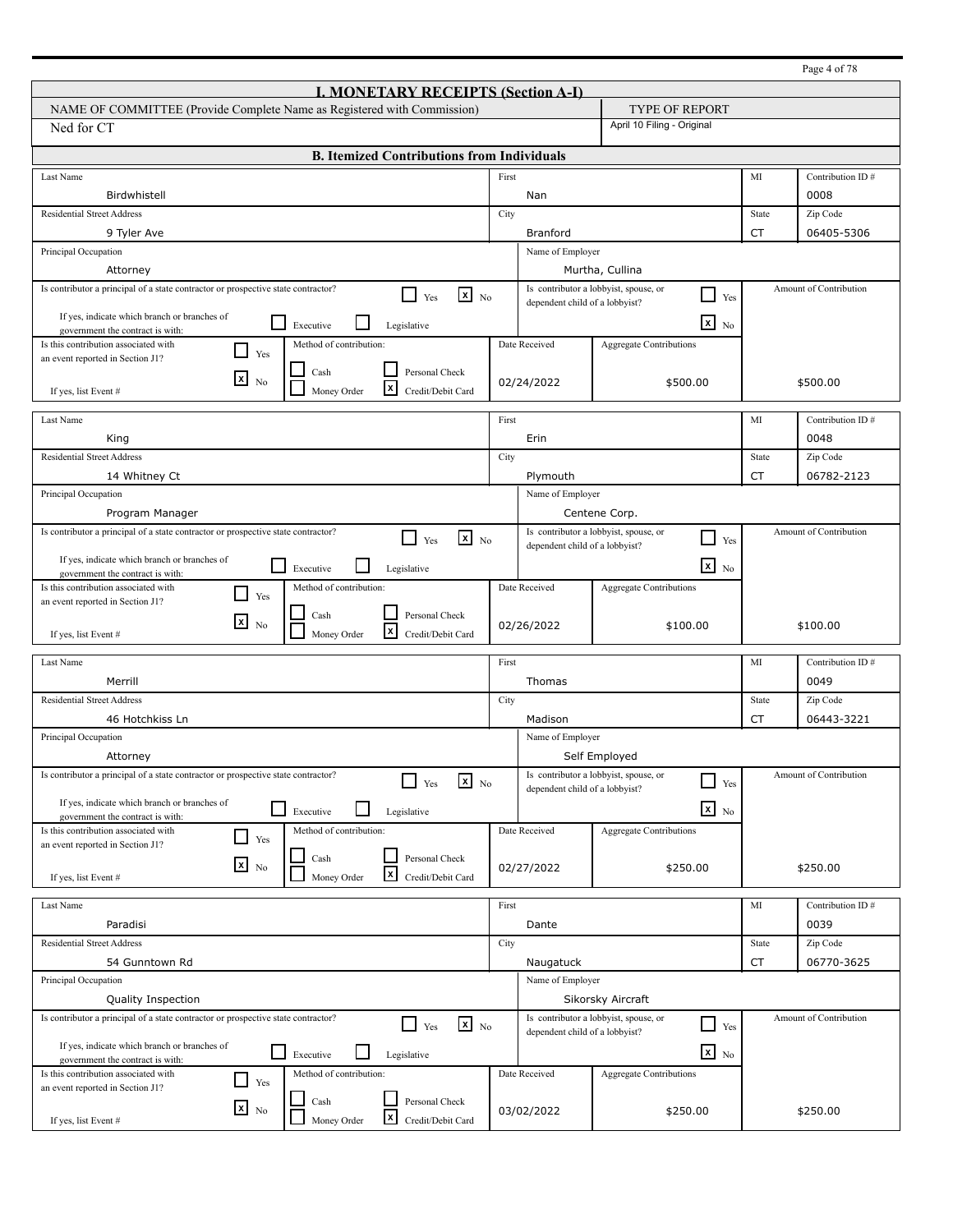|                                                                                                                     |       |                                |                                                        |                    | Page 4 of 78           |
|---------------------------------------------------------------------------------------------------------------------|-------|--------------------------------|--------------------------------------------------------|--------------------|------------------------|
| <b>I. MONETARY RECEIPTS (Section A-I)</b>                                                                           |       |                                |                                                        |                    |                        |
| NAME OF COMMITTEE (Provide Complete Name as Registered with Commission)                                             |       |                                | <b>TYPE OF REPORT</b>                                  |                    |                        |
| Ned for CT                                                                                                          |       |                                | April 10 Filing - Original                             |                    |                        |
| <b>B. Itemized Contributions from Individuals</b>                                                                   |       |                                |                                                        |                    |                        |
| Last Name                                                                                                           | First |                                |                                                        | MI                 | Contribution ID#       |
| Birdwhistell                                                                                                        |       | Nan                            |                                                        |                    | 0008                   |
| <b>Residential Street Address</b>                                                                                   | City  |                                |                                                        | State              | Zip Code               |
| 9 Tyler Ave                                                                                                         |       | Branford                       |                                                        | <b>CT</b>          | 06405-5306             |
| Principal Occupation                                                                                                |       | Name of Employer               |                                                        |                    |                        |
| Attorney                                                                                                            |       |                                | Murtha, Cullina                                        |                    |                        |
| Is contributor a principal of a state contractor or prospective state contractor?<br>$x_{N0}$<br>l 1<br>Yes         |       | dependent child of a lobbyist? | Is contributor a lobbyist, spouse, or<br>⊔<br>Yes      |                    | Amount of Contribution |
| If yes, indicate which branch or branches of                                                                        |       |                                |                                                        |                    |                        |
| l 1<br>Executive<br>Legislative<br>government the contract is with:                                                 |       |                                | $\mathbf{x}$<br>No                                     |                    |                        |
| Is this contribution associated with<br>Method of contribution:<br>Yes<br>an event reported in Section J1?          |       | Date Received                  | <b>Aggregate Contributions</b>                         |                    |                        |
| Personal Check<br>Cash                                                                                              |       |                                |                                                        |                    |                        |
| $\lfloor x \rfloor$<br>N <sub>0</sub><br>l×l<br>Money Order<br>Credit/Debit Card<br>If yes, list Event #            |       | 02/24/2022                     | \$500.00                                               |                    | \$500.00               |
|                                                                                                                     |       |                                |                                                        |                    |                        |
| Last Name                                                                                                           | First |                                |                                                        | MI                 | Contribution ID#       |
| King                                                                                                                |       | Erin                           |                                                        |                    | 0048                   |
| <b>Residential Street Address</b>                                                                                   | City  |                                |                                                        | State              | Zip Code               |
| 14 Whitney Ct                                                                                                       |       | Plymouth                       |                                                        | CT                 | 06782-2123             |
| Principal Occupation                                                                                                |       | Name of Employer               |                                                        |                    |                        |
| Program Manager                                                                                                     |       |                                | Centene Corp.                                          |                    |                        |
| Is contributor a principal of a state contractor or prospective state contractor?<br>$x_{N0}$<br>l 1<br>Yes         |       | dependent child of a lobbyist? | Is contributor a lobbyist, spouse, or<br>$\Box$<br>Yes |                    | Amount of Contribution |
| If yes, indicate which branch or branches of                                                                        |       |                                | $\mathbf{X}$ No                                        |                    |                        |
| l 1<br>Executive<br>Legislative<br>government the contract is with:                                                 |       |                                |                                                        |                    |                        |
| Is this contribution associated with<br>Method of contribution:<br>Yes<br>an event reported in Section J1?          |       | Date Received                  | <b>Aggregate Contributions</b>                         |                    |                        |
| Personal Check<br>Cash<br>l×l                                                                                       |       |                                |                                                        |                    |                        |
| N <sub>0</sub><br>l×l<br>Money Order<br>Credit/Debit Card<br>If yes, list Event #                                   |       | 02/26/2022                     | \$100.00                                               |                    | \$100.00               |
| Last Name                                                                                                           | First |                                |                                                        | MI                 | Contribution ID#       |
| Merrill                                                                                                             |       | Thomas                         |                                                        |                    | 0049                   |
| <b>Residential Street Address</b>                                                                                   |       |                                |                                                        |                    | Zip Code               |
| 46 Hotchkiss Ln                                                                                                     | City  | Madison                        |                                                        | State<br><b>CT</b> | 06443-3221             |
| Principal Occupation                                                                                                |       | Name of Employer               |                                                        |                    |                        |
| Attorney                                                                                                            |       |                                | Self Employed                                          |                    |                        |
| Is contributor a principal of a state contractor or prospective state contractor?                                   |       |                                | Is contributor a lobbyist, spouse, or                  |                    | Amount of Contribution |
| $\mathbf{x}$ No<br>Yes                                                                                              |       | dependent child of a lobbyist? | $\Box$<br>Yes                                          |                    |                        |
| If yes, indicate which branch or branches of<br>$\Box$<br>Executive<br>Legislative                                  |       |                                | $x_{N0}$                                               |                    |                        |
| government the contract is with:<br>Method of contribution:<br>Is this contribution associated with                 |       | Date Received                  | Aggregate Contributions                                |                    |                        |
| Yes<br>an event reported in Section J1?                                                                             |       |                                |                                                        |                    |                        |
| Personal Check<br>Cash<br>$x_{\text{No}}$                                                                           |       | 02/27/2022                     | \$250.00                                               |                    | \$250.00               |
| $\vert x \vert$<br>Money Order<br>Credit/Debit Card<br>If yes, list Event #                                         |       |                                |                                                        |                    |                        |
| Last Name                                                                                                           | First |                                |                                                        | MI                 | Contribution ID#       |
| Paradisi                                                                                                            |       | Dante                          |                                                        |                    | 0039                   |
| <b>Residential Street Address</b>                                                                                   | City  |                                |                                                        | State              | Zip Code               |
| 54 Gunntown Rd                                                                                                      |       | Naugatuck                      |                                                        | CT                 | 06770-3625             |
| Principal Occupation                                                                                                |       | Name of Employer               |                                                        |                    |                        |
| Quality Inspection                                                                                                  |       |                                | Sikorsky Aircraft                                      |                    |                        |
| Is contributor a principal of a state contractor or prospective state contractor?<br>$\mathbf{X}$ No                |       |                                | Is contributor a lobbyist, spouse, or                  |                    | Amount of Contribution |
| $\Box$ Yes                                                                                                          |       | dependent child of a lobbyist? | ⊔<br>Yes                                               |                    |                        |
| If yes, indicate which branch or branches of<br>l 1<br>Executive<br>Legislative<br>government the contract is with: |       |                                | $\mathbf{x}$ No                                        |                    |                        |
| Method of contribution:<br>Is this contribution associated with                                                     |       | Date Received                  | <b>Aggregate Contributions</b>                         |                    |                        |
| Yes<br>an event reported in Section J1?                                                                             |       |                                |                                                        |                    |                        |
| Personal Check<br>Cash<br>$x_{\text{No}}$                                                                           |       | 03/02/2022                     | \$250.00                                               |                    | \$250.00               |
| <b>x</b><br>Money Order<br>Credit/Debit Card<br>If yes, list Event #                                                |       |                                |                                                        |                    |                        |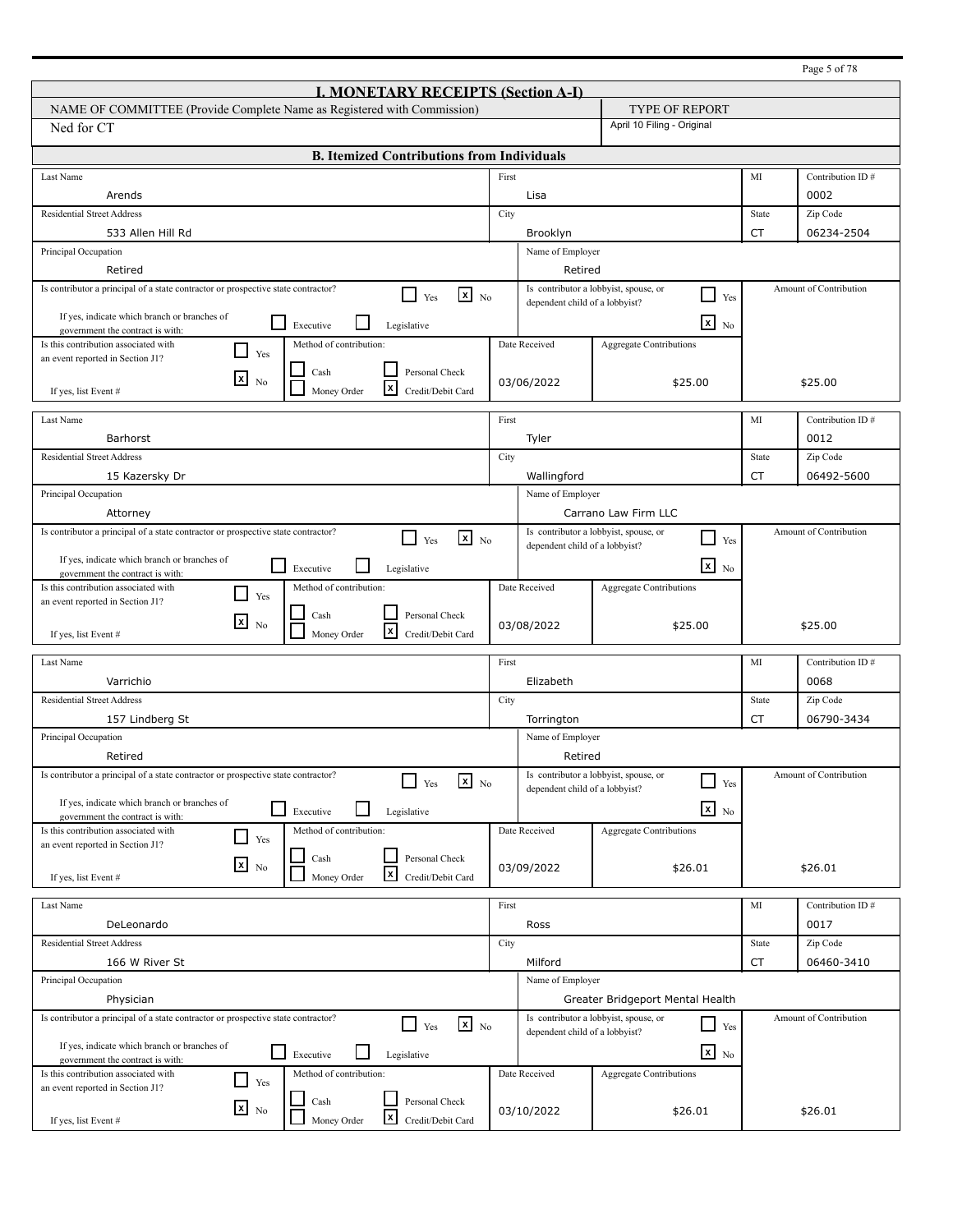|                                                                                                                             |       |                                                                         |                                                   |           | Page 5 of 78           |
|-----------------------------------------------------------------------------------------------------------------------------|-------|-------------------------------------------------------------------------|---------------------------------------------------|-----------|------------------------|
| <b>I. MONETARY RECEIPTS (Section A-I)</b>                                                                                   |       |                                                                         |                                                   |           |                        |
| NAME OF COMMITTEE (Provide Complete Name as Registered with Commission)                                                     |       |                                                                         | TYPE OF REPORT                                    |           |                        |
| Ned for CT                                                                                                                  |       |                                                                         | April 10 Filing - Original                        |           |                        |
| <b>B. Itemized Contributions from Individuals</b>                                                                           |       |                                                                         |                                                   |           |                        |
|                                                                                                                             |       |                                                                         |                                                   |           |                        |
| Last Name                                                                                                                   | First |                                                                         |                                                   | MI        | Contribution ID#       |
| Arends                                                                                                                      |       | Lisa                                                                    |                                                   |           | 0002                   |
| <b>Residential Street Address</b>                                                                                           | City  |                                                                         |                                                   | State     | Zip Code               |
| 533 Allen Hill Rd                                                                                                           |       | Brooklyn                                                                |                                                   | <b>CT</b> | 06234-2504             |
| Principal Occupation                                                                                                        |       | Name of Employer                                                        |                                                   |           |                        |
| Retired                                                                                                                     |       | Retired                                                                 |                                                   |           |                        |
| Is contributor a principal of a state contractor or prospective state contractor?<br>$\mathbf{x}$ No<br>$\perp$<br>Yes      |       | Is contributor a lobbyist, spouse, or<br>dependent child of a lobbyist? | $\Box$<br>Yes                                     |           | Amount of Contribution |
| If yes, indicate which branch or branches of<br>$\Box$<br>Executive<br>Legislative<br>government the contract is with:      |       |                                                                         | $\mathbf{x}$ No                                   |           |                        |
| Is this contribution associated with<br>Method of contribution:                                                             |       | Date Received                                                           | Aggregate Contributions                           |           |                        |
| $\blacksquare$<br>Yes<br>an event reported in Section J1?                                                                   |       |                                                                         |                                                   |           |                        |
| Personal Check<br>Cash<br>⊠<br>N <sub>0</sub>                                                                               |       | 03/06/2022                                                              | \$25.00                                           |           | \$25.00                |
| l×l<br>Money Order<br>Credit/Debit Card<br>If yes, list Event #                                                             |       |                                                                         |                                                   |           |                        |
| Last Name                                                                                                                   | First |                                                                         |                                                   | MI        | Contribution ID#       |
| Barhorst                                                                                                                    |       | Tyler                                                                   |                                                   |           | 0012                   |
| <b>Residential Street Address</b>                                                                                           | City  |                                                                         |                                                   | State     | Zip Code               |
| 15 Kazersky Dr                                                                                                              |       | Wallingford                                                             |                                                   | CT        | 06492-5600             |
| Principal Occupation                                                                                                        |       | Name of Employer                                                        |                                                   |           |                        |
| Attorney                                                                                                                    |       |                                                                         | Carrano Law Firm LLC                              |           |                        |
| Is contributor a principal of a state contractor or prospective state contractor?                                           |       |                                                                         | Is contributor a lobbyist, spouse, or             |           | Amount of Contribution |
| $\mathbf{x}$ No<br>П<br>Yes                                                                                                 |       | dependent child of a lobbyist?                                          | Yes                                               |           |                        |
| If yes, indicate which branch or branches of<br>$\overline{\phantom{a}}$<br>Executive<br>Legislative                        |       |                                                                         | $\mathbf{X}$ No                                   |           |                        |
| government the contract is with:<br>Is this contribution associated with<br>Method of contribution:                         |       | Date Received                                                           | Aggregate Contributions                           |           |                        |
| $\blacksquare$<br>Yes<br>an event reported in Section J1?                                                                   |       |                                                                         |                                                   |           |                        |
| Personal Check<br>Cash<br>$\mathbf{x}$<br>N <sub>0</sub>                                                                    |       |                                                                         |                                                   |           |                        |
| x<br>Credit/Debit Card<br>Money Order<br>If yes, list Event #                                                               |       | 03/08/2022                                                              | \$25.00                                           |           | \$25.00                |
| Last Name                                                                                                                   | First |                                                                         |                                                   | MI        | Contribution ID#       |
| Varrichio                                                                                                                   |       | Elizabeth                                                               |                                                   |           | 0068                   |
| <b>Residential Street Address</b>                                                                                           |       |                                                                         |                                                   |           |                        |
|                                                                                                                             | City  |                                                                         |                                                   | State     | Zip Code               |
| 157 Lindberg St                                                                                                             |       | Torrington                                                              |                                                   | CT        | 06790-3434             |
| Principal Occupation                                                                                                        |       | Name of Employer                                                        |                                                   |           |                        |
| Retired                                                                                                                     |       | Retired                                                                 |                                                   |           |                        |
| Is contributor a principal of a state contractor or prospective state contractor?<br>$x_{N0}$<br>Yes                        |       | Is contributor a lobbyist, spouse, or<br>dependent child of a lobbyist? | $\Box$<br>Yes                                     |           | Amount of Contribution |
| If yes, indicate which branch or branches of<br>$\mathbf{I}$<br>Executive<br>Legislative                                    |       |                                                                         | $\mathbf{x}$ No                                   |           |                        |
| government the contract is with:<br>Is this contribution associated with<br>Method of contribution:                         |       | Date Received                                                           |                                                   |           |                        |
| $\Box$<br>Yes<br>an event reported in Section J1?                                                                           |       |                                                                         | <b>Aggregate Contributions</b>                    |           |                        |
| Personal Check<br>Cash<br>$x_{\text{No}}$                                                                                   |       |                                                                         |                                                   |           |                        |
| $\mathbf{x}$<br>Credit/Debit Card<br>Money Order<br>If yes, list Event #                                                    |       | 03/09/2022                                                              | \$26.01                                           |           | \$26.01                |
| Last Name                                                                                                                   |       |                                                                         |                                                   |           |                        |
|                                                                                                                             | First |                                                                         |                                                   | MI        | Contribution ID#       |
| DeLeonardo                                                                                                                  |       | Ross                                                                    |                                                   |           | 0017                   |
| <b>Residential Street Address</b>                                                                                           | City  |                                                                         |                                                   | State     | Zip Code               |
| 166 W River St                                                                                                              |       | Milford                                                                 |                                                   | <b>CT</b> | 06460-3410             |
| Principal Occupation                                                                                                        |       | Name of Employer                                                        |                                                   |           |                        |
| Physician                                                                                                                   |       |                                                                         | Greater Bridgeport Mental Health                  |           |                        |
| Is contributor a principal of a state contractor or prospective state contractor?<br>$\mathbf{x}$ No<br>$\mathsf{L}$<br>Yes |       | dependent child of a lobbyist?                                          | Is contributor a lobbyist, spouse, or<br>┘<br>Yes |           | Amount of Contribution |
| If yes, indicate which branch or branches of                                                                                |       |                                                                         | $\mathbf{x}$ No                                   |           |                        |
| Executive<br>Legislative<br>government the contract is with:                                                                |       |                                                                         |                                                   |           |                        |
| Is this contribution associated with<br>Method of contribution:<br>$\mathcal{L}$<br>Yes<br>an event reported in Section J1? |       | Date Received                                                           | <b>Aggregate Contributions</b>                    |           |                        |
| Personal Check<br>Cash<br>$x_{N0}$                                                                                          |       |                                                                         |                                                   |           |                        |
| x<br>Money Order<br>Credit/Debit Card<br>If yes, list Event #                                                               |       | 03/10/2022                                                              | \$26.01                                           |           | \$26.01                |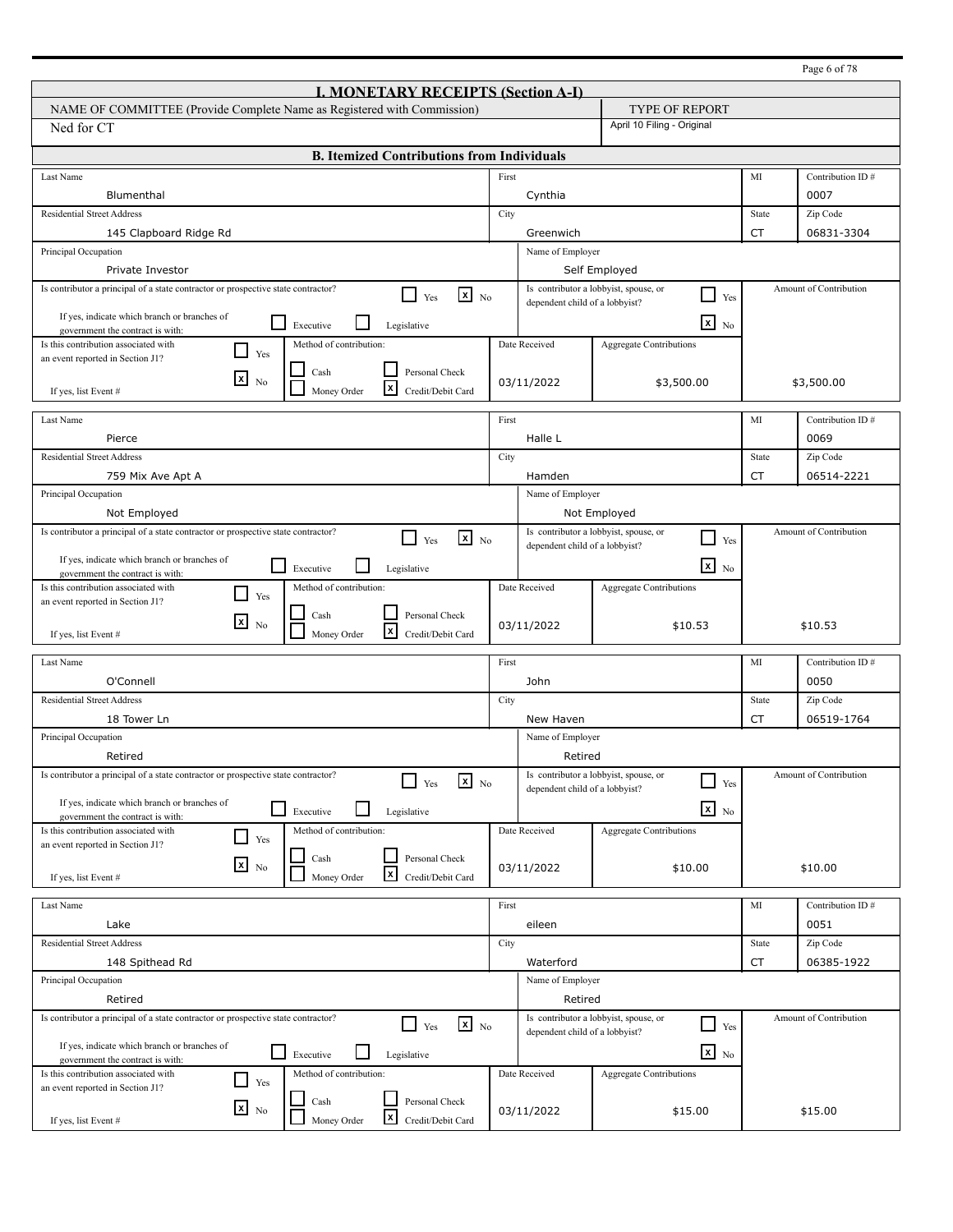|                                                                                                                   |       |                                |                                                        |           | Page 6 of 78           |
|-------------------------------------------------------------------------------------------------------------------|-------|--------------------------------|--------------------------------------------------------|-----------|------------------------|
| <b>I. MONETARY RECEIPTS (Section A-I)</b>                                                                         |       |                                |                                                        |           |                        |
| NAME OF COMMITTEE (Provide Complete Name as Registered with Commission)                                           |       |                                | <b>TYPE OF REPORT</b>                                  |           |                        |
| Ned for CT                                                                                                        |       |                                | April 10 Filing - Original                             |           |                        |
| <b>B. Itemized Contributions from Individuals</b>                                                                 |       |                                |                                                        |           |                        |
| Last Name                                                                                                         | First |                                |                                                        | MI        | Contribution ID#       |
| Blumenthal                                                                                                        |       | Cynthia                        |                                                        |           | 0007                   |
| <b>Residential Street Address</b>                                                                                 | City  |                                |                                                        | State     | Zip Code               |
| 145 Clapboard Ridge Rd                                                                                            |       | Greenwich                      |                                                        | <b>CT</b> | 06831-3304             |
| Principal Occupation                                                                                              |       | Name of Employer               |                                                        |           |                        |
| Private Investor                                                                                                  |       |                                | Self Employed                                          |           |                        |
| Is contributor a principal of a state contractor or prospective state contractor?<br>$x_{N0}$<br>l 1<br>Yes       |       | dependent child of a lobbyist? | Is contributor a lobbyist, spouse, or<br>⊔<br>Yes      |           | Amount of Contribution |
| If yes, indicate which branch or branches of<br>l 1<br>Executive<br>Legislative                                   |       |                                | $\mathbf{x}$<br>No                                     |           |                        |
| government the contract is with:<br>Is this contribution associated with<br>Method of contribution:               |       | Date Received                  |                                                        |           |                        |
| - 1<br>Yes<br>an event reported in Section J1?                                                                    |       |                                | <b>Aggregate Contributions</b>                         |           |                        |
| Personal Check<br>Cash<br>$\lfloor x \rfloor$<br>N <sub>0</sub>                                                   |       |                                |                                                        |           |                        |
| l×l<br>Money Order<br>Credit/Debit Card<br>If yes, list Event #                                                   |       | 03/11/2022                     | \$3,500.00                                             |           | \$3,500.00             |
| Last Name                                                                                                         | First |                                |                                                        | MI        | Contribution ID#       |
| Pierce                                                                                                            |       | Halle L                        |                                                        |           | 0069                   |
| <b>Residential Street Address</b>                                                                                 | City  |                                |                                                        | State     | Zip Code               |
| 759 Mix Ave Apt A                                                                                                 |       | Hamden                         |                                                        | CT        | 06514-2221             |
| Principal Occupation                                                                                              |       | Name of Employer               |                                                        |           |                        |
| Not Employed                                                                                                      |       |                                | Not Employed                                           |           |                        |
| Is contributor a principal of a state contractor or prospective state contractor?                                 |       |                                | Is contributor a lobbyist, spouse, or                  |           | Amount of Contribution |
| $x_{N0}$<br>$\blacksquare$<br>Yes                                                                                 |       | dependent child of a lobbyist? | $\Box$<br>Yes                                          |           |                        |
| If yes, indicate which branch or branches of<br>l 1<br>Executive<br>Legislative                                   |       |                                | $\overline{\mathbf{x}}$ No                             |           |                        |
| government the contract is with:<br>Is this contribution associated with<br>Method of contribution:               |       | Date Received                  | <b>Aggregate Contributions</b>                         |           |                        |
| Yes<br>an event reported in Section J1?                                                                           |       |                                |                                                        |           |                        |
| Personal Check<br>Cash<br>Ι×Ι<br>N <sub>0</sub>                                                                   |       | 03/11/2022                     | \$10.53                                                |           | \$10.53                |
| l×l<br>Money Order<br>Credit/Debit Card<br>If yes, list Event #                                                   |       |                                |                                                        |           |                        |
| Last Name                                                                                                         | First |                                |                                                        | MI        | Contribution ID#       |
| O'Connell                                                                                                         |       | John                           |                                                        |           | 0050                   |
| <b>Residential Street Address</b>                                                                                 | City  |                                |                                                        | State     | Zip Code               |
| 18 Tower Ln                                                                                                       |       | New Haven                      |                                                        | <b>CT</b> | 06519-1764             |
| Principal Occupation                                                                                              |       | Name of Employer               |                                                        |           |                        |
| Retired                                                                                                           |       | Retired                        |                                                        |           |                        |
| Is contributor a principal of a state contractor or prospective state contractor?<br>$x_{N0}$                     |       |                                | Is contributor a lobbyist, spouse, or<br>$\Box$        |           | Amount of Contribution |
| Yes                                                                                                               |       | dependent child of a lobbyist? | Yes                                                    |           |                        |
| If yes, indicate which branch or branches of<br>⊔<br>Executive<br>Legislative<br>government the contract is with: |       |                                | $x_{N0}$                                               |           |                        |
| Method of contribution:<br>Is this contribution associated with<br>Yes                                            |       | Date Received                  | Aggregate Contributions                                |           |                        |
| an event reported in Section J1?<br>Personal Check<br>Cash                                                        |       |                                |                                                        |           |                        |
| $x_{\text{No}}$<br>$\vert x \vert$<br>Money Order<br>Credit/Debit Card<br>If yes, list Event #                    |       | 03/11/2022                     | \$10.00                                                |           | \$10.00                |
|                                                                                                                   |       |                                |                                                        |           |                        |
| Last Name                                                                                                         | First |                                |                                                        | MI        | Contribution ID#       |
| Lake                                                                                                              |       | eileen                         |                                                        |           | 0051                   |
| <b>Residential Street Address</b>                                                                                 | City  |                                |                                                        | State     | Zip Code               |
| 148 Spithead Rd                                                                                                   |       | Waterford                      |                                                        | CT        | 06385-1922             |
| Principal Occupation                                                                                              |       | Name of Employer               |                                                        |           |                        |
| Retired                                                                                                           |       | Retired                        |                                                        |           |                        |
| Is contributor a principal of a state contractor or prospective state contractor?<br>$x_{N0}$<br>$\Box$ Yes       |       |                                | Is contributor a lobbyist, spouse, or<br>$\Box$<br>Yes |           | Amount of Contribution |
| If yes, indicate which branch or branches of                                                                      |       | dependent child of a lobbyist? |                                                        |           |                        |
| $\sqcup$<br>Executive<br>Legislative<br>government the contract is with:                                          |       |                                | $\mathbf{x}$ No                                        |           |                        |
| Method of contribution:<br>Is this contribution associated with<br>Yes                                            |       | Date Received                  | <b>Aggregate Contributions</b>                         |           |                        |
| an event reported in Section J1?<br>Personal Check<br>Cash                                                        |       |                                |                                                        |           |                        |
| $\mathbf{X}$ No<br>$\vert x \vert$<br>Money Order<br>Credit/Debit Card<br>If yes, list Event #                    |       | 03/11/2022                     | \$15.00                                                |           | \$15.00                |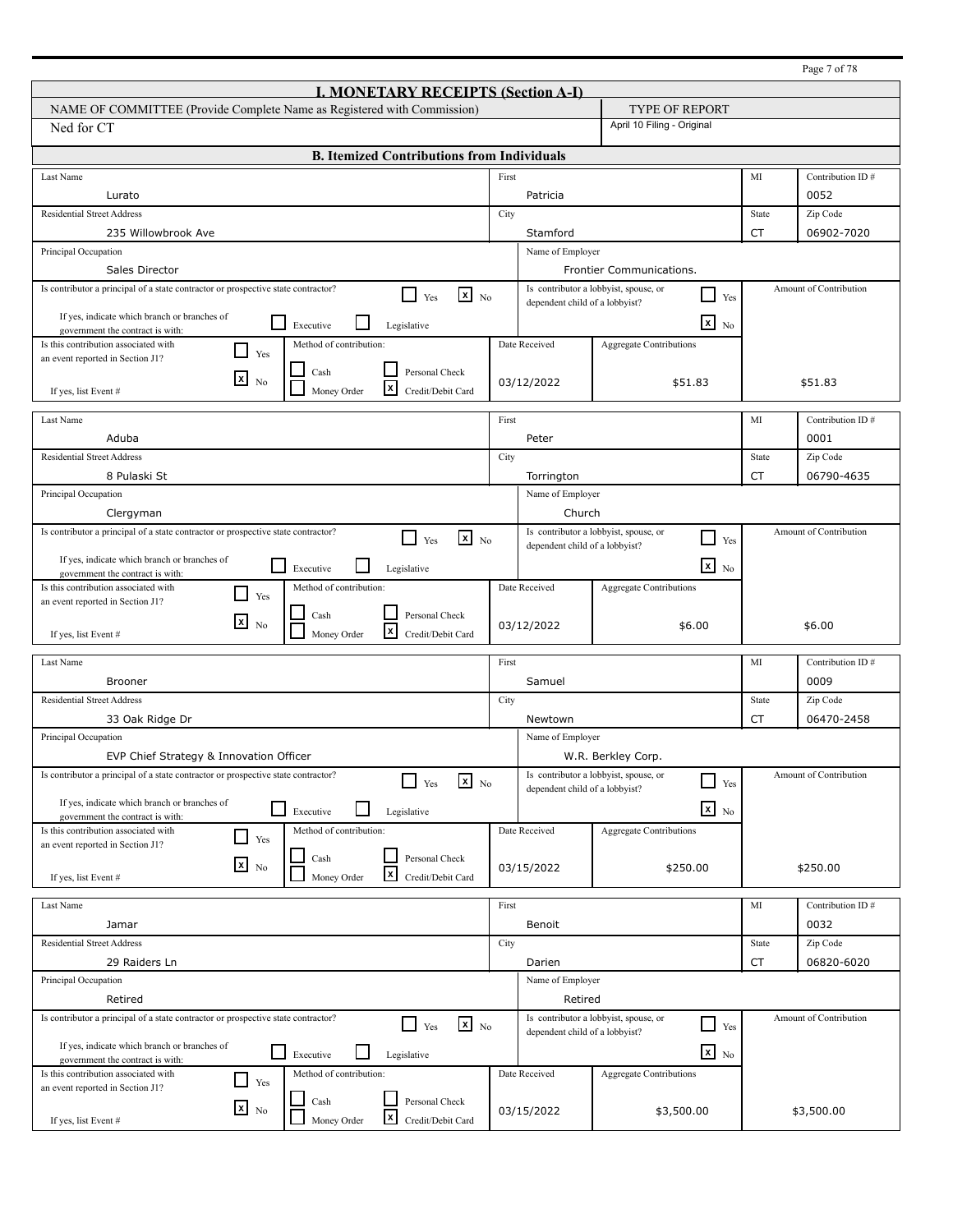| <b>I. MONETARY RECEIPTS (Section A-I)</b><br>NAME OF COMMITTEE (Provide Complete Name as Registered with Commission)<br><b>TYPE OF REPORT</b><br>April 10 Filing - Original<br>Ned for CT<br><b>B. Itemized Contributions from Individuals</b><br>First<br>MI<br>Contribution ID#<br>Last Name<br>Patricia<br>0052<br>Lurato<br><b>Residential Street Address</b><br>City<br>Zip Code<br>State<br><b>CT</b><br>235 Willowbrook Ave<br>Stamford<br>06902-7020<br>Principal Occupation<br>Name of Employer<br>Sales Director<br>Frontier Communications.<br>Is contributor a principal of a state contractor or prospective state contractor?<br>Is contributor a lobbyist, spouse, or<br>Amount of Contribution<br>$x_{N0}$<br>$\overline{\phantom{a}}$<br>l 1<br>Yes<br>Yes<br>dependent child of a lobbyist?<br>If yes, indicate which branch or branches of<br>$\mathbf{x}$<br>$\sqcup$<br>Executive<br>Legislative<br>N <sub>0</sub><br>government the contract is with:<br>Date Received<br>Is this contribution associated with<br>Method of contribution:<br><b>Aggregate Contributions</b><br>l 1<br>Yes<br>an event reported in Section J1?<br>Cash<br>Personal Check<br>$\mathbf{x}$<br>N <sub>0</sub><br>03/12/2022<br>\$51.83<br>\$51.83<br>l×l<br>Money Order<br>Credit/Debit Card<br>If yes, list Event #<br>Last Name<br>First<br>MI<br>Contribution ID#<br>Aduba<br>Peter<br>0001<br><b>Residential Street Address</b><br>Zip Code<br>City<br>State<br>8 Pulaski St<br>06790-4635<br>CT<br>Torrington<br>Principal Occupation<br>Name of Employer<br>Church<br>Clergyman<br>Is contributor a principal of a state contractor or prospective state contractor?<br>Is contributor a lobbyist, spouse, or<br>Amount of Contribution<br>$\mathbf{x}$ No<br>- 1<br>Yes<br>Yes<br>dependent child of a lobbyist?<br>If yes, indicate which branch or branches of<br>$x_{N0}$<br>l 1<br>Executive<br>Legislative<br>government the contract is with:<br>Is this contribution associated with<br>Method of contribution:<br>Date Received<br><b>Aggregate Contributions</b><br>$\blacksquare$<br>Yes<br>an event reported in Section J1?<br>Personal Check<br>Cash<br>⊠<br>N <sub>0</sub><br>\$6.00<br>03/12/2022<br>\$6.00<br>l×l<br>Money Order<br>Credit/Debit Card<br>If yes, list Event #<br>First<br>MI<br>Contribution ID#<br>Last Name<br>0009<br><b>Brooner</b><br>Samuel<br><b>Residential Street Address</b><br>Zip Code<br>City<br>State<br>06470-2458<br>33 Oak Ridge Dr<br>CT<br>Newtown<br>Principal Occupation<br>Name of Employer<br>EVP Chief Strategy & Innovation Officer<br>W.R. Berkley Corp.<br>Is contributor a principal of a state contractor or prospective state contractor?<br>Is contributor a lobbyist, spouse, or<br>Amount of Contribution<br>$\mathbf{x}$ No<br>$\overline{\phantom{a}}$<br>Yes<br>Yes<br>dependent child of a lobbyist?<br>If yes, indicate which branch or branches of<br>$x_{N0}$<br>$\Box$<br>Executive<br>Legislative<br>government the contract is with:<br>Method of contribution:<br>Date Received<br>Aggregate Contributions<br>Is this contribution associated with<br>$\Box$<br>Yes<br>an event reported in Section J1? |                                                                                             |            |                                |            |
|---------------------------------------------------------------------------------------------------------------------------------------------------------------------------------------------------------------------------------------------------------------------------------------------------------------------------------------------------------------------------------------------------------------------------------------------------------------------------------------------------------------------------------------------------------------------------------------------------------------------------------------------------------------------------------------------------------------------------------------------------------------------------------------------------------------------------------------------------------------------------------------------------------------------------------------------------------------------------------------------------------------------------------------------------------------------------------------------------------------------------------------------------------------------------------------------------------------------------------------------------------------------------------------------------------------------------------------------------------------------------------------------------------------------------------------------------------------------------------------------------------------------------------------------------------------------------------------------------------------------------------------------------------------------------------------------------------------------------------------------------------------------------------------------------------------------------------------------------------------------------------------------------------------------------------------------------------------------------------------------------------------------------------------------------------------------------------------------------------------------------------------------------------------------------------------------------------------------------------------------------------------------------------------------------------------------------------------------------------------------------------------------------------------------------------------------------------------------------------------------------------------------------------------------------------------------------------------------------------------------------------------------------------------------------------------------------------------------------------------------------------------------------------------------------------------------------------------------------------------------------------------------------------------------------------------------------------------------------------------------------------------------------------------------------------------------------------------------------------------------------------------------------------------------------------------------|---------------------------------------------------------------------------------------------|------------|--------------------------------|------------|
|                                                                                                                                                                                                                                                                                                                                                                                                                                                                                                                                                                                                                                                                                                                                                                                                                                                                                                                                                                                                                                                                                                                                                                                                                                                                                                                                                                                                                                                                                                                                                                                                                                                                                                                                                                                                                                                                                                                                                                                                                                                                                                                                                                                                                                                                                                                                                                                                                                                                                                                                                                                                                                                                                                                                                                                                                                                                                                                                                                                                                                                                                                                                                                                             |                                                                                             |            |                                |            |
|                                                                                                                                                                                                                                                                                                                                                                                                                                                                                                                                                                                                                                                                                                                                                                                                                                                                                                                                                                                                                                                                                                                                                                                                                                                                                                                                                                                                                                                                                                                                                                                                                                                                                                                                                                                                                                                                                                                                                                                                                                                                                                                                                                                                                                                                                                                                                                                                                                                                                                                                                                                                                                                                                                                                                                                                                                                                                                                                                                                                                                                                                                                                                                                             |                                                                                             |            |                                |            |
|                                                                                                                                                                                                                                                                                                                                                                                                                                                                                                                                                                                                                                                                                                                                                                                                                                                                                                                                                                                                                                                                                                                                                                                                                                                                                                                                                                                                                                                                                                                                                                                                                                                                                                                                                                                                                                                                                                                                                                                                                                                                                                                                                                                                                                                                                                                                                                                                                                                                                                                                                                                                                                                                                                                                                                                                                                                                                                                                                                                                                                                                                                                                                                                             |                                                                                             |            |                                |            |
|                                                                                                                                                                                                                                                                                                                                                                                                                                                                                                                                                                                                                                                                                                                                                                                                                                                                                                                                                                                                                                                                                                                                                                                                                                                                                                                                                                                                                                                                                                                                                                                                                                                                                                                                                                                                                                                                                                                                                                                                                                                                                                                                                                                                                                                                                                                                                                                                                                                                                                                                                                                                                                                                                                                                                                                                                                                                                                                                                                                                                                                                                                                                                                                             |                                                                                             |            |                                |            |
|                                                                                                                                                                                                                                                                                                                                                                                                                                                                                                                                                                                                                                                                                                                                                                                                                                                                                                                                                                                                                                                                                                                                                                                                                                                                                                                                                                                                                                                                                                                                                                                                                                                                                                                                                                                                                                                                                                                                                                                                                                                                                                                                                                                                                                                                                                                                                                                                                                                                                                                                                                                                                                                                                                                                                                                                                                                                                                                                                                                                                                                                                                                                                                                             |                                                                                             |            |                                |            |
|                                                                                                                                                                                                                                                                                                                                                                                                                                                                                                                                                                                                                                                                                                                                                                                                                                                                                                                                                                                                                                                                                                                                                                                                                                                                                                                                                                                                                                                                                                                                                                                                                                                                                                                                                                                                                                                                                                                                                                                                                                                                                                                                                                                                                                                                                                                                                                                                                                                                                                                                                                                                                                                                                                                                                                                                                                                                                                                                                                                                                                                                                                                                                                                             |                                                                                             |            |                                |            |
|                                                                                                                                                                                                                                                                                                                                                                                                                                                                                                                                                                                                                                                                                                                                                                                                                                                                                                                                                                                                                                                                                                                                                                                                                                                                                                                                                                                                                                                                                                                                                                                                                                                                                                                                                                                                                                                                                                                                                                                                                                                                                                                                                                                                                                                                                                                                                                                                                                                                                                                                                                                                                                                                                                                                                                                                                                                                                                                                                                                                                                                                                                                                                                                             |                                                                                             |            |                                |            |
|                                                                                                                                                                                                                                                                                                                                                                                                                                                                                                                                                                                                                                                                                                                                                                                                                                                                                                                                                                                                                                                                                                                                                                                                                                                                                                                                                                                                                                                                                                                                                                                                                                                                                                                                                                                                                                                                                                                                                                                                                                                                                                                                                                                                                                                                                                                                                                                                                                                                                                                                                                                                                                                                                                                                                                                                                                                                                                                                                                                                                                                                                                                                                                                             |                                                                                             |            |                                |            |
|                                                                                                                                                                                                                                                                                                                                                                                                                                                                                                                                                                                                                                                                                                                                                                                                                                                                                                                                                                                                                                                                                                                                                                                                                                                                                                                                                                                                                                                                                                                                                                                                                                                                                                                                                                                                                                                                                                                                                                                                                                                                                                                                                                                                                                                                                                                                                                                                                                                                                                                                                                                                                                                                                                                                                                                                                                                                                                                                                                                                                                                                                                                                                                                             |                                                                                             |            |                                |            |
|                                                                                                                                                                                                                                                                                                                                                                                                                                                                                                                                                                                                                                                                                                                                                                                                                                                                                                                                                                                                                                                                                                                                                                                                                                                                                                                                                                                                                                                                                                                                                                                                                                                                                                                                                                                                                                                                                                                                                                                                                                                                                                                                                                                                                                                                                                                                                                                                                                                                                                                                                                                                                                                                                                                                                                                                                                                                                                                                                                                                                                                                                                                                                                                             |                                                                                             |            |                                |            |
|                                                                                                                                                                                                                                                                                                                                                                                                                                                                                                                                                                                                                                                                                                                                                                                                                                                                                                                                                                                                                                                                                                                                                                                                                                                                                                                                                                                                                                                                                                                                                                                                                                                                                                                                                                                                                                                                                                                                                                                                                                                                                                                                                                                                                                                                                                                                                                                                                                                                                                                                                                                                                                                                                                                                                                                                                                                                                                                                                                                                                                                                                                                                                                                             |                                                                                             |            |                                |            |
|                                                                                                                                                                                                                                                                                                                                                                                                                                                                                                                                                                                                                                                                                                                                                                                                                                                                                                                                                                                                                                                                                                                                                                                                                                                                                                                                                                                                                                                                                                                                                                                                                                                                                                                                                                                                                                                                                                                                                                                                                                                                                                                                                                                                                                                                                                                                                                                                                                                                                                                                                                                                                                                                                                                                                                                                                                                                                                                                                                                                                                                                                                                                                                                             |                                                                                             |            |                                |            |
|                                                                                                                                                                                                                                                                                                                                                                                                                                                                                                                                                                                                                                                                                                                                                                                                                                                                                                                                                                                                                                                                                                                                                                                                                                                                                                                                                                                                                                                                                                                                                                                                                                                                                                                                                                                                                                                                                                                                                                                                                                                                                                                                                                                                                                                                                                                                                                                                                                                                                                                                                                                                                                                                                                                                                                                                                                                                                                                                                                                                                                                                                                                                                                                             |                                                                                             |            |                                |            |
|                                                                                                                                                                                                                                                                                                                                                                                                                                                                                                                                                                                                                                                                                                                                                                                                                                                                                                                                                                                                                                                                                                                                                                                                                                                                                                                                                                                                                                                                                                                                                                                                                                                                                                                                                                                                                                                                                                                                                                                                                                                                                                                                                                                                                                                                                                                                                                                                                                                                                                                                                                                                                                                                                                                                                                                                                                                                                                                                                                                                                                                                                                                                                                                             |                                                                                             |            |                                |            |
|                                                                                                                                                                                                                                                                                                                                                                                                                                                                                                                                                                                                                                                                                                                                                                                                                                                                                                                                                                                                                                                                                                                                                                                                                                                                                                                                                                                                                                                                                                                                                                                                                                                                                                                                                                                                                                                                                                                                                                                                                                                                                                                                                                                                                                                                                                                                                                                                                                                                                                                                                                                                                                                                                                                                                                                                                                                                                                                                                                                                                                                                                                                                                                                             |                                                                                             |            |                                |            |
|                                                                                                                                                                                                                                                                                                                                                                                                                                                                                                                                                                                                                                                                                                                                                                                                                                                                                                                                                                                                                                                                                                                                                                                                                                                                                                                                                                                                                                                                                                                                                                                                                                                                                                                                                                                                                                                                                                                                                                                                                                                                                                                                                                                                                                                                                                                                                                                                                                                                                                                                                                                                                                                                                                                                                                                                                                                                                                                                                                                                                                                                                                                                                                                             |                                                                                             |            |                                |            |
|                                                                                                                                                                                                                                                                                                                                                                                                                                                                                                                                                                                                                                                                                                                                                                                                                                                                                                                                                                                                                                                                                                                                                                                                                                                                                                                                                                                                                                                                                                                                                                                                                                                                                                                                                                                                                                                                                                                                                                                                                                                                                                                                                                                                                                                                                                                                                                                                                                                                                                                                                                                                                                                                                                                                                                                                                                                                                                                                                                                                                                                                                                                                                                                             |                                                                                             |            |                                |            |
|                                                                                                                                                                                                                                                                                                                                                                                                                                                                                                                                                                                                                                                                                                                                                                                                                                                                                                                                                                                                                                                                                                                                                                                                                                                                                                                                                                                                                                                                                                                                                                                                                                                                                                                                                                                                                                                                                                                                                                                                                                                                                                                                                                                                                                                                                                                                                                                                                                                                                                                                                                                                                                                                                                                                                                                                                                                                                                                                                                                                                                                                                                                                                                                             |                                                                                             |            |                                |            |
|                                                                                                                                                                                                                                                                                                                                                                                                                                                                                                                                                                                                                                                                                                                                                                                                                                                                                                                                                                                                                                                                                                                                                                                                                                                                                                                                                                                                                                                                                                                                                                                                                                                                                                                                                                                                                                                                                                                                                                                                                                                                                                                                                                                                                                                                                                                                                                                                                                                                                                                                                                                                                                                                                                                                                                                                                                                                                                                                                                                                                                                                                                                                                                                             |                                                                                             |            |                                |            |
|                                                                                                                                                                                                                                                                                                                                                                                                                                                                                                                                                                                                                                                                                                                                                                                                                                                                                                                                                                                                                                                                                                                                                                                                                                                                                                                                                                                                                                                                                                                                                                                                                                                                                                                                                                                                                                                                                                                                                                                                                                                                                                                                                                                                                                                                                                                                                                                                                                                                                                                                                                                                                                                                                                                                                                                                                                                                                                                                                                                                                                                                                                                                                                                             |                                                                                             |            |                                |            |
|                                                                                                                                                                                                                                                                                                                                                                                                                                                                                                                                                                                                                                                                                                                                                                                                                                                                                                                                                                                                                                                                                                                                                                                                                                                                                                                                                                                                                                                                                                                                                                                                                                                                                                                                                                                                                                                                                                                                                                                                                                                                                                                                                                                                                                                                                                                                                                                                                                                                                                                                                                                                                                                                                                                                                                                                                                                                                                                                                                                                                                                                                                                                                                                             |                                                                                             |            |                                |            |
|                                                                                                                                                                                                                                                                                                                                                                                                                                                                                                                                                                                                                                                                                                                                                                                                                                                                                                                                                                                                                                                                                                                                                                                                                                                                                                                                                                                                                                                                                                                                                                                                                                                                                                                                                                                                                                                                                                                                                                                                                                                                                                                                                                                                                                                                                                                                                                                                                                                                                                                                                                                                                                                                                                                                                                                                                                                                                                                                                                                                                                                                                                                                                                                             |                                                                                             |            |                                |            |
|                                                                                                                                                                                                                                                                                                                                                                                                                                                                                                                                                                                                                                                                                                                                                                                                                                                                                                                                                                                                                                                                                                                                                                                                                                                                                                                                                                                                                                                                                                                                                                                                                                                                                                                                                                                                                                                                                                                                                                                                                                                                                                                                                                                                                                                                                                                                                                                                                                                                                                                                                                                                                                                                                                                                                                                                                                                                                                                                                                                                                                                                                                                                                                                             |                                                                                             |            |                                |            |
|                                                                                                                                                                                                                                                                                                                                                                                                                                                                                                                                                                                                                                                                                                                                                                                                                                                                                                                                                                                                                                                                                                                                                                                                                                                                                                                                                                                                                                                                                                                                                                                                                                                                                                                                                                                                                                                                                                                                                                                                                                                                                                                                                                                                                                                                                                                                                                                                                                                                                                                                                                                                                                                                                                                                                                                                                                                                                                                                                                                                                                                                                                                                                                                             |                                                                                             |            |                                |            |
|                                                                                                                                                                                                                                                                                                                                                                                                                                                                                                                                                                                                                                                                                                                                                                                                                                                                                                                                                                                                                                                                                                                                                                                                                                                                                                                                                                                                                                                                                                                                                                                                                                                                                                                                                                                                                                                                                                                                                                                                                                                                                                                                                                                                                                                                                                                                                                                                                                                                                                                                                                                                                                                                                                                                                                                                                                                                                                                                                                                                                                                                                                                                                                                             |                                                                                             |            |                                |            |
|                                                                                                                                                                                                                                                                                                                                                                                                                                                                                                                                                                                                                                                                                                                                                                                                                                                                                                                                                                                                                                                                                                                                                                                                                                                                                                                                                                                                                                                                                                                                                                                                                                                                                                                                                                                                                                                                                                                                                                                                                                                                                                                                                                                                                                                                                                                                                                                                                                                                                                                                                                                                                                                                                                                                                                                                                                                                                                                                                                                                                                                                                                                                                                                             |                                                                                             |            |                                |            |
|                                                                                                                                                                                                                                                                                                                                                                                                                                                                                                                                                                                                                                                                                                                                                                                                                                                                                                                                                                                                                                                                                                                                                                                                                                                                                                                                                                                                                                                                                                                                                                                                                                                                                                                                                                                                                                                                                                                                                                                                                                                                                                                                                                                                                                                                                                                                                                                                                                                                                                                                                                                                                                                                                                                                                                                                                                                                                                                                                                                                                                                                                                                                                                                             |                                                                                             |            |                                |            |
|                                                                                                                                                                                                                                                                                                                                                                                                                                                                                                                                                                                                                                                                                                                                                                                                                                                                                                                                                                                                                                                                                                                                                                                                                                                                                                                                                                                                                                                                                                                                                                                                                                                                                                                                                                                                                                                                                                                                                                                                                                                                                                                                                                                                                                                                                                                                                                                                                                                                                                                                                                                                                                                                                                                                                                                                                                                                                                                                                                                                                                                                                                                                                                                             |                                                                                             |            |                                |            |
|                                                                                                                                                                                                                                                                                                                                                                                                                                                                                                                                                                                                                                                                                                                                                                                                                                                                                                                                                                                                                                                                                                                                                                                                                                                                                                                                                                                                                                                                                                                                                                                                                                                                                                                                                                                                                                                                                                                                                                                                                                                                                                                                                                                                                                                                                                                                                                                                                                                                                                                                                                                                                                                                                                                                                                                                                                                                                                                                                                                                                                                                                                                                                                                             |                                                                                             |            |                                |            |
|                                                                                                                                                                                                                                                                                                                                                                                                                                                                                                                                                                                                                                                                                                                                                                                                                                                                                                                                                                                                                                                                                                                                                                                                                                                                                                                                                                                                                                                                                                                                                                                                                                                                                                                                                                                                                                                                                                                                                                                                                                                                                                                                                                                                                                                                                                                                                                                                                                                                                                                                                                                                                                                                                                                                                                                                                                                                                                                                                                                                                                                                                                                                                                                             |                                                                                             |            |                                |            |
|                                                                                                                                                                                                                                                                                                                                                                                                                                                                                                                                                                                                                                                                                                                                                                                                                                                                                                                                                                                                                                                                                                                                                                                                                                                                                                                                                                                                                                                                                                                                                                                                                                                                                                                                                                                                                                                                                                                                                                                                                                                                                                                                                                                                                                                                                                                                                                                                                                                                                                                                                                                                                                                                                                                                                                                                                                                                                                                                                                                                                                                                                                                                                                                             |                                                                                             |            |                                |            |
|                                                                                                                                                                                                                                                                                                                                                                                                                                                                                                                                                                                                                                                                                                                                                                                                                                                                                                                                                                                                                                                                                                                                                                                                                                                                                                                                                                                                                                                                                                                                                                                                                                                                                                                                                                                                                                                                                                                                                                                                                                                                                                                                                                                                                                                                                                                                                                                                                                                                                                                                                                                                                                                                                                                                                                                                                                                                                                                                                                                                                                                                                                                                                                                             |                                                                                             |            |                                |            |
|                                                                                                                                                                                                                                                                                                                                                                                                                                                                                                                                                                                                                                                                                                                                                                                                                                                                                                                                                                                                                                                                                                                                                                                                                                                                                                                                                                                                                                                                                                                                                                                                                                                                                                                                                                                                                                                                                                                                                                                                                                                                                                                                                                                                                                                                                                                                                                                                                                                                                                                                                                                                                                                                                                                                                                                                                                                                                                                                                                                                                                                                                                                                                                                             |                                                                                             |            |                                |            |
|                                                                                                                                                                                                                                                                                                                                                                                                                                                                                                                                                                                                                                                                                                                                                                                                                                                                                                                                                                                                                                                                                                                                                                                                                                                                                                                                                                                                                                                                                                                                                                                                                                                                                                                                                                                                                                                                                                                                                                                                                                                                                                                                                                                                                                                                                                                                                                                                                                                                                                                                                                                                                                                                                                                                                                                                                                                                                                                                                                                                                                                                                                                                                                                             |                                                                                             |            |                                |            |
|                                                                                                                                                                                                                                                                                                                                                                                                                                                                                                                                                                                                                                                                                                                                                                                                                                                                                                                                                                                                                                                                                                                                                                                                                                                                                                                                                                                                                                                                                                                                                                                                                                                                                                                                                                                                                                                                                                                                                                                                                                                                                                                                                                                                                                                                                                                                                                                                                                                                                                                                                                                                                                                                                                                                                                                                                                                                                                                                                                                                                                                                                                                                                                                             |                                                                                             |            |                                |            |
|                                                                                                                                                                                                                                                                                                                                                                                                                                                                                                                                                                                                                                                                                                                                                                                                                                                                                                                                                                                                                                                                                                                                                                                                                                                                                                                                                                                                                                                                                                                                                                                                                                                                                                                                                                                                                                                                                                                                                                                                                                                                                                                                                                                                                                                                                                                                                                                                                                                                                                                                                                                                                                                                                                                                                                                                                                                                                                                                                                                                                                                                                                                                                                                             |                                                                                             |            |                                |            |
|                                                                                                                                                                                                                                                                                                                                                                                                                                                                                                                                                                                                                                                                                                                                                                                                                                                                                                                                                                                                                                                                                                                                                                                                                                                                                                                                                                                                                                                                                                                                                                                                                                                                                                                                                                                                                                                                                                                                                                                                                                                                                                                                                                                                                                                                                                                                                                                                                                                                                                                                                                                                                                                                                                                                                                                                                                                                                                                                                                                                                                                                                                                                                                                             |                                                                                             |            |                                |            |
|                                                                                                                                                                                                                                                                                                                                                                                                                                                                                                                                                                                                                                                                                                                                                                                                                                                                                                                                                                                                                                                                                                                                                                                                                                                                                                                                                                                                                                                                                                                                                                                                                                                                                                                                                                                                                                                                                                                                                                                                                                                                                                                                                                                                                                                                                                                                                                                                                                                                                                                                                                                                                                                                                                                                                                                                                                                                                                                                                                                                                                                                                                                                                                                             |                                                                                             |            |                                |            |
|                                                                                                                                                                                                                                                                                                                                                                                                                                                                                                                                                                                                                                                                                                                                                                                                                                                                                                                                                                                                                                                                                                                                                                                                                                                                                                                                                                                                                                                                                                                                                                                                                                                                                                                                                                                                                                                                                                                                                                                                                                                                                                                                                                                                                                                                                                                                                                                                                                                                                                                                                                                                                                                                                                                                                                                                                                                                                                                                                                                                                                                                                                                                                                                             |                                                                                             |            |                                |            |
|                                                                                                                                                                                                                                                                                                                                                                                                                                                                                                                                                                                                                                                                                                                                                                                                                                                                                                                                                                                                                                                                                                                                                                                                                                                                                                                                                                                                                                                                                                                                                                                                                                                                                                                                                                                                                                                                                                                                                                                                                                                                                                                                                                                                                                                                                                                                                                                                                                                                                                                                                                                                                                                                                                                                                                                                                                                                                                                                                                                                                                                                                                                                                                                             |                                                                                             |            |                                |            |
| Personal Check<br>Cash                                                                                                                                                                                                                                                                                                                                                                                                                                                                                                                                                                                                                                                                                                                                                                                                                                                                                                                                                                                                                                                                                                                                                                                                                                                                                                                                                                                                                                                                                                                                                                                                                                                                                                                                                                                                                                                                                                                                                                                                                                                                                                                                                                                                                                                                                                                                                                                                                                                                                                                                                                                                                                                                                                                                                                                                                                                                                                                                                                                                                                                                                                                                                                      |                                                                                             |            |                                |            |
| $x_{\text{No}}$<br>03/15/2022<br>\$250.00<br>\$250.00<br>$\mathbf{x}$<br>Money Order<br>Credit/Debit Card<br>If yes, list Event #                                                                                                                                                                                                                                                                                                                                                                                                                                                                                                                                                                                                                                                                                                                                                                                                                                                                                                                                                                                                                                                                                                                                                                                                                                                                                                                                                                                                                                                                                                                                                                                                                                                                                                                                                                                                                                                                                                                                                                                                                                                                                                                                                                                                                                                                                                                                                                                                                                                                                                                                                                                                                                                                                                                                                                                                                                                                                                                                                                                                                                                           |                                                                                             |            |                                |            |
|                                                                                                                                                                                                                                                                                                                                                                                                                                                                                                                                                                                                                                                                                                                                                                                                                                                                                                                                                                                                                                                                                                                                                                                                                                                                                                                                                                                                                                                                                                                                                                                                                                                                                                                                                                                                                                                                                                                                                                                                                                                                                                                                                                                                                                                                                                                                                                                                                                                                                                                                                                                                                                                                                                                                                                                                                                                                                                                                                                                                                                                                                                                                                                                             |                                                                                             |            |                                |            |
| First<br>MI<br>Last Name<br>Contribution ID#                                                                                                                                                                                                                                                                                                                                                                                                                                                                                                                                                                                                                                                                                                                                                                                                                                                                                                                                                                                                                                                                                                                                                                                                                                                                                                                                                                                                                                                                                                                                                                                                                                                                                                                                                                                                                                                                                                                                                                                                                                                                                                                                                                                                                                                                                                                                                                                                                                                                                                                                                                                                                                                                                                                                                                                                                                                                                                                                                                                                                                                                                                                                                |                                                                                             |            |                                |            |
| 0032<br>Jamar<br>Benoit                                                                                                                                                                                                                                                                                                                                                                                                                                                                                                                                                                                                                                                                                                                                                                                                                                                                                                                                                                                                                                                                                                                                                                                                                                                                                                                                                                                                                                                                                                                                                                                                                                                                                                                                                                                                                                                                                                                                                                                                                                                                                                                                                                                                                                                                                                                                                                                                                                                                                                                                                                                                                                                                                                                                                                                                                                                                                                                                                                                                                                                                                                                                                                     |                                                                                             |            |                                |            |
| <b>Residential Street Address</b><br>State<br>Zip Code<br>City                                                                                                                                                                                                                                                                                                                                                                                                                                                                                                                                                                                                                                                                                                                                                                                                                                                                                                                                                                                                                                                                                                                                                                                                                                                                                                                                                                                                                                                                                                                                                                                                                                                                                                                                                                                                                                                                                                                                                                                                                                                                                                                                                                                                                                                                                                                                                                                                                                                                                                                                                                                                                                                                                                                                                                                                                                                                                                                                                                                                                                                                                                                              |                                                                                             |            |                                |            |
| 29 Raiders Ln<br>CT<br>06820-6020<br>Darien                                                                                                                                                                                                                                                                                                                                                                                                                                                                                                                                                                                                                                                                                                                                                                                                                                                                                                                                                                                                                                                                                                                                                                                                                                                                                                                                                                                                                                                                                                                                                                                                                                                                                                                                                                                                                                                                                                                                                                                                                                                                                                                                                                                                                                                                                                                                                                                                                                                                                                                                                                                                                                                                                                                                                                                                                                                                                                                                                                                                                                                                                                                                                 |                                                                                             |            |                                |            |
| Principal Occupation<br>Name of Employer                                                                                                                                                                                                                                                                                                                                                                                                                                                                                                                                                                                                                                                                                                                                                                                                                                                                                                                                                                                                                                                                                                                                                                                                                                                                                                                                                                                                                                                                                                                                                                                                                                                                                                                                                                                                                                                                                                                                                                                                                                                                                                                                                                                                                                                                                                                                                                                                                                                                                                                                                                                                                                                                                                                                                                                                                                                                                                                                                                                                                                                                                                                                                    |                                                                                             |            |                                |            |
| Retired<br>Retired                                                                                                                                                                                                                                                                                                                                                                                                                                                                                                                                                                                                                                                                                                                                                                                                                                                                                                                                                                                                                                                                                                                                                                                                                                                                                                                                                                                                                                                                                                                                                                                                                                                                                                                                                                                                                                                                                                                                                                                                                                                                                                                                                                                                                                                                                                                                                                                                                                                                                                                                                                                                                                                                                                                                                                                                                                                                                                                                                                                                                                                                                                                                                                          |                                                                                             |            |                                |            |
| Is contributor a principal of a state contractor or prospective state contractor?<br>Is contributor a lobbyist, spouse, or<br>Amount of Contribution<br>$\mathbf{x}$ No<br>l I<br>$\sqcup$<br>Yes<br>Yes                                                                                                                                                                                                                                                                                                                                                                                                                                                                                                                                                                                                                                                                                                                                                                                                                                                                                                                                                                                                                                                                                                                                                                                                                                                                                                                                                                                                                                                                                                                                                                                                                                                                                                                                                                                                                                                                                                                                                                                                                                                                                                                                                                                                                                                                                                                                                                                                                                                                                                                                                                                                                                                                                                                                                                                                                                                                                                                                                                                    |                                                                                             |            |                                |            |
| dependent child of a lobbyist?<br>If yes, indicate which branch or branches of                                                                                                                                                                                                                                                                                                                                                                                                                                                                                                                                                                                                                                                                                                                                                                                                                                                                                                                                                                                                                                                                                                                                                                                                                                                                                                                                                                                                                                                                                                                                                                                                                                                                                                                                                                                                                                                                                                                                                                                                                                                                                                                                                                                                                                                                                                                                                                                                                                                                                                                                                                                                                                                                                                                                                                                                                                                                                                                                                                                                                                                                                                              |                                                                                             |            |                                |            |
| $\overline{\mathbf{x}}$ No<br>$\Box$ Executive<br>Legislative<br>government the contract is with:                                                                                                                                                                                                                                                                                                                                                                                                                                                                                                                                                                                                                                                                                                                                                                                                                                                                                                                                                                                                                                                                                                                                                                                                                                                                                                                                                                                                                                                                                                                                                                                                                                                                                                                                                                                                                                                                                                                                                                                                                                                                                                                                                                                                                                                                                                                                                                                                                                                                                                                                                                                                                                                                                                                                                                                                                                                                                                                                                                                                                                                                                           |                                                                                             |            |                                |            |
| Date Received                                                                                                                                                                                                                                                                                                                                                                                                                                                                                                                                                                                                                                                                                                                                                                                                                                                                                                                                                                                                                                                                                                                                                                                                                                                                                                                                                                                                                                                                                                                                                                                                                                                                                                                                                                                                                                                                                                                                                                                                                                                                                                                                                                                                                                                                                                                                                                                                                                                                                                                                                                                                                                                                                                                                                                                                                                                                                                                                                                                                                                                                                                                                                                               | Method of contribution:<br>Is this contribution associated with<br>$\Box$                   |            | <b>Aggregate Contributions</b> |            |
|                                                                                                                                                                                                                                                                                                                                                                                                                                                                                                                                                                                                                                                                                                                                                                                                                                                                                                                                                                                                                                                                                                                                                                                                                                                                                                                                                                                                                                                                                                                                                                                                                                                                                                                                                                                                                                                                                                                                                                                                                                                                                                                                                                                                                                                                                                                                                                                                                                                                                                                                                                                                                                                                                                                                                                                                                                                                                                                                                                                                                                                                                                                                                                                             |                                                                                             |            |                                |            |
| Yes<br>an event reported in Section J1?<br>Cash<br>Personal Check                                                                                                                                                                                                                                                                                                                                                                                                                                                                                                                                                                                                                                                                                                                                                                                                                                                                                                                                                                                                                                                                                                                                                                                                                                                                                                                                                                                                                                                                                                                                                                                                                                                                                                                                                                                                                                                                                                                                                                                                                                                                                                                                                                                                                                                                                                                                                                                                                                                                                                                                                                                                                                                                                                                                                                                                                                                                                                                                                                                                                                                                                                                           | $\mathbf{x}$ No<br>$\mathbf{x}$<br>Credit/Debit Card<br>Money Order<br>If yes, list Event # | 03/15/2022 | \$3,500.00                     | \$3,500.00 |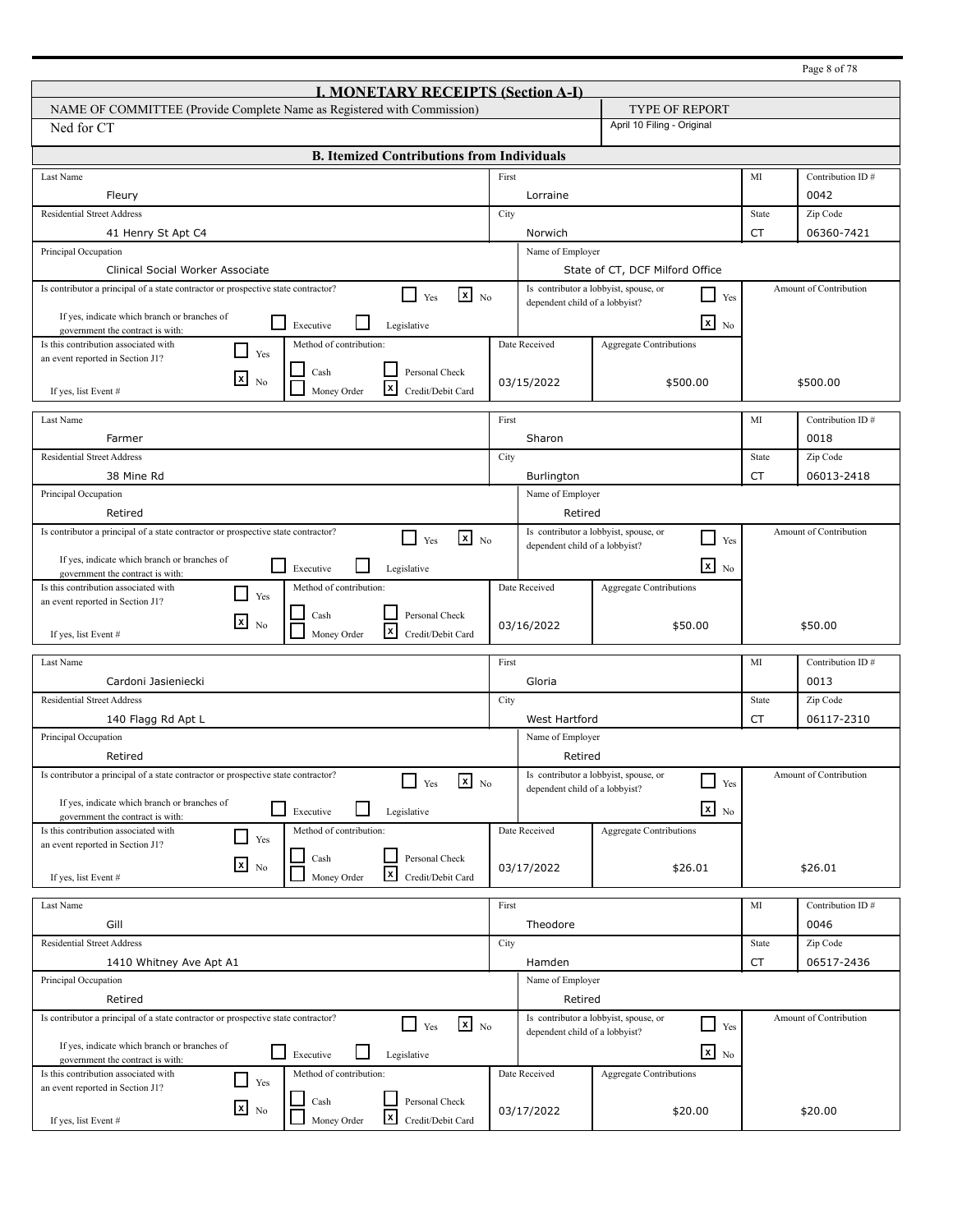|                                                                                                                                          |       |                                |                                                         |           | Page 8 of 78           |
|------------------------------------------------------------------------------------------------------------------------------------------|-------|--------------------------------|---------------------------------------------------------|-----------|------------------------|
| <b>I. MONETARY RECEIPTS (Section A-I)</b>                                                                                                |       |                                |                                                         |           |                        |
| NAME OF COMMITTEE (Provide Complete Name as Registered with Commission)                                                                  |       |                                | TYPE OF REPORT                                          |           |                        |
| Ned for CT                                                                                                                               |       |                                | April 10 Filing - Original                              |           |                        |
| <b>B.</b> Itemized Contributions from Individuals                                                                                        |       |                                |                                                         |           |                        |
|                                                                                                                                          |       |                                |                                                         |           |                        |
| Last Name                                                                                                                                | First |                                |                                                         | MI        | Contribution ID#       |
| Fleury                                                                                                                                   |       | Lorraine                       |                                                         |           | 0042                   |
| <b>Residential Street Address</b>                                                                                                        | City  |                                |                                                         | State     | Zip Code               |
| 41 Henry St Apt C4                                                                                                                       |       | Norwich                        |                                                         | <b>CT</b> | 06360-7421             |
| Principal Occupation<br>Clinical Social Worker Associate                                                                                 |       | Name of Employer               | State of CT, DCF Milford Office                         |           |                        |
| Is contributor a principal of a state contractor or prospective state contractor?                                                        |       |                                | Is contributor a lobbyist, spouse, or                   |           | Amount of Contribution |
| $\mathbf{x}$ No<br>$\Box$ Yes                                                                                                            |       | dependent child of a lobbyist? | Yes                                                     |           |                        |
| If yes, indicate which branch or branches of<br>$\Box$<br>Executive<br>Legislative<br>government the contract is with:                   |       |                                | $\overline{\mathbf{x}}$ No                              |           |                        |
| Is this contribution associated with<br>Method of contribution:<br>$\blacksquare$<br>Yes                                                 |       | Date Received                  | Aggregate Contributions                                 |           |                        |
| an event reported in Section J1?                                                                                                         |       |                                |                                                         |           |                        |
| Personal Check<br>Cash<br>⊠<br>N <sub>0</sub><br>l×l                                                                                     |       | 03/15/2022                     | \$500.00                                                |           | \$500.00               |
| Money Order<br>Credit/Debit Card<br>If yes, list Event #                                                                                 |       |                                |                                                         |           |                        |
| Last Name                                                                                                                                | First |                                |                                                         | MI        | Contribution ID#       |
| Farmer                                                                                                                                   |       | Sharon                         |                                                         |           | 0018                   |
| <b>Residential Street Address</b>                                                                                                        | City  |                                |                                                         | State     | Zip Code               |
| 38 Mine Rd                                                                                                                               |       | <b>Burlington</b>              |                                                         | CT        | 06013-2418             |
| Principal Occupation                                                                                                                     |       | Name of Employer               |                                                         |           |                        |
| Retired                                                                                                                                  |       | Retired                        |                                                         |           |                        |
| Is contributor a principal of a state contractor or prospective state contractor?<br>$\mathbf{x}$ No<br>$\perp$                          |       |                                | Is contributor a lobbyist, spouse, or<br>$\blacksquare$ |           | Amount of Contribution |
| Yes                                                                                                                                      |       | dependent child of a lobbyist? | Yes                                                     |           |                        |
| If yes, indicate which branch or branches of<br>$\overline{\phantom{a}}$<br>Executive<br>Legislative<br>government the contract is with: |       |                                | $\mathbf{X}$ No                                         |           |                        |
| Is this contribution associated with<br>Method of contribution:                                                                          |       | Date Received                  | Aggregate Contributions                                 |           |                        |
| $\blacksquare$<br>Yes<br>an event reported in Section J1?                                                                                |       |                                |                                                         |           |                        |
| Personal Check<br>Cash<br>$\mathbf{x}$<br>N <sub>0</sub>                                                                                 |       | 03/16/2022                     | \$50.00                                                 |           | \$50.00                |
| x<br>Credit/Debit Card<br>Money Order<br>If yes, list Event #                                                                            |       |                                |                                                         |           |                        |
| Last Name                                                                                                                                | First |                                |                                                         | MI        | Contribution ID#       |
| Cardoni Jasieniecki                                                                                                                      |       | Gloria                         |                                                         |           | 0013                   |
| <b>Residential Street Address</b>                                                                                                        | City  |                                |                                                         | State     | Zip Code               |
| 140 Flagg Rd Apt L                                                                                                                       |       | West Hartford                  |                                                         | CT        | 06117-2310             |
| Principal Occupation                                                                                                                     |       | Name of Employer               |                                                         |           |                        |
| Retired                                                                                                                                  |       | Retired                        |                                                         |           |                        |
| Is contributor a principal of a state contractor or prospective state contractor?<br>$\mathbf{x}$ No                                     |       |                                | Is contributor a lobbyist, spouse, or                   |           | Amount of Contribution |
| Yes                                                                                                                                      |       | dependent child of a lobbyist? | $\Box$<br>Yes                                           |           |                        |
| If yes, indicate which branch or branches of<br>$\mathbf{I}$<br>Executive<br>Legislative<br>government the contract is with:             |       |                                | $\mathbf{x}$ No                                         |           |                        |
| Is this contribution associated with<br>Method of contribution:<br>$\Box$                                                                |       | Date Received                  | <b>Aggregate Contributions</b>                          |           |                        |
| Yes<br>an event reported in Section J1?                                                                                                  |       |                                |                                                         |           |                        |
| Personal Check<br>Cash<br>$x_{\text{No}}$                                                                                                |       | 03/17/2022                     | \$26.01                                                 |           | \$26.01                |
| $\mathbf{x}$<br>Credit/Debit Card<br>Money Order<br>If yes, list Event #                                                                 |       |                                |                                                         |           |                        |
| Last Name                                                                                                                                | First |                                |                                                         | MI        | Contribution ID#       |
| Gill                                                                                                                                     |       | Theodore                       |                                                         |           | 0046                   |
| <b>Residential Street Address</b>                                                                                                        | City  |                                |                                                         | State     | Zip Code               |
| 1410 Whitney Ave Apt A1                                                                                                                  |       | Hamden                         |                                                         | CT        | 06517-2436             |
| Principal Occupation                                                                                                                     |       | Name of Employer               |                                                         |           |                        |
| Retired                                                                                                                                  |       | Retired                        |                                                         |           |                        |
| Is contributor a principal of a state contractor or prospective state contractor?                                                        |       |                                | Is contributor a lobbyist, spouse, or                   |           | Amount of Contribution |
| $\mathbf{x}$ No<br>$\mathsf{L}$<br>Yes                                                                                                   |       | dependent child of a lobbyist? | $\overline{\phantom{a}}$<br>Yes                         |           |                        |
| If yes, indicate which branch or branches of<br>Executive<br>Legislative                                                                 |       |                                | $\mathbf{x}$ No                                         |           |                        |
| government the contract is with:<br>Is this contribution associated with<br>Method of contribution:                                      |       | Date Received                  | <b>Aggregate Contributions</b>                          |           |                        |
| $\mathcal{L}$<br>Yes<br>an event reported in Section J1?                                                                                 |       |                                |                                                         |           |                        |
| Cash<br>Personal Check<br>$\overline{\mathbf{x}}$ No                                                                                     |       | 03/17/2022                     | \$20.00                                                 |           | \$20.00                |
| x<br>Money Order<br>Credit/Debit Card<br>If yes, list Event #                                                                            |       |                                |                                                         |           |                        |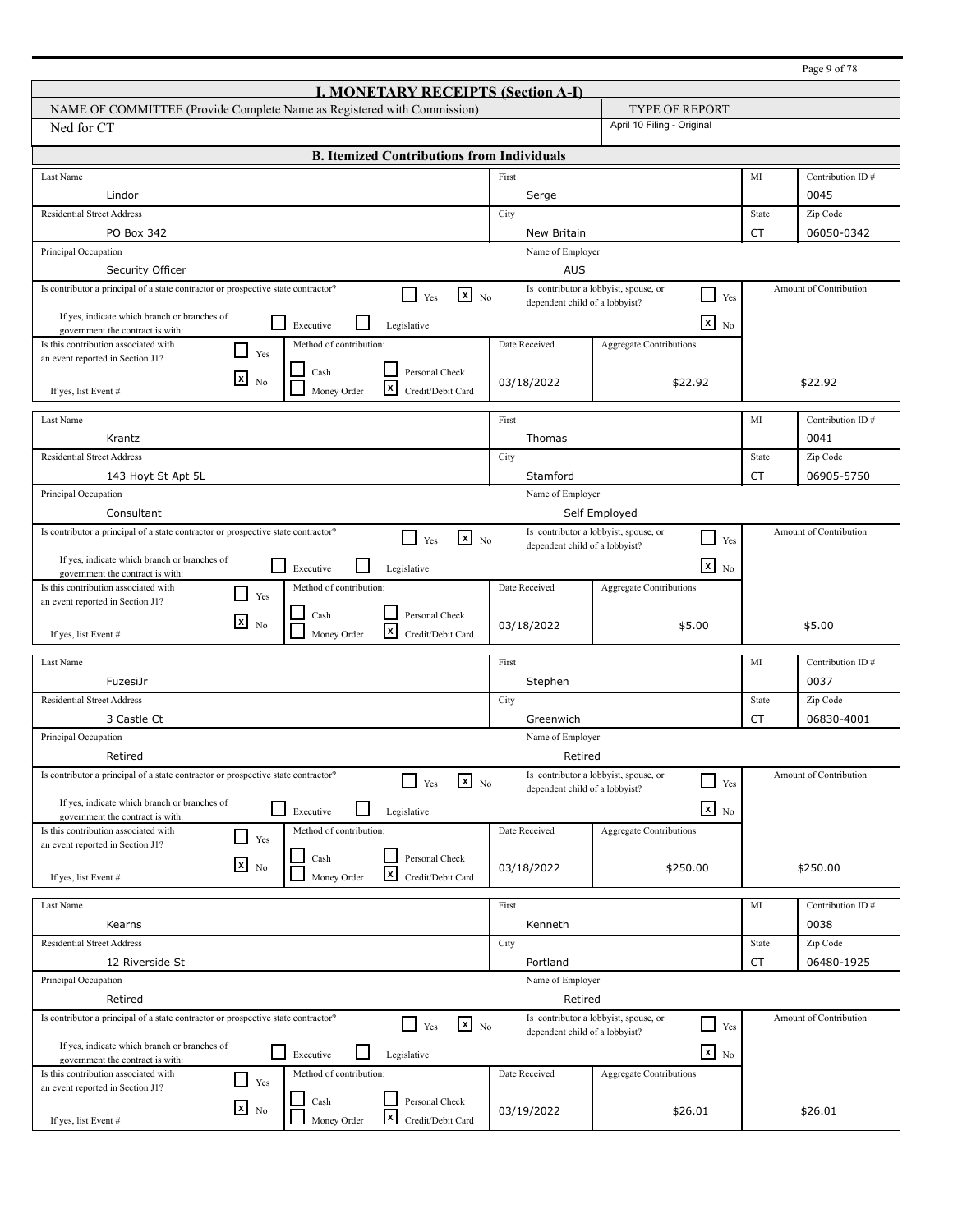|                                                                                                                          |       |                                |                                                          |           | Page 9 of 78           |
|--------------------------------------------------------------------------------------------------------------------------|-------|--------------------------------|----------------------------------------------------------|-----------|------------------------|
| <b>I. MONETARY RECEIPTS (Section A-I)</b>                                                                                |       |                                |                                                          |           |                        |
| NAME OF COMMITTEE (Provide Complete Name as Registered with Commission)                                                  |       |                                | <b>TYPE OF REPORT</b>                                    |           |                        |
| Ned for CT                                                                                                               |       |                                | April 10 Filing - Original                               |           |                        |
| <b>B. Itemized Contributions from Individuals</b>                                                                        |       |                                |                                                          |           |                        |
| Last Name                                                                                                                | First |                                |                                                          | MI        | Contribution ID#       |
| Lindor                                                                                                                   |       | Serge                          |                                                          |           | 0045                   |
| <b>Residential Street Address</b>                                                                                        | City  |                                |                                                          | State     | Zip Code               |
| PO Box 342                                                                                                               |       | New Britain                    |                                                          | <b>CT</b> | 06050-0342             |
| Principal Occupation                                                                                                     |       | Name of Employer               |                                                          |           |                        |
| Security Officer                                                                                                         |       | <b>AUS</b>                     |                                                          |           |                        |
| Is contributor a principal of a state contractor or prospective state contractor?<br>$x_{N0}$<br>l 1<br>Yes              |       | dependent child of a lobbyist? | Is contributor a lobbyist, spouse, or<br>$\sqcup$<br>Yes |           | Amount of Contribution |
| If yes, indicate which branch or branches of                                                                             |       |                                |                                                          |           |                        |
| l 1<br>Executive<br>Legislative<br>government the contract is with:                                                      |       |                                | $\mathbf{x}$<br>No                                       |           |                        |
| Is this contribution associated with<br>Method of contribution:<br>- 1<br>Yes<br>an event reported in Section J1?        |       | Date Received                  | <b>Aggregate Contributions</b>                           |           |                        |
| Personal Check<br>Cash                                                                                                   |       |                                |                                                          |           |                        |
| $\lfloor x \rfloor$<br>N <sub>0</sub><br>l×l<br>Money Order<br>Credit/Debit Card<br>If yes, list Event #                 |       | 03/18/2022                     | \$22.92                                                  |           | \$22.92                |
|                                                                                                                          |       |                                |                                                          |           |                        |
| Last Name                                                                                                                | First |                                |                                                          | MI        | Contribution ID#       |
| Krantz                                                                                                                   |       | Thomas                         |                                                          |           | 0041                   |
| <b>Residential Street Address</b>                                                                                        | City  |                                |                                                          | State     | Zip Code               |
| 143 Hoyt St Apt 5L                                                                                                       |       | Stamford                       |                                                          | CT        | 06905-5750             |
| Principal Occupation                                                                                                     |       | Name of Employer               |                                                          |           |                        |
| Consultant                                                                                                               |       |                                | Self Employed                                            |           |                        |
| Is contributor a principal of a state contractor or prospective state contractor?<br>$x_{N0}$<br>$\blacksquare$<br>Yes   |       |                                | Is contributor a lobbyist, spouse, or<br>$\Box$<br>Yes   |           | Amount of Contribution |
|                                                                                                                          |       | dependent child of a lobbyist? |                                                          |           |                        |
| If yes, indicate which branch or branches of<br>l 1<br>Executive<br>Legislative<br>government the contract is with:      |       |                                | $\overline{\mathbf{x}}$ No                               |           |                        |
| Is this contribution associated with<br>Method of contribution:                                                          |       | Date Received                  | <b>Aggregate Contributions</b>                           |           |                        |
| Yes<br>an event reported in Section J1?                                                                                  |       |                                |                                                          |           |                        |
| Personal Check<br>Cash<br>l×l<br>N <sub>0</sub><br>l×l<br>Money Order<br>Credit/Debit Card<br>If yes, list Event #       |       | 03/18/2022                     | \$5.00                                                   |           | \$5.00                 |
| Last Name                                                                                                                | First |                                |                                                          | MI        | Contribution ID#       |
| FuzesiJr                                                                                                                 |       | Stephen                        |                                                          |           | 0037                   |
| <b>Residential Street Address</b>                                                                                        | City  |                                |                                                          | State     | Zip Code               |
| 3 Castle Ct                                                                                                              |       | Greenwich                      |                                                          | CT        | 06830-4001             |
| Principal Occupation                                                                                                     |       | Name of Employer               |                                                          |           |                        |
| Retired                                                                                                                  |       | Retired                        |                                                          |           |                        |
| Is contributor a principal of a state contractor or prospective state contractor?                                        |       |                                | Is contributor a lobbyist, spouse, or                    |           | Amount of Contribution |
| $\mathbf{x}$ No<br>Yes                                                                                                   |       | dependent child of a lobbyist? | $\Box$<br>Yes                                            |           |                        |
| If yes, indicate which branch or branches of<br>⊔<br>Executive<br>Legislative<br>government the contract is with:        |       |                                | $x_{N0}$                                                 |           |                        |
| Method of contribution:<br>Is this contribution associated with                                                          |       | Date Received                  | Aggregate Contributions                                  |           |                        |
| Yes<br>an event reported in Section J1?                                                                                  |       |                                |                                                          |           |                        |
| Personal Check<br>Cash<br>$x_{\text{No}}$<br>$\vert x \vert$<br>Money Order<br>Credit/Debit Card<br>If yes, list Event # |       | 03/18/2022                     | \$250.00                                                 |           | \$250.00               |
|                                                                                                                          |       |                                |                                                          |           |                        |
| Last Name                                                                                                                | First |                                |                                                          | MI        | Contribution ID#       |
| Kearns                                                                                                                   |       | Kenneth                        |                                                          |           | 0038                   |
| <b>Residential Street Address</b>                                                                                        | City  |                                |                                                          | State     | Zip Code               |
| 12 Riverside St                                                                                                          |       | Portland                       |                                                          | CT        | 06480-1925             |
| Principal Occupation                                                                                                     |       | Name of Employer               |                                                          |           |                        |
| Retired                                                                                                                  |       | Retired                        |                                                          |           |                        |
| Is contributor a principal of a state contractor or prospective state contractor?<br>$x_{N0}$<br>$\Box$ Yes              |       |                                | Is contributor a lobbyist, spouse, or<br>$\Box$<br>Yes   |           | Amount of Contribution |
| If yes, indicate which branch or branches of                                                                             |       | dependent child of a lobbyist? |                                                          |           |                        |
| l 1<br>Executive<br>Legislative<br>government the contract is with:                                                      |       |                                | $\mathbf{x}$ No                                          |           |                        |
| Method of contribution:<br>Is this contribution associated with<br>Yes                                                   |       | Date Received                  | <b>Aggregate Contributions</b>                           |           |                        |
| an event reported in Section J1?<br>Personal Check<br>Cash                                                               |       |                                |                                                          |           |                        |
| $x_{\text{No}}$<br>$\vert x \vert$<br>Money Order<br>Credit/Debit Card<br>If yes, list Event #                           |       | 03/19/2022                     | \$26.01                                                  |           | \$26.01                |
|                                                                                                                          |       |                                |                                                          |           |                        |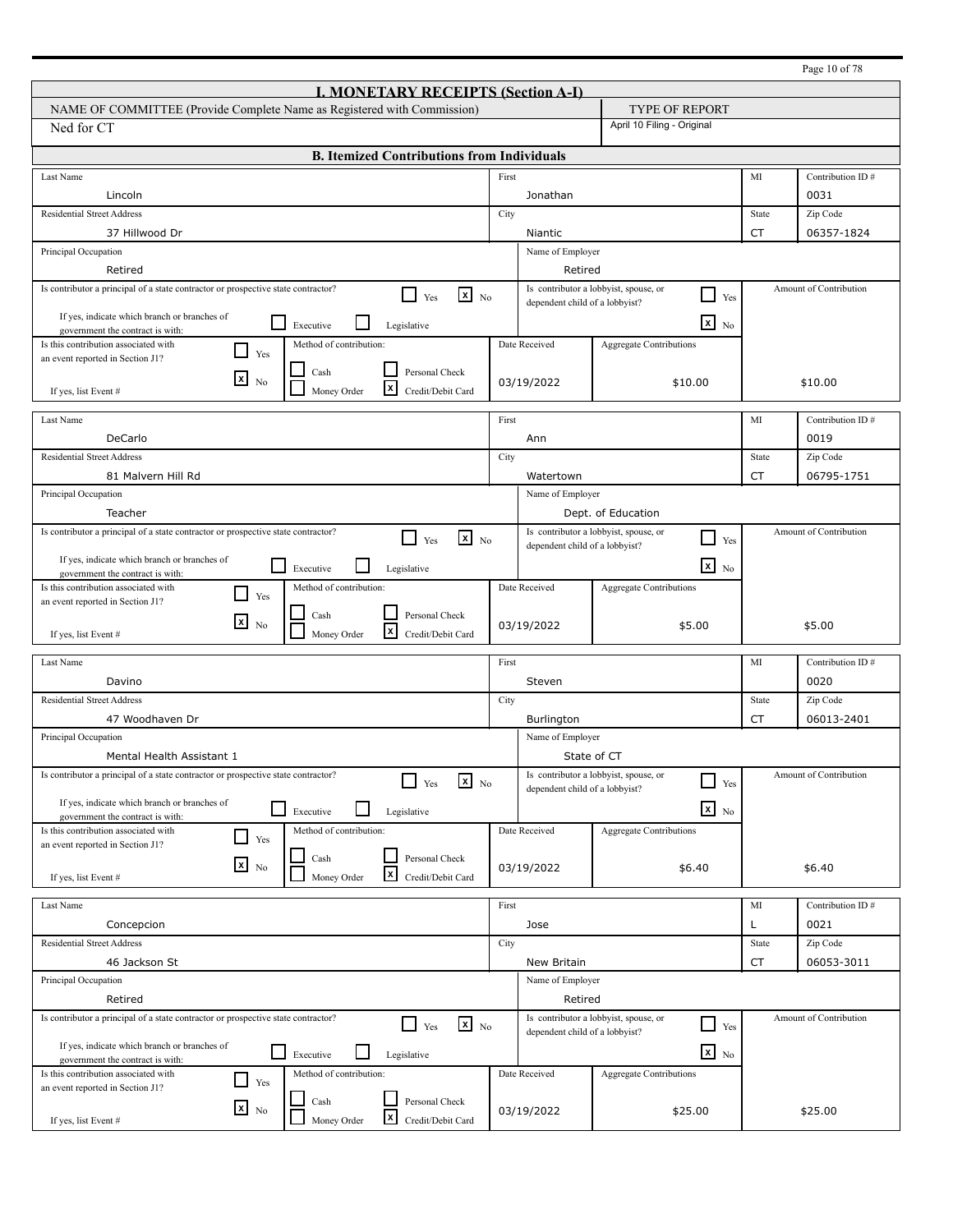|                                                                                                                        |       |                                | Page 10 of 78                                                  |           |                        |  |  |
|------------------------------------------------------------------------------------------------------------------------|-------|--------------------------------|----------------------------------------------------------------|-----------|------------------------|--|--|
| <b>I. MONETARY RECEIPTS (Section A-I)</b>                                                                              |       |                                |                                                                |           |                        |  |  |
| NAME OF COMMITTEE (Provide Complete Name as Registered with Commission)                                                |       |                                | <b>TYPE OF REPORT</b>                                          |           |                        |  |  |
| Ned for CT                                                                                                             |       |                                | April 10 Filing - Original                                     |           |                        |  |  |
| <b>B. Itemized Contributions from Individuals</b>                                                                      |       |                                |                                                                |           |                        |  |  |
| Last Name                                                                                                              | First |                                |                                                                | MI        | Contribution ID#       |  |  |
| Lincoln                                                                                                                |       | Jonathan                       |                                                                |           | 0031                   |  |  |
| <b>Residential Street Address</b>                                                                                      | City  |                                |                                                                | State     | Zip Code               |  |  |
| 37 Hillwood Dr                                                                                                         |       | Niantic                        |                                                                | <b>CT</b> | 06357-1824             |  |  |
| Principal Occupation                                                                                                   |       | Name of Employer               |                                                                |           |                        |  |  |
| Retired                                                                                                                |       | Retired                        |                                                                |           |                        |  |  |
| Is contributor a principal of a state contractor or prospective state contractor?<br>$\mathbf{x}$ No<br>l 1<br>Yes     |       | dependent child of a lobbyist? | Is contributor a lobbyist, spouse, or<br>$\Box$<br>Yes         |           | Amount of Contribution |  |  |
| If yes, indicate which branch or branches of                                                                           |       |                                |                                                                |           |                        |  |  |
| $\Box$<br>Executive<br>Legislative<br>government the contract is with:                                                 |       |                                | $\mathbf{x}$<br>N <sub>0</sub>                                 |           |                        |  |  |
| Is this contribution associated with<br>Method of contribution:<br>l 1<br>Yes<br>an event reported in Section J1?      |       | Date Received                  | <b>Aggregate Contributions</b>                                 |           |                        |  |  |
| Cash<br>Personal Check                                                                                                 |       |                                |                                                                |           |                        |  |  |
| $\mathbf{x}$<br>N <sub>0</sub><br>l×l<br>Money Order<br>Credit/Debit Card<br>If yes, list Event #                      |       | 03/19/2022                     | \$10.00                                                        |           | \$10.00                |  |  |
|                                                                                                                        |       |                                |                                                                |           |                        |  |  |
| Last Name                                                                                                              | First |                                |                                                                | MI        | Contribution ID#       |  |  |
| DeCarlo                                                                                                                |       | Ann                            |                                                                |           | 0019                   |  |  |
| <b>Residential Street Address</b>                                                                                      | City  |                                |                                                                | State     | Zip Code               |  |  |
| 81 Malvern Hill Rd                                                                                                     |       | Watertown                      |                                                                | CT        | 06795-1751             |  |  |
| Principal Occupation                                                                                                   |       | Name of Employer               |                                                                |           |                        |  |  |
| Teacher                                                                                                                |       |                                | Dept. of Education                                             |           |                        |  |  |
| Is contributor a principal of a state contractor or prospective state contractor?<br>$\mathbf{x}$ No<br>Yes            |       | dependent child of a lobbyist? | Is contributor a lobbyist, spouse, or<br>$\blacksquare$<br>Yes |           | Amount of Contribution |  |  |
| If yes, indicate which branch or branches of<br>l 1<br>Executive<br>Legislative                                        |       |                                | $x_{N0}$                                                       |           |                        |  |  |
| government the contract is with:<br>Is this contribution associated with<br>Method of contribution:                    |       | Date Received                  |                                                                |           |                        |  |  |
| $\mathbf{I}$<br>Yes<br>an event reported in Section J1?                                                                |       |                                | <b>Aggregate Contributions</b>                                 |           |                        |  |  |
| Personal Check<br>Cash<br>⊠<br>N <sub>0</sub>                                                                          |       | 03/19/2022                     |                                                                |           | \$5.00                 |  |  |
| l×l<br>Money Order<br>Credit/Debit Card<br>If yes, list Event #                                                        |       |                                | \$5.00                                                         |           |                        |  |  |
| Last Name                                                                                                              | First |                                |                                                                | MI        | Contribution ID#       |  |  |
| Davino                                                                                                                 |       | Steven                         |                                                                |           | 0020                   |  |  |
| <b>Residential Street Address</b>                                                                                      | City  |                                |                                                                | State     | Zip Code               |  |  |
| 47 Woodhaven Dr                                                                                                        |       | Burlington                     |                                                                | CT        | 06013-2401             |  |  |
| Principal Occupation                                                                                                   |       | Name of Employer               |                                                                |           |                        |  |  |
| Mental Health Assistant 1                                                                                              |       |                                | State of CT                                                    |           |                        |  |  |
| Is contributor a principal of a state contractor or prospective state contractor?                                      |       |                                | Is contributor a lobbyist, spouse, or                          |           | Amount of Contribution |  |  |
| $\mathbf{x}$ No<br>Yes                                                                                                 |       | dependent child of a lobbyist? | $\overline{\phantom{a}}$<br>Yes                                |           |                        |  |  |
| If yes, indicate which branch or branches of<br>$\Box$<br>Executive<br>Legislative<br>government the contract is with: |       |                                | $x_{N0}$                                                       |           |                        |  |  |
| Method of contribution:<br>Is this contribution associated with                                                        |       | Date Received                  | Aggregate Contributions                                        |           |                        |  |  |
| $\Box$<br>Yes<br>an event reported in Section J1?                                                                      |       |                                |                                                                |           |                        |  |  |
| Personal Check<br>Cash<br>$x_{\text{No}}$<br>$\mathbf{x}$                                                              |       | 03/19/2022                     | \$6.40                                                         |           | \$6.40                 |  |  |
| Money Order<br>Credit/Debit Card<br>If yes, list Event #                                                               |       |                                |                                                                |           |                        |  |  |
| Last Name                                                                                                              | First |                                |                                                                | MI        | Contribution ID#       |  |  |
| Concepcion                                                                                                             |       | Jose                           |                                                                | L         | 0021                   |  |  |
| <b>Residential Street Address</b>                                                                                      | City  |                                |                                                                | State     | Zip Code               |  |  |
| 46 Jackson St                                                                                                          |       | New Britain                    |                                                                | CT        | 06053-3011             |  |  |
| Principal Occupation                                                                                                   |       | Name of Employer               |                                                                |           |                        |  |  |
| Retired                                                                                                                |       | Retired                        |                                                                |           |                        |  |  |
| Is contributor a principal of a state contractor or prospective state contractor?<br>$\mathbf{x}$ No<br>l I<br>Yes     |       |                                | Is contributor a lobbyist, spouse, or<br>$\Box$<br>Yes         |           | Amount of Contribution |  |  |
|                                                                                                                        |       | dependent child of a lobbyist? |                                                                |           |                        |  |  |
| If yes, indicate which branch or branches of<br>$\Box$ Executive<br>Legislative<br>government the contract is with:    |       |                                | $\overline{\mathbf{x}}$ No                                     |           |                        |  |  |
| Method of contribution:<br>Is this contribution associated with<br>$\Box$<br>Yes                                       |       | Date Received                  | <b>Aggregate Contributions</b>                                 |           |                        |  |  |
| an event reported in Section J1?<br>Cash<br>Personal Check                                                             |       |                                |                                                                |           |                        |  |  |
| $x_{N0}$<br>$\mathbf{x}$<br>Money Order<br>Credit/Debit Card<br>If yes, list Event #                                   |       | 03/19/2022                     | \$25.00                                                        |           | \$25.00                |  |  |
|                                                                                                                        |       |                                |                                                                |           |                        |  |  |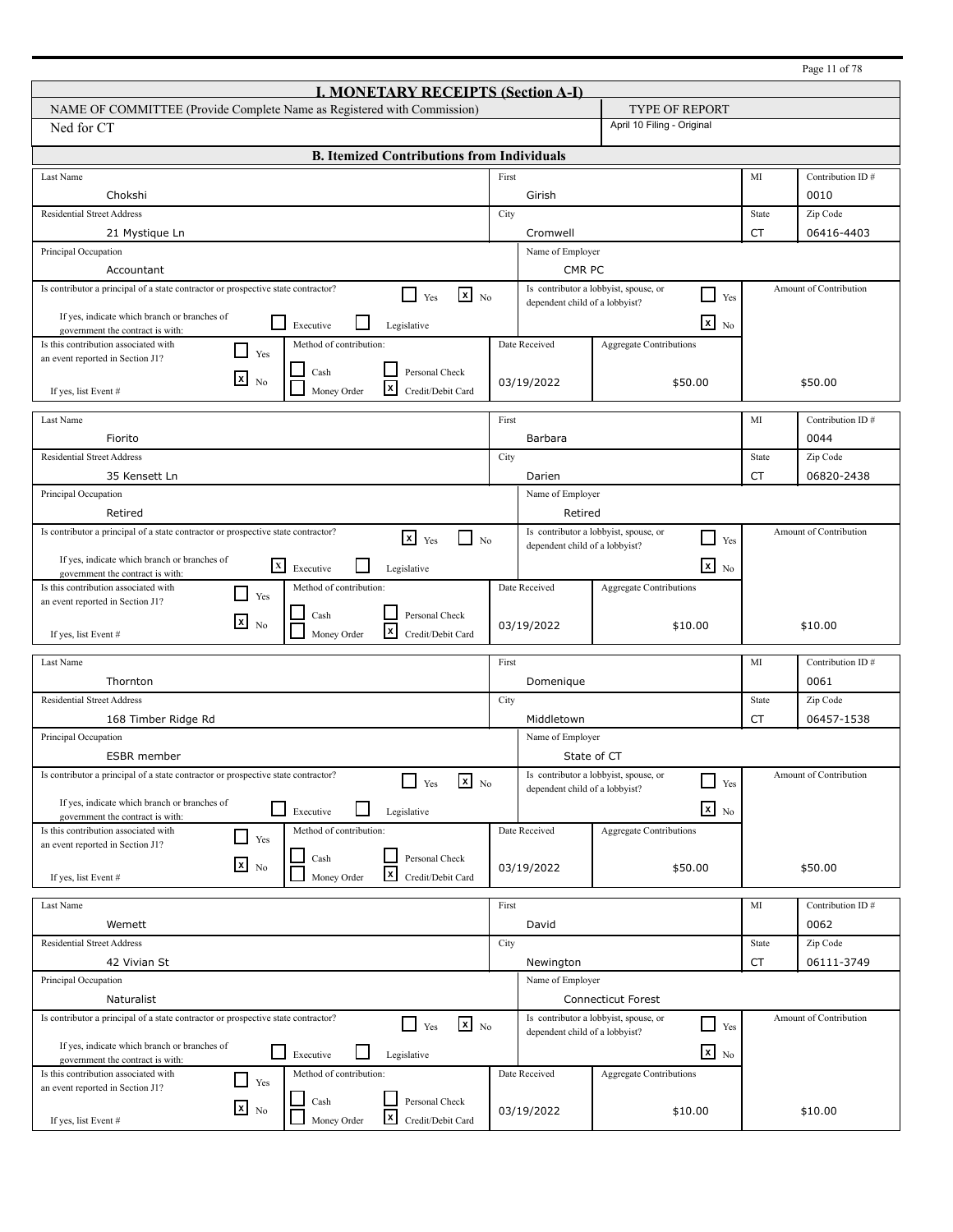|                                                                                                                         |       |                                |                                                                          |           | Page 11 of 78          |
|-------------------------------------------------------------------------------------------------------------------------|-------|--------------------------------|--------------------------------------------------------------------------|-----------|------------------------|
| <b>I. MONETARY RECEIPTS (Section A-I)</b>                                                                               |       |                                |                                                                          |           |                        |
| NAME OF COMMITTEE (Provide Complete Name as Registered with Commission)                                                 |       |                                | <b>TYPE OF REPORT</b>                                                    |           |                        |
| Ned for CT                                                                                                              |       |                                | April 10 Filing - Original                                               |           |                        |
| <b>B. Itemized Contributions from Individuals</b>                                                                       |       |                                |                                                                          |           |                        |
| Last Name                                                                                                               | First |                                |                                                                          | MI        | Contribution ID#       |
| Chokshi                                                                                                                 |       | Girish                         |                                                                          |           | 0010                   |
| <b>Residential Street Address</b>                                                                                       | City  |                                |                                                                          | State     | Zip Code               |
| 21 Mystique Ln                                                                                                          |       | Cromwell                       |                                                                          | <b>CT</b> | 06416-4403             |
| Principal Occupation                                                                                                    |       | Name of Employer               |                                                                          |           |                        |
| Accountant                                                                                                              |       | CMR PC                         |                                                                          |           |                        |
| Is contributor a principal of a state contractor or prospective state contractor?<br>$\mathbf{x}$ No<br>Yes             |       |                                | Is contributor a lobbyist, spouse, or<br>$\Box$<br>Yes                   |           | Amount of Contribution |
| If yes, indicate which branch or branches of                                                                            |       | dependent child of a lobbyist? |                                                                          |           |                        |
| $\Box$<br>Executive<br>Legislative<br>government the contract is with:                                                  |       |                                | $\mathbf{x}$<br>N <sub>0</sub>                                           |           |                        |
| Is this contribution associated with<br>Method of contribution:<br>$\blacksquare$<br>Yes                                |       | Date Received                  | <b>Aggregate Contributions</b>                                           |           |                        |
| an event reported in Section J1?<br>$\operatorname{Cash}$<br>Personal Check                                             |       |                                |                                                                          |           |                        |
| $\mathbf{x}$<br>N <sub>0</sub><br>l×l<br>Money Order<br>Credit/Debit Card<br>If yes, list Event #                       |       | 03/19/2022                     | \$50.00                                                                  |           | \$50.00                |
|                                                                                                                         |       |                                |                                                                          |           |                        |
| Last Name                                                                                                               | First |                                |                                                                          | MI        | Contribution ID#       |
| Fiorito                                                                                                                 |       | Barbara                        |                                                                          |           | 0044                   |
| <b>Residential Street Address</b>                                                                                       | City  |                                |                                                                          | State     | Zip Code               |
| 35 Kensett Ln                                                                                                           |       | Darien                         |                                                                          | CT        | 06820-2438             |
| Principal Occupation                                                                                                    |       | Name of Employer               |                                                                          |           |                        |
| Retired                                                                                                                 |       | Retired                        |                                                                          |           |                        |
| Is contributor a principal of a state contractor or prospective state contractor?<br>$x \rightarrow_{Yes}$<br>$\Box$ No |       |                                | Is contributor a lobbyist, spouse, or<br>- 1<br>Yes                      |           | Amount of Contribution |
| If yes, indicate which branch or branches of                                                                            |       | dependent child of a lobbyist? |                                                                          |           |                        |
| $\boxed{\mathbf{X}}$ Executive<br>Legislative<br>government the contract is with:                                       |       |                                | $\overline{\mathbf{x}}$ No                                               |           |                        |
| Is this contribution associated with<br>Method of contribution:<br>- 1<br>Yes                                           |       | Date Received                  | <b>Aggregate Contributions</b>                                           |           |                        |
| an event reported in Section J1?<br>Personal Check<br>Cash                                                              |       |                                |                                                                          |           |                        |
| ⊠<br>No<br>l×l<br>Money Order<br>Credit/Debit Card<br>If yes, list Event #                                              |       | 03/19/2022                     | \$10.00                                                                  |           | \$10.00                |
|                                                                                                                         |       |                                |                                                                          |           |                        |
| Last Name                                                                                                               | First |                                |                                                                          | MI        | Contribution ID#       |
| Thornton                                                                                                                |       | Domenique                      |                                                                          |           | 0061                   |
| <b>Residential Street Address</b>                                                                                       | City  |                                |                                                                          | State     | Zip Code               |
| 168 Timber Ridge Rd                                                                                                     |       | Middletown                     |                                                                          | CT        | 06457-1538             |
| Principal Occupation                                                                                                    |       | Name of Employer               |                                                                          |           |                        |
| <b>ESBR</b> member                                                                                                      |       |                                | State of CT                                                              |           |                        |
| Is contributor a principal of a state contractor or prospective state contractor?<br>$\mathbf{x}$ No<br>Yes             |       | dependent child of a lobbyist? | Is contributor a lobbyist, spouse, or<br>$\overline{\phantom{0}}$<br>Yes |           | Amount of Contribution |
| If yes, indicate which branch or branches of<br>$\Box$<br>Executive                                                     |       |                                | $x_{N0}$                                                                 |           |                        |
| Legislative<br>government the contract is with:<br>Method of contribution:                                              |       | Date Received                  |                                                                          |           |                        |
| Is this contribution associated with<br>$\Box$<br>Yes<br>an event reported in Section J1?                               |       |                                | Aggregate Contributions                                                  |           |                        |
| Personal Check<br>Cash<br>$x_{\text{No}}$                                                                               |       |                                |                                                                          |           |                        |
| $\mathbf{x}$<br>Money Order<br>Credit/Debit Card<br>If yes, list Event #                                                |       | 03/19/2022                     | \$50.00                                                                  |           | \$50.00                |
|                                                                                                                         | First |                                |                                                                          | MI        |                        |
| Last Name                                                                                                               |       |                                |                                                                          |           | Contribution ID#       |
| Wemett                                                                                                                  |       | David                          |                                                                          |           | 0062                   |
| <b>Residential Street Address</b>                                                                                       | City  |                                |                                                                          | State     | Zip Code               |
| 42 Vivian St<br>Principal Occupation                                                                                    |       | Newington                      |                                                                          | CT        | 06111-3749             |
|                                                                                                                         |       | Name of Employer               |                                                                          |           |                        |
| Naturalist                                                                                                              |       |                                | Connecticut Forest                                                       |           |                        |
| Is contributor a principal of a state contractor or prospective state contractor?<br>$\mathbf{x}$ No<br>l I<br>Yes      |       | dependent child of a lobbyist? | Is contributor a lobbyist, spouse, or<br>$\Box$<br>Yes                   |           | Amount of Contribution |
| If yes, indicate which branch or branches of<br>$\Box$ Executive<br>Legislative                                         |       |                                | $\overline{\mathbf{x}}$ No                                               |           |                        |
| government the contract is with:<br>Method of contribution:                                                             |       | Date Received                  |                                                                          |           |                        |
| Is this contribution associated with<br>$\Box$<br>Yes<br>an event reported in Section J1?                               |       |                                | <b>Aggregate Contributions</b>                                           |           |                        |
| Cash<br>Personal Check<br>$\mathbf{x}$ No                                                                               |       |                                |                                                                          |           |                        |
| $\mathbf{x}$<br>Money Order<br>Credit/Debit Card<br>If yes, list Event #                                                |       | 03/19/2022                     | \$10.00                                                                  |           | \$10.00                |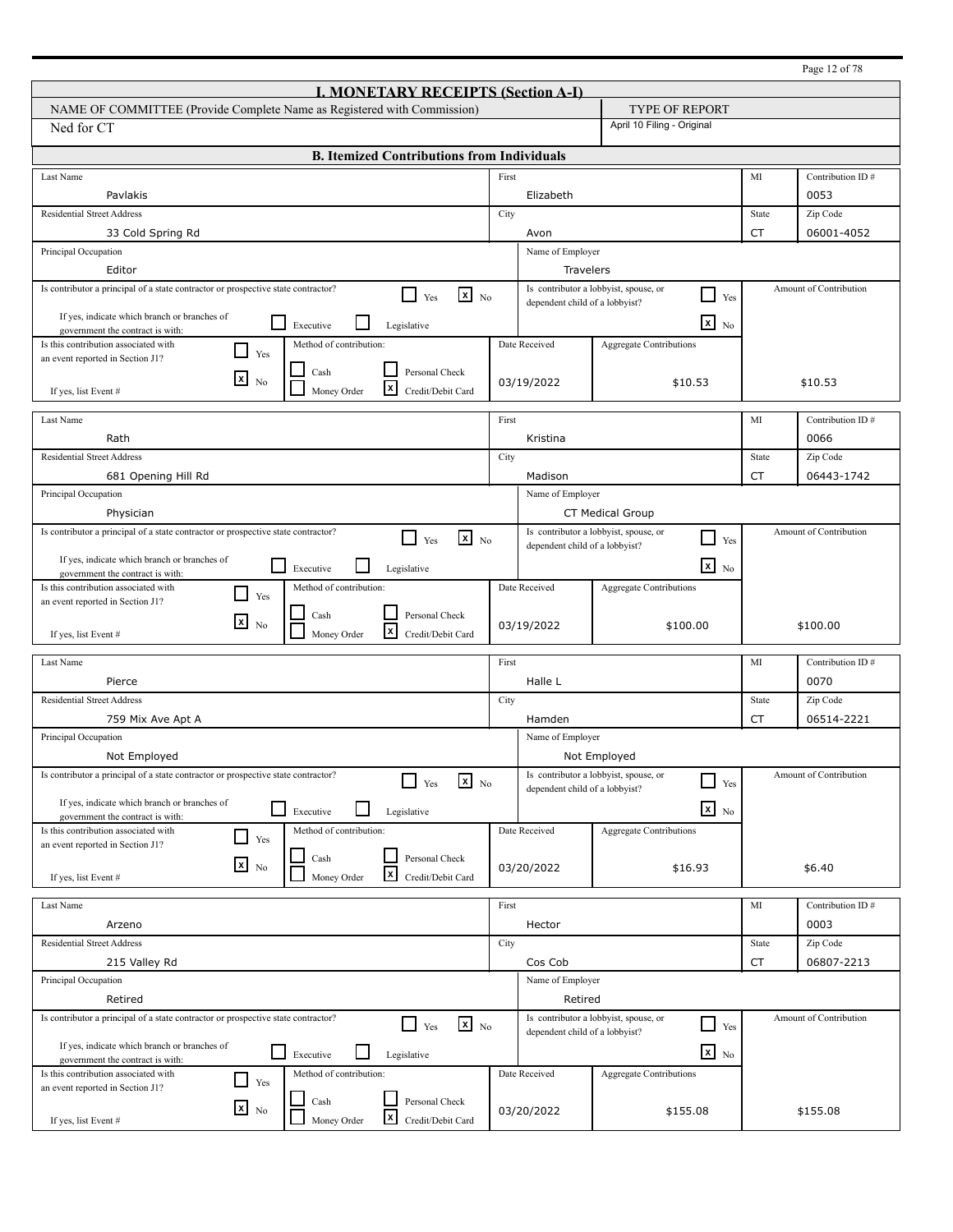|                                                                                                                            |       |                                |                                                                          |           | Page 12 of 78          |
|----------------------------------------------------------------------------------------------------------------------------|-------|--------------------------------|--------------------------------------------------------------------------|-----------|------------------------|
| <b>I. MONETARY RECEIPTS (Section A-I)</b>                                                                                  |       |                                |                                                                          |           |                        |
| NAME OF COMMITTEE (Provide Complete Name as Registered with Commission)                                                    |       |                                | <b>TYPE OF REPORT</b>                                                    |           |                        |
| Ned for CT                                                                                                                 |       |                                | April 10 Filing - Original                                               |           |                        |
| <b>B. Itemized Contributions from Individuals</b>                                                                          |       |                                |                                                                          |           |                        |
| Last Name                                                                                                                  | First |                                |                                                                          | MI        | Contribution ID#       |
| Pavlakis                                                                                                                   |       | Elizabeth                      |                                                                          |           | 0053                   |
| <b>Residential Street Address</b>                                                                                          | City  |                                |                                                                          | State     | Zip Code               |
| 33 Cold Spring Rd                                                                                                          |       | Avon                           |                                                                          | <b>CT</b> | 06001-4052             |
| Principal Occupation                                                                                                       |       | Name of Employer               |                                                                          |           |                        |
| Editor                                                                                                                     |       | Travelers                      |                                                                          |           |                        |
| Is contributor a principal of a state contractor or prospective state contractor?<br>$\mathbf{x}$ No<br>l 1<br>Yes         |       |                                | Is contributor a lobbyist, spouse, or<br>$\Box$<br>Yes                   |           | Amount of Contribution |
| If yes, indicate which branch or branches of                                                                               |       | dependent child of a lobbyist? |                                                                          |           |                        |
| $\Box$<br>Executive<br>Legislative<br>government the contract is with:                                                     |       |                                | $\mathbf{x}$<br>N <sub>0</sub>                                           |           |                        |
| Is this contribution associated with<br>Method of contribution:<br>l 1<br>Yes                                              |       | Date Received                  | <b>Aggregate Contributions</b>                                           |           |                        |
| an event reported in Section J1?<br>Cash<br>Personal Check                                                                 |       |                                |                                                                          |           |                        |
| $\mathbf{x}$<br>N <sub>0</sub><br>l×l<br>Money Order<br>Credit/Debit Card<br>If yes, list Event #                          |       | 03/19/2022                     | \$10.53                                                                  |           | \$10.53                |
|                                                                                                                            |       |                                |                                                                          |           |                        |
| Last Name                                                                                                                  | First |                                |                                                                          | MI        | Contribution ID#       |
| Rath                                                                                                                       |       | Kristina                       |                                                                          |           | 0066                   |
| <b>Residential Street Address</b>                                                                                          | City  |                                |                                                                          | State     | Zip Code               |
| 681 Opening Hill Rd                                                                                                        |       | Madison                        |                                                                          | CT        | 06443-1742             |
| Principal Occupation                                                                                                       |       | Name of Employer               |                                                                          |           |                        |
| Physician                                                                                                                  |       |                                | <b>CT Medical Group</b>                                                  |           |                        |
| Is contributor a principal of a state contractor or prospective state contractor?<br>$\mathbf{x}$ No<br>Yes                |       | dependent child of a lobbyist? | Is contributor a lobbyist, spouse, or<br>- 1<br>Yes                      |           | Amount of Contribution |
| If yes, indicate which branch or branches of                                                                               |       |                                |                                                                          |           |                        |
| l 1<br>Executive<br>Legislative<br>government the contract is with:                                                        |       |                                | $\overline{\mathbf{x}}$ No                                               |           |                        |
| Is this contribution associated with<br>Method of contribution:<br>$\mathbf{I}$<br>Yes<br>an event reported in Section J1? |       | Date Received                  | Aggregate Contributions                                                  |           |                        |
| Personal Check<br>Cash                                                                                                     |       |                                |                                                                          |           |                        |
| ⊠<br>N <sub>0</sub><br>l×l<br>Money Order<br>Credit/Debit Card<br>If yes, list Event #                                     |       | 03/19/2022                     | \$100.00                                                                 |           | \$100.00               |
|                                                                                                                            |       |                                |                                                                          |           |                        |
| Last Name                                                                                                                  | First |                                |                                                                          | MI        | Contribution ID#       |
| Pierce                                                                                                                     |       | Halle L                        |                                                                          |           | 0070                   |
| <b>Residential Street Address</b>                                                                                          | City  |                                |                                                                          | State     | Zip Code               |
| 759 Mix Ave Apt A                                                                                                          |       | Hamden                         |                                                                          | CT        | 06514-2221             |
| Principal Occupation                                                                                                       |       | Name of Employer               |                                                                          |           |                        |
| Not Employed                                                                                                               |       |                                | Not Employed                                                             |           |                        |
| Is contributor a principal of a state contractor or prospective state contractor?<br>$\mathbf{x}$ No<br>Yes                |       | dependent child of a lobbyist? | Is contributor a lobbyist, spouse, or<br>$\overline{\phantom{0}}$<br>Yes |           | Amount of Contribution |
| If yes, indicate which branch or branches of<br>⊔                                                                          |       |                                | $x_{N0}$                                                                 |           |                        |
| Executive<br>Legislative<br>government the contract is with:                                                               |       |                                |                                                                          |           |                        |
| Method of contribution:<br>Is this contribution associated with<br>$\Box$<br>Yes<br>an event reported in Section J1?       |       | Date Received                  | Aggregate Contributions                                                  |           |                        |
| Personal Check<br>Cash<br>$x_{\text{No}}$                                                                                  |       |                                |                                                                          |           |                        |
| $\mathbf{x}$<br>Money Order<br>Credit/Debit Card<br>If yes, list Event #                                                   |       | 03/20/2022                     | \$16.93                                                                  |           | \$6.40                 |
|                                                                                                                            |       |                                |                                                                          |           |                        |
| Last Name                                                                                                                  | First |                                |                                                                          | MI        | Contribution ID#       |
| Arzeno                                                                                                                     |       | Hector                         |                                                                          |           | 0003                   |
| <b>Residential Street Address</b>                                                                                          | City  |                                |                                                                          | State     | Zip Code               |
| 215 Valley Rd                                                                                                              |       | Cos Cob                        |                                                                          | CT        | 06807-2213             |
| Principal Occupation                                                                                                       |       | Name of Employer               |                                                                          |           |                        |
| Retired                                                                                                                    |       | Retired                        |                                                                          |           |                        |
| Is contributor a principal of a state contractor or prospective state contractor?<br>$\mathbf{x}$ No<br>l I<br>Yes         |       | dependent child of a lobbyist? | Is contributor a lobbyist, spouse, or<br>$\sqcup$<br>Yes                 |           | Amount of Contribution |
| If yes, indicate which branch or branches of<br>$\Box$ Executive                                                           |       |                                | $\overline{\mathbf{x}}$ No                                               |           |                        |
| Legislative<br>government the contract is with:                                                                            |       |                                |                                                                          |           |                        |
| Method of contribution:<br>Is this contribution associated with<br>$\Box$<br>Yes<br>an event reported in Section J1?       |       | Date Received                  | <b>Aggregate Contributions</b>                                           |           |                        |
| Cash<br>Personal Check<br>$\mathbf{x}$ No                                                                                  |       |                                |                                                                          |           |                        |
| $\mathbf{x}$<br>Money Order<br>Credit/Debit Card<br>If yes, list Event #                                                   |       | 03/20/2022                     | \$155.08                                                                 |           | \$155.08               |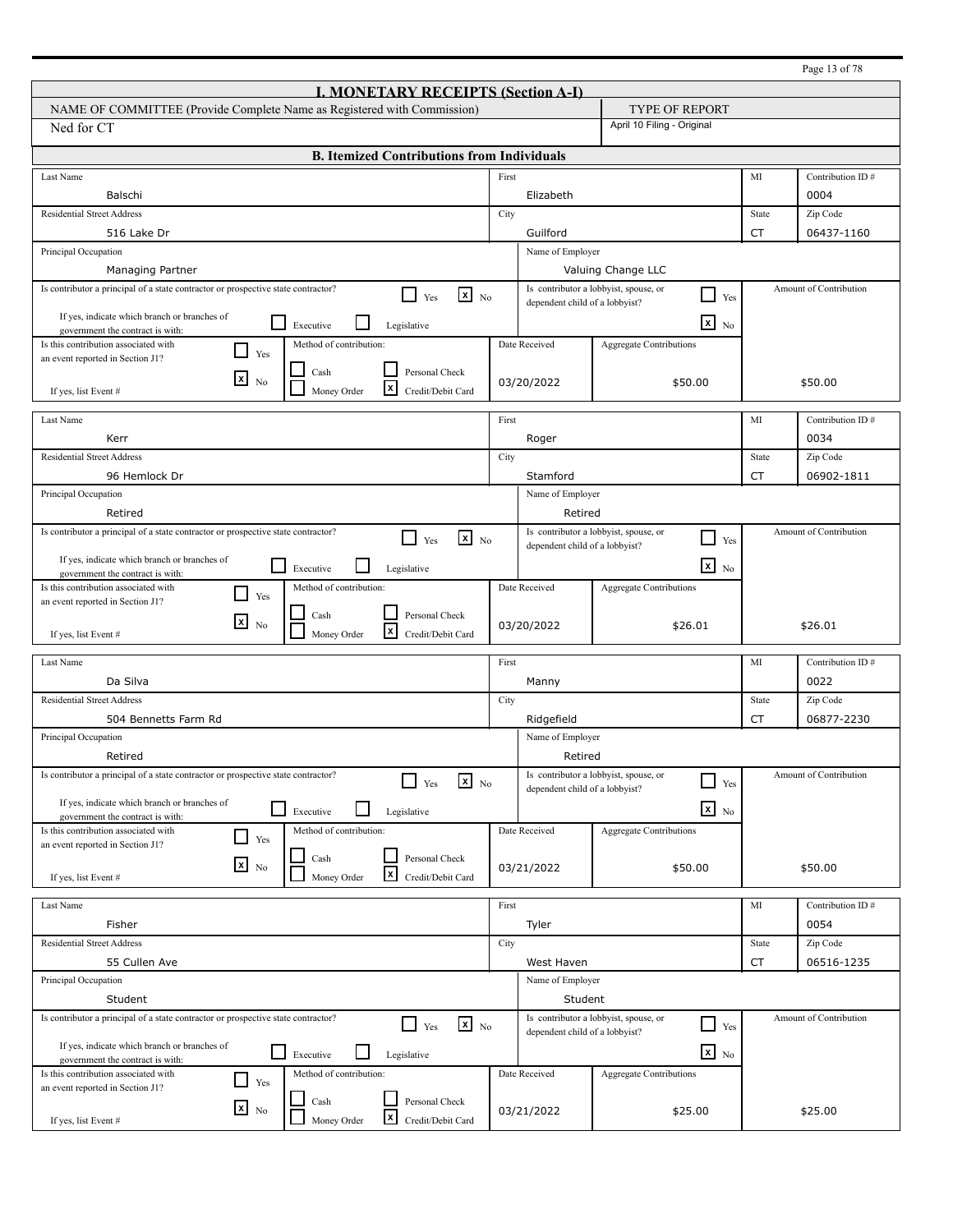|                                                                                                                        |       |                                |                                                                |           | Page 13 of 78          |
|------------------------------------------------------------------------------------------------------------------------|-------|--------------------------------|----------------------------------------------------------------|-----------|------------------------|
| <b>I. MONETARY RECEIPTS (Section A-I)</b>                                                                              |       |                                |                                                                |           |                        |
| NAME OF COMMITTEE (Provide Complete Name as Registered with Commission)                                                |       |                                | <b>TYPE OF REPORT</b>                                          |           |                        |
| Ned for CT                                                                                                             |       |                                | April 10 Filing - Original                                     |           |                        |
| <b>B. Itemized Contributions from Individuals</b>                                                                      |       |                                |                                                                |           |                        |
| Last Name                                                                                                              | First |                                |                                                                | MI        | Contribution ID#       |
| Balschi                                                                                                                |       | Elizabeth                      |                                                                |           | 0004                   |
| <b>Residential Street Address</b>                                                                                      | City  |                                |                                                                | State     | Zip Code               |
| 516 Lake Dr                                                                                                            |       | Guilford                       |                                                                | <b>CT</b> | 06437-1160             |
| Principal Occupation                                                                                                   |       | Name of Employer               |                                                                |           |                        |
| <b>Managing Partner</b>                                                                                                |       |                                | Valuing Change LLC                                             |           |                        |
| Is contributor a principal of a state contractor or prospective state contractor?<br>$x_{N0}$<br>l 1<br>Yes            |       | dependent child of a lobbyist? | Is contributor a lobbyist, spouse, or<br>⊔<br>Yes              |           | Amount of Contribution |
| If yes, indicate which branch or branches of                                                                           |       |                                |                                                                |           |                        |
| l 1<br>Executive<br>Legislative<br>government the contract is with:                                                    |       |                                | $\mathbf{x}$<br>No                                             |           |                        |
| Is this contribution associated with<br>Method of contribution:<br>- 1<br>Yes<br>an event reported in Section J1?      |       | Date Received                  | <b>Aggregate Contributions</b>                                 |           |                        |
| Personal Check<br>Cash                                                                                                 |       |                                |                                                                |           |                        |
| $\lfloor x \rfloor$<br>N <sub>0</sub><br>l×l<br>Money Order<br>Credit/Debit Card<br>If yes, list Event #               |       | 03/20/2022                     | \$50.00                                                        |           | \$50.00                |
|                                                                                                                        |       |                                |                                                                |           |                        |
| Last Name                                                                                                              | First |                                |                                                                | MI        | Contribution ID#       |
| Kerr                                                                                                                   |       | Roger                          |                                                                |           | 0034                   |
| <b>Residential Street Address</b>                                                                                      | City  |                                |                                                                | State     | Zip Code               |
| 96 Hemlock Dr                                                                                                          |       | Stamford                       |                                                                | CT        | 06902-1811             |
| Principal Occupation                                                                                                   |       | Name of Employer               |                                                                |           |                        |
| Retired                                                                                                                |       | Retired                        |                                                                |           |                        |
| Is contributor a principal of a state contractor or prospective state contractor?<br>$x_{N0}$<br>$\blacksquare$<br>Yes |       | dependent child of a lobbyist? | Is contributor a lobbyist, spouse, or<br>$\blacksquare$<br>Yes |           | Amount of Contribution |
| If yes, indicate which branch or branches of                                                                           |       |                                | $\mathbf{X}$ No                                                |           |                        |
| l 1<br>Executive<br>Legislative<br>government the contract is with:                                                    |       |                                |                                                                |           |                        |
| Is this contribution associated with<br>Method of contribution:<br>Yes<br>an event reported in Section J1?             |       | Date Received                  | <b>Aggregate Contributions</b>                                 |           |                        |
| Personal Check<br>Cash<br>l×l                                                                                          |       |                                |                                                                |           |                        |
| N <sub>0</sub><br>l×l<br>Money Order<br>Credit/Debit Card<br>If yes, list Event #                                      |       | 03/20/2022                     | \$26.01                                                        |           | \$26.01                |
|                                                                                                                        |       |                                |                                                                |           |                        |
| Last Name                                                                                                              | First |                                |                                                                | MI        | Contribution ID#       |
| Da Silva                                                                                                               |       | Manny                          |                                                                |           | 0022                   |
| <b>Residential Street Address</b><br>504 Bennetts Farm Rd                                                              | City  |                                |                                                                | State     | Zip Code<br>06877-2230 |
|                                                                                                                        |       | Ridgefield                     |                                                                | <b>CT</b> |                        |
| Principal Occupation<br>Retired                                                                                        |       | Name of Employer               |                                                                |           |                        |
| Is contributor a principal of a state contractor or prospective state contractor?                                      |       | Retired                        | Is contributor a lobbyist, spouse, or                          |           | Amount of Contribution |
| $\mathbf{x}$ No<br>Yes                                                                                                 |       | dependent child of a lobbyist? | $\Box$<br>Yes                                                  |           |                        |
| If yes, indicate which branch or branches of<br>⊔<br>Executive<br>Legislative                                          |       |                                | $x_{N0}$                                                       |           |                        |
| government the contract is with:<br>Method of contribution:<br>Is this contribution associated with                    |       | Date Received                  | Aggregate Contributions                                        |           |                        |
| Yes<br>an event reported in Section J1?                                                                                |       |                                |                                                                |           |                        |
| Personal Check<br>Cash<br>$x_{\text{No}}$                                                                              |       | 03/21/2022                     | \$50.00                                                        |           | \$50.00                |
| $\vert x \vert$<br>Money Order<br>Credit/Debit Card<br>If yes, list Event #                                            |       |                                |                                                                |           |                        |
| Last Name                                                                                                              | First |                                |                                                                | MI        | Contribution ID#       |
| Fisher                                                                                                                 |       | Tyler                          |                                                                |           | 0054                   |
| <b>Residential Street Address</b>                                                                                      | City  |                                |                                                                | State     | Zip Code               |
| 55 Cullen Ave                                                                                                          |       | West Haven                     |                                                                | CT        | 06516-1235             |
| Principal Occupation                                                                                                   |       | Name of Employer               |                                                                |           |                        |
| Student                                                                                                                |       | Student                        |                                                                |           |                        |
| Is contributor a principal of a state contractor or prospective state contractor?                                      |       |                                | Is contributor a lobbyist, spouse, or                          |           | Amount of Contribution |
| $x_{N0}$<br>$\Box$ Yes                                                                                                 |       | dependent child of a lobbyist? | $\Box$<br>Yes                                                  |           |                        |
| If yes, indicate which branch or branches of<br>l 1<br>Executive<br>Legislative                                        |       |                                | $\mathbf{X}$ No                                                |           |                        |
| government the contract is with:<br>Method of contribution:<br>Is this contribution associated with                    |       | Date Received                  | <b>Aggregate Contributions</b>                                 |           |                        |
| Yes<br>an event reported in Section J1?                                                                                |       |                                |                                                                |           |                        |
| Personal Check<br>Cash<br>$\mathbf{X}$ No                                                                              |       | 03/21/2022                     | \$25.00                                                        |           | \$25.00                |
| $\vert x \vert$<br>Money Order<br>Credit/Debit Card<br>If yes, list Event #                                            |       |                                |                                                                |           |                        |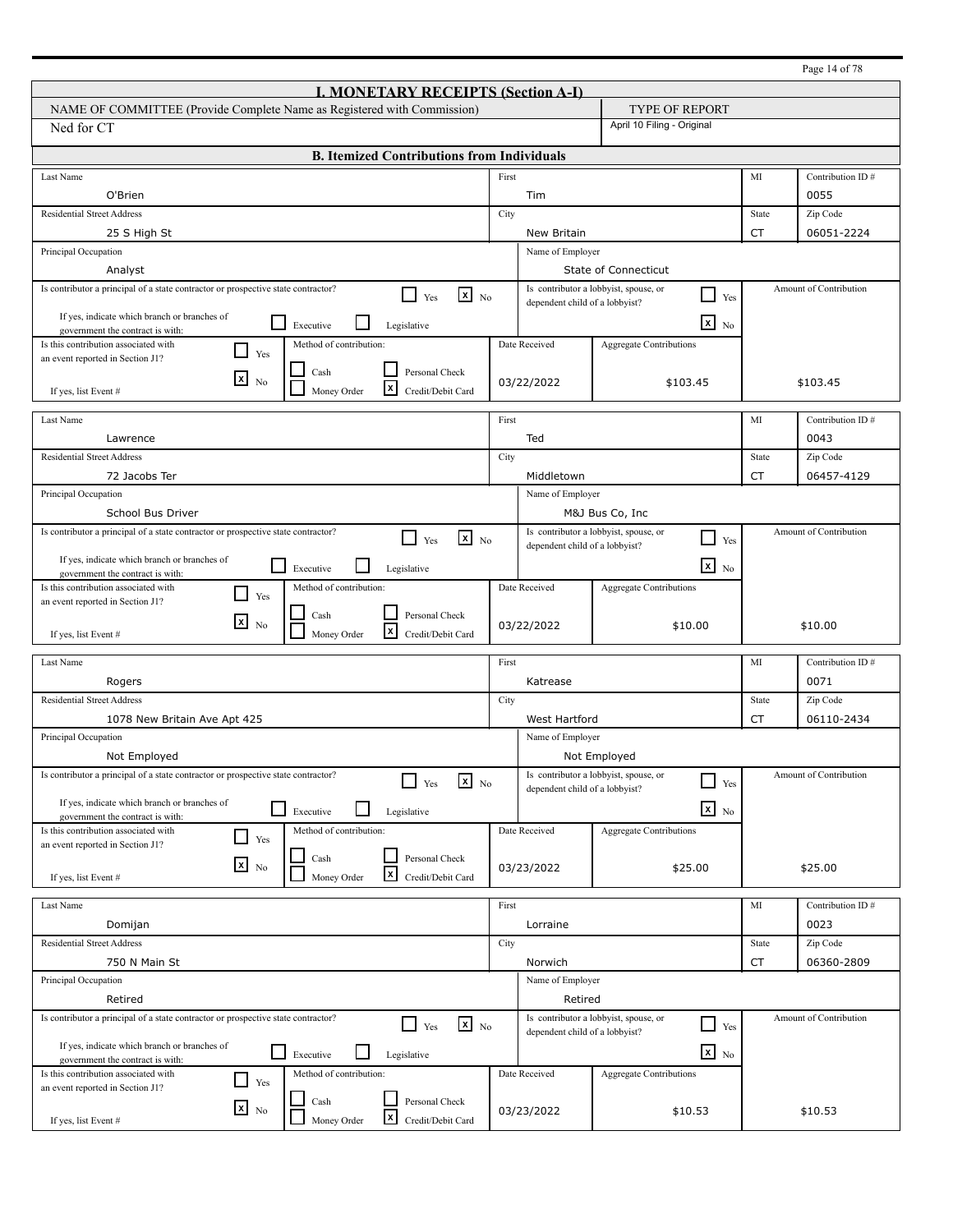|                                                                                                                    |       |                                |                                                                |           | Page 14 of 78          |  |
|--------------------------------------------------------------------------------------------------------------------|-------|--------------------------------|----------------------------------------------------------------|-----------|------------------------|--|
| <b>I. MONETARY RECEIPTS (Section A-I)</b>                                                                          |       |                                |                                                                |           |                        |  |
| NAME OF COMMITTEE (Provide Complete Name as Registered with Commission)                                            |       |                                | <b>TYPE OF REPORT</b>                                          |           |                        |  |
| Ned for CT                                                                                                         |       | April 10 Filing - Original     |                                                                |           |                        |  |
| <b>B. Itemized Contributions from Individuals</b>                                                                  |       |                                |                                                                |           |                        |  |
| Last Name                                                                                                          | First |                                |                                                                | MI        | Contribution ID#       |  |
| O'Brien                                                                                                            |       | Tim                            |                                                                |           | 0055                   |  |
| <b>Residential Street Address</b>                                                                                  | City  |                                |                                                                | State     | Zip Code               |  |
| 25 S High St                                                                                                       |       | New Britain                    |                                                                | <b>CT</b> | 06051-2224             |  |
| Principal Occupation                                                                                               |       | Name of Employer               |                                                                |           |                        |  |
| Analyst                                                                                                            |       |                                | State of Connecticut                                           |           |                        |  |
| Is contributor a principal of a state contractor or prospective state contractor?<br>$\mathbf{x}$ No<br>l 1<br>Yes |       |                                | Is contributor a lobbyist, spouse, or<br>$\sqcup$<br>Yes       |           | Amount of Contribution |  |
| If yes, indicate which branch or branches of                                                                       |       | dependent child of a lobbyist? |                                                                |           |                        |  |
| $\sqcup$<br>Executive<br>Legislative<br>government the contract is with:                                           |       |                                | $\mathbf{x}$<br>N <sub>0</sub>                                 |           |                        |  |
| Method of contribution:<br>Is this contribution associated with<br>l 1<br>Yes                                      |       | Date Received                  | <b>Aggregate Contributions</b>                                 |           |                        |  |
| an event reported in Section J1?<br>Cash<br>Personal Check                                                         |       |                                |                                                                |           |                        |  |
| ⊠<br>N <sub>0</sub><br>l×l<br>Money Order<br>Credit/Debit Card<br>If yes, list Event #                             |       | 03/22/2022                     | \$103.45                                                       |           | \$103.45               |  |
|                                                                                                                    |       |                                |                                                                |           |                        |  |
| Last Name                                                                                                          | First |                                |                                                                | MI        | Contribution ID#       |  |
| Lawrence                                                                                                           |       | Ted                            |                                                                |           | 0043                   |  |
| <b>Residential Street Address</b>                                                                                  | City  |                                |                                                                | State     | Zip Code               |  |
| 72 Jacobs Ter                                                                                                      |       | Middletown                     |                                                                | CT        | 06457-4129             |  |
| Principal Occupation<br>Name of Employer                                                                           |       |                                |                                                                |           |                        |  |
| School Bus Driver                                                                                                  |       |                                | M&J Bus Co, Inc                                                |           |                        |  |
| Is contributor a principal of a state contractor or prospective state contractor?<br>$\mathbf{x}$ No<br>Yes        |       |                                | Is contributor a lobbyist, spouse, or<br>$\blacksquare$<br>Yes |           | Amount of Contribution |  |
| If yes, indicate which branch or branches of                                                                       |       | dependent child of a lobbyist? |                                                                |           |                        |  |
| l 1<br>Executive<br>Legislative<br>government the contract is with:                                                |       |                                | $\overline{\mathbf{x}}$ No                                     |           |                        |  |
| Method of contribution:<br>Is this contribution associated with<br>$\mathbf{I}$<br>Yes                             |       | Date Received                  | <b>Aggregate Contributions</b>                                 |           |                        |  |
| an event reported in Section J1?<br>$\operatorname{Cash}$<br>Personal Check                                        |       |                                |                                                                |           |                        |  |
| ⊠<br>N <sub>0</sub><br>l×l<br>Money Order<br>Credit/Debit Card<br>If yes, list Event #                             |       | 03/22/2022                     | \$10.00                                                        |           | \$10.00                |  |
| Last Name                                                                                                          | First |                                |                                                                | MI        | Contribution ID#       |  |
| Rogers                                                                                                             |       | Katrease                       |                                                                |           | 0071                   |  |
| <b>Residential Street Address</b>                                                                                  | City  |                                |                                                                | State     | Zip Code               |  |
| 1078 New Britain Ave Apt 425                                                                                       |       | <b>West Hartford</b>           |                                                                | CT        | 06110-2434             |  |
| Principal Occupation                                                                                               |       | Name of Employer               |                                                                |           |                        |  |
| Not Employed                                                                                                       |       |                                | Not Employed                                                   |           |                        |  |
| Is contributor a principal of a state contractor or prospective state contractor?                                  |       |                                | Is contributor a lobbyist, spouse, or                          |           | Amount of Contribution |  |
| $\mathbf{x}$ No<br>Yes                                                                                             |       | dependent child of a lobbyist? | $\overline{\phantom{0}}$<br>Yes                                |           |                        |  |
| If yes, indicate which branch or branches of<br>⊔<br>Executive<br>Legislative                                      |       |                                | $x_{N0}$                                                       |           |                        |  |
| government the contract is with:<br>Method of contribution:<br>Is this contribution associated with                |       | Date Received                  | Aggregate Contributions                                        |           |                        |  |
| $\Box$<br>Yes<br>an event reported in Section J1?                                                                  |       |                                |                                                                |           |                        |  |
| Personal Check<br>Cash<br>$x_{\text{No}}$                                                                          |       | 03/23/2022                     | \$25.00                                                        |           | \$25.00                |  |
| $\boldsymbol{x}$<br>Money Order<br>Credit/Debit Card<br>If yes, list Event #                                       |       |                                |                                                                |           |                        |  |
| Last Name                                                                                                          | First |                                |                                                                | MI        | Contribution ID#       |  |
| Domijan                                                                                                            |       | Lorraine                       |                                                                |           | 0023                   |  |
| <b>Residential Street Address</b>                                                                                  | City  |                                |                                                                | State     | Zip Code               |  |
| 750 N Main St                                                                                                      |       | Norwich                        |                                                                | CT        | 06360-2809             |  |
| Principal Occupation                                                                                               |       | Name of Employer               |                                                                |           |                        |  |
| Retired                                                                                                            |       | Retired                        |                                                                |           |                        |  |
| Is contributor a principal of a state contractor or prospective state contractor?                                  |       |                                | Is contributor a lobbyist, spouse, or                          |           | Amount of Contribution |  |
| $\mathbf{x}$ No<br>l I<br>Yes                                                                                      |       | dependent child of a lobbyist? | $\sqcup$<br>Yes                                                |           |                        |  |
| If yes, indicate which branch or branches of<br>$\Box$ Executive<br>Legislative                                    |       |                                | $\overline{\mathbf{x}}$ No                                     |           |                        |  |
| government the contract is with:<br>Method of contribution:<br>Is this contribution associated with                |       | Date Received                  | <b>Aggregate Contributions</b>                                 |           |                        |  |
| $\Box$<br>Yes<br>an event reported in Section J1?                                                                  |       |                                |                                                                |           |                        |  |
| Cash<br>Personal Check<br>$\mathbf{x}$ No                                                                          |       | 03/23/2022                     | \$10.53                                                        |           | \$10.53                |  |
| $\mathbf{x}$<br>Money Order<br>Credit/Debit Card<br>If yes, list Event #                                           |       |                                |                                                                |           |                        |  |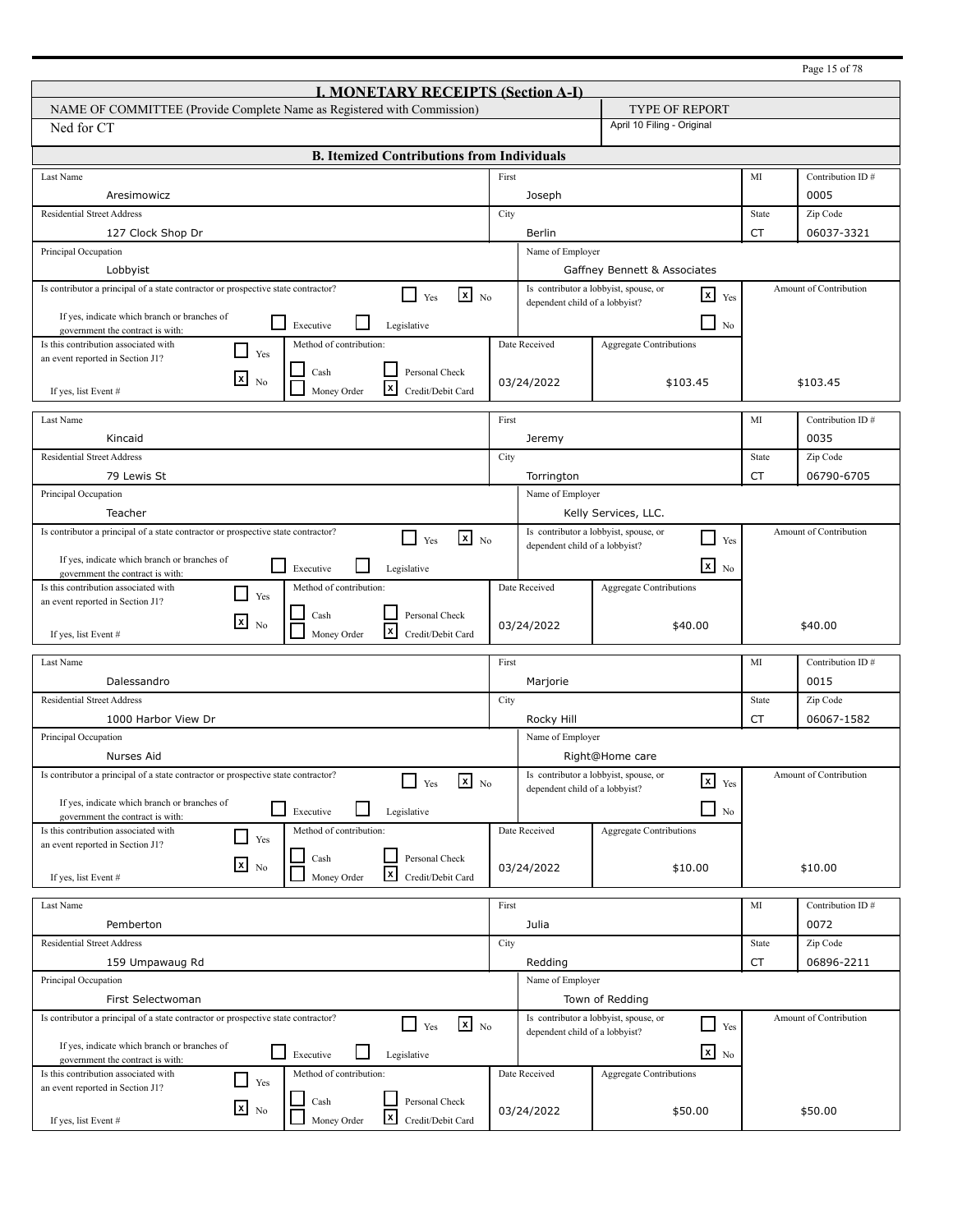| <b>I. MONETARY RECEIPTS (Section A-I)</b><br>NAME OF COMMITTEE (Provide Complete Name as Registered with Commission)<br><b>TYPE OF REPORT</b><br>April 10 Filing - Original<br>Ned for CT<br><b>B. Itemized Contributions from Individuals</b><br>First<br>MI<br>Contribution ID#<br>Last Name<br>Aresimowicz<br>0005<br>Joseph<br><b>Residential Street Address</b><br>City<br>Zip Code<br>State<br><b>CT</b><br>127 Clock Shop Dr<br>06037-3321<br>Berlin<br>Principal Occupation<br>Name of Employer<br>Lobbyist<br>Gaffney Bennett & Associates<br>Is contributor a principal of a state contractor or prospective state contractor?<br>Is contributor a lobbyist, spouse, or<br>Amount of Contribution<br>$\mathbf{x}$ No<br>$\mathbf{x}$<br>Yes<br>Yes<br>dependent child of a lobbyist?<br>If yes, indicate which branch or branches of<br>$\sqcup$<br>⊔<br>Executive<br>Legislative<br>N <sub>0</sub><br>government the contract is with:<br>Date Received<br>Is this contribution associated with<br>Method of contribution:<br><b>Aggregate Contributions</b><br>$\blacksquare$<br>Yes<br>an event reported in Section J1?<br>Cash<br>Personal Check<br>$\mathbf{x}$<br>N <sub>0</sub><br>03/24/2022<br>\$103.45<br>\$103.45<br>l×l<br>Money Order<br>Credit/Debit Card<br>If yes, list Event #<br>Last Name<br>First<br>MI<br>Contribution ID#<br>Kincaid<br>0035<br>Jeremy<br><b>Residential Street Address</b><br>Zip Code<br>City<br>State<br>06790-6705<br>79 Lewis St<br>CT<br>Torrington<br>Principal Occupation<br>Name of Employer<br>Teacher<br>Kelly Services, LLC.<br>Is contributor a principal of a state contractor or prospective state contractor?<br>Is contributor a lobbyist, spouse, or<br>Amount of Contribution<br>$x_{N0}$<br>- 1<br>Yes<br>Yes<br>dependent child of a lobbyist?<br>If yes, indicate which branch or branches of<br>$\overline{\mathbf{x}}$ No<br>l 1<br>Executive<br>Legislative<br>government the contract is with:<br>Is this contribution associated with<br>Method of contribution:<br>Date Received<br><b>Aggregate Contributions</b><br>$\blacksquare$<br>Yes<br>an event reported in Section J1?<br>Personal Check<br>Cash<br>⊠<br>N <sub>0</sub><br>03/24/2022<br>\$40.00<br>\$40.00<br>l×l<br>Money Order<br>Credit/Debit Card<br>If yes, list Event #<br>MI<br>First<br>Contribution ID#<br>Last Name<br>0015<br>Dalessandro<br>Marjorie<br><b>Residential Street Address</b><br>City<br>Zip Code<br>State<br>06067-1582<br>1000 Harbor View Dr<br>CT<br>Rocky Hill<br>Principal Occupation<br>Name of Employer<br>Nurses Aid<br>Right@Home care<br>Is contributor a principal of a state contractor or prospective state contractor?<br>Is contributor a lobbyist, spouse, or<br>Amount of Contribution<br>$\mathbf{x}$ No<br>$\mathbf{x}$ $_{\text{Yes}}$<br>Yes<br>dependent child of a lobbyist?<br>If yes, indicate which branch or branches of<br>$\Box$<br>Executive<br>Legislative<br>No<br>government the contract is with:<br>Method of contribution:<br>Date Received<br>Aggregate Contributions<br>Is this contribution associated with<br>$\Box$<br>Yes<br>an event reported in Section J1?<br>Personal Check<br>Cash<br>$x_{\text{No}}$<br>03/24/2022<br>\$10.00<br>\$10.00<br>$\boldsymbol{x}$<br>Money Order<br>Credit/Debit Card<br>If yes, list Event # |                                                                                  |  |            |                                |         |
|-----------------------------------------------------------------------------------------------------------------------------------------------------------------------------------------------------------------------------------------------------------------------------------------------------------------------------------------------------------------------------------------------------------------------------------------------------------------------------------------------------------------------------------------------------------------------------------------------------------------------------------------------------------------------------------------------------------------------------------------------------------------------------------------------------------------------------------------------------------------------------------------------------------------------------------------------------------------------------------------------------------------------------------------------------------------------------------------------------------------------------------------------------------------------------------------------------------------------------------------------------------------------------------------------------------------------------------------------------------------------------------------------------------------------------------------------------------------------------------------------------------------------------------------------------------------------------------------------------------------------------------------------------------------------------------------------------------------------------------------------------------------------------------------------------------------------------------------------------------------------------------------------------------------------------------------------------------------------------------------------------------------------------------------------------------------------------------------------------------------------------------------------------------------------------------------------------------------------------------------------------------------------------------------------------------------------------------------------------------------------------------------------------------------------------------------------------------------------------------------------------------------------------------------------------------------------------------------------------------------------------------------------------------------------------------------------------------------------------------------------------------------------------------------------------------------------------------------------------------------------------------------------------------------------------------------------------------------------------------------------------------------------------------------------------------------------------------------------------------------------------------------------------------------------------------------------------------------------------------------------------------------------------------------------------------------------------------------|----------------------------------------------------------------------------------|--|------------|--------------------------------|---------|
|                                                                                                                                                                                                                                                                                                                                                                                                                                                                                                                                                                                                                                                                                                                                                                                                                                                                                                                                                                                                                                                                                                                                                                                                                                                                                                                                                                                                                                                                                                                                                                                                                                                                                                                                                                                                                                                                                                                                                                                                                                                                                                                                                                                                                                                                                                                                                                                                                                                                                                                                                                                                                                                                                                                                                                                                                                                                                                                                                                                                                                                                                                                                                                                                                                                                                                                                         |                                                                                  |  |            |                                |         |
|                                                                                                                                                                                                                                                                                                                                                                                                                                                                                                                                                                                                                                                                                                                                                                                                                                                                                                                                                                                                                                                                                                                                                                                                                                                                                                                                                                                                                                                                                                                                                                                                                                                                                                                                                                                                                                                                                                                                                                                                                                                                                                                                                                                                                                                                                                                                                                                                                                                                                                                                                                                                                                                                                                                                                                                                                                                                                                                                                                                                                                                                                                                                                                                                                                                                                                                                         |                                                                                  |  |            |                                |         |
|                                                                                                                                                                                                                                                                                                                                                                                                                                                                                                                                                                                                                                                                                                                                                                                                                                                                                                                                                                                                                                                                                                                                                                                                                                                                                                                                                                                                                                                                                                                                                                                                                                                                                                                                                                                                                                                                                                                                                                                                                                                                                                                                                                                                                                                                                                                                                                                                                                                                                                                                                                                                                                                                                                                                                                                                                                                                                                                                                                                                                                                                                                                                                                                                                                                                                                                                         |                                                                                  |  |            |                                |         |
|                                                                                                                                                                                                                                                                                                                                                                                                                                                                                                                                                                                                                                                                                                                                                                                                                                                                                                                                                                                                                                                                                                                                                                                                                                                                                                                                                                                                                                                                                                                                                                                                                                                                                                                                                                                                                                                                                                                                                                                                                                                                                                                                                                                                                                                                                                                                                                                                                                                                                                                                                                                                                                                                                                                                                                                                                                                                                                                                                                                                                                                                                                                                                                                                                                                                                                                                         |                                                                                  |  |            |                                |         |
|                                                                                                                                                                                                                                                                                                                                                                                                                                                                                                                                                                                                                                                                                                                                                                                                                                                                                                                                                                                                                                                                                                                                                                                                                                                                                                                                                                                                                                                                                                                                                                                                                                                                                                                                                                                                                                                                                                                                                                                                                                                                                                                                                                                                                                                                                                                                                                                                                                                                                                                                                                                                                                                                                                                                                                                                                                                                                                                                                                                                                                                                                                                                                                                                                                                                                                                                         |                                                                                  |  |            |                                |         |
|                                                                                                                                                                                                                                                                                                                                                                                                                                                                                                                                                                                                                                                                                                                                                                                                                                                                                                                                                                                                                                                                                                                                                                                                                                                                                                                                                                                                                                                                                                                                                                                                                                                                                                                                                                                                                                                                                                                                                                                                                                                                                                                                                                                                                                                                                                                                                                                                                                                                                                                                                                                                                                                                                                                                                                                                                                                                                                                                                                                                                                                                                                                                                                                                                                                                                                                                         |                                                                                  |  |            |                                |         |
|                                                                                                                                                                                                                                                                                                                                                                                                                                                                                                                                                                                                                                                                                                                                                                                                                                                                                                                                                                                                                                                                                                                                                                                                                                                                                                                                                                                                                                                                                                                                                                                                                                                                                                                                                                                                                                                                                                                                                                                                                                                                                                                                                                                                                                                                                                                                                                                                                                                                                                                                                                                                                                                                                                                                                                                                                                                                                                                                                                                                                                                                                                                                                                                                                                                                                                                                         |                                                                                  |  |            |                                |         |
|                                                                                                                                                                                                                                                                                                                                                                                                                                                                                                                                                                                                                                                                                                                                                                                                                                                                                                                                                                                                                                                                                                                                                                                                                                                                                                                                                                                                                                                                                                                                                                                                                                                                                                                                                                                                                                                                                                                                                                                                                                                                                                                                                                                                                                                                                                                                                                                                                                                                                                                                                                                                                                                                                                                                                                                                                                                                                                                                                                                                                                                                                                                                                                                                                                                                                                                                         |                                                                                  |  |            |                                |         |
|                                                                                                                                                                                                                                                                                                                                                                                                                                                                                                                                                                                                                                                                                                                                                                                                                                                                                                                                                                                                                                                                                                                                                                                                                                                                                                                                                                                                                                                                                                                                                                                                                                                                                                                                                                                                                                                                                                                                                                                                                                                                                                                                                                                                                                                                                                                                                                                                                                                                                                                                                                                                                                                                                                                                                                                                                                                                                                                                                                                                                                                                                                                                                                                                                                                                                                                                         |                                                                                  |  |            |                                |         |
|                                                                                                                                                                                                                                                                                                                                                                                                                                                                                                                                                                                                                                                                                                                                                                                                                                                                                                                                                                                                                                                                                                                                                                                                                                                                                                                                                                                                                                                                                                                                                                                                                                                                                                                                                                                                                                                                                                                                                                                                                                                                                                                                                                                                                                                                                                                                                                                                                                                                                                                                                                                                                                                                                                                                                                                                                                                                                                                                                                                                                                                                                                                                                                                                                                                                                                                                         |                                                                                  |  |            |                                |         |
|                                                                                                                                                                                                                                                                                                                                                                                                                                                                                                                                                                                                                                                                                                                                                                                                                                                                                                                                                                                                                                                                                                                                                                                                                                                                                                                                                                                                                                                                                                                                                                                                                                                                                                                                                                                                                                                                                                                                                                                                                                                                                                                                                                                                                                                                                                                                                                                                                                                                                                                                                                                                                                                                                                                                                                                                                                                                                                                                                                                                                                                                                                                                                                                                                                                                                                                                         |                                                                                  |  |            |                                |         |
|                                                                                                                                                                                                                                                                                                                                                                                                                                                                                                                                                                                                                                                                                                                                                                                                                                                                                                                                                                                                                                                                                                                                                                                                                                                                                                                                                                                                                                                                                                                                                                                                                                                                                                                                                                                                                                                                                                                                                                                                                                                                                                                                                                                                                                                                                                                                                                                                                                                                                                                                                                                                                                                                                                                                                                                                                                                                                                                                                                                                                                                                                                                                                                                                                                                                                                                                         |                                                                                  |  |            |                                |         |
|                                                                                                                                                                                                                                                                                                                                                                                                                                                                                                                                                                                                                                                                                                                                                                                                                                                                                                                                                                                                                                                                                                                                                                                                                                                                                                                                                                                                                                                                                                                                                                                                                                                                                                                                                                                                                                                                                                                                                                                                                                                                                                                                                                                                                                                                                                                                                                                                                                                                                                                                                                                                                                                                                                                                                                                                                                                                                                                                                                                                                                                                                                                                                                                                                                                                                                                                         |                                                                                  |  |            |                                |         |
|                                                                                                                                                                                                                                                                                                                                                                                                                                                                                                                                                                                                                                                                                                                                                                                                                                                                                                                                                                                                                                                                                                                                                                                                                                                                                                                                                                                                                                                                                                                                                                                                                                                                                                                                                                                                                                                                                                                                                                                                                                                                                                                                                                                                                                                                                                                                                                                                                                                                                                                                                                                                                                                                                                                                                                                                                                                                                                                                                                                                                                                                                                                                                                                                                                                                                                                                         |                                                                                  |  |            |                                |         |
|                                                                                                                                                                                                                                                                                                                                                                                                                                                                                                                                                                                                                                                                                                                                                                                                                                                                                                                                                                                                                                                                                                                                                                                                                                                                                                                                                                                                                                                                                                                                                                                                                                                                                                                                                                                                                                                                                                                                                                                                                                                                                                                                                                                                                                                                                                                                                                                                                                                                                                                                                                                                                                                                                                                                                                                                                                                                                                                                                                                                                                                                                                                                                                                                                                                                                                                                         |                                                                                  |  |            |                                |         |
|                                                                                                                                                                                                                                                                                                                                                                                                                                                                                                                                                                                                                                                                                                                                                                                                                                                                                                                                                                                                                                                                                                                                                                                                                                                                                                                                                                                                                                                                                                                                                                                                                                                                                                                                                                                                                                                                                                                                                                                                                                                                                                                                                                                                                                                                                                                                                                                                                                                                                                                                                                                                                                                                                                                                                                                                                                                                                                                                                                                                                                                                                                                                                                                                                                                                                                                                         |                                                                                  |  |            |                                |         |
|                                                                                                                                                                                                                                                                                                                                                                                                                                                                                                                                                                                                                                                                                                                                                                                                                                                                                                                                                                                                                                                                                                                                                                                                                                                                                                                                                                                                                                                                                                                                                                                                                                                                                                                                                                                                                                                                                                                                                                                                                                                                                                                                                                                                                                                                                                                                                                                                                                                                                                                                                                                                                                                                                                                                                                                                                                                                                                                                                                                                                                                                                                                                                                                                                                                                                                                                         |                                                                                  |  |            |                                |         |
|                                                                                                                                                                                                                                                                                                                                                                                                                                                                                                                                                                                                                                                                                                                                                                                                                                                                                                                                                                                                                                                                                                                                                                                                                                                                                                                                                                                                                                                                                                                                                                                                                                                                                                                                                                                                                                                                                                                                                                                                                                                                                                                                                                                                                                                                                                                                                                                                                                                                                                                                                                                                                                                                                                                                                                                                                                                                                                                                                                                                                                                                                                                                                                                                                                                                                                                                         |                                                                                  |  |            |                                |         |
|                                                                                                                                                                                                                                                                                                                                                                                                                                                                                                                                                                                                                                                                                                                                                                                                                                                                                                                                                                                                                                                                                                                                                                                                                                                                                                                                                                                                                                                                                                                                                                                                                                                                                                                                                                                                                                                                                                                                                                                                                                                                                                                                                                                                                                                                                                                                                                                                                                                                                                                                                                                                                                                                                                                                                                                                                                                                                                                                                                                                                                                                                                                                                                                                                                                                                                                                         |                                                                                  |  |            |                                |         |
|                                                                                                                                                                                                                                                                                                                                                                                                                                                                                                                                                                                                                                                                                                                                                                                                                                                                                                                                                                                                                                                                                                                                                                                                                                                                                                                                                                                                                                                                                                                                                                                                                                                                                                                                                                                                                                                                                                                                                                                                                                                                                                                                                                                                                                                                                                                                                                                                                                                                                                                                                                                                                                                                                                                                                                                                                                                                                                                                                                                                                                                                                                                                                                                                                                                                                                                                         |                                                                                  |  |            |                                |         |
|                                                                                                                                                                                                                                                                                                                                                                                                                                                                                                                                                                                                                                                                                                                                                                                                                                                                                                                                                                                                                                                                                                                                                                                                                                                                                                                                                                                                                                                                                                                                                                                                                                                                                                                                                                                                                                                                                                                                                                                                                                                                                                                                                                                                                                                                                                                                                                                                                                                                                                                                                                                                                                                                                                                                                                                                                                                                                                                                                                                                                                                                                                                                                                                                                                                                                                                                         |                                                                                  |  |            |                                |         |
|                                                                                                                                                                                                                                                                                                                                                                                                                                                                                                                                                                                                                                                                                                                                                                                                                                                                                                                                                                                                                                                                                                                                                                                                                                                                                                                                                                                                                                                                                                                                                                                                                                                                                                                                                                                                                                                                                                                                                                                                                                                                                                                                                                                                                                                                                                                                                                                                                                                                                                                                                                                                                                                                                                                                                                                                                                                                                                                                                                                                                                                                                                                                                                                                                                                                                                                                         |                                                                                  |  |            |                                |         |
|                                                                                                                                                                                                                                                                                                                                                                                                                                                                                                                                                                                                                                                                                                                                                                                                                                                                                                                                                                                                                                                                                                                                                                                                                                                                                                                                                                                                                                                                                                                                                                                                                                                                                                                                                                                                                                                                                                                                                                                                                                                                                                                                                                                                                                                                                                                                                                                                                                                                                                                                                                                                                                                                                                                                                                                                                                                                                                                                                                                                                                                                                                                                                                                                                                                                                                                                         |                                                                                  |  |            |                                |         |
|                                                                                                                                                                                                                                                                                                                                                                                                                                                                                                                                                                                                                                                                                                                                                                                                                                                                                                                                                                                                                                                                                                                                                                                                                                                                                                                                                                                                                                                                                                                                                                                                                                                                                                                                                                                                                                                                                                                                                                                                                                                                                                                                                                                                                                                                                                                                                                                                                                                                                                                                                                                                                                                                                                                                                                                                                                                                                                                                                                                                                                                                                                                                                                                                                                                                                                                                         |                                                                                  |  |            |                                |         |
|                                                                                                                                                                                                                                                                                                                                                                                                                                                                                                                                                                                                                                                                                                                                                                                                                                                                                                                                                                                                                                                                                                                                                                                                                                                                                                                                                                                                                                                                                                                                                                                                                                                                                                                                                                                                                                                                                                                                                                                                                                                                                                                                                                                                                                                                                                                                                                                                                                                                                                                                                                                                                                                                                                                                                                                                                                                                                                                                                                                                                                                                                                                                                                                                                                                                                                                                         |                                                                                  |  |            |                                |         |
|                                                                                                                                                                                                                                                                                                                                                                                                                                                                                                                                                                                                                                                                                                                                                                                                                                                                                                                                                                                                                                                                                                                                                                                                                                                                                                                                                                                                                                                                                                                                                                                                                                                                                                                                                                                                                                                                                                                                                                                                                                                                                                                                                                                                                                                                                                                                                                                                                                                                                                                                                                                                                                                                                                                                                                                                                                                                                                                                                                                                                                                                                                                                                                                                                                                                                                                                         |                                                                                  |  |            |                                |         |
|                                                                                                                                                                                                                                                                                                                                                                                                                                                                                                                                                                                                                                                                                                                                                                                                                                                                                                                                                                                                                                                                                                                                                                                                                                                                                                                                                                                                                                                                                                                                                                                                                                                                                                                                                                                                                                                                                                                                                                                                                                                                                                                                                                                                                                                                                                                                                                                                                                                                                                                                                                                                                                                                                                                                                                                                                                                                                                                                                                                                                                                                                                                                                                                                                                                                                                                                         |                                                                                  |  |            |                                |         |
|                                                                                                                                                                                                                                                                                                                                                                                                                                                                                                                                                                                                                                                                                                                                                                                                                                                                                                                                                                                                                                                                                                                                                                                                                                                                                                                                                                                                                                                                                                                                                                                                                                                                                                                                                                                                                                                                                                                                                                                                                                                                                                                                                                                                                                                                                                                                                                                                                                                                                                                                                                                                                                                                                                                                                                                                                                                                                                                                                                                                                                                                                                                                                                                                                                                                                                                                         |                                                                                  |  |            |                                |         |
|                                                                                                                                                                                                                                                                                                                                                                                                                                                                                                                                                                                                                                                                                                                                                                                                                                                                                                                                                                                                                                                                                                                                                                                                                                                                                                                                                                                                                                                                                                                                                                                                                                                                                                                                                                                                                                                                                                                                                                                                                                                                                                                                                                                                                                                                                                                                                                                                                                                                                                                                                                                                                                                                                                                                                                                                                                                                                                                                                                                                                                                                                                                                                                                                                                                                                                                                         |                                                                                  |  |            |                                |         |
|                                                                                                                                                                                                                                                                                                                                                                                                                                                                                                                                                                                                                                                                                                                                                                                                                                                                                                                                                                                                                                                                                                                                                                                                                                                                                                                                                                                                                                                                                                                                                                                                                                                                                                                                                                                                                                                                                                                                                                                                                                                                                                                                                                                                                                                                                                                                                                                                                                                                                                                                                                                                                                                                                                                                                                                                                                                                                                                                                                                                                                                                                                                                                                                                                                                                                                                                         |                                                                                  |  |            |                                |         |
|                                                                                                                                                                                                                                                                                                                                                                                                                                                                                                                                                                                                                                                                                                                                                                                                                                                                                                                                                                                                                                                                                                                                                                                                                                                                                                                                                                                                                                                                                                                                                                                                                                                                                                                                                                                                                                                                                                                                                                                                                                                                                                                                                                                                                                                                                                                                                                                                                                                                                                                                                                                                                                                                                                                                                                                                                                                                                                                                                                                                                                                                                                                                                                                                                                                                                                                                         |                                                                                  |  |            |                                |         |
|                                                                                                                                                                                                                                                                                                                                                                                                                                                                                                                                                                                                                                                                                                                                                                                                                                                                                                                                                                                                                                                                                                                                                                                                                                                                                                                                                                                                                                                                                                                                                                                                                                                                                                                                                                                                                                                                                                                                                                                                                                                                                                                                                                                                                                                                                                                                                                                                                                                                                                                                                                                                                                                                                                                                                                                                                                                                                                                                                                                                                                                                                                                                                                                                                                                                                                                                         |                                                                                  |  |            |                                |         |
|                                                                                                                                                                                                                                                                                                                                                                                                                                                                                                                                                                                                                                                                                                                                                                                                                                                                                                                                                                                                                                                                                                                                                                                                                                                                                                                                                                                                                                                                                                                                                                                                                                                                                                                                                                                                                                                                                                                                                                                                                                                                                                                                                                                                                                                                                                                                                                                                                                                                                                                                                                                                                                                                                                                                                                                                                                                                                                                                                                                                                                                                                                                                                                                                                                                                                                                                         |                                                                                  |  |            |                                |         |
|                                                                                                                                                                                                                                                                                                                                                                                                                                                                                                                                                                                                                                                                                                                                                                                                                                                                                                                                                                                                                                                                                                                                                                                                                                                                                                                                                                                                                                                                                                                                                                                                                                                                                                                                                                                                                                                                                                                                                                                                                                                                                                                                                                                                                                                                                                                                                                                                                                                                                                                                                                                                                                                                                                                                                                                                                                                                                                                                                                                                                                                                                                                                                                                                                                                                                                                                         |                                                                                  |  |            |                                |         |
|                                                                                                                                                                                                                                                                                                                                                                                                                                                                                                                                                                                                                                                                                                                                                                                                                                                                                                                                                                                                                                                                                                                                                                                                                                                                                                                                                                                                                                                                                                                                                                                                                                                                                                                                                                                                                                                                                                                                                                                                                                                                                                                                                                                                                                                                                                                                                                                                                                                                                                                                                                                                                                                                                                                                                                                                                                                                                                                                                                                                                                                                                                                                                                                                                                                                                                                                         |                                                                                  |  |            |                                |         |
|                                                                                                                                                                                                                                                                                                                                                                                                                                                                                                                                                                                                                                                                                                                                                                                                                                                                                                                                                                                                                                                                                                                                                                                                                                                                                                                                                                                                                                                                                                                                                                                                                                                                                                                                                                                                                                                                                                                                                                                                                                                                                                                                                                                                                                                                                                                                                                                                                                                                                                                                                                                                                                                                                                                                                                                                                                                                                                                                                                                                                                                                                                                                                                                                                                                                                                                                         |                                                                                  |  |            |                                |         |
|                                                                                                                                                                                                                                                                                                                                                                                                                                                                                                                                                                                                                                                                                                                                                                                                                                                                                                                                                                                                                                                                                                                                                                                                                                                                                                                                                                                                                                                                                                                                                                                                                                                                                                                                                                                                                                                                                                                                                                                                                                                                                                                                                                                                                                                                                                                                                                                                                                                                                                                                                                                                                                                                                                                                                                                                                                                                                                                                                                                                                                                                                                                                                                                                                                                                                                                                         |                                                                                  |  |            |                                |         |
|                                                                                                                                                                                                                                                                                                                                                                                                                                                                                                                                                                                                                                                                                                                                                                                                                                                                                                                                                                                                                                                                                                                                                                                                                                                                                                                                                                                                                                                                                                                                                                                                                                                                                                                                                                                                                                                                                                                                                                                                                                                                                                                                                                                                                                                                                                                                                                                                                                                                                                                                                                                                                                                                                                                                                                                                                                                                                                                                                                                                                                                                                                                                                                                                                                                                                                                                         |                                                                                  |  |            |                                |         |
|                                                                                                                                                                                                                                                                                                                                                                                                                                                                                                                                                                                                                                                                                                                                                                                                                                                                                                                                                                                                                                                                                                                                                                                                                                                                                                                                                                                                                                                                                                                                                                                                                                                                                                                                                                                                                                                                                                                                                                                                                                                                                                                                                                                                                                                                                                                                                                                                                                                                                                                                                                                                                                                                                                                                                                                                                                                                                                                                                                                                                                                                                                                                                                                                                                                                                                                                         |                                                                                  |  |            |                                |         |
|                                                                                                                                                                                                                                                                                                                                                                                                                                                                                                                                                                                                                                                                                                                                                                                                                                                                                                                                                                                                                                                                                                                                                                                                                                                                                                                                                                                                                                                                                                                                                                                                                                                                                                                                                                                                                                                                                                                                                                                                                                                                                                                                                                                                                                                                                                                                                                                                                                                                                                                                                                                                                                                                                                                                                                                                                                                                                                                                                                                                                                                                                                                                                                                                                                                                                                                                         |                                                                                  |  |            |                                |         |
|                                                                                                                                                                                                                                                                                                                                                                                                                                                                                                                                                                                                                                                                                                                                                                                                                                                                                                                                                                                                                                                                                                                                                                                                                                                                                                                                                                                                                                                                                                                                                                                                                                                                                                                                                                                                                                                                                                                                                                                                                                                                                                                                                                                                                                                                                                                                                                                                                                                                                                                                                                                                                                                                                                                                                                                                                                                                                                                                                                                                                                                                                                                                                                                                                                                                                                                                         |                                                                                  |  |            |                                |         |
|                                                                                                                                                                                                                                                                                                                                                                                                                                                                                                                                                                                                                                                                                                                                                                                                                                                                                                                                                                                                                                                                                                                                                                                                                                                                                                                                                                                                                                                                                                                                                                                                                                                                                                                                                                                                                                                                                                                                                                                                                                                                                                                                                                                                                                                                                                                                                                                                                                                                                                                                                                                                                                                                                                                                                                                                                                                                                                                                                                                                                                                                                                                                                                                                                                                                                                                                         |                                                                                  |  |            |                                |         |
|                                                                                                                                                                                                                                                                                                                                                                                                                                                                                                                                                                                                                                                                                                                                                                                                                                                                                                                                                                                                                                                                                                                                                                                                                                                                                                                                                                                                                                                                                                                                                                                                                                                                                                                                                                                                                                                                                                                                                                                                                                                                                                                                                                                                                                                                                                                                                                                                                                                                                                                                                                                                                                                                                                                                                                                                                                                                                                                                                                                                                                                                                                                                                                                                                                                                                                                                         |                                                                                  |  |            |                                |         |
| First<br>MI<br>Last Name<br>Contribution ID#                                                                                                                                                                                                                                                                                                                                                                                                                                                                                                                                                                                                                                                                                                                                                                                                                                                                                                                                                                                                                                                                                                                                                                                                                                                                                                                                                                                                                                                                                                                                                                                                                                                                                                                                                                                                                                                                                                                                                                                                                                                                                                                                                                                                                                                                                                                                                                                                                                                                                                                                                                                                                                                                                                                                                                                                                                                                                                                                                                                                                                                                                                                                                                                                                                                                                            |                                                                                  |  |            |                                |         |
| 0072<br>Julia<br>Pemberton                                                                                                                                                                                                                                                                                                                                                                                                                                                                                                                                                                                                                                                                                                                                                                                                                                                                                                                                                                                                                                                                                                                                                                                                                                                                                                                                                                                                                                                                                                                                                                                                                                                                                                                                                                                                                                                                                                                                                                                                                                                                                                                                                                                                                                                                                                                                                                                                                                                                                                                                                                                                                                                                                                                                                                                                                                                                                                                                                                                                                                                                                                                                                                                                                                                                                                              |                                                                                  |  |            |                                |         |
| <b>Residential Street Address</b><br>State<br>Zip Code<br>City                                                                                                                                                                                                                                                                                                                                                                                                                                                                                                                                                                                                                                                                                                                                                                                                                                                                                                                                                                                                                                                                                                                                                                                                                                                                                                                                                                                                                                                                                                                                                                                                                                                                                                                                                                                                                                                                                                                                                                                                                                                                                                                                                                                                                                                                                                                                                                                                                                                                                                                                                                                                                                                                                                                                                                                                                                                                                                                                                                                                                                                                                                                                                                                                                                                                          |                                                                                  |  |            |                                |         |
| 159 Umpawaug Rd<br>CT<br>06896-2211<br>Redding                                                                                                                                                                                                                                                                                                                                                                                                                                                                                                                                                                                                                                                                                                                                                                                                                                                                                                                                                                                                                                                                                                                                                                                                                                                                                                                                                                                                                                                                                                                                                                                                                                                                                                                                                                                                                                                                                                                                                                                                                                                                                                                                                                                                                                                                                                                                                                                                                                                                                                                                                                                                                                                                                                                                                                                                                                                                                                                                                                                                                                                                                                                                                                                                                                                                                          |                                                                                  |  |            |                                |         |
| Principal Occupation<br>Name of Employer                                                                                                                                                                                                                                                                                                                                                                                                                                                                                                                                                                                                                                                                                                                                                                                                                                                                                                                                                                                                                                                                                                                                                                                                                                                                                                                                                                                                                                                                                                                                                                                                                                                                                                                                                                                                                                                                                                                                                                                                                                                                                                                                                                                                                                                                                                                                                                                                                                                                                                                                                                                                                                                                                                                                                                                                                                                                                                                                                                                                                                                                                                                                                                                                                                                                                                |                                                                                  |  |            |                                |         |
| First Selectwoman<br>Town of Redding                                                                                                                                                                                                                                                                                                                                                                                                                                                                                                                                                                                                                                                                                                                                                                                                                                                                                                                                                                                                                                                                                                                                                                                                                                                                                                                                                                                                                                                                                                                                                                                                                                                                                                                                                                                                                                                                                                                                                                                                                                                                                                                                                                                                                                                                                                                                                                                                                                                                                                                                                                                                                                                                                                                                                                                                                                                                                                                                                                                                                                                                                                                                                                                                                                                                                                    |                                                                                  |  |            |                                |         |
| Is contributor a principal of a state contractor or prospective state contractor?<br>Is contributor a lobbyist, spouse, or<br>Amount of Contribution<br>$\mathbf{X}$ No<br>$\sqcup$<br>Yes<br>Yes                                                                                                                                                                                                                                                                                                                                                                                                                                                                                                                                                                                                                                                                                                                                                                                                                                                                                                                                                                                                                                                                                                                                                                                                                                                                                                                                                                                                                                                                                                                                                                                                                                                                                                                                                                                                                                                                                                                                                                                                                                                                                                                                                                                                                                                                                                                                                                                                                                                                                                                                                                                                                                                                                                                                                                                                                                                                                                                                                                                                                                                                                                                                       |                                                                                  |  |            |                                |         |
| dependent child of a lobbyist?                                                                                                                                                                                                                                                                                                                                                                                                                                                                                                                                                                                                                                                                                                                                                                                                                                                                                                                                                                                                                                                                                                                                                                                                                                                                                                                                                                                                                                                                                                                                                                                                                                                                                                                                                                                                                                                                                                                                                                                                                                                                                                                                                                                                                                                                                                                                                                                                                                                                                                                                                                                                                                                                                                                                                                                                                                                                                                                                                                                                                                                                                                                                                                                                                                                                                                          | If yes, indicate which branch or branches of                                     |  |            |                                |         |
|                                                                                                                                                                                                                                                                                                                                                                                                                                                                                                                                                                                                                                                                                                                                                                                                                                                                                                                                                                                                                                                                                                                                                                                                                                                                                                                                                                                                                                                                                                                                                                                                                                                                                                                                                                                                                                                                                                                                                                                                                                                                                                                                                                                                                                                                                                                                                                                                                                                                                                                                                                                                                                                                                                                                                                                                                                                                                                                                                                                                                                                                                                                                                                                                                                                                                                                                         | Legislative<br>government the contract is with:                                  |  |            |                                |         |
| $\mathbf{x}$ No<br>$\Box$ Executive                                                                                                                                                                                                                                                                                                                                                                                                                                                                                                                                                                                                                                                                                                                                                                                                                                                                                                                                                                                                                                                                                                                                                                                                                                                                                                                                                                                                                                                                                                                                                                                                                                                                                                                                                                                                                                                                                                                                                                                                                                                                                                                                                                                                                                                                                                                                                                                                                                                                                                                                                                                                                                                                                                                                                                                                                                                                                                                                                                                                                                                                                                                                                                                                                                                                                                     | Method of contribution:<br>Is this contribution associated with<br>$\Box$        |  |            | <b>Aggregate Contributions</b> |         |
| Date Received                                                                                                                                                                                                                                                                                                                                                                                                                                                                                                                                                                                                                                                                                                                                                                                                                                                                                                                                                                                                                                                                                                                                                                                                                                                                                                                                                                                                                                                                                                                                                                                                                                                                                                                                                                                                                                                                                                                                                                                                                                                                                                                                                                                                                                                                                                                                                                                                                                                                                                                                                                                                                                                                                                                                                                                                                                                                                                                                                                                                                                                                                                                                                                                                                                                                                                                           |                                                                                  |  |            |                                |         |
| Yes<br>an event reported in Section J1?<br>Cash<br>Personal Check                                                                                                                                                                                                                                                                                                                                                                                                                                                                                                                                                                                                                                                                                                                                                                                                                                                                                                                                                                                                                                                                                                                                                                                                                                                                                                                                                                                                                                                                                                                                                                                                                                                                                                                                                                                                                                                                                                                                                                                                                                                                                                                                                                                                                                                                                                                                                                                                                                                                                                                                                                                                                                                                                                                                                                                                                                                                                                                                                                                                                                                                                                                                                                                                                                                                       | $\mathbf{x}$ No<br>x<br>Credit/Debit Card<br>Money Order<br>If yes, list Event # |  | 03/24/2022 | \$50.00                        | \$50.00 |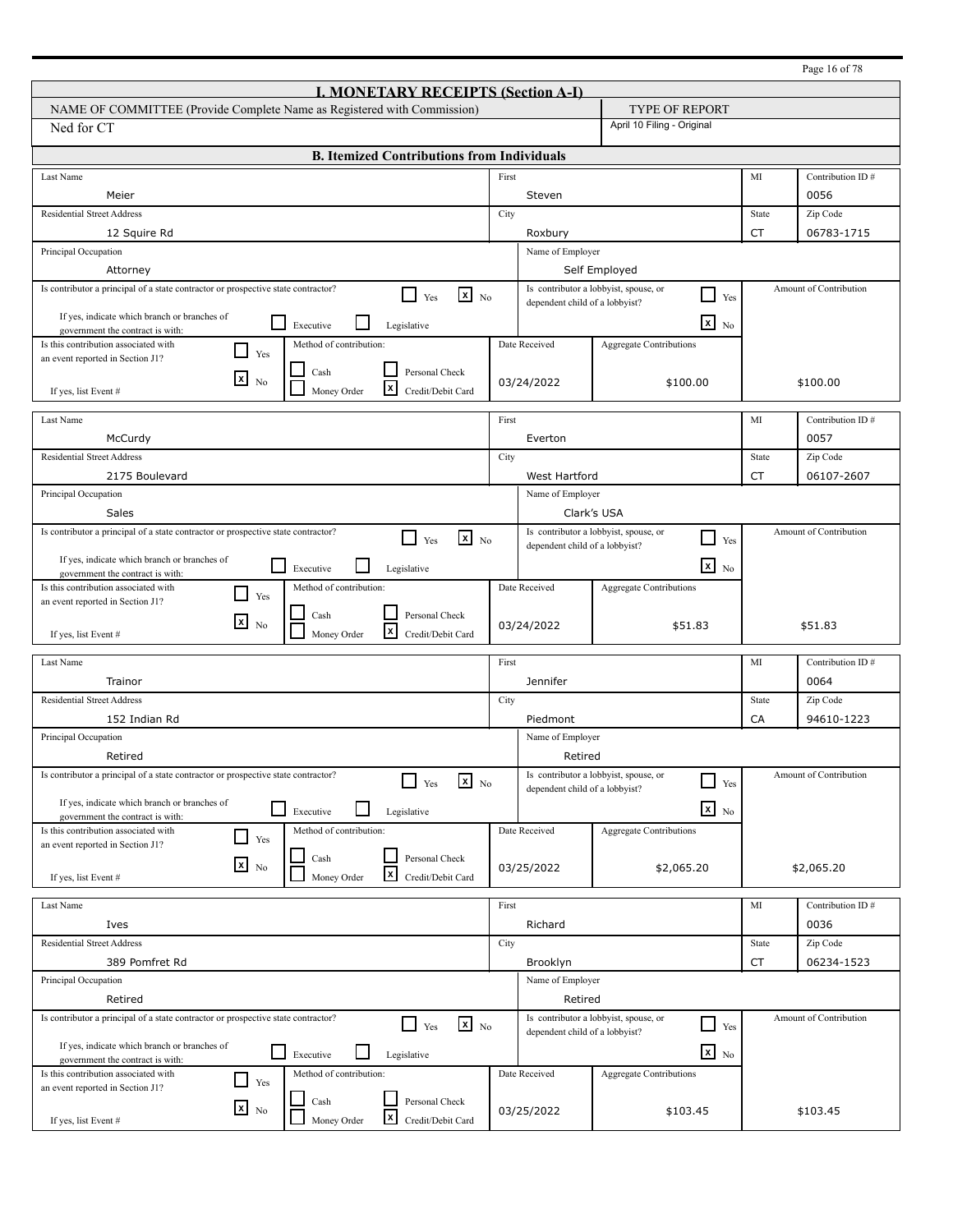|                                                                                                                     |       |                                |                                                        |           | Page 16 of 78          |
|---------------------------------------------------------------------------------------------------------------------|-------|--------------------------------|--------------------------------------------------------|-----------|------------------------|
| <b>I. MONETARY RECEIPTS (Section A-I)</b>                                                                           |       |                                |                                                        |           |                        |
| NAME OF COMMITTEE (Provide Complete Name as Registered with Commission)                                             |       |                                | <b>TYPE OF REPORT</b>                                  |           |                        |
| Ned for CT                                                                                                          |       |                                | April 10 Filing - Original                             |           |                        |
| <b>B. Itemized Contributions from Individuals</b>                                                                   |       |                                |                                                        |           |                        |
| Last Name                                                                                                           | First |                                |                                                        | MI        | Contribution ID#       |
| Meier                                                                                                               |       | Steven                         |                                                        |           | 0056                   |
| <b>Residential Street Address</b>                                                                                   | City  |                                |                                                        | State     | Zip Code               |
| 12 Squire Rd                                                                                                        |       | Roxbury                        |                                                        | <b>CT</b> | 06783-1715             |
| Principal Occupation                                                                                                |       | Name of Employer               |                                                        |           |                        |
| Attorney                                                                                                            |       |                                | Self Employed                                          |           |                        |
| Is contributor a principal of a state contractor or prospective state contractor?<br>$\mathbf{x}$ No<br>Yes         |       |                                | Is contributor a lobbyist, spouse, or<br>$\Box$<br>Yes |           | Amount of Contribution |
| If yes, indicate which branch or branches of                                                                        |       | dependent child of a lobbyist? |                                                        |           |                        |
| $\sqcup$<br>Executive<br>Legislative<br>government the contract is with:                                            |       |                                | $\mathbf{x}$<br>N <sub>0</sub>                         |           |                        |
| Method of contribution:<br>Is this contribution associated with<br>$\blacksquare$<br>Yes                            |       | Date Received                  | <b>Aggregate Contributions</b>                         |           |                        |
| an event reported in Section J1?<br>$\operatorname{Cash}$<br>Personal Check                                         |       |                                |                                                        |           |                        |
| $\mathbf{x}$<br>N <sub>0</sub><br>l×l<br>Money Order<br>Credit/Debit Card<br>If yes, list Event #                   |       | 03/24/2022                     | \$100.00                                               |           | \$100.00               |
|                                                                                                                     |       |                                |                                                        |           |                        |
| Last Name                                                                                                           | First |                                |                                                        | MI        | Contribution ID#       |
| McCurdy                                                                                                             |       | Everton                        |                                                        |           | 0057                   |
| <b>Residential Street Address</b>                                                                                   | City  |                                |                                                        | State     | Zip Code               |
| 2175 Boulevard                                                                                                      |       | West Hartford                  |                                                        | CT        | 06107-2607             |
| Principal Occupation<br>Name of Employer                                                                            |       |                                |                                                        |           |                        |
| Sales<br>Clark's USA                                                                                                |       |                                |                                                        |           |                        |
| Is contributor a principal of a state contractor or prospective state contractor?<br>$x_{N0}$<br>Yes                |       |                                | Is contributor a lobbyist, spouse, or<br>- 1<br>Yes    |           | Amount of Contribution |
|                                                                                                                     |       | dependent child of a lobbyist? |                                                        |           |                        |
| If yes, indicate which branch or branches of<br>l 1<br>Executive<br>Legislative<br>government the contract is with: |       |                                | $\overline{\mathbf{x}}$ No                             |           |                        |
| Method of contribution:<br>Is this contribution associated with<br>- 1<br>Yes                                       |       | Date Received                  | <b>Aggregate Contributions</b>                         |           |                        |
| an event reported in Section J1?                                                                                    |       |                                |                                                        |           |                        |
| Personal Check<br>Cash<br>⊠<br>N <sub>0</sub><br>l×l                                                                |       | 03/24/2022                     | \$51.83                                                |           | \$51.83                |
| Money Order<br>Credit/Debit Card<br>If yes, list Event #                                                            |       |                                |                                                        |           |                        |
| Last Name                                                                                                           | First |                                |                                                        | MI        | Contribution ID#       |
| Trainor                                                                                                             |       | Jennifer                       |                                                        |           | 0064                   |
| <b>Residential Street Address</b>                                                                                   | City  |                                |                                                        | State     | Zip Code               |
| 152 Indian Rd                                                                                                       |       | Piedmont                       |                                                        | CA        | 94610-1223             |
| Principal Occupation                                                                                                |       | Name of Employer               |                                                        |           |                        |
| Retired                                                                                                             |       | Retired                        |                                                        |           |                        |
| Is contributor a principal of a state contractor or prospective state contractor?<br>$\mathbf{x}$ No                |       |                                | Is contributor a lobbyist, spouse, or<br>$\Box$        |           | Amount of Contribution |
| Yes                                                                                                                 |       | dependent child of a lobbyist? | Yes                                                    |           |                        |
| If yes, indicate which branch or branches of<br>⊔<br>Executive<br>Legislative<br>government the contract is with:   |       |                                | $x_{N0}$                                               |           |                        |
| Method of contribution:<br>Is this contribution associated with<br>$\Box$                                           |       | Date Received                  | Aggregate Contributions                                |           |                        |
| Yes<br>an event reported in Section J1?                                                                             |       |                                |                                                        |           |                        |
| Personal Check<br>Cash<br>$x_{\text{No}}$<br>$\mathbf{x}$                                                           |       | 03/25/2022                     | \$2,065.20                                             |           | \$2,065.20             |
| Money Order<br>Credit/Debit Card<br>If yes, list Event #                                                            |       |                                |                                                        |           |                        |
| Last Name                                                                                                           | First |                                |                                                        | MI        | Contribution ID#       |
| Ives                                                                                                                |       | Richard                        |                                                        |           | 0036                   |
| <b>Residential Street Address</b>                                                                                   | City  |                                |                                                        | State     | Zip Code               |
| 389 Pomfret Rd                                                                                                      |       | Brooklyn                       |                                                        | CT        | 06234-1523             |
| Principal Occupation                                                                                                |       | Name of Employer               |                                                        |           |                        |
| Retired                                                                                                             |       | Retired                        |                                                        |           |                        |
| Is contributor a principal of a state contractor or prospective state contractor?<br>$\mathbf{x}$ No<br>LΙ          |       |                                | Is contributor a lobbyist, spouse, or<br>$\Box$        |           | Amount of Contribution |
| Yes                                                                                                                 |       | dependent child of a lobbyist? | Yes                                                    |           |                        |
| If yes, indicate which branch or branches of<br>$\Box$ Executive<br>Legislative<br>government the contract is with: |       |                                | $\overline{\mathbf{x}}$ No                             |           |                        |
| Method of contribution:<br>Is this contribution associated with                                                     |       | Date Received                  | <b>Aggregate Contributions</b>                         |           |                        |
| $\Box$<br>Yes<br>an event reported in Section J1?                                                                   |       |                                |                                                        |           |                        |
| Cash<br>Personal Check<br>$x_{N0}$                                                                                  |       | 03/25/2022                     | \$103.45                                               |           | \$103.45               |
| $\mathbf{x}$<br>Money Order<br>Credit/Debit Card<br>If yes, list Event #                                            |       |                                |                                                        |           |                        |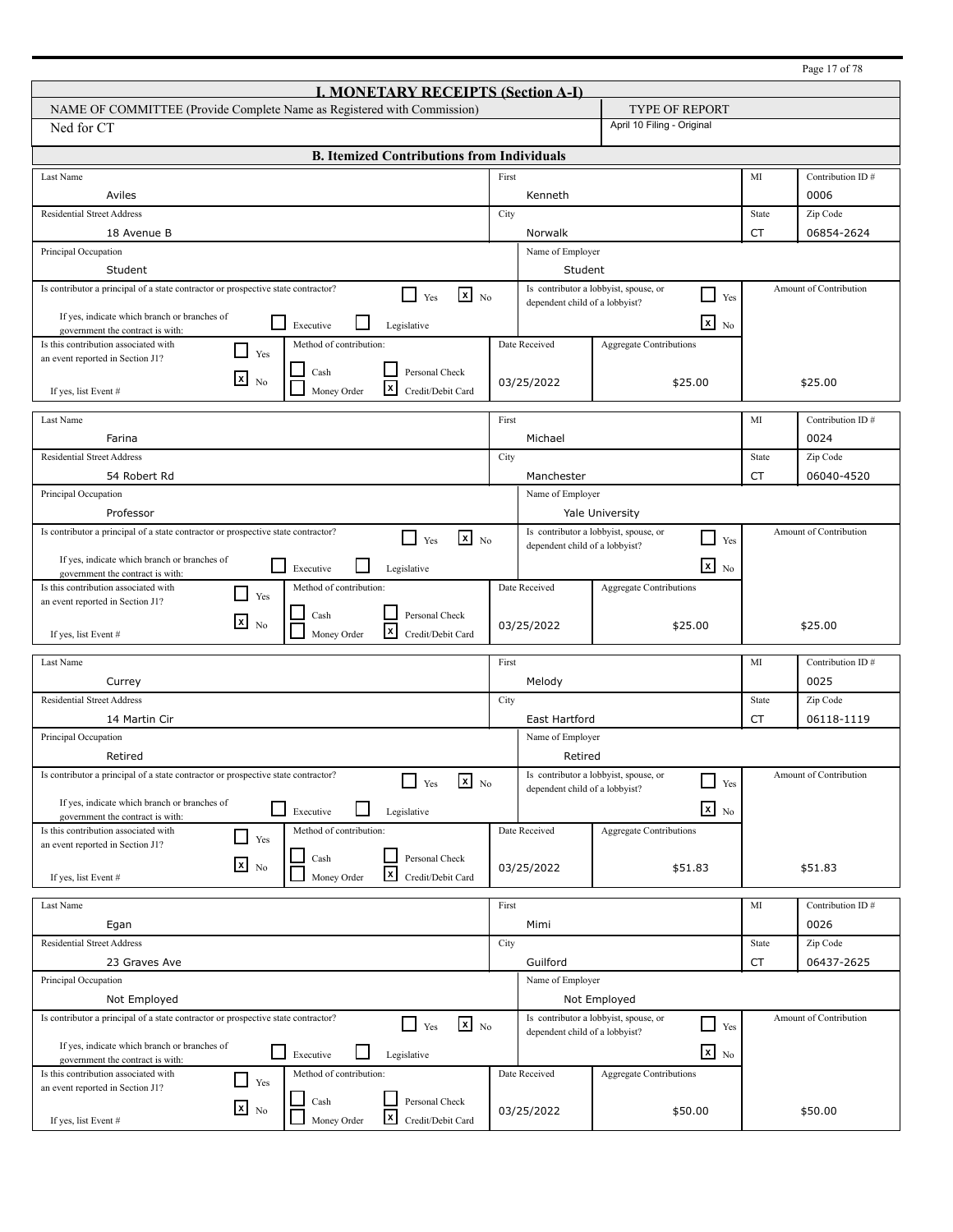|                                                                                                                        |       |                                |                                                                   |           | Page 17 of 78          |
|------------------------------------------------------------------------------------------------------------------------|-------|--------------------------------|-------------------------------------------------------------------|-----------|------------------------|
| <b>I. MONETARY RECEIPTS (Section A-I)</b>                                                                              |       |                                |                                                                   |           |                        |
| NAME OF COMMITTEE (Provide Complete Name as Registered with Commission)                                                |       |                                | <b>TYPE OF REPORT</b>                                             |           |                        |
| Ned for CT                                                                                                             |       |                                | April 10 Filing - Original                                        |           |                        |
| <b>B. Itemized Contributions from Individuals</b>                                                                      |       |                                |                                                                   |           |                        |
| Last Name                                                                                                              | First |                                |                                                                   | MI        | Contribution ID#       |
| Aviles                                                                                                                 |       | Kenneth                        |                                                                   |           | 0006                   |
| <b>Residential Street Address</b>                                                                                      | City  |                                |                                                                   | State     | Zip Code               |
| 18 Avenue B                                                                                                            |       | Norwalk                        |                                                                   | <b>CT</b> | 06854-2624             |
| Principal Occupation                                                                                                   |       | Name of Employer               |                                                                   |           |                        |
| Student                                                                                                                |       | Student                        |                                                                   |           |                        |
| Is contributor a principal of a state contractor or prospective state contractor?<br>$\mathbf{x}$ No<br>l 1<br>Yes     |       | dependent child of a lobbyist? | Is contributor a lobbyist, spouse, or<br>$\Box$<br>Yes            |           | Amount of Contribution |
| If yes, indicate which branch or branches of<br>$\sqcup$                                                               |       |                                | $\mathbf{x}$                                                      |           |                        |
| Executive<br>Legislative<br>government the contract is with:                                                           |       |                                | N <sub>0</sub>                                                    |           |                        |
| Method of contribution:<br>Is this contribution associated with<br>ı 1<br>Yes<br>an event reported in Section J1?      |       | Date Received                  | <b>Aggregate Contributions</b>                                    |           |                        |
| $\operatorname{Cash}$<br>Personal Check<br>$\mathbf{x}$                                                                |       |                                |                                                                   |           |                        |
| N <sub>0</sub><br>l×l<br>Money Order<br>Credit/Debit Card<br>If yes, list Event #                                      |       | 03/25/2022                     | \$25.00                                                           |           | \$25.00                |
|                                                                                                                        |       |                                |                                                                   |           |                        |
| Last Name                                                                                                              | First |                                |                                                                   | MI        | Contribution ID#       |
| Farina                                                                                                                 |       | Michael                        |                                                                   |           | 0024                   |
| <b>Residential Street Address</b>                                                                                      | City  |                                |                                                                   | State     | Zip Code               |
| 54 Robert Rd                                                                                                           |       | Manchester                     |                                                                   | CT        | 06040-4520             |
| Principal Occupation<br>Name of Employer<br>Professor<br><b>Yale University</b>                                        |       |                                |                                                                   |           |                        |
|                                                                                                                        |       |                                |                                                                   |           | Amount of Contribution |
| Is contributor a principal of a state contractor or prospective state contractor?<br>$x_{N0}$<br>Yes                   |       | dependent child of a lobbyist? | Is contributor a lobbyist, spouse, or<br>- 1<br>Yes               |           |                        |
| If yes, indicate which branch or branches of<br>l 1<br>Executive<br>Legislative                                        |       |                                | $\overline{\mathbf{x}}$ No                                        |           |                        |
| government the contract is with:<br>Method of contribution:<br>Is this contribution associated with                    |       | Date Received                  | <b>Aggregate Contributions</b>                                    |           |                        |
| - 1<br>Yes<br>an event reported in Section J1?                                                                         |       |                                |                                                                   |           |                        |
| Personal Check<br>Cash<br>⊠<br>N <sub>0</sub>                                                                          |       | 03/25/2022                     | \$25.00                                                           |           | \$25.00                |
| l×l<br>Money Order<br>Credit/Debit Card<br>If yes, list Event #                                                        |       |                                |                                                                   |           |                        |
| Last Name                                                                                                              | First |                                |                                                                   | MI        | Contribution ID#       |
| Currey                                                                                                                 |       | Melody                         |                                                                   |           | 0025                   |
| <b>Residential Street Address</b>                                                                                      | City  |                                |                                                                   | State     | Zip Code               |
| 14 Martin Cir                                                                                                          |       | East Hartford                  |                                                                   | CT        | 06118-1119             |
| Principal Occupation                                                                                                   |       | Name of Employer               |                                                                   |           |                        |
| Retired                                                                                                                |       | Retired                        |                                                                   |           |                        |
| Is contributor a principal of a state contractor or prospective state contractor?<br>$\mathbf{x}$ No                   |       |                                | Is contributor a lobbyist, spouse, or<br>$\overline{\phantom{0}}$ |           | Amount of Contribution |
| Yes                                                                                                                    |       | dependent child of a lobbyist? | Yes                                                               |           |                        |
| If yes, indicate which branch or branches of<br>$\Box$<br>Executive<br>Legislative<br>government the contract is with: |       |                                | $x_{N0}$                                                          |           |                        |
| Method of contribution:<br>Is this contribution associated with<br>$\Box$                                              |       | Date Received                  | Aggregate Contributions                                           |           |                        |
| Yes<br>an event reported in Section J1?<br>Personal Check                                                              |       |                                |                                                                   |           |                        |
| Cash<br>$x_{\text{No}}$<br>$\mathbf{x}$<br>Money Order<br>Credit/Debit Card<br>If yes, list Event #                    |       | 03/25/2022                     | \$51.83                                                           |           | \$51.83                |
|                                                                                                                        |       |                                |                                                                   |           |                        |
| Last Name                                                                                                              | First |                                |                                                                   | MI        | Contribution ID#       |
| Egan                                                                                                                   |       | Mimi                           |                                                                   |           | 0026                   |
| <b>Residential Street Address</b>                                                                                      | City  |                                |                                                                   | State     | Zip Code               |
| 23 Graves Ave                                                                                                          |       | Guilford                       |                                                                   | CT        | 06437-2625             |
| Principal Occupation                                                                                                   |       | Name of Employer               |                                                                   |           |                        |
| Not Employed                                                                                                           |       |                                | Not Employed                                                      |           |                        |
| Is contributor a principal of a state contractor or prospective state contractor?<br>$\mathbf{x}$ No<br>l I<br>Yes     |       |                                | Is contributor a lobbyist, spouse, or<br>$\sqcup$<br>Yes          |           | Amount of Contribution |
| If yes, indicate which branch or branches of                                                                           |       | dependent child of a lobbyist? |                                                                   |           |                        |
| $\Box$ Executive<br>Legislative<br>government the contract is with:                                                    |       |                                | $\overline{\mathbf{x}}$ No                                        |           |                        |
| Method of contribution:<br>Is this contribution associated with<br>$\Box$<br>Yes                                       |       | Date Received                  | <b>Aggregate Contributions</b>                                    |           |                        |
| an event reported in Section J1?<br>Cash<br>Personal Check                                                             |       |                                |                                                                   |           |                        |
| $\mathbf{x}$ No<br>$\mathbf{x}$<br>Money Order<br>Credit/Debit Card<br>If yes, list Event #                            |       | 03/25/2022                     | \$50.00                                                           |           | \$50.00                |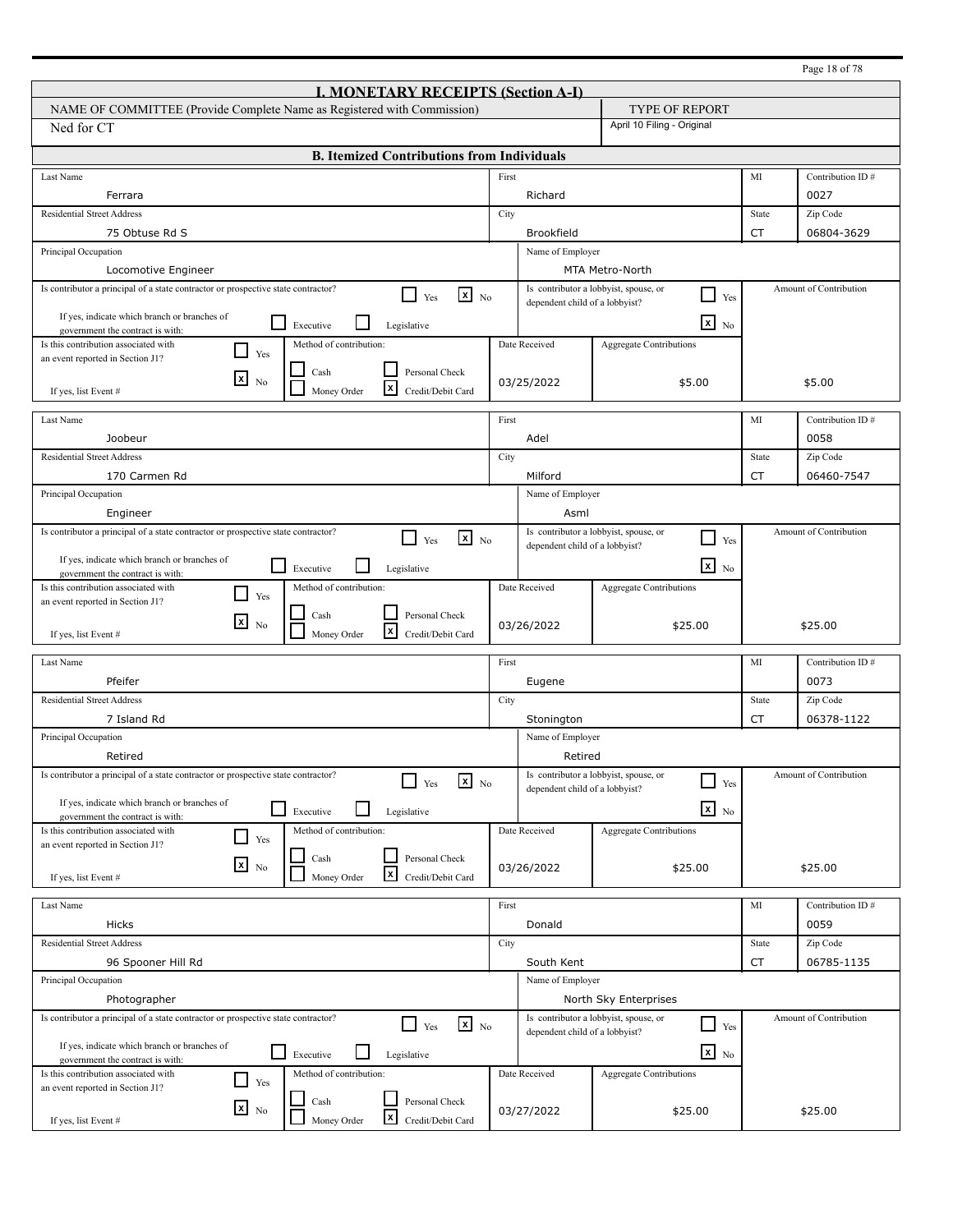|                                                                                                                    |       |                                |                                                        |             | Page 18 of 78          |
|--------------------------------------------------------------------------------------------------------------------|-------|--------------------------------|--------------------------------------------------------|-------------|------------------------|
| <b>I. MONETARY RECEIPTS (Section A-I)</b>                                                                          |       |                                |                                                        |             |                        |
| NAME OF COMMITTEE (Provide Complete Name as Registered with Commission)                                            |       |                                | <b>TYPE OF REPORT</b>                                  |             |                        |
| Ned for CT                                                                                                         |       |                                | April 10 Filing - Original                             |             |                        |
| <b>B. Itemized Contributions from Individuals</b>                                                                  |       |                                |                                                        |             |                        |
| Last Name                                                                                                          | First |                                |                                                        | MI          | Contribution ID#       |
| Ferrara                                                                                                            |       | Richard                        |                                                        |             | 0027                   |
| <b>Residential Street Address</b>                                                                                  | City  |                                |                                                        | State       | Zip Code               |
| 75 Obtuse Rd S                                                                                                     |       | <b>Brookfield</b>              |                                                        | <b>CT</b>   | 06804-3629             |
| Principal Occupation                                                                                               |       | Name of Employer               |                                                        |             |                        |
| Locomotive Engineer                                                                                                |       |                                | MTA Metro-North                                        |             |                        |
| Is contributor a principal of a state contractor or prospective state contractor?<br>$\mathbf{x}$ No<br>l 1<br>Yes |       |                                | Is contributor a lobbyist, spouse, or<br>$\Box$<br>Yes |             | Amount of Contribution |
| If yes, indicate which branch or branches of                                                                       |       | dependent child of a lobbyist? |                                                        |             |                        |
| $\sqcup$<br>Executive<br>Legislative<br>government the contract is with:                                           |       |                                | $\mathbf{x}$<br>N <sub>0</sub>                         |             |                        |
| Is this contribution associated with<br>Method of contribution:<br>$\blacksquare$<br>Yes                           |       | Date Received                  | <b>Aggregate Contributions</b>                         |             |                        |
| an event reported in Section J1?<br>$\operatorname{Cash}$<br>Personal Check                                        |       |                                |                                                        |             |                        |
| $\mathbf{x}$<br>N <sub>0</sub><br>l×l<br>Money Order<br>Credit/Debit Card<br>If yes, list Event #                  |       | 03/25/2022                     | \$5.00                                                 |             | \$5.00                 |
|                                                                                                                    |       |                                |                                                        |             |                        |
| Last Name                                                                                                          | First |                                |                                                        | MI          | Contribution ID#       |
| Joobeur                                                                                                            |       | Adel                           |                                                        |             | 0058                   |
| <b>Residential Street Address</b>                                                                                  | City  |                                |                                                        | State       | Zip Code               |
| 170 Carmen Rd                                                                                                      |       | Milford                        |                                                        | CT          | 06460-7547             |
| Principal Occupation<br>Name of Employer                                                                           |       |                                |                                                        |             |                        |
| Engineer                                                                                                           |       | Asml                           |                                                        |             |                        |
| Is contributor a principal of a state contractor or prospective state contractor?<br>$x_{N0}$<br>Yes               |       |                                | Is contributor a lobbyist, spouse, or<br>- 1<br>Yes    |             | Amount of Contribution |
| If yes, indicate which branch or branches of                                                                       |       | dependent child of a lobbyist? |                                                        |             |                        |
| l 1<br>Executive<br>Legislative<br>government the contract is with:                                                |       |                                | $\overline{\mathbf{x}}$ No                             |             |                        |
| Method of contribution:<br>Is this contribution associated with<br>$\blacksquare$<br>Yes                           |       | Date Received                  | <b>Aggregate Contributions</b>                         |             |                        |
| an event reported in Section J1?<br>Personal Check<br>Cash                                                         |       |                                |                                                        |             |                        |
| ⊠<br>N <sub>0</sub><br>l×l<br>Money Order<br>Credit/Debit Card<br>If yes, list Event #                             |       | 03/26/2022                     | \$25.00                                                |             | \$25.00                |
| Last Name                                                                                                          | First |                                |                                                        | MI          | Contribution ID#       |
| Pfeifer                                                                                                            |       | Eugene                         |                                                        |             | 0073                   |
| <b>Residential Street Address</b>                                                                                  |       |                                |                                                        |             | Zip Code               |
| 7 Island Rd                                                                                                        | City  |                                |                                                        | State<br>CT | 06378-1122             |
|                                                                                                                    |       | Stonington                     |                                                        |             |                        |
| Principal Occupation<br>Retired                                                                                    |       | Name of Employer               |                                                        |             |                        |
| Is contributor a principal of a state contractor or prospective state contractor?                                  |       | Retired                        | Is contributor a lobbyist, spouse, or                  |             | Amount of Contribution |
| $\mathbf{x}$ No<br>Yes                                                                                             |       | dependent child of a lobbyist? | $\overline{\phantom{0}}$<br>Yes                        |             |                        |
| If yes, indicate which branch or branches of<br>⊔<br>Executive<br>Legislative                                      |       |                                | $x_{N0}$                                               |             |                        |
| government the contract is with:<br>Method of contribution:<br>Is this contribution associated with                |       | Date Received                  | Aggregate Contributions                                |             |                        |
| $\Box$<br>Yes<br>an event reported in Section J1?                                                                  |       |                                |                                                        |             |                        |
| Personal Check<br>Cash<br>$x_{\text{No}}$                                                                          |       | 03/26/2022                     | \$25.00                                                |             | \$25.00                |
| $\boldsymbol{x}$<br>Money Order<br>Credit/Debit Card<br>If yes, list Event #                                       |       |                                |                                                        |             |                        |
| Last Name                                                                                                          | First |                                |                                                        | MI          | Contribution ID#       |
| Hicks                                                                                                              |       | Donald                         |                                                        |             | 0059                   |
| <b>Residential Street Address</b>                                                                                  | City  |                                |                                                        | State       | Zip Code               |
| 96 Spooner Hill Rd                                                                                                 |       | South Kent                     |                                                        | CT          | 06785-1135             |
| Principal Occupation                                                                                               |       | Name of Employer               |                                                        |             |                        |
| Photographer                                                                                                       |       |                                | North Sky Enterprises                                  |             |                        |
| Is contributor a principal of a state contractor or prospective state contractor?                                  |       |                                | Is contributor a lobbyist, spouse, or                  |             | Amount of Contribution |
| $\mathbf{x}$ No<br>l I<br>Yes                                                                                      |       | dependent child of a lobbyist? | ┚<br>Yes                                               |             |                        |
| If yes, indicate which branch or branches of<br>$\Box$ Executive<br>Legislative                                    |       |                                | $\overline{\mathbf{x}}$ No                             |             |                        |
| government the contract is with:<br>Method of contribution:<br>Is this contribution associated with                |       | Date Received                  | <b>Aggregate Contributions</b>                         |             |                        |
| $\Box$<br>Yes<br>an event reported in Section J1?                                                                  |       |                                |                                                        |             |                        |
| Cash<br>Personal Check<br>$\mathbf{x}$ No                                                                          |       | 03/27/2022                     | \$25.00                                                |             | \$25.00                |
| X<br>Money Order<br>Credit/Debit Card<br>If yes, list Event #                                                      |       |                                |                                                        |             |                        |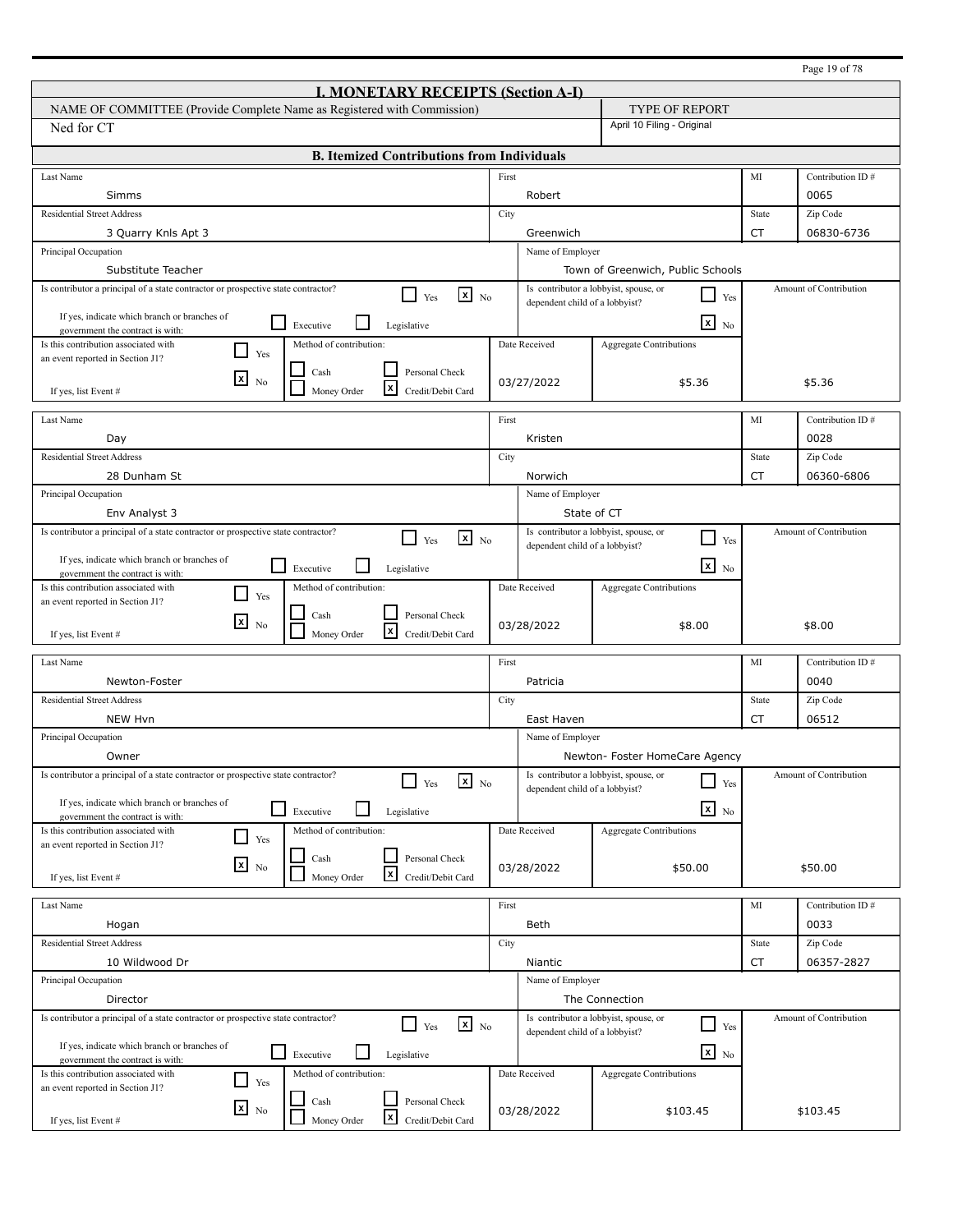|                                                                                                                              |       |                                |                                                          |           | Page 19 of 78          |
|------------------------------------------------------------------------------------------------------------------------------|-------|--------------------------------|----------------------------------------------------------|-----------|------------------------|
| <b>I. MONETARY RECEIPTS (Section A-I)</b>                                                                                    |       |                                |                                                          |           |                        |
| NAME OF COMMITTEE (Provide Complete Name as Registered with Commission)                                                      |       |                                | <b>TYPE OF REPORT</b>                                    |           |                        |
| Ned for CT                                                                                                                   |       |                                | April 10 Filing - Original                               |           |                        |
| <b>B. Itemized Contributions from Individuals</b>                                                                            |       |                                |                                                          |           |                        |
| Last Name                                                                                                                    | First |                                |                                                          | MI        | Contribution ID#       |
| Simms                                                                                                                        |       | Robert                         |                                                          |           | 0065                   |
| <b>Residential Street Address</b>                                                                                            | City  |                                |                                                          | State     | Zip Code               |
| 3 Quarry Knls Apt 3                                                                                                          |       | Greenwich                      |                                                          | <b>CT</b> | 06830-6736             |
| Principal Occupation                                                                                                         |       | Name of Employer               |                                                          |           |                        |
| Substitute Teacher                                                                                                           |       |                                | Town of Greenwich, Public Schools                        |           |                        |
| Is contributor a principal of a state contractor or prospective state contractor?<br>$\mathbf{x}$ No<br>l 1<br>Yes           |       |                                | Is contributor a lobbyist, spouse, or<br>┚<br>Yes        |           | Amount of Contribution |
| If yes, indicate which branch or branches of                                                                                 |       | dependent child of a lobbyist? |                                                          |           |                        |
| $\Box$<br>Executive<br>Legislative<br>government the contract is with:                                                       |       |                                | $\mathbf{x}$<br>N <sub>0</sub>                           |           |                        |
| Is this contribution associated with<br>Method of contribution:<br>$\blacksquare$<br>Yes                                     |       | Date Received                  | <b>Aggregate Contributions</b>                           |           |                        |
| an event reported in Section J1?<br>Cash<br>Personal Check                                                                   |       |                                |                                                          |           |                        |
| $\mathbf{x}$<br>N <sub>0</sub><br>l×l<br>Money Order<br>Credit/Debit Card<br>If yes, list Event #                            |       | 03/27/2022                     | \$5.36                                                   |           | \$5.36                 |
|                                                                                                                              |       |                                |                                                          |           |                        |
| Last Name                                                                                                                    | First |                                |                                                          | MI        | Contribution ID#       |
| Day                                                                                                                          |       | Kristen                        |                                                          |           | 0028                   |
| <b>Residential Street Address</b>                                                                                            | City  |                                |                                                          | State     | Zip Code               |
| 28 Dunham St                                                                                                                 |       | Norwich                        |                                                          | CT        | 06360-6806             |
| Principal Occupation                                                                                                         |       | Name of Employer               |                                                          |           |                        |
| Env Analyst 3                                                                                                                |       |                                | State of CT                                              |           |                        |
| Is contributor a principal of a state contractor or prospective state contractor?<br>$x_{N0}$<br>Yes                         |       | dependent child of a lobbyist? | Is contributor a lobbyist, spouse, or<br>- 1<br>Yes      |           | Amount of Contribution |
| If yes, indicate which branch or branches of<br>l 1                                                                          |       |                                | $\overline{\mathbf{x}}$ No                               |           |                        |
| Executive<br>Legislative<br>government the contract is with:                                                                 |       |                                |                                                          |           |                        |
| Is this contribution associated with<br>Method of contribution:<br>$\blacksquare$<br>Yes<br>an event reported in Section J1? |       | Date Received                  | <b>Aggregate Contributions</b>                           |           |                        |
| Personal Check<br>Cash<br>⊠                                                                                                  |       |                                |                                                          |           |                        |
| N <sub>0</sub><br>l×l<br>Money Order<br>Credit/Debit Card<br>If yes, list Event #                                            |       | 03/28/2022                     | \$8.00                                                   |           | \$8.00                 |
| Last Name                                                                                                                    | First |                                |                                                          | MI        | Contribution ID#       |
| Newton-Foster                                                                                                                |       | Patricia                       |                                                          |           | 0040                   |
| <b>Residential Street Address</b>                                                                                            | City  |                                |                                                          | State     | Zip Code               |
| <b>NEW Hyn</b>                                                                                                               |       | East Haven                     |                                                          | CT        | 06512                  |
| Principal Occupation                                                                                                         |       | Name of Employer               |                                                          |           |                        |
| Owner                                                                                                                        |       |                                | Newton-Foster HomeCare Agency                            |           |                        |
| Is contributor a principal of a state contractor or prospective state contractor?                                            |       |                                | Is contributor a lobbyist, spouse, or                    |           | Amount of Contribution |
| $x_{\text{No}}$<br>Yes                                                                                                       |       | dependent child of a lobbyist? | $\overline{\phantom{0}}$<br>Yes                          |           |                        |
| If yes, indicate which branch or branches of<br>$\Box$<br>Executive<br>Legislative<br>government the contract is with:       |       |                                | $x_{N0}$                                                 |           |                        |
| Method of contribution:<br>Is this contribution associated with                                                              |       | Date Received                  | Aggregate Contributions                                  |           |                        |
| $\Box$<br>Yes<br>an event reported in Section J1?                                                                            |       |                                |                                                          |           |                        |
| Personal Check<br>Cash<br>$x_{\text{No}}$<br>$\mathbf{x}$                                                                    |       | 03/28/2022                     | \$50.00                                                  |           | \$50.00                |
| Money Order<br>Credit/Debit Card<br>If yes, list Event #                                                                     |       |                                |                                                          |           |                        |
| Last Name                                                                                                                    | First |                                |                                                          | MI        | Contribution ID#       |
| Hogan                                                                                                                        |       | Beth                           |                                                          |           | 0033                   |
| <b>Residential Street Address</b>                                                                                            | City  |                                |                                                          | State     | Zip Code               |
| 10 Wildwood Dr                                                                                                               |       | Niantic                        |                                                          | CT        | 06357-2827             |
| Principal Occupation                                                                                                         |       | Name of Employer               |                                                          |           |                        |
| Director                                                                                                                     |       |                                | The Connection                                           |           |                        |
| Is contributor a principal of a state contractor or prospective state contractor?<br>$\mathbf{X}$ No<br>l I<br>Yes           |       |                                | Is contributor a lobbyist, spouse, or<br>$\sqcup$<br>Yes |           | Amount of Contribution |
| If yes, indicate which branch or branches of                                                                                 |       | dependent child of a lobbyist? |                                                          |           |                        |
| $\Box$ Executive<br>Legislative<br>government the contract is with:                                                          |       |                                | $\overline{\mathbf{x}}$ No                               |           |                        |
| Method of contribution:<br>Is this contribution associated with<br>$\Box$<br>Yes                                             |       | Date Received                  | <b>Aggregate Contributions</b>                           |           |                        |
| an event reported in Section J1?<br>Cash<br>Personal Check                                                                   |       |                                |                                                          |           |                        |
| $\mathbf{x}$ No<br>X<br>Credit/Debit Card<br>Money Order<br>If yes, list Event #                                             |       | 03/28/2022                     | \$103.45                                                 |           | \$103.45               |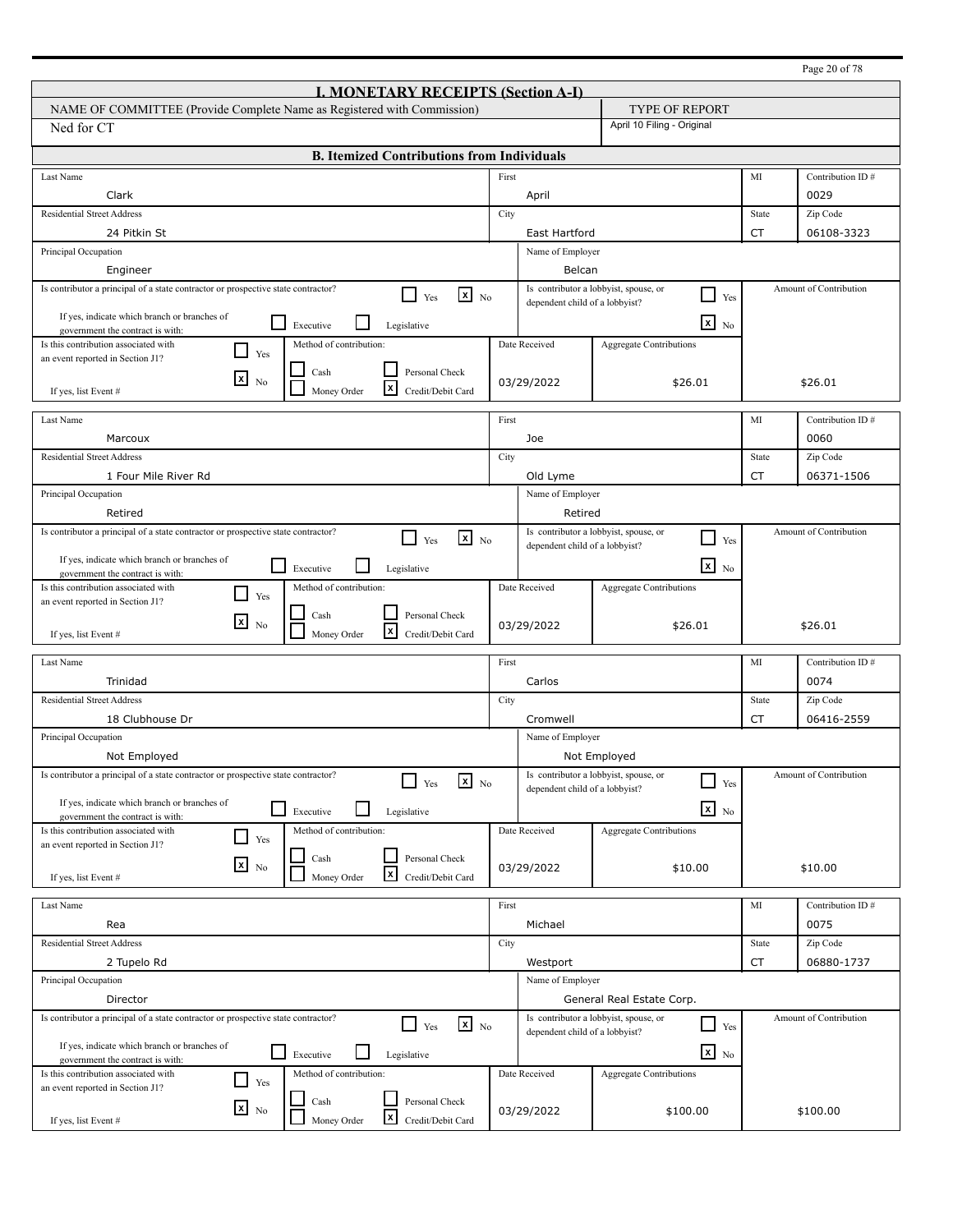|                                                                                                                              |       |                                       |                                                                |           | Page 20 of 78          |
|------------------------------------------------------------------------------------------------------------------------------|-------|---------------------------------------|----------------------------------------------------------------|-----------|------------------------|
| <b>I. MONETARY RECEIPTS (Section A-I)</b>                                                                                    |       |                                       |                                                                |           |                        |
| NAME OF COMMITTEE (Provide Complete Name as Registered with Commission)                                                      |       |                                       | TYPE OF REPORT                                                 |           |                        |
| Ned for CT                                                                                                                   |       |                                       | April 10 Filing - Original                                     |           |                        |
| <b>B. Itemized Contributions from Individuals</b>                                                                            |       |                                       |                                                                |           |                        |
|                                                                                                                              |       |                                       |                                                                |           |                        |
| Last Name                                                                                                                    | First |                                       |                                                                | MI        | Contribution ID#       |
| Clark                                                                                                                        |       | April                                 |                                                                |           | 0029                   |
| <b>Residential Street Address</b>                                                                                            | City  |                                       |                                                                | State     | Zip Code               |
| 24 Pitkin St                                                                                                                 |       | East Hartford                         |                                                                | <b>CT</b> | 06108-3323             |
| Principal Occupation                                                                                                         |       | Name of Employer                      |                                                                |           |                        |
| Engineer                                                                                                                     |       | Belcan                                | Is contributor a lobbyist, spouse, or                          |           | Amount of Contribution |
| Is contributor a principal of a state contractor or prospective state contractor?<br>$\mathbf{x}$ No<br>$\Box$ Yes           |       | dependent child of a lobbyist?        | $\Box$<br>Yes                                                  |           |                        |
| If yes, indicate which branch or branches of<br>$\mathsf{L}$<br>Executive<br>Legislative<br>government the contract is with: |       |                                       | $\mathbf{x}$ No                                                |           |                        |
| Is this contribution associated with<br>Method of contribution:                                                              |       | Date Received                         | Aggregate Contributions                                        |           |                        |
| $\blacksquare$<br>Yes<br>an event reported in Section J1?                                                                    |       |                                       |                                                                |           |                        |
| Personal Check<br>Cash<br>⊠<br>N <sub>0</sub>                                                                                |       | 03/29/2022                            | \$26.01                                                        |           | \$26.01                |
| l×l<br>Money Order<br>Credit/Debit Card<br>If yes, list Event #                                                              |       |                                       |                                                                |           |                        |
| Last Name                                                                                                                    | First |                                       |                                                                | MI        | Contribution ID#       |
| Marcoux                                                                                                                      |       | Joe                                   |                                                                |           | 0060                   |
| <b>Residential Street Address</b>                                                                                            | City  |                                       |                                                                | State     | Zip Code               |
| 1 Four Mile River Rd                                                                                                         |       | Old Lyme                              |                                                                | <b>CT</b> | 06371-1506             |
| Principal Occupation                                                                                                         |       | Name of Employer                      |                                                                |           |                        |
| Retired                                                                                                                      |       | Retired                               |                                                                |           |                        |
| Is contributor a principal of a state contractor or prospective state contractor?<br>$\mathbf{x}$ No<br>П<br>Yes             |       |                                       | Is contributor a lobbyist, spouse, or<br>$\blacksquare$<br>Yes |           | Amount of Contribution |
| If yes, indicate which branch or branches of                                                                                 |       | dependent child of a lobbyist?        |                                                                |           |                        |
| $\mathbb{R}^n$<br>Executive<br>Legislative<br>government the contract is with:                                               |       |                                       | $\mathbf{X}$ No                                                |           |                        |
| Is this contribution associated with<br>Method of contribution:<br>$\blacksquare$<br>Yes                                     |       | Date Received                         | Aggregate Contributions                                        |           |                        |
| an event reported in Section J1?<br>Personal Check<br>Cash                                                                   |       |                                       |                                                                |           |                        |
| $\mathbf{x}$<br>N <sub>0</sub><br> x<br>Credit/Debit Card<br>Money Order<br>If yes, list Event #                             |       | 03/29/2022                            | \$26.01                                                        |           | \$26.01                |
|                                                                                                                              |       |                                       |                                                                |           |                        |
| Last Name                                                                                                                    | First |                                       |                                                                | MI        | Contribution ID#       |
| Trinidad                                                                                                                     |       | Carlos                                |                                                                |           | 0074                   |
| <b>Residential Street Address</b>                                                                                            | City  |                                       |                                                                | State     | Zip Code               |
| 18 Clubhouse Dr                                                                                                              |       | Cromwell                              |                                                                | CT        | 06416-2559             |
| Principal Occupation<br>Not Employed                                                                                         |       | Name of Employer                      |                                                                |           |                        |
| Is contributor a principal of a state contractor or prospective state contractor?                                            |       | Is contributor a lobbyist, spouse, or | Not Employed                                                   |           | Amount of Contribution |
| $\mathbf{x}$ No<br>Yes                                                                                                       |       | dependent child of a lobbyist?        | $\Box$<br>Yes                                                  |           |                        |
| If yes, indicate which branch or branches of<br>$\mathbf{I}$<br>Executive<br>Legislative                                     |       |                                       | $x_{N0}$                                                       |           |                        |
| government the contract is with:<br>Is this contribution associated with<br>Method of contribution:                          |       | Date Received                         | <b>Aggregate Contributions</b>                                 |           |                        |
| $\Box$<br>Yes<br>an event reported in Section J1?                                                                            |       |                                       |                                                                |           |                        |
| Personal Check<br>Cash<br>$x_{\text{No}}$                                                                                    |       | 03/29/2022                            | \$10.00                                                        |           | \$10.00                |
| $\mathbf{x}$<br>Credit/Debit Card<br>Money Order<br>If yes, list Event #                                                     |       |                                       |                                                                |           |                        |
| Last Name                                                                                                                    | First |                                       |                                                                | MI        | Contribution ID#       |
| Rea                                                                                                                          |       | Michael                               |                                                                |           | 0075                   |
| <b>Residential Street Address</b>                                                                                            | City  |                                       |                                                                | State     | Zip Code               |
| 2 Tupelo Rd                                                                                                                  |       | Westport                              |                                                                | CT        | 06880-1737             |
| Principal Occupation                                                                                                         |       | Name of Employer                      |                                                                |           |                        |
| Director                                                                                                                     |       |                                       | General Real Estate Corp.                                      |           |                        |
| Is contributor a principal of a state contractor or prospective state contractor?<br>$\mathbf{x}$ No<br>$\mathsf{L}$<br>Yes  |       |                                       | Is contributor a lobbyist, spouse, or<br>┙<br>Yes              |           | Amount of Contribution |
| If yes, indicate which branch or branches of                                                                                 |       | dependent child of a lobbyist?        |                                                                |           |                        |
| Executive<br>Legislative<br>government the contract is with:                                                                 |       |                                       | $\mathbf{x}$ No                                                |           |                        |
| Is this contribution associated with<br>Method of contribution:<br>$\mathcal{L}$<br>Yes                                      |       | Date Received                         | <b>Aggregate Contributions</b>                                 |           |                        |
| an event reported in Section J1?<br>Personal Check<br>Cash                                                                   |       |                                       |                                                                |           |                        |
| $\mathbf{x}$ No<br> x<br>Money Order<br>Credit/Debit Card<br>If yes, list Event #                                            |       | 03/29/2022                            | \$100.00                                                       |           | \$100.00               |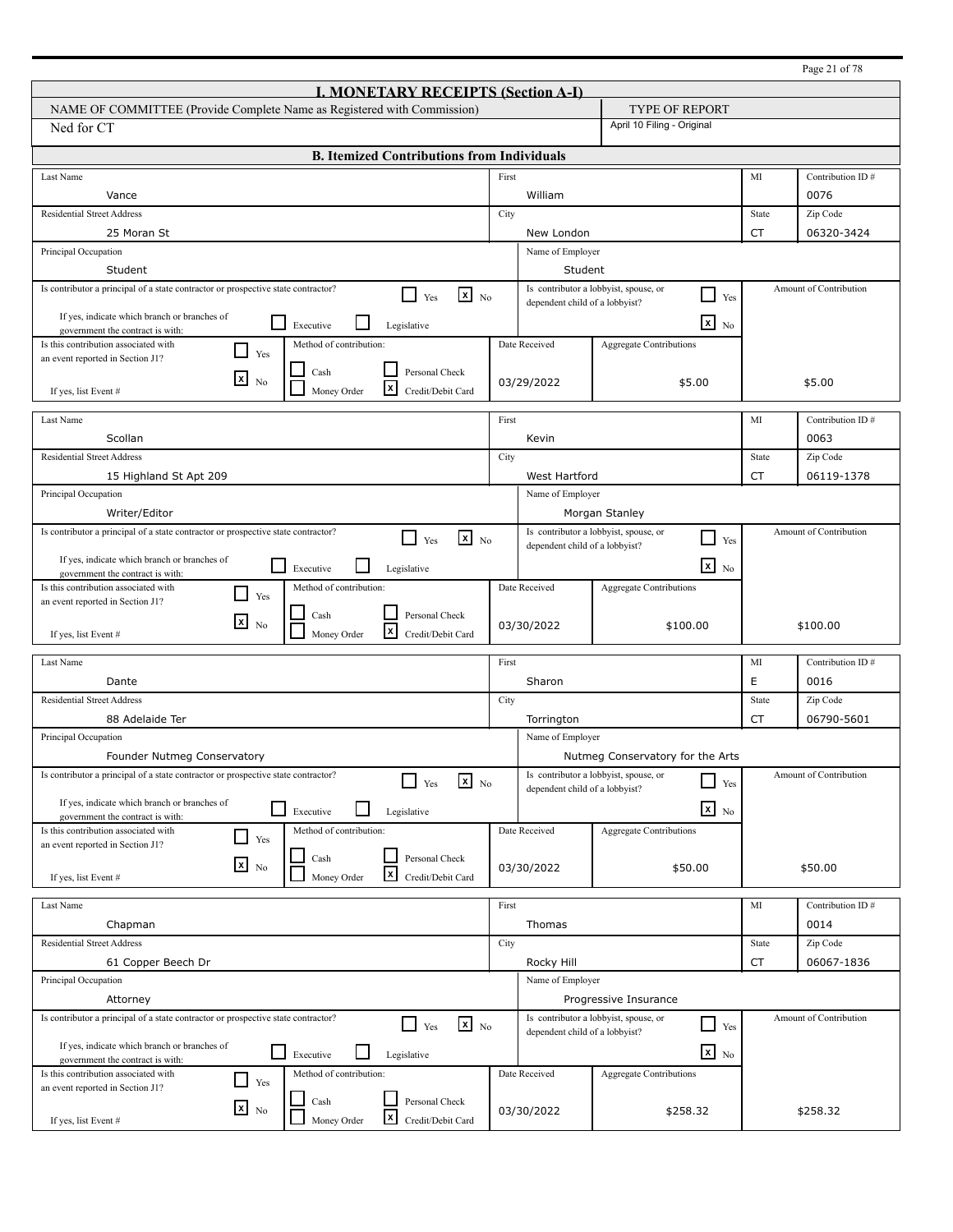|                                                                                                                      |                                         |                                |                                                                          |             | Page 21 of 78          |
|----------------------------------------------------------------------------------------------------------------------|-----------------------------------------|--------------------------------|--------------------------------------------------------------------------|-------------|------------------------|
| <b>I. MONETARY RECEIPTS (Section A-I)</b>                                                                            |                                         |                                |                                                                          |             |                        |
| NAME OF COMMITTEE (Provide Complete Name as Registered with Commission)                                              |                                         |                                | <b>TYPE OF REPORT</b>                                                    |             |                        |
| Ned for CT                                                                                                           |                                         |                                | April 10 Filing - Original                                               |             |                        |
| <b>B. Itemized Contributions from Individuals</b>                                                                    |                                         |                                |                                                                          |             |                        |
| Last Name                                                                                                            | First                                   |                                |                                                                          | MI          | Contribution ID#       |
| Vance                                                                                                                |                                         | William                        |                                                                          |             | 0076                   |
| <b>Residential Street Address</b>                                                                                    | City                                    |                                |                                                                          | State       | Zip Code               |
| 25 Moran St                                                                                                          |                                         | New London                     |                                                                          | <b>CT</b>   | 06320-3424             |
| Principal Occupation                                                                                                 |                                         | Name of Employer               |                                                                          |             |                        |
| Student                                                                                                              |                                         | Student                        |                                                                          |             |                        |
| Is contributor a principal of a state contractor or prospective state contractor?<br>$\mathbf{x}$ No<br>l 1<br>Yes   |                                         | dependent child of a lobbyist? | Is contributor a lobbyist, spouse, or<br>$\Box$<br>Yes                   |             | Amount of Contribution |
| If yes, indicate which branch or branches of<br>$\Box$                                                               |                                         |                                | $\mathbf{x}$                                                             |             |                        |
| Executive<br>Legislative<br>government the contract is with:                                                         |                                         |                                | N <sub>0</sub>                                                           |             |                        |
| Is this contribution associated with<br>Method of contribution:<br>l 1<br>Yes<br>an event reported in Section J1?    |                                         | Date Received                  | <b>Aggregate Contributions</b>                                           |             |                        |
| Cash<br>Personal Check<br>$\mathbf{x}$                                                                               |                                         |                                |                                                                          |             |                        |
| N <sub>0</sub><br>l×l<br>Money Order<br>Credit/Debit Card<br>If yes, list Event #                                    |                                         | 03/29/2022                     | \$5.00                                                                   |             | \$5.00                 |
| Last Name                                                                                                            | First                                   |                                |                                                                          | MI          | Contribution ID#       |
| Scollan                                                                                                              |                                         |                                |                                                                          |             |                        |
| <b>Residential Street Address</b>                                                                                    |                                         | Kevin                          |                                                                          |             | 0063                   |
|                                                                                                                      | City                                    |                                |                                                                          | State<br>CT | Zip Code               |
|                                                                                                                      | 15 Highland St Apt 209<br>West Hartford |                                |                                                                          |             | 06119-1378             |
| Principal Occupation<br>Name of Employer<br>Writer/Editor<br>Morgan Stanley                                          |                                         |                                |                                                                          |             |                        |
| Is contributor a principal of a state contractor or prospective state contractor?                                    |                                         |                                | Is contributor a lobbyist, spouse, or                                    |             | Amount of Contribution |
| $\mathbf{x}$ No<br>Yes                                                                                               |                                         | dependent child of a lobbyist? | $\blacksquare$<br>Yes                                                    |             |                        |
| If yes, indicate which branch or branches of<br>l 1<br>Executive<br>Legislative                                      |                                         |                                | $\mathbf{X}$ No                                                          |             |                        |
| government the contract is with:<br>Is this contribution associated with<br>Method of contribution:                  |                                         | Date Received                  | Aggregate Contributions                                                  |             |                        |
| $\blacksquare$<br>Yes<br>an event reported in Section J1?                                                            |                                         |                                |                                                                          |             |                        |
| Personal Check<br>Cash<br>⊠<br>N <sub>0</sub><br>l×l                                                                 |                                         | 03/30/2022                     | \$100.00                                                                 |             | \$100.00               |
| Money Order<br>Credit/Debit Card<br>If yes, list Event #                                                             |                                         |                                |                                                                          |             |                        |
| Last Name                                                                                                            | First                                   |                                |                                                                          | MI          | Contribution ID#       |
| Dante                                                                                                                |                                         | Sharon                         |                                                                          | E           | 0016                   |
| <b>Residential Street Address</b>                                                                                    | City                                    |                                |                                                                          | State       | Zip Code               |
| 88 Adelaide Ter                                                                                                      |                                         | Torrington                     |                                                                          | CT          | 06790-5601             |
| Principal Occupation                                                                                                 |                                         | Name of Employer               |                                                                          |             |                        |
| Founder Nutmeg Conservatory                                                                                          |                                         |                                | Nutmeg Conservatory for the Arts                                         |             |                        |
| Is contributor a principal of a state contractor or prospective state contractor?<br>$x_{\text{No}}$<br>Yes          |                                         |                                | Is contributor a lobbyist, spouse, or<br>$\overline{\phantom{0}}$<br>Yes |             | Amount of Contribution |
| If yes, indicate which branch or branches of                                                                         |                                         | dependent child of a lobbyist? |                                                                          |             |                        |
| $\Box$<br>Executive<br>Legislative<br>government the contract is with:                                               |                                         |                                | $x_{N0}$                                                                 |             |                        |
| Method of contribution:<br>Is this contribution associated with<br>$\Box$<br>Yes<br>an event reported in Section J1? |                                         | Date Received                  | Aggregate Contributions                                                  |             |                        |
| Personal Check<br>Cash                                                                                               |                                         |                                |                                                                          |             |                        |
| $x_{\text{No}}$<br>$\mathbf{x}$<br>Money Order<br>Credit/Debit Card<br>If yes, list Event #                          |                                         | 03/30/2022                     | \$50.00                                                                  |             | \$50.00                |
|                                                                                                                      |                                         |                                |                                                                          |             |                        |
| Last Name                                                                                                            | First                                   |                                |                                                                          | MI          | Contribution ID#       |
| Chapman                                                                                                              |                                         | Thomas                         |                                                                          |             | 0014                   |
| <b>Residential Street Address</b>                                                                                    | City                                    |                                |                                                                          | State       | Zip Code               |
| 61 Copper Beech Dr                                                                                                   |                                         | Rocky Hill                     |                                                                          | CT          | 06067-1836             |
| Principal Occupation<br>Attorney                                                                                     |                                         | Name of Employer               |                                                                          |             |                        |
| Is contributor a principal of a state contractor or prospective state contractor?                                    |                                         |                                | Progressive Insurance<br>Is contributor a lobbyist, spouse, or           |             | Amount of Contribution |
| $\mathbf{X}$ No<br>Yes                                                                                               |                                         | dependent child of a lobbyist? | ┚<br>Yes                                                                 |             |                        |
| If yes, indicate which branch or branches of<br>$\Box$ Executive<br>Legislative                                      |                                         |                                | $\overline{\mathbf{x}}$ No                                               |             |                        |
| government the contract is with:<br>Method of contribution:<br>Is this contribution associated with                  |                                         | Date Received                  | <b>Aggregate Contributions</b>                                           |             |                        |
| $\Box$<br>Yes<br>an event reported in Section J1?                                                                    |                                         |                                |                                                                          |             |                        |
| Cash<br>Personal Check<br>$\mathbf{x}$ No                                                                            |                                         | 03/30/2022                     | \$258.32                                                                 |             | \$258.32               |
| X<br>Money Order<br>Credit/Debit Card<br>If yes, list Event #                                                        |                                         |                                |                                                                          |             |                        |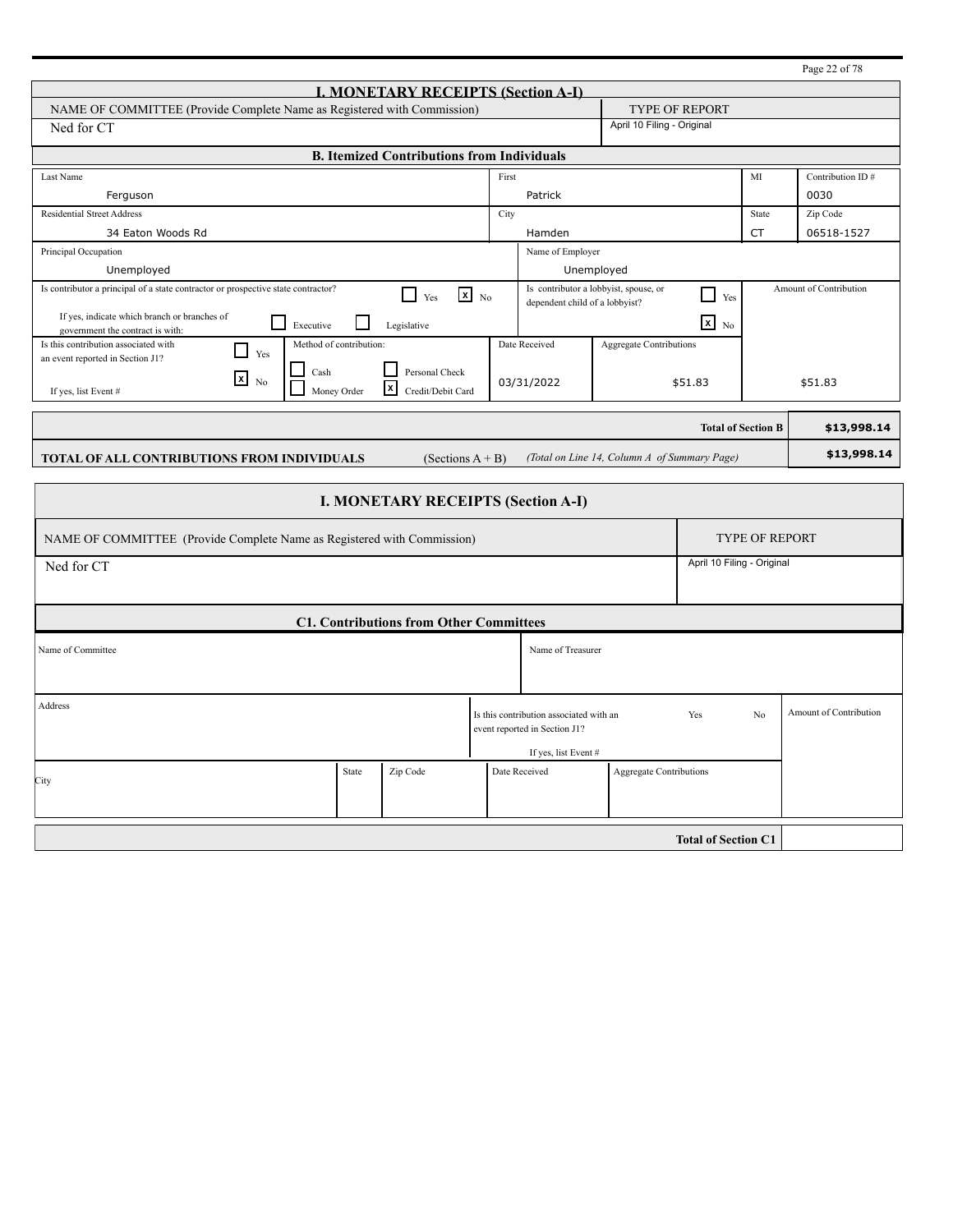|                                                                                                                                                        |       |                                                                         |                                              |                 |                       | Page 22 of 78                 |  |  |
|--------------------------------------------------------------------------------------------------------------------------------------------------------|-------|-------------------------------------------------------------------------|----------------------------------------------|-----------------|-----------------------|-------------------------------|--|--|
| <b>I. MONETARY RECEIPTS (Section A-I)</b>                                                                                                              |       |                                                                         |                                              |                 |                       |                               |  |  |
| NAME OF COMMITTEE (Provide Complete Name as Registered with Commission)                                                                                |       |                                                                         | <b>TYPE OF REPORT</b>                        |                 |                       |                               |  |  |
| April 10 Filing - Original<br>Ned for CT                                                                                                               |       |                                                                         |                                              |                 |                       |                               |  |  |
| <b>B. Itemized Contributions from Individuals</b>                                                                                                      |       |                                                                         |                                              |                 |                       |                               |  |  |
| Last Name                                                                                                                                              | First |                                                                         |                                              |                 | MI                    | Contribution ID#              |  |  |
| Ferguson                                                                                                                                               |       | Patrick                                                                 |                                              |                 |                       | 0030                          |  |  |
| <b>Residential Street Address</b>                                                                                                                      | City  |                                                                         |                                              |                 | State                 | Zip Code                      |  |  |
| 34 Eaton Woods Rd                                                                                                                                      |       | Hamden                                                                  |                                              |                 | CT                    | 06518-1527                    |  |  |
| Principal Occupation                                                                                                                                   |       | Name of Employer                                                        |                                              |                 |                       |                               |  |  |
| Unemployed                                                                                                                                             |       | Unemployed                                                              |                                              |                 |                       |                               |  |  |
| Is contributor a principal of a state contractor or prospective state contractor?<br>$\mathbf{x}$ No<br>П<br>Yes                                       |       | Is contributor a lobbyist, spouse, or<br>dependent child of a lobbyist? |                                              | Yes             |                       | <b>Amount of Contribution</b> |  |  |
| If yes, indicate which branch or branches of<br>$\Box$ Executive<br>$\mathsf{L}$<br>Legislative<br>government the contract is with:                    |       |                                                                         |                                              | $x_{\text{No}}$ |                       |                               |  |  |
| <b>Aggregate Contributions</b><br>Is this contribution associated with<br>Method of contribution:<br>Date Received<br>Yes                              |       |                                                                         |                                              |                 |                       |                               |  |  |
| an event reported in Section J1?<br>Personal Check<br>Cash                                                                                             |       |                                                                         |                                              |                 |                       |                               |  |  |
| $\boxed{\mathbf{x}}$<br>N <sub>0</sub><br>03/31/2022<br>\$51.83<br>\$51.83<br>$\mathbf{x}$<br>Money Order<br>Credit/Debit Card<br>If yes, list Event # |       |                                                                         |                                              |                 |                       |                               |  |  |
| <b>Total of Section B</b><br>\$13,998.14                                                                                                               |       |                                                                         |                                              |                 |                       |                               |  |  |
|                                                                                                                                                        |       |                                                                         |                                              |                 |                       |                               |  |  |
| TOTAL OF ALL CONTRIBUTIONS FROM INDIVIDUALS<br>(Sections $A + B$ )                                                                                     |       |                                                                         | (Total on Line 14, Column A of Summary Page) |                 |                       | \$13,998.14                   |  |  |
|                                                                                                                                                        |       |                                                                         |                                              |                 |                       |                               |  |  |
| <b>I. MONETARY RECEIPTS (Section A-I)</b>                                                                                                              |       |                                                                         |                                              |                 |                       |                               |  |  |
| NAME OF COMMITTEE (Provide Complete Name as Registered with Commission)                                                                                |       |                                                                         |                                              |                 | <b>TYPE OF REPORT</b> |                               |  |  |
| April 10 Filing - Original<br>Ned for CT                                                                                                               |       |                                                                         |                                              |                 |                       |                               |  |  |
|                                                                                                                                                        |       |                                                                         |                                              |                 |                       |                               |  |  |
|                                                                                                                                                        |       |                                                                         |                                              |                 |                       |                               |  |  |
| <b>C1. Contributions from Other Committees</b>                                                                                                         |       |                                                                         |                                              |                 |                       |                               |  |  |
| Name of Committee                                                                                                                                      |       | Name of Treasurer                                                       |                                              |                 |                       |                               |  |  |

|                   |       | <b>CI. Contributions from Other Committees</b> |               |                                                                                                  |                            |    |                        |
|-------------------|-------|------------------------------------------------|---------------|--------------------------------------------------------------------------------------------------|----------------------------|----|------------------------|
| Name of Committee |       |                                                |               | Name of Treasurer                                                                                |                            |    |                        |
| Address           |       |                                                |               | Is this contribution associated with an<br>event reported in Section J1?<br>If yes, list Event # | Yes                        | No | Amount of Contribution |
| City              | State | Zip Code                                       | Date Received |                                                                                                  | Aggregate Contributions    |    |                        |
|                   |       |                                                |               |                                                                                                  | <b>Total of Section C1</b> |    |                        |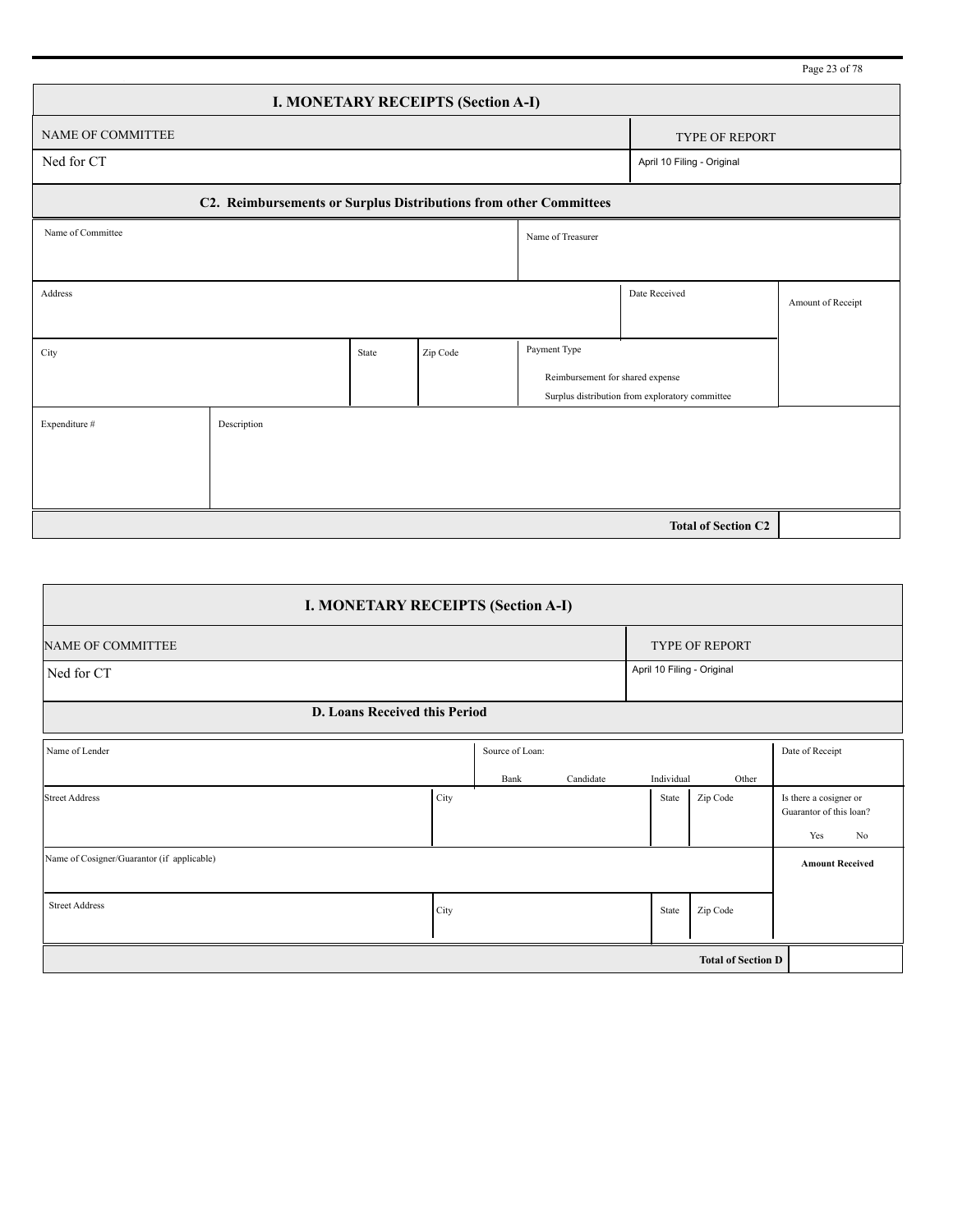|                                                                   |             |       |                                           |                                  |                                                 | Page 23 of 78     |
|-------------------------------------------------------------------|-------------|-------|-------------------------------------------|----------------------------------|-------------------------------------------------|-------------------|
|                                                                   |             |       | <b>I. MONETARY RECEIPTS (Section A-I)</b> |                                  |                                                 |                   |
| NAME OF COMMITTEE                                                 |             |       |                                           |                                  | <b>TYPE OF REPORT</b>                           |                   |
| Ned for CT                                                        |             |       |                                           |                                  | April 10 Filing - Original                      |                   |
| C2. Reimbursements or Surplus Distributions from other Committees |             |       |                                           |                                  |                                                 |                   |
| Name of Committee                                                 |             |       |                                           | Name of Treasurer                |                                                 |                   |
|                                                                   |             |       |                                           |                                  |                                                 |                   |
| Address                                                           |             |       |                                           |                                  | Date Received                                   | Amount of Receipt |
|                                                                   |             |       |                                           |                                  |                                                 |                   |
| City                                                              |             | State | Zip Code                                  | Payment Type                     |                                                 |                   |
|                                                                   |             |       |                                           | Reimbursement for shared expense |                                                 |                   |
|                                                                   |             |       |                                           |                                  | Surplus distribution from exploratory committee |                   |
| Expenditure #                                                     | Description |       |                                           |                                  |                                                 |                   |
|                                                                   |             |       |                                           |                                  |                                                 |                   |
|                                                                   |             |       |                                           |                                  |                                                 |                   |
|                                                                   |             |       |                                           |                                  |                                                 |                   |
|                                                                   |             |       |                                           |                                  | <b>Total of Section C2</b>                      |                   |

| <b>I. MONETARY RECEIPTS (Section A-I)</b>  |                           |                 |           |                            |                |                                                                |  |  |  |
|--------------------------------------------|---------------------------|-----------------|-----------|----------------------------|----------------|----------------------------------------------------------------|--|--|--|
| <b>NAME OF COMMITTEE</b>                   |                           |                 |           |                            | TYPE OF REPORT |                                                                |  |  |  |
| Ned for CT                                 |                           |                 |           | April 10 Filing - Original |                |                                                                |  |  |  |
| <b>D. Loans Received this Period</b>       |                           |                 |           |                            |                |                                                                |  |  |  |
| Name of Lender                             |                           | Source of Loan: |           |                            |                | Date of Receipt                                                |  |  |  |
|                                            |                           | Bank            | Candidate | Individual                 | Other          |                                                                |  |  |  |
| Street Address                             | City                      |                 |           | State                      | Zip Code       | Is there a cosigner or<br>Guarantor of this loan?<br>Yes<br>No |  |  |  |
| Name of Cosigner/Guarantor (if applicable) |                           |                 |           |                            |                | <b>Amount Received</b>                                         |  |  |  |
| <b>Street Address</b>                      | City                      |                 |           | State                      | Zip Code       |                                                                |  |  |  |
|                                            | <b>Total of Section D</b> |                 |           |                            |                |                                                                |  |  |  |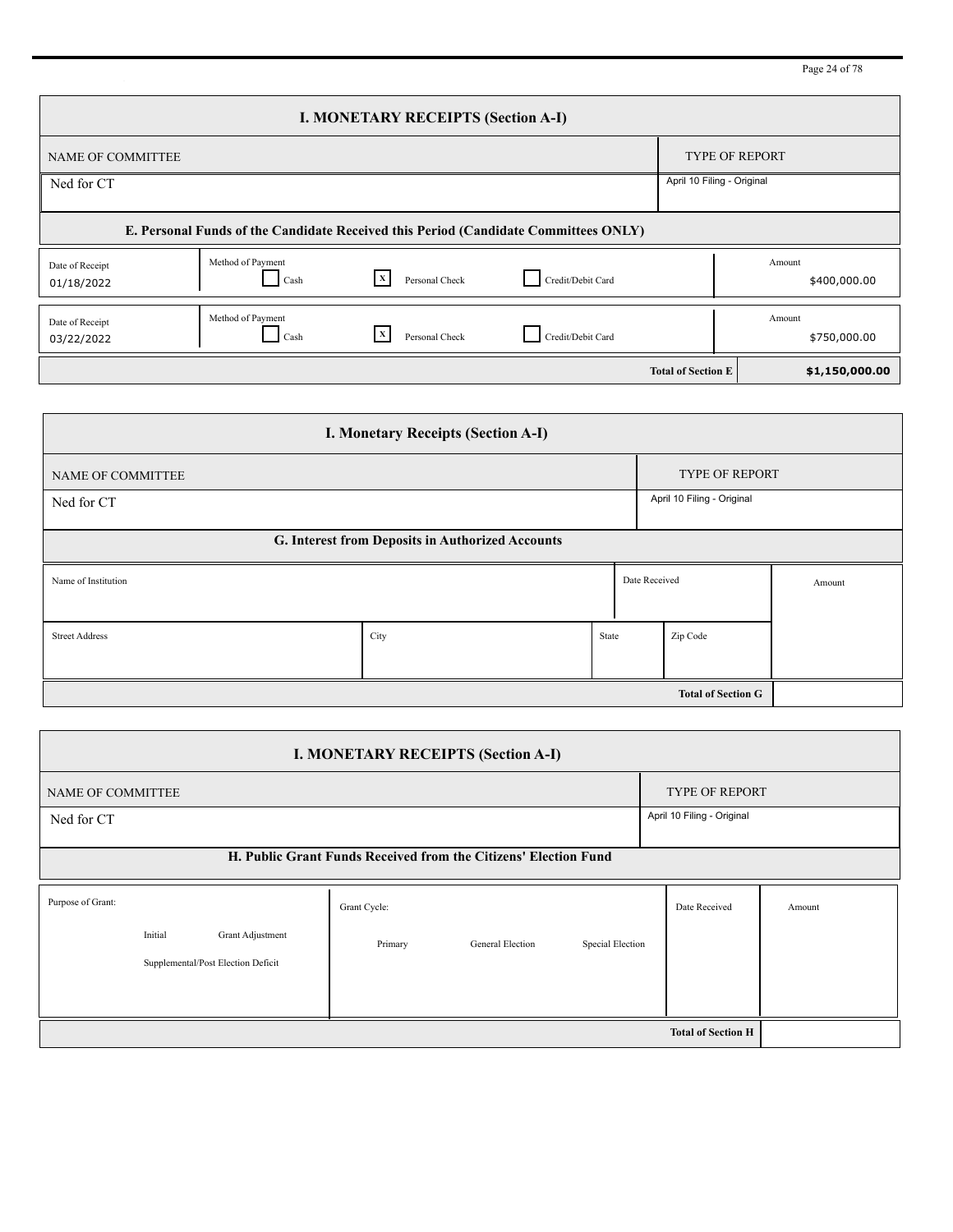Page 24 of 78

| <b>I. MONETARY RECEIPTS (Section A-I)</b>                                           |                           |                                |                   |                            |                        |  |  |  |  |
|-------------------------------------------------------------------------------------|---------------------------|--------------------------------|-------------------|----------------------------|------------------------|--|--|--|--|
| <b>NAME OF COMMITTEE</b>                                                            |                           |                                |                   |                            | <b>TYPE OF REPORT</b>  |  |  |  |  |
| Ned for CT                                                                          |                           |                                |                   | April 10 Filing - Original |                        |  |  |  |  |
| E. Personal Funds of the Candidate Received this Period (Candidate Committees ONLY) |                           |                                |                   |                            |                        |  |  |  |  |
| Date of Receipt<br>01/18/2022                                                       | Method of Payment<br>Cash | l X<br>Personal Check          | Credit/Debit Card |                            | Amount<br>\$400,000.00 |  |  |  |  |
| Date of Receipt<br>03/22/2022                                                       | Method of Payment<br>Cash | $\mathbf{x}$<br>Personal Check | Credit/Debit Card |                            | Amount<br>\$750,000.00 |  |  |  |  |
|                                                                                     |                           |                                |                   | <b>Total of Section E</b>  | \$1,150,000.00         |  |  |  |  |

| <b>I. Monetary Receipts (Section A-I)</b>        |      |                            |               |          |        |  |  |  |  |
|--------------------------------------------------|------|----------------------------|---------------|----------|--------|--|--|--|--|
| <b>NAME OF COMMITTEE</b>                         |      | <b>TYPE OF REPORT</b>      |               |          |        |  |  |  |  |
| Ned for CT                                       |      | April 10 Filing - Original |               |          |        |  |  |  |  |
| G. Interest from Deposits in Authorized Accounts |      |                            |               |          |        |  |  |  |  |
| Name of Institution                              |      |                            | Date Received |          | Amount |  |  |  |  |
|                                                  |      |                            |               |          |        |  |  |  |  |
| <b>Street Address</b>                            | City | State                      |               | Zip Code |        |  |  |  |  |
|                                                  |      |                            |               |          |        |  |  |  |  |
|                                                  |      |                            |               |          |        |  |  |  |  |

| <b>I. MONETARY RECEIPTS (Section A-I)</b> |                                                                 |                       |              |                  |                  |                           |        |  |  |  |
|-------------------------------------------|-----------------------------------------------------------------|-----------------------|--------------|------------------|------------------|---------------------------|--------|--|--|--|
| NAME OF COMMITTEE                         |                                                                 | <b>TYPE OF REPORT</b> |              |                  |                  |                           |        |  |  |  |
| Ned for CT                                | April 10 Filing - Original                                      |                       |              |                  |                  |                           |        |  |  |  |
|                                           | H. Public Grant Funds Received from the Citizens' Election Fund |                       |              |                  |                  |                           |        |  |  |  |
| Purpose of Grant:                         |                                                                 |                       | Grant Cycle: |                  |                  | Date Received             | Amount |  |  |  |
|                                           | Initial                                                         | Grant Adjustment      | Primary      | General Election | Special Election |                           |        |  |  |  |
| Supplemental/Post Election Deficit        |                                                                 |                       |              |                  |                  |                           |        |  |  |  |
|                                           |                                                                 |                       |              |                  |                  |                           |        |  |  |  |
|                                           |                                                                 |                       |              |                  |                  | <b>Total of Section H</b> |        |  |  |  |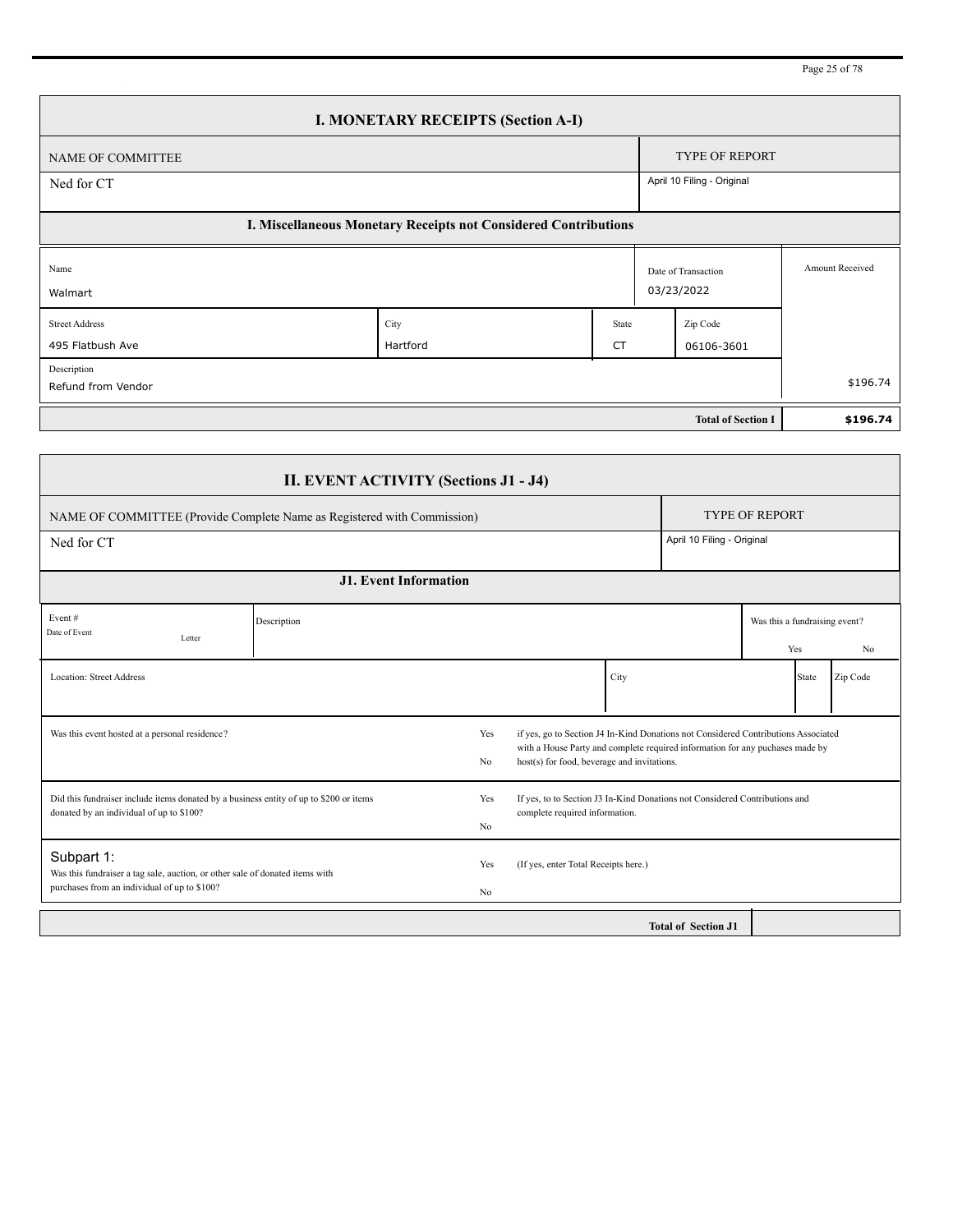Page 25 of 78

| <b>I. MONETARY RECEIPTS (Section A-I)</b>                       |                  |                            |                        |                                   |                        |  |  |  |  |
|-----------------------------------------------------------------|------------------|----------------------------|------------------------|-----------------------------------|------------------------|--|--|--|--|
| NAME OF COMMITTEE                                               |                  |                            |                        | <b>TYPE OF REPORT</b>             |                        |  |  |  |  |
| Ned for CT                                                      |                  | April 10 Filing - Original |                        |                                   |                        |  |  |  |  |
| I. Miscellaneous Monetary Receipts not Considered Contributions |                  |                            |                        |                                   |                        |  |  |  |  |
| Name<br>Walmart                                                 |                  |                            |                        | Date of Transaction<br>03/23/2022 | <b>Amount Received</b> |  |  |  |  |
| <b>Street Address</b><br>495 Flatbush Ave                       | City<br>Hartford | State<br>CT                | Zip Code<br>06106-3601 |                                   |                        |  |  |  |  |
| Description<br>Refund from Vendor                               |                  |                            |                        |                                   | \$196.74               |  |  |  |  |
|                                                                 |                  |                            |                        | <b>Total of Section I</b>         | \$196.74               |  |  |  |  |

|                                                                                                                                                                                                                                                                              | <b>II. EVENT ACTIVITY (Sections J1 - J4)</b> |                                                                                                                                                                                                                                             |                                      |                            |                                                        |  |  |  |  |
|------------------------------------------------------------------------------------------------------------------------------------------------------------------------------------------------------------------------------------------------------------------------------|----------------------------------------------|---------------------------------------------------------------------------------------------------------------------------------------------------------------------------------------------------------------------------------------------|--------------------------------------|----------------------------|--------------------------------------------------------|--|--|--|--|
| NAME OF COMMITTEE (Provide Complete Name as Registered with Commission)                                                                                                                                                                                                      |                                              |                                                                                                                                                                                                                                             |                                      |                            | <b>TYPE OF REPORT</b>                                  |  |  |  |  |
| Ned for CT                                                                                                                                                                                                                                                                   |                                              |                                                                                                                                                                                                                                             |                                      |                            | April 10 Filing - Original                             |  |  |  |  |
|                                                                                                                                                                                                                                                                              | <b>J1. Event Information</b>                 |                                                                                                                                                                                                                                             |                                      |                            |                                                        |  |  |  |  |
| Event#<br>Date of Event<br>Letter                                                                                                                                                                                                                                            | Description                                  |                                                                                                                                                                                                                                             |                                      |                            | Was this a fundraising event?<br>N <sub>0</sub><br>Yes |  |  |  |  |
| <b>Location: Street Address</b>                                                                                                                                                                                                                                              |                                              |                                                                                                                                                                                                                                             | City                                 |                            | Zip Code<br><b>State</b>                               |  |  |  |  |
| Was this event hosted at a personal residence?                                                                                                                                                                                                                               |                                              | if yes, go to Section J4 In-Kind Donations not Considered Contributions Associated<br>Yes<br>with a House Party and complete required information for any puchases made by<br>host(s) for food, beverage and invitations.<br>N <sub>0</sub> |                                      |                            |                                                        |  |  |  |  |
| Did this fundraiser include items donated by a business entity of up to \$200 or items<br>If yes, to to Section J3 In-Kind Donations not Considered Contributions and<br>Yes<br>donated by an individual of up to \$100?<br>complete required information.<br>N <sub>0</sub> |                                              |                                                                                                                                                                                                                                             |                                      |                            |                                                        |  |  |  |  |
| Subpart 1:<br>Was this fundraiser a tag sale, auction, or other sale of donated items with<br>purchases from an individual of up to \$100?                                                                                                                                   |                                              | Yes<br>N <sub>0</sub>                                                                                                                                                                                                                       | (If yes, enter Total Receipts here.) |                            |                                                        |  |  |  |  |
|                                                                                                                                                                                                                                                                              |                                              |                                                                                                                                                                                                                                             |                                      | <b>Total of Section J1</b> |                                                        |  |  |  |  |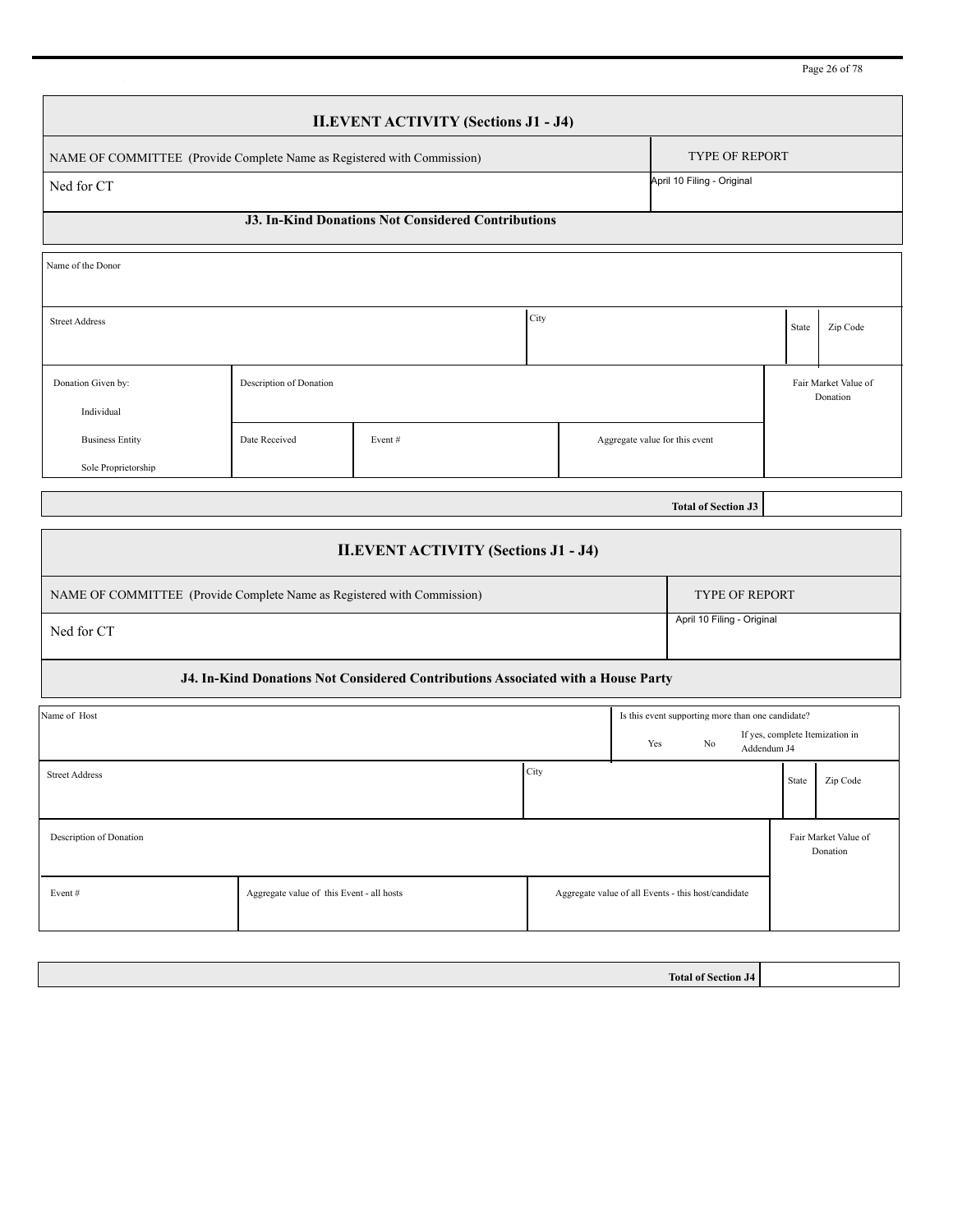| Page 26 of 78 |  |  |  |  |
|---------------|--|--|--|--|
|---------------|--|--|--|--|

| <b>II.EVENT ACTIVITY (Sections J1 - J4)</b>                             |                            |  |  |  |  |  |  |  |  |
|-------------------------------------------------------------------------|----------------------------|--|--|--|--|--|--|--|--|
| NAME OF COMMITTEE (Provide Complete Name as Registered with Commission) | <b>TYPE OF REPORT</b>      |  |  |  |  |  |  |  |  |
| Ned for CT                                                              | April 10 Filing - Original |  |  |  |  |  |  |  |  |
| <b>J3. In-Kind Donations Not Considered Contributions</b>               |                            |  |  |  |  |  |  |  |  |
| Name of the Donor                                                       |                            |  |  |  |  |  |  |  |  |

| <b>Street Address</b>  |                         |        | City |                                | State | Zip Code             |
|------------------------|-------------------------|--------|------|--------------------------------|-------|----------------------|
|                        |                         |        |      |                                |       |                      |
| Donation Given by:     | Description of Donation |        |      |                                |       | Fair Market Value of |
| Individual             |                         |        |      |                                |       | Donation             |
| <b>Business Entity</b> | Date Received           | Event# |      | Aggregate value for this event |       |                      |
| Sole Proprietorship    |                         |        |      |                                |       |                      |

**Total of Section J3**

|                                                                                  | <b>II.EVENT ACTIVITY (Sections J1 - J4)</b>                             |      |     |                                                                                    |       |                                  |  |  |  |  |
|----------------------------------------------------------------------------------|-------------------------------------------------------------------------|------|-----|------------------------------------------------------------------------------------|-------|----------------------------------|--|--|--|--|
|                                                                                  | NAME OF COMMITTEE (Provide Complete Name as Registered with Commission) |      |     | <b>TYPE OF REPORT</b>                                                              |       |                                  |  |  |  |  |
| April 10 Filing - Original<br>Ned for CT                                         |                                                                         |      |     |                                                                                    |       |                                  |  |  |  |  |
| J4. In-Kind Donations Not Considered Contributions Associated with a House Party |                                                                         |      |     |                                                                                    |       |                                  |  |  |  |  |
| Name of Host                                                                     |                                                                         |      | Yes | Is this event supporting more than one candidate?<br>N <sub>0</sub><br>Addendum J4 |       | If yes, complete Itemization in  |  |  |  |  |
| <b>Street Address</b>                                                            |                                                                         | City |     |                                                                                    | State | Zip Code                         |  |  |  |  |
| Description of Donation                                                          |                                                                         |      |     |                                                                                    |       | Fair Market Value of<br>Donation |  |  |  |  |
| Event#                                                                           | Aggregate value of this Event - all hosts                               |      |     | Aggregate value of all Events - this host/candidate                                |       |                                  |  |  |  |  |

**Total of Section J4**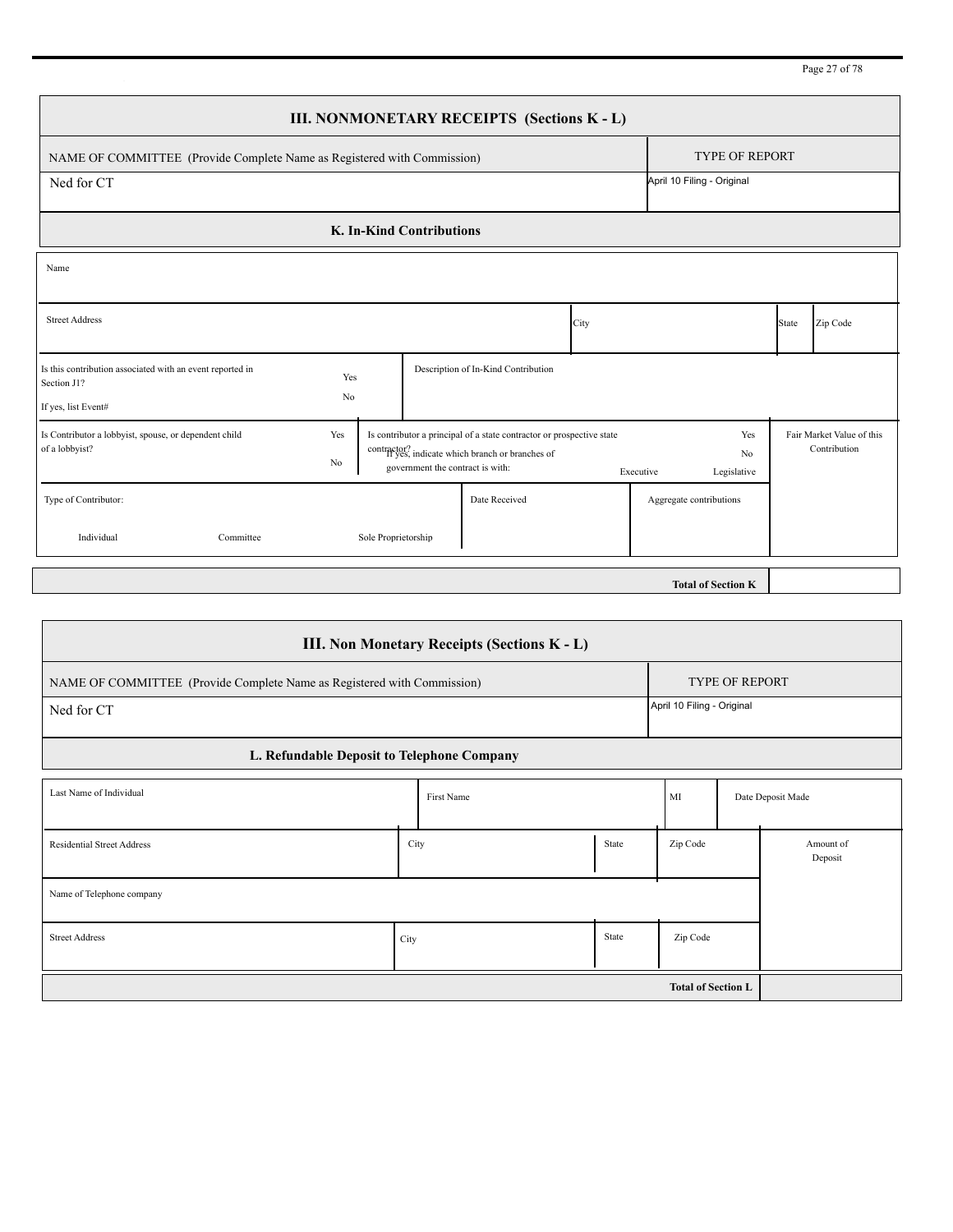|                                                                                                 |           |                     |                                  | III. NONMONETARY RECEIPTS (Sections K - L)                                                                                |      |           |                            |       |                                           |
|-------------------------------------------------------------------------------------------------|-----------|---------------------|----------------------------------|---------------------------------------------------------------------------------------------------------------------------|------|-----------|----------------------------|-------|-------------------------------------------|
| NAME OF COMMITTEE (Provide Complete Name as Registered with Commission)                         |           |                     |                                  |                                                                                                                           |      |           | <b>TYPE OF REPORT</b>      |       |                                           |
| Ned for CT                                                                                      |           |                     |                                  |                                                                                                                           |      |           | April 10 Filing - Original |       |                                           |
|                                                                                                 |           |                     | K. In-Kind Contributions         |                                                                                                                           |      |           |                            |       |                                           |
| Name                                                                                            |           |                     |                                  |                                                                                                                           |      |           |                            |       |                                           |
| <b>Street Address</b>                                                                           |           |                     |                                  |                                                                                                                           | City |           |                            | State | Zip Code                                  |
| Is this contribution associated with an event reported in<br>Section J1?<br>If yes, list Event# | Yes<br>No |                     |                                  | Description of In-Kind Contribution                                                                                       |      |           |                            |       |                                           |
| Is Contributor a lobbyist, spouse, or dependent child<br>of a lobbyist?                         | Yes<br>No |                     | government the contract is with: | Is contributor a principal of a state contractor or prospective state<br>contractor? indicate which branch or branches of |      | Executive | Yes<br>No<br>Legislative   |       | Fair Market Value of this<br>Contribution |
| Type of Contributor:<br>Individual<br>Committee                                                 |           | Sole Proprietorship |                                  | Date Received                                                                                                             |      |           | Aggregate contributions    |       |                                           |
|                                                                                                 |           |                     |                                  |                                                                                                                           |      |           | <b>Total of Section K</b>  |       |                                           |

| <b>III. Non Monetary Receipts (Sections K - L)</b>                      |                       |                            |       |          |                   |                      |  |  |  |
|-------------------------------------------------------------------------|-----------------------|----------------------------|-------|----------|-------------------|----------------------|--|--|--|
| NAME OF COMMITTEE (Provide Complete Name as Registered with Commission) | <b>TYPE OF REPORT</b> |                            |       |          |                   |                      |  |  |  |
| Ned for CT                                                              |                       | April 10 Filing - Original |       |          |                   |                      |  |  |  |
| L. Refundable Deposit to Telephone Company                              |                       |                            |       |          |                   |                      |  |  |  |
| Last Name of Individual                                                 |                       | First Name                 | MI    |          | Date Deposit Made |                      |  |  |  |
| <b>Residential Street Address</b>                                       | City                  |                            | State | Zip Code |                   | Amount of<br>Deposit |  |  |  |
| Name of Telephone company                                               |                       |                            |       |          |                   |                      |  |  |  |
| <b>Street Address</b>                                                   | City                  |                            | State | Zip Code |                   |                      |  |  |  |
|                                                                         |                       |                            |       |          |                   |                      |  |  |  |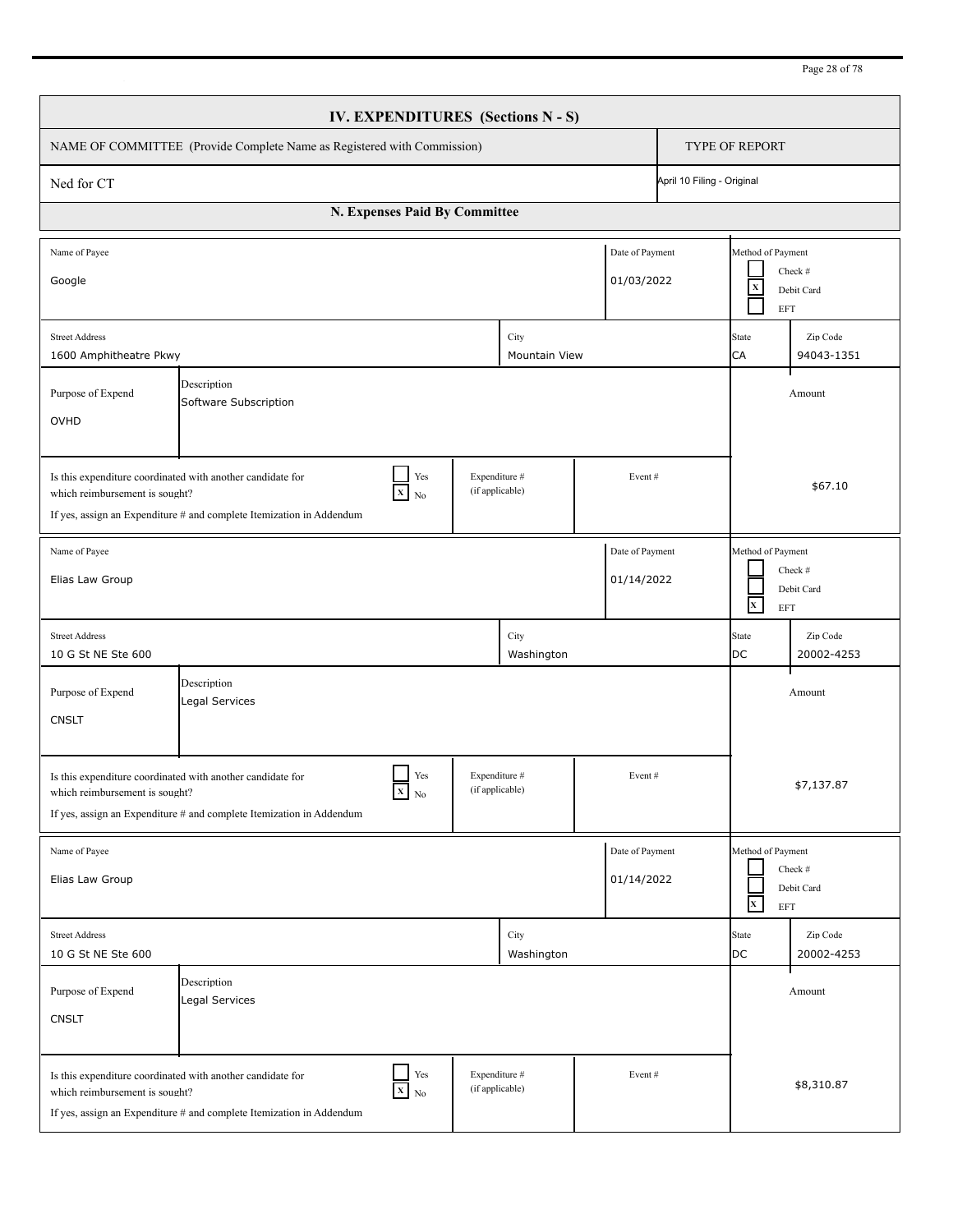| IV. EXPENDITURES (Sections N - S)                                                                                                                                                                                                  |                               |        |                    |  |  |                                                                          |                                                                                    |  |  |
|------------------------------------------------------------------------------------------------------------------------------------------------------------------------------------------------------------------------------------|-------------------------------|--------|--------------------|--|--|--------------------------------------------------------------------------|------------------------------------------------------------------------------------|--|--|
| NAME OF COMMITTEE (Provide Complete Name as Registered with Commission)                                                                                                                                                            |                               |        |                    |  |  |                                                                          | <b>TYPE OF REPORT</b>                                                              |  |  |
| April 10 Filing - Original<br>Ned for CT                                                                                                                                                                                           |                               |        |                    |  |  |                                                                          |                                                                                    |  |  |
| N. Expenses Paid By Committee                                                                                                                                                                                                      |                               |        |                    |  |  |                                                                          |                                                                                    |  |  |
| Name of Payee<br>Date of Payment<br>01/03/2022<br>Google                                                                                                                                                                           |                               |        |                    |  |  |                                                                          | Method of Payment<br>Check #<br>$\mathbf X$<br>Debit Card<br>EFT                   |  |  |
| City<br><b>Street Address</b><br>1600 Amphitheatre Pkwy<br><b>Mountain View</b>                                                                                                                                                    |                               |        |                    |  |  |                                                                          | Zip Code<br>94043-1351                                                             |  |  |
| Purpose of Expend<br>OVHD                                                                                                                                                                                                          |                               | Amount |                    |  |  |                                                                          |                                                                                    |  |  |
| Is this expenditure coordinated with another candidate for<br>which reimbursement is sought?<br>If yes, assign an Expenditure # and complete Itemization in Addendum                                                               | \$67.10                       |        |                    |  |  |                                                                          |                                                                                    |  |  |
| Date of Payment<br>Name of Payee<br>Elias Law Group<br>01/14/2022                                                                                                                                                                  |                               |        |                    |  |  | Method of Payment<br>Check #<br>Debit Card<br>$\mathbf{x}$<br><b>EFT</b> |                                                                                    |  |  |
| <b>Street Address</b><br>10 G St NE Ste 600                                                                                                                                                                                        |                               |        | City<br>Washington |  |  | <b>State</b><br><b>DC</b>                                                | Zip Code<br>20002-4253                                                             |  |  |
| Purpose of Expend<br><b>CNSLT</b>                                                                                                                                                                                                  | Description<br>Legal Services |        |                    |  |  |                                                                          | Amount                                                                             |  |  |
| Yes<br>Expenditure #<br>Event#<br>Is this expenditure coordinated with another candidate for<br>(if applicable)<br>$X_N$<br>which reimbursement is sought?<br>If yes, assign an Expenditure # and complete Itemization in Addendum |                               |        |                    |  |  |                                                                          | \$7,137.87                                                                         |  |  |
| Date of Payment<br>Name of Payee<br>01/14/2022<br>Elias Law Group                                                                                                                                                                  |                               |        |                    |  |  |                                                                          | Method of Payment<br>Check #<br>Debit Card<br>$\mathbf{x}$<br>$\operatorname{EFT}$ |  |  |
| <b>Street Address</b><br>10 G St NE Ste 600                                                                                                                                                                                        |                               |        | City<br>Washington |  |  | State<br>DC                                                              | Zip Code<br>20002-4253                                                             |  |  |
| Purpose of Expend<br><b>CNSLT</b>                                                                                                                                                                                                  | Description<br>Legal Services |        |                    |  |  |                                                                          | Amount                                                                             |  |  |
| Is this expenditure coordinated with another candidate for<br>which reimbursement is sought?<br>If yes, assign an Expenditure # and complete Itemization in Addendum                                                               | \$8,310.87                    |        |                    |  |  |                                                                          |                                                                                    |  |  |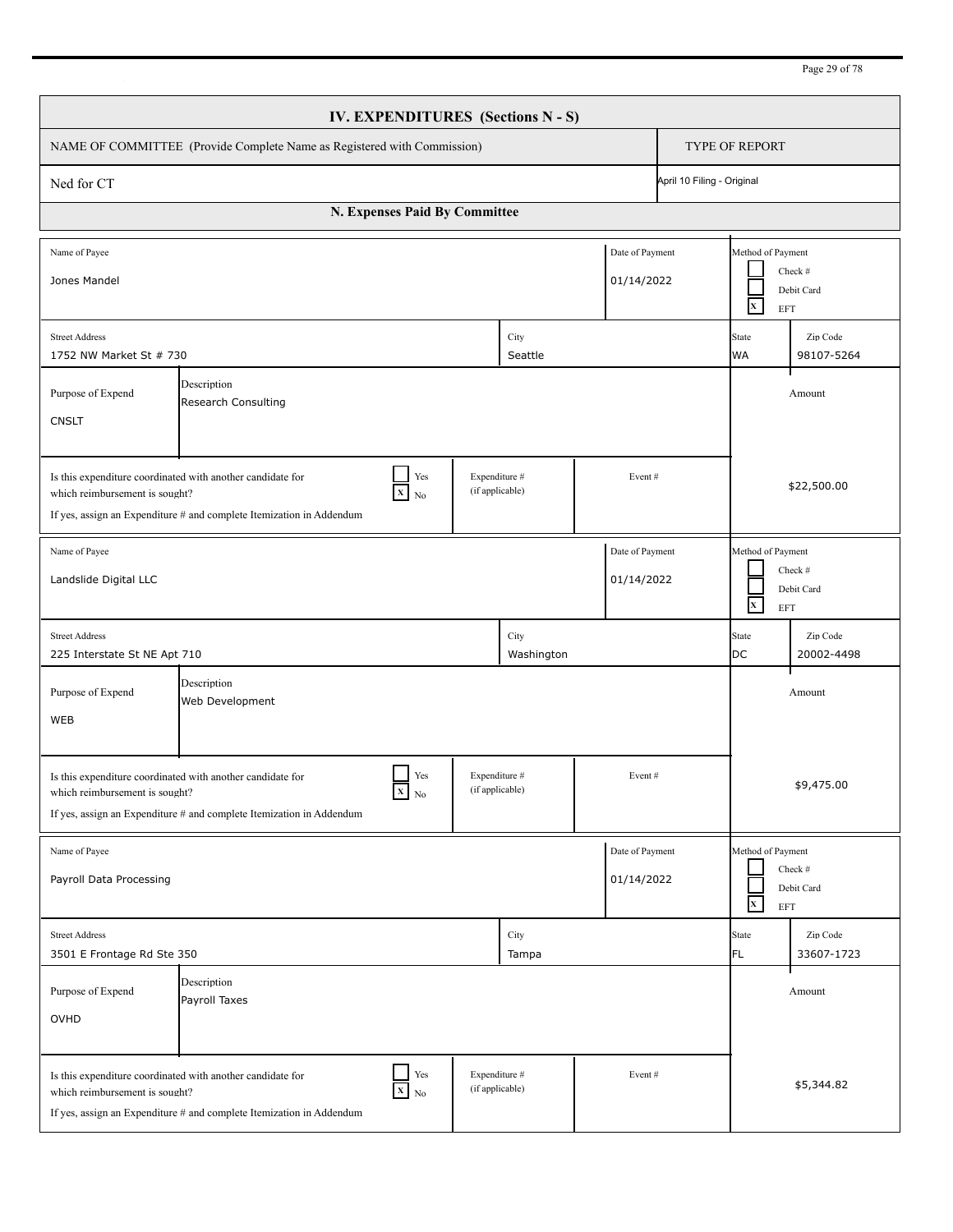| IV. EXPENDITURES (Sections N - S)                                                                                                                                                                                                  |                                                                         |        |                    |  |  |                                                                          |                                                                                    |  |  |
|------------------------------------------------------------------------------------------------------------------------------------------------------------------------------------------------------------------------------------|-------------------------------------------------------------------------|--------|--------------------|--|--|--------------------------------------------------------------------------|------------------------------------------------------------------------------------|--|--|
|                                                                                                                                                                                                                                    | NAME OF COMMITTEE (Provide Complete Name as Registered with Commission) |        |                    |  |  | <b>TYPE OF REPORT</b>                                                    |                                                                                    |  |  |
| April 10 Filing - Original<br>Ned for CT                                                                                                                                                                                           |                                                                         |        |                    |  |  |                                                                          |                                                                                    |  |  |
| N. Expenses Paid By Committee                                                                                                                                                                                                      |                                                                         |        |                    |  |  |                                                                          |                                                                                    |  |  |
| Date of Payment<br>Name of Payee<br>Jones Mandel<br>01/14/2022                                                                                                                                                                     |                                                                         |        |                    |  |  | Method of Payment<br>Check #<br>Debit Card<br>$\mathbf{x}$<br>EFT        |                                                                                    |  |  |
| City<br><b>Street Address</b><br>1752 NW Market St # 730<br>Seattle                                                                                                                                                                |                                                                         |        |                    |  |  |                                                                          | Zip Code<br>98107-5264                                                             |  |  |
| Purpose of Expend<br><b>CNSLT</b>                                                                                                                                                                                                  |                                                                         | Amount |                    |  |  |                                                                          |                                                                                    |  |  |
| Is this expenditure coordinated with another candidate for<br>which reimbursement is sought?<br>If yes, assign an Expenditure # and complete Itemization in Addendum                                                               | \$22,500.00                                                             |        |                    |  |  |                                                                          |                                                                                    |  |  |
| Date of Payment<br>Name of Payee<br>Landslide Digital LLC<br>01/14/2022                                                                                                                                                            |                                                                         |        |                    |  |  | Method of Payment<br>Check #<br>Debit Card<br>$\mathbf{x}$<br><b>EFT</b> |                                                                                    |  |  |
| <b>Street Address</b><br>225 Interstate St NE Apt 710                                                                                                                                                                              |                                                                         |        | City<br>Washington |  |  | <b>State</b><br><b>DC</b>                                                | Zip Code<br>20002-4498                                                             |  |  |
| Purpose of Expend<br>WEB                                                                                                                                                                                                           | Description<br>Web Development                                          |        |                    |  |  |                                                                          | Amount                                                                             |  |  |
| Yes<br>Expenditure #<br>Event#<br>Is this expenditure coordinated with another candidate for<br>(if applicable)<br>$X_N$<br>which reimbursement is sought?<br>If yes, assign an Expenditure # and complete Itemization in Addendum |                                                                         |        |                    |  |  |                                                                          | \$9,475.00                                                                         |  |  |
| Date of Payment<br>Name of Payee<br>01/14/2022<br>Payroll Data Processing                                                                                                                                                          |                                                                         |        |                    |  |  |                                                                          | Method of Payment<br>Check #<br>Debit Card<br>$\mathbf{x}$<br>$\operatorname{EFT}$ |  |  |
| <b>Street Address</b><br>3501 E Frontage Rd Ste 350                                                                                                                                                                                |                                                                         |        | City<br>Tampa      |  |  | <b>State</b><br>FL                                                       | Zip Code<br>33607-1723                                                             |  |  |
| Purpose of Expend<br>OVHD                                                                                                                                                                                                          | Description<br>Payroll Taxes                                            |        |                    |  |  |                                                                          | Amount                                                                             |  |  |
| Is this expenditure coordinated with another candidate for<br>which reimbursement is sought?<br>If yes, assign an Expenditure # and complete Itemization in Addendum                                                               | \$5,344.82                                                              |        |                    |  |  |                                                                          |                                                                                    |  |  |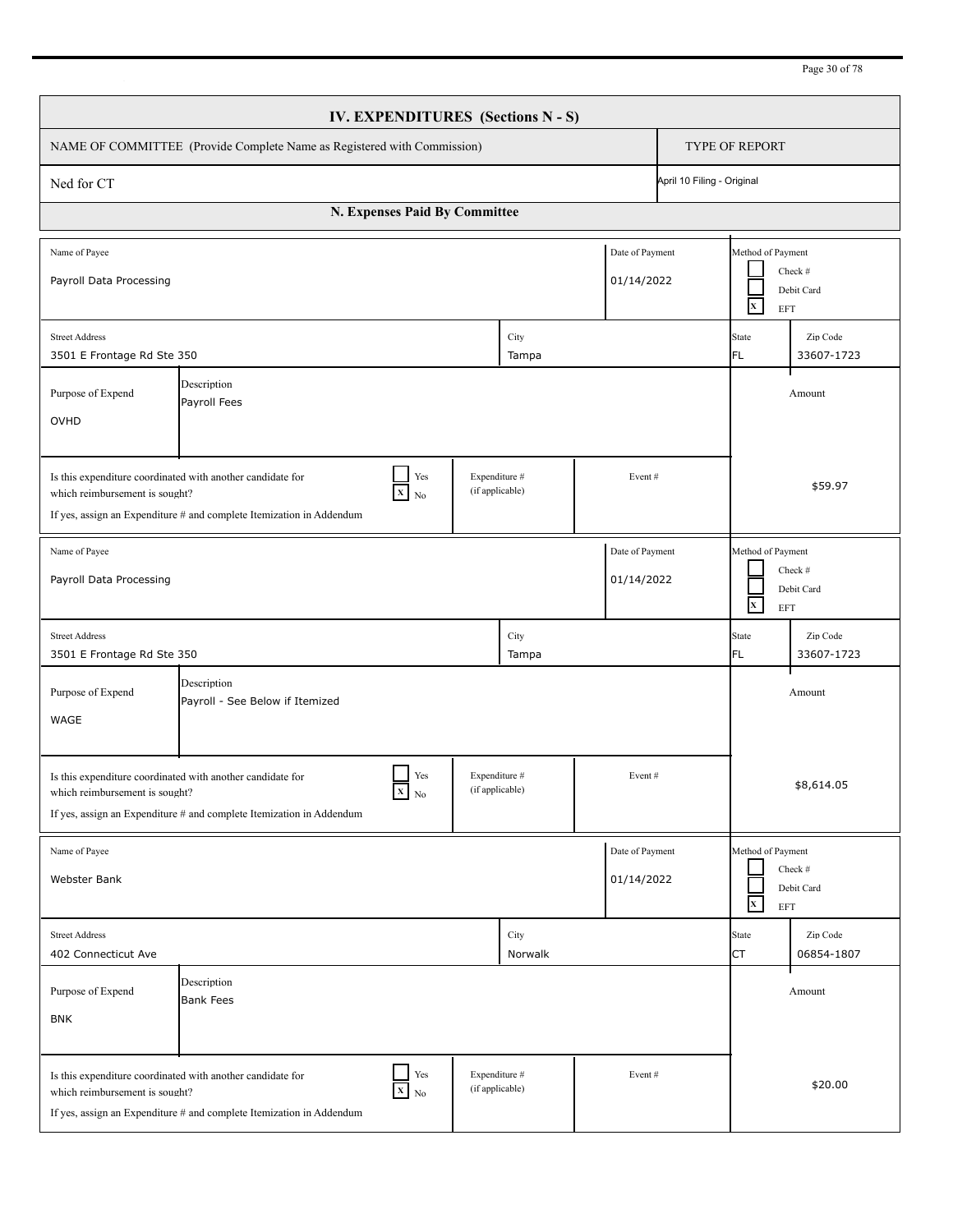| IV. EXPENDITURES (Sections N - S)                                                                                                                                                                                                   |                                                                                                                                                     |                 |                 |        |  |                                                                   |                                                                  |  |  |
|-------------------------------------------------------------------------------------------------------------------------------------------------------------------------------------------------------------------------------------|-----------------------------------------------------------------------------------------------------------------------------------------------------|-----------------|-----------------|--------|--|-------------------------------------------------------------------|------------------------------------------------------------------|--|--|
| NAME OF COMMITTEE (Provide Complete Name as Registered with Commission)<br><b>TYPE OF REPORT</b>                                                                                                                                    |                                                                                                                                                     |                 |                 |        |  |                                                                   |                                                                  |  |  |
| April 10 Filing - Original<br>Ned for CT                                                                                                                                                                                            |                                                                                                                                                     |                 |                 |        |  |                                                                   |                                                                  |  |  |
| N. Expenses Paid By Committee                                                                                                                                                                                                       |                                                                                                                                                     |                 |                 |        |  |                                                                   |                                                                  |  |  |
| Date of Payment<br>Name of Payee<br>Payroll Data Processing<br>01/14/2022                                                                                                                                                           |                                                                                                                                                     |                 |                 |        |  | $\mathbf{x}$                                                      | Method of Payment<br>Check #<br>Debit Card<br><b>EFT</b>         |  |  |
| City<br><b>Street Address</b><br>3501 E Frontage Rd Ste 350<br>Tampa                                                                                                                                                                |                                                                                                                                                     |                 |                 |        |  | State<br>FL.                                                      | Zip Code<br>33607-1723                                           |  |  |
| Description<br>Purpose of Expend<br>Payroll Fees<br>OVHD                                                                                                                                                                            |                                                                                                                                                     |                 |                 |        |  |                                                                   | Amount                                                           |  |  |
| Is this expenditure coordinated with another candidate for<br>which reimbursement is sought?<br>If yes, assign an Expenditure # and complete Itemization in Addendum                                                                |                                                                                                                                                     | \$59.97         |                 |        |  |                                                                   |                                                                  |  |  |
| Date of Payment<br>Name of Payee<br>Payroll Data Processing<br>01/14/2022                                                                                                                                                           |                                                                                                                                                     |                 |                 |        |  | Method of Payment<br>Check #<br>Debit Card<br>$\mathbf{x}$<br>EFT |                                                                  |  |  |
| <b>Street Address</b><br>3501 E Frontage Rd Ste 350                                                                                                                                                                                 |                                                                                                                                                     |                 | City<br>Tampa   |        |  | <b>State</b><br>FL.                                               | Zip Code<br>33607-1723                                           |  |  |
| Purpose of Expend<br><b>WAGE</b>                                                                                                                                                                                                    | Description<br>Payroll - See Below if Itemized                                                                                                      |                 |                 |        |  |                                                                   | Amount                                                           |  |  |
| which reimbursement is sought?                                                                                                                                                                                                      | Yes<br>Is this expenditure coordinated with another candidate for<br>$X$ No<br>If yes, assign an Expenditure # and complete Itemization in Addendum | (if applicable) | Expenditure #   | Event# |  | \$8,614.05                                                        |                                                                  |  |  |
| Name of Payee<br>Date of Payment<br>01/14/2022<br>Webster Bank                                                                                                                                                                      |                                                                                                                                                     |                 |                 |        |  |                                                                   | Method of Payment<br>Check #<br>Debit Card<br>$\mathbf x$<br>EFT |  |  |
| <b>Street Address</b><br>402 Connecticut Ave                                                                                                                                                                                        |                                                                                                                                                     |                 | City<br>Norwalk |        |  | State<br><b>CT</b>                                                | Zip Code<br>06854-1807                                           |  |  |
| Purpose of Expend<br><b>BNK</b>                                                                                                                                                                                                     | Description<br><b>Bank Fees</b>                                                                                                                     |                 |                 |        |  |                                                                   | Amount                                                           |  |  |
| Yes<br>Expenditure #<br>Event#<br>Is this expenditure coordinated with another candidate for<br>$X$ No<br>(if applicable)<br>which reimbursement is sought?<br>If yes, assign an Expenditure # and complete Itemization in Addendum |                                                                                                                                                     |                 |                 |        |  |                                                                   | \$20.00                                                          |  |  |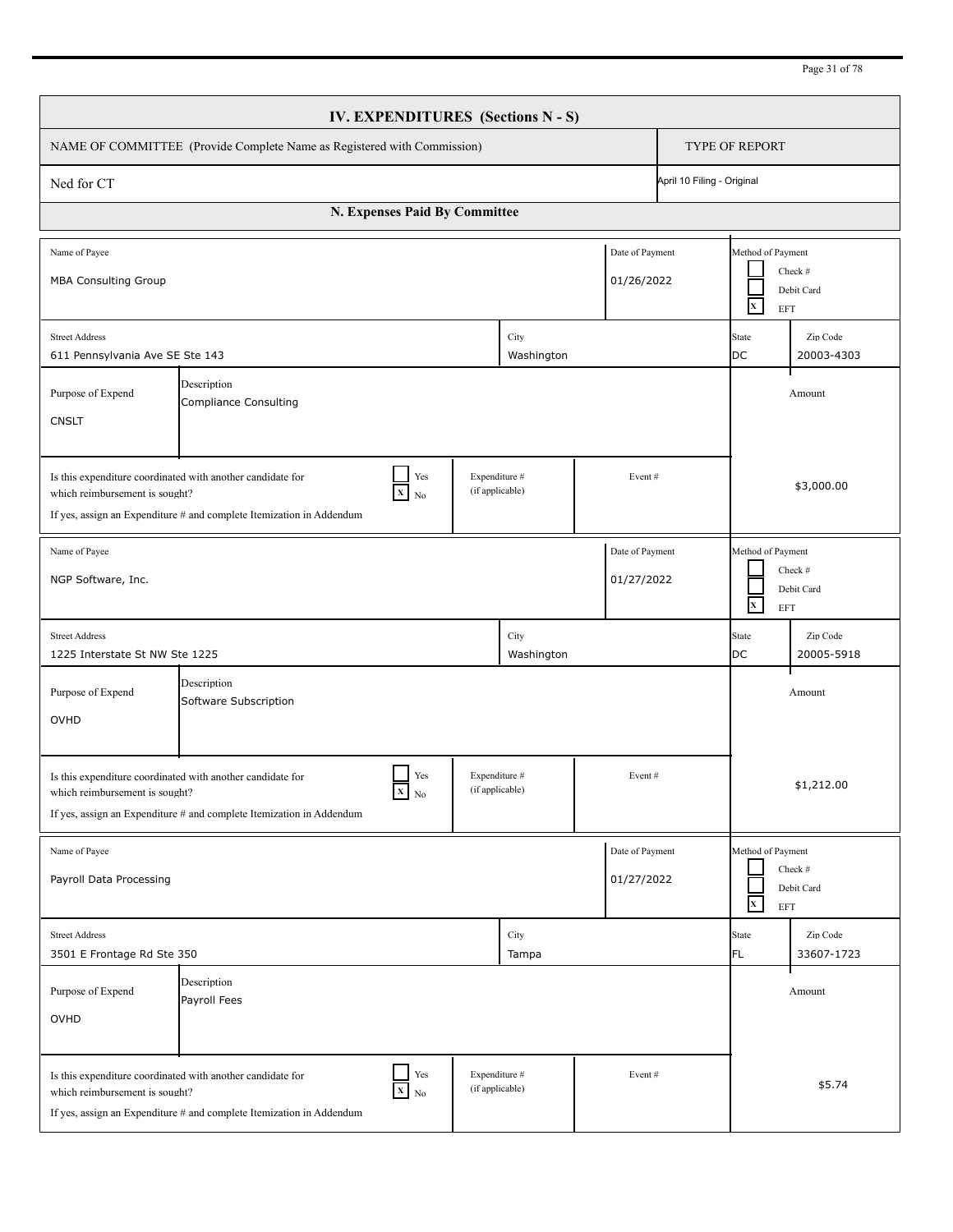| IV. EXPENDITURES (Sections N - S)                                                                                                                                                                                                   |                                                                                                                                                                                                                                     |  |  |                    |  |  |                                                                   |                                                          |  |
|-------------------------------------------------------------------------------------------------------------------------------------------------------------------------------------------------------------------------------------|-------------------------------------------------------------------------------------------------------------------------------------------------------------------------------------------------------------------------------------|--|--|--------------------|--|--|-------------------------------------------------------------------|----------------------------------------------------------|--|
| NAME OF COMMITTEE (Provide Complete Name as Registered with Commission)                                                                                                                                                             |                                                                                                                                                                                                                                     |  |  |                    |  |  | <b>TYPE OF REPORT</b>                                             |                                                          |  |
| April 10 Filing - Original<br>Ned for CT                                                                                                                                                                                            |                                                                                                                                                                                                                                     |  |  |                    |  |  |                                                                   |                                                          |  |
| N. Expenses Paid By Committee                                                                                                                                                                                                       |                                                                                                                                                                                                                                     |  |  |                    |  |  |                                                                   |                                                          |  |
| Name of Payee<br>Date of Payment<br><b>MBA Consulting Group</b><br>01/26/2022                                                                                                                                                       |                                                                                                                                                                                                                                     |  |  |                    |  |  | $\mathbf{x}$                                                      | Method of Payment<br>Check #<br>Debit Card<br><b>EFT</b> |  |
| City<br><b>Street Address</b><br>Washington<br>611 Pennsylvania Ave SE Ste 143                                                                                                                                                      |                                                                                                                                                                                                                                     |  |  |                    |  |  | State<br>DC                                                       | Zip Code<br>20003-4303                                   |  |
| Description<br>Purpose of Expend<br><b>Compliance Consulting</b><br><b>CNSLT</b>                                                                                                                                                    |                                                                                                                                                                                                                                     |  |  |                    |  |  |                                                                   | Amount                                                   |  |
| Yes<br>Expenditure #<br>Is this expenditure coordinated with another candidate for<br>Event#<br>(if applicable)<br>$X$ No<br>which reimbursement is sought?<br>If yes, assign an Expenditure # and complete Itemization in Addendum |                                                                                                                                                                                                                                     |  |  |                    |  |  |                                                                   | \$3,000.00                                               |  |
| Date of Payment<br>Name of Payee<br>NGP Software, Inc.<br>01/27/2022                                                                                                                                                                |                                                                                                                                                                                                                                     |  |  |                    |  |  | Method of Payment<br>Check #<br>Debit Card<br>$\mathbf{x}$<br>EFT |                                                          |  |
| <b>Street Address</b><br>1225 Interstate St NW Ste 1225                                                                                                                                                                             |                                                                                                                                                                                                                                     |  |  | City<br>Washington |  |  | <b>State</b><br><b>DC</b>                                         | Zip Code<br>20005-5918                                   |  |
| Description<br>Purpose of Expend<br>Software Subscription<br>OVHD                                                                                                                                                                   |                                                                                                                                                                                                                                     |  |  |                    |  |  |                                                                   | Amount                                                   |  |
|                                                                                                                                                                                                                                     | Yes<br>Expenditure #<br>Event#<br>Is this expenditure coordinated with another candidate for<br>$X$ No<br>(if applicable)<br>which reimbursement is sought?<br>If yes, assign an Expenditure # and complete Itemization in Addendum |  |  |                    |  |  |                                                                   | \$1,212.00                                               |  |
| Name of Payee<br>Date of Payment<br>01/27/2022<br>Payroll Data Processing                                                                                                                                                           |                                                                                                                                                                                                                                     |  |  |                    |  |  | Method of Payment<br>Check #<br>Debit Card<br>$\mathbf x$<br>EFT  |                                                          |  |
| <b>Street Address</b><br>3501 E Frontage Rd Ste 350                                                                                                                                                                                 |                                                                                                                                                                                                                                     |  |  | City<br>Tampa      |  |  | State<br>FL                                                       | Zip Code<br>33607-1723                                   |  |
| Purpose of Expend<br>OVHD                                                                                                                                                                                                           | Description<br>Payroll Fees                                                                                                                                                                                                         |  |  |                    |  |  |                                                                   | Amount                                                   |  |
| Yes<br>Expenditure #<br>Event#<br>Is this expenditure coordinated with another candidate for<br>$X$ No<br>(if applicable)<br>which reimbursement is sought?<br>If yes, assign an Expenditure # and complete Itemization in Addendum |                                                                                                                                                                                                                                     |  |  |                    |  |  | \$5.74                                                            |                                                          |  |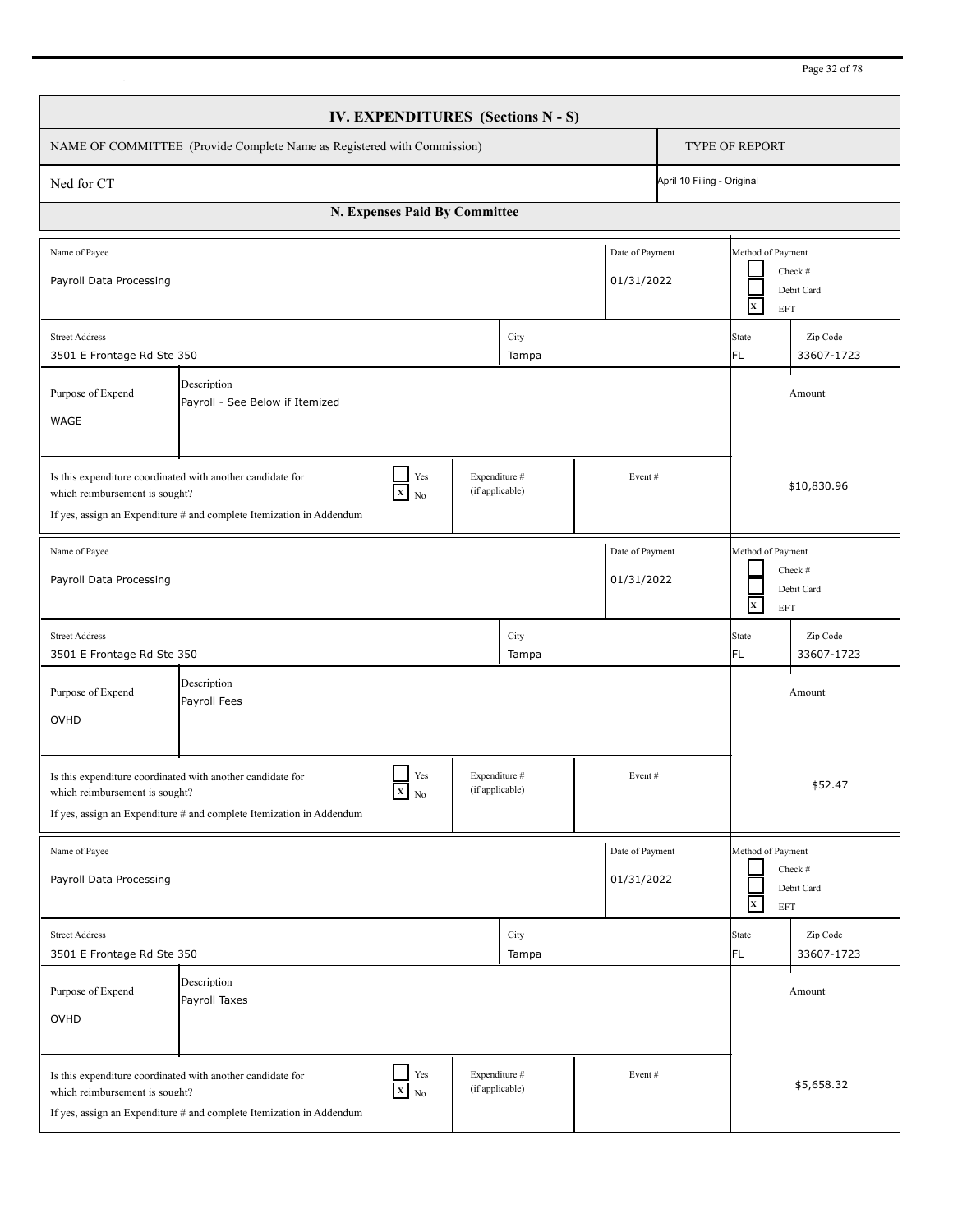| IV. EXPENDITURES (Sections N - S)                                                                                                                                                                                                     |                                                                      |               |                                  |               |        |                                                                   |                                                                  |                                                          |  |
|---------------------------------------------------------------------------------------------------------------------------------------------------------------------------------------------------------------------------------------|----------------------------------------------------------------------|---------------|----------------------------------|---------------|--------|-------------------------------------------------------------------|------------------------------------------------------------------|----------------------------------------------------------|--|
| NAME OF COMMITTEE (Provide Complete Name as Registered with Commission)                                                                                                                                                               |                                                                      |               |                                  |               |        |                                                                   | <b>TYPE OF REPORT</b>                                            |                                                          |  |
| April 10 Filing - Original<br>Ned for CT                                                                                                                                                                                              |                                                                      |               |                                  |               |        |                                                                   |                                                                  |                                                          |  |
| N. Expenses Paid By Committee                                                                                                                                                                                                         |                                                                      |               |                                  |               |        |                                                                   |                                                                  |                                                          |  |
| Date of Payment<br>Name of Payee<br>Payroll Data Processing<br>01/31/2022                                                                                                                                                             |                                                                      |               |                                  |               |        |                                                                   | $\mathbf{x}$                                                     | Method of Payment<br>Check #<br>Debit Card<br><b>EFT</b> |  |
| City<br><b>Street Address</b><br>3501 E Frontage Rd Ste 350<br>Tampa                                                                                                                                                                  |                                                                      |               |                                  |               |        |                                                                   | State<br>FL.                                                     | Zip Code<br>33607-1723                                   |  |
| Description<br>Purpose of Expend<br>Payroll - See Below if Itemized<br>WAGE                                                                                                                                                           |                                                                      |               |                                  |               |        |                                                                   |                                                                  | Amount                                                   |  |
| Yes<br>Expenditure #<br>Is this expenditure coordinated with another candidate for<br>Event#<br>(if applicable)<br>$X$ No<br>which reimbursement is sought?<br>If yes, assign an Expenditure $#$ and complete Itemization in Addendum |                                                                      |               |                                  |               |        |                                                                   |                                                                  | \$10,830.96                                              |  |
| Date of Payment<br>Name of Payee<br>Payroll Data Processing<br>01/31/2022                                                                                                                                                             |                                                                      |               |                                  |               |        | Method of Payment<br>Check #<br>Debit Card<br>$\mathbf{X}$<br>EFT |                                                                  |                                                          |  |
| <b>Street Address</b><br>3501 E Frontage Rd Ste 350                                                                                                                                                                                   |                                                                      |               |                                  | City<br>Tampa |        |                                                                   | <b>State</b><br>FL.                                              | Zip Code<br>33607-1723                                   |  |
| Description<br>Purpose of Expend<br>Payroll Fees<br>OVHD                                                                                                                                                                              |                                                                      |               |                                  |               |        |                                                                   |                                                                  | Amount                                                   |  |
| Is this expenditure coordinated with another candidate for<br>which reimbursement is sought?                                                                                                                                          | If yes, assign an Expenditure # and complete Itemization in Addendum | Yes<br>$X$ No | Expenditure #<br>(if applicable) |               | Event# |                                                                   | \$52.47                                                          |                                                          |  |
| Name of Payee<br>Date of Payment<br>01/31/2022<br>Payroll Data Processing                                                                                                                                                             |                                                                      |               |                                  |               |        |                                                                   | Method of Payment<br>Check #<br>Debit Card<br>$\mathbf x$<br>EFT |                                                          |  |
| <b>Street Address</b><br>3501 E Frontage Rd Ste 350                                                                                                                                                                                   |                                                                      |               |                                  | City<br>Tampa |        |                                                                   | State<br>FL                                                      | Zip Code<br>33607-1723                                   |  |
| Purpose of Expend<br>OVHD                                                                                                                                                                                                             | Description<br>Payroll Taxes                                         |               |                                  |               |        |                                                                   |                                                                  | Amount                                                   |  |
| Yes<br>Expenditure #<br>Event#<br>Is this expenditure coordinated with another candidate for<br>$X$ No<br>(if applicable)<br>which reimbursement is sought?<br>If yes, assign an Expenditure # and complete Itemization in Addendum   |                                                                      |               |                                  |               |        |                                                                   | \$5,658.32                                                       |                                                          |  |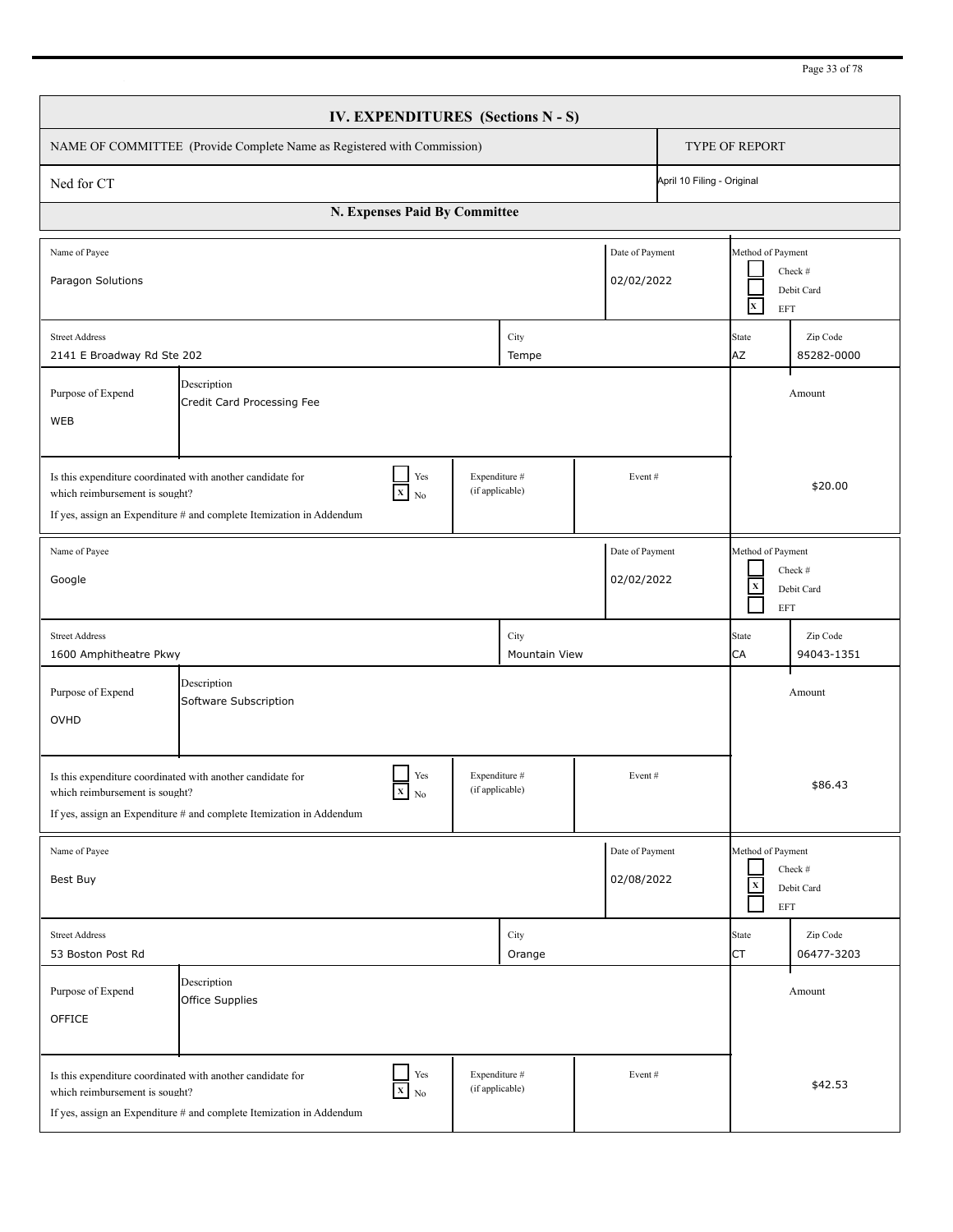| IV. EXPENDITURES (Sections N - S)                                                                                                                                                                                                                              |                                      |  |                |  |                       |                                                                                   |                        |  |
|----------------------------------------------------------------------------------------------------------------------------------------------------------------------------------------------------------------------------------------------------------------|--------------------------------------|--|----------------|--|-----------------------|-----------------------------------------------------------------------------------|------------------------|--|
| NAME OF COMMITTEE (Provide Complete Name as Registered with Commission)                                                                                                                                                                                        |                                      |  |                |  | <b>TYPE OF REPORT</b> |                                                                                   |                        |  |
| April 10 Filing - Original<br>Ned for CT                                                                                                                                                                                                                       |                                      |  |                |  |                       |                                                                                   |                        |  |
| N. Expenses Paid By Committee                                                                                                                                                                                                                                  |                                      |  |                |  |                       |                                                                                   |                        |  |
| Name of Payee<br>Date of Payment<br>02/02/2022<br>Paragon Solutions                                                                                                                                                                                            |                                      |  |                |  |                       | Method of Payment<br>Check #<br>Debit Card<br>$\mathbf{x}$<br><b>EFT</b>          |                        |  |
| <b>Street Address</b><br>City<br>2141 E Broadway Rd Ste 202<br>Tempe                                                                                                                                                                                           |                                      |  |                |  |                       | State<br><b>AZ</b>                                                                | Zip Code<br>85282-0000 |  |
| Description<br>Purpose of Expend<br>Credit Card Processing Fee<br>WEB                                                                                                                                                                                          |                                      |  |                |  |                       |                                                                                   | Amount                 |  |
| Yes<br>Expenditure #<br>Is this expenditure coordinated with another candidate for<br>Event#<br>(if applicable)<br>$X_{N0}$<br>which reimbursement is sought?<br>If yes, assign an Expenditure # and complete Itemization in Addendum                          |                                      |  |                |  |                       |                                                                                   | \$20.00                |  |
| Name of Payee<br>Date of Payment<br>02/02/2022<br>Google                                                                                                                                                                                                       |                                      |  |                |  |                       | Method of Payment<br>Check #<br>$\mathbf x$<br>Debit Card<br><b>EFT</b>           |                        |  |
| <b>Street Address</b><br>City<br>1600 Amphitheatre Pkwy<br><b>Mountain View</b>                                                                                                                                                                                |                                      |  |                |  | State<br>CA           | Zip Code<br>94043-1351                                                            |                        |  |
| Purpose of Expend<br>OVHD                                                                                                                                                                                                                                      | Description<br>Software Subscription |  |                |  |                       |                                                                                   | Amount                 |  |
| Yes<br>Expenditure #<br>Event#<br>Is this expenditure coordinated with another candidate for<br>$\mathbf{X}$ No<br>(if applicable)<br>which reimbursement is sought?<br>If yes, assign an Expenditure # and complete Itemization in Addendum                   |                                      |  |                |  |                       |                                                                                   | \$86.43                |  |
| Date of Payment<br>Name of Payee<br>02/08/2022<br>Best Buy                                                                                                                                                                                                     |                                      |  |                |  |                       | Method of Payment<br>Check #<br>$\mathbf x$<br>Debit Card<br>$\operatorname{EFT}$ |                        |  |
| <b>Street Address</b><br>53 Boston Post Rd                                                                                                                                                                                                                     |                                      |  | City<br>Orange |  |                       | State<br>CT                                                                       | Zip Code<br>06477-3203 |  |
| Purpose of Expend<br>OFFICE                                                                                                                                                                                                                                    | Description<br>Office Supplies       |  |                |  |                       |                                                                                   | Amount                 |  |
| $\Box$ Yes<br>Expenditure #<br>Event#<br>Is this expenditure coordinated with another candidate for<br>$\overline{\mathbf{x}}$ No<br>(if applicable)<br>which reimbursement is sought?<br>If yes, assign an Expenditure # and complete Itemization in Addendum |                                      |  |                |  |                       | \$42.53                                                                           |                        |  |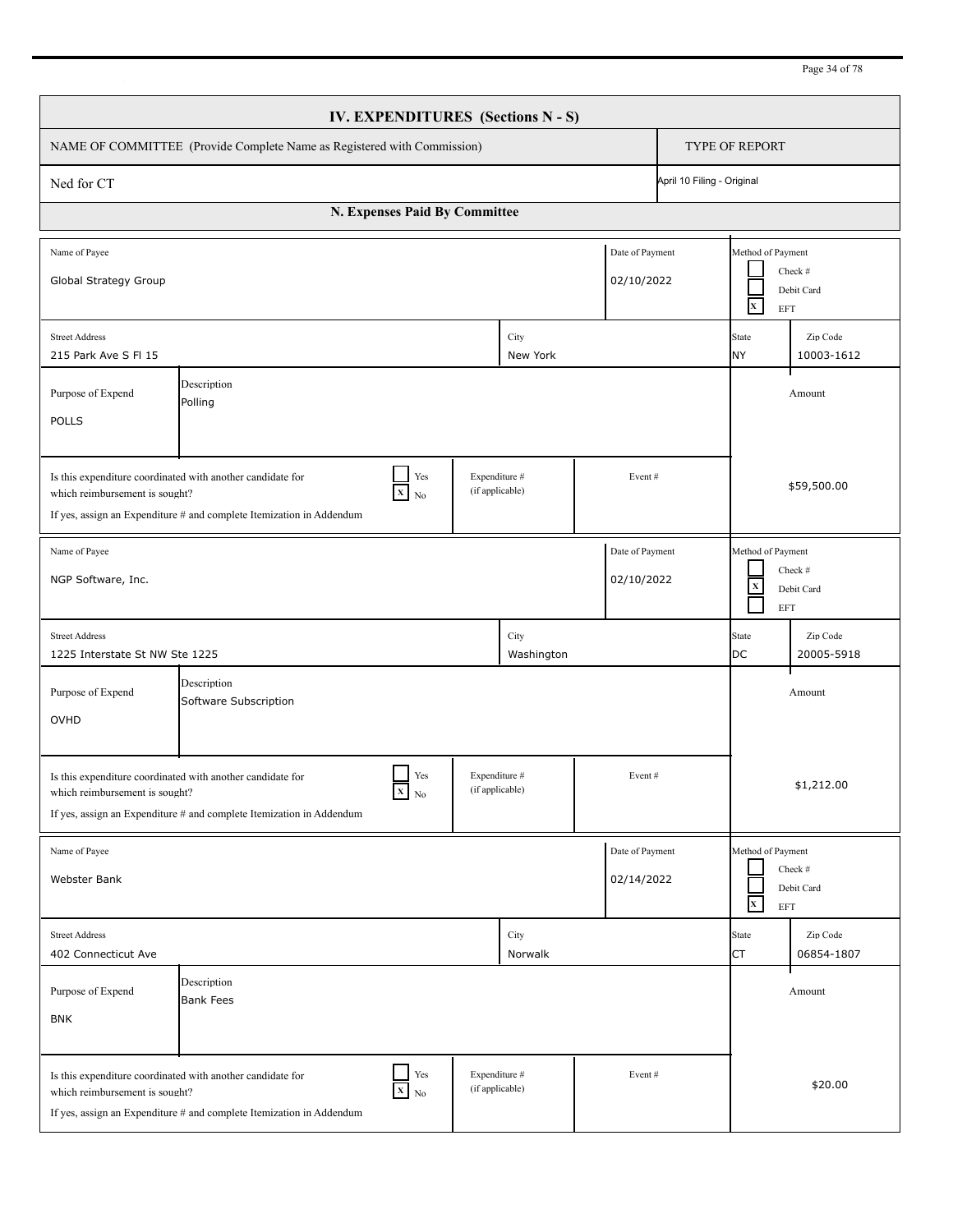| IV. EXPENDITURES (Sections N - S)                                                                                                                                                                                                   |                                      |  |                 |                           |                                                                                    |                                                                   |                        |  |
|-------------------------------------------------------------------------------------------------------------------------------------------------------------------------------------------------------------------------------------|--------------------------------------|--|-----------------|---------------------------|------------------------------------------------------------------------------------|-------------------------------------------------------------------|------------------------|--|
| NAME OF COMMITTEE (Provide Complete Name as Registered with Commission)                                                                                                                                                             |                                      |  |                 |                           | <b>TYPE OF REPORT</b>                                                              |                                                                   |                        |  |
| Ned for CT                                                                                                                                                                                                                          |                                      |  |                 |                           | April 10 Filing - Original                                                         |                                                                   |                        |  |
| N. Expenses Paid By Committee                                                                                                                                                                                                       |                                      |  |                 |                           |                                                                                    |                                                                   |                        |  |
| Name of Payee<br>Date of Payment<br>Global Strategy Group<br>02/10/2022                                                                                                                                                             |                                      |  |                 |                           |                                                                                    | Method of Payment<br>Check #<br>Debit Card<br>$\mathbf{x}$<br>EFT |                        |  |
| City<br><b>Street Address</b><br>215 Park Ave S FI 15<br>New York                                                                                                                                                                   |                                      |  |                 | <b>State</b><br><b>NY</b> | Zip Code<br>10003-1612                                                             |                                                                   |                        |  |
| Description<br>Purpose of Expend<br>Polling<br><b>POLLS</b>                                                                                                                                                                         |                                      |  |                 |                           |                                                                                    |                                                                   | Amount                 |  |
| Yes<br>Expenditure #<br>Is this expenditure coordinated with another candidate for<br>Event#<br>(if applicable)<br>$X$ No<br>which reimbursement is sought?<br>If yes, assign an Expenditure # and complete Itemization in Addendum |                                      |  |                 |                           |                                                                                    | \$59,500.00                                                       |                        |  |
| Date of Payment<br>Name of Payee<br>NGP Software, Inc.<br>02/10/2022                                                                                                                                                                |                                      |  |                 |                           | Method of Payment<br>Check #<br>$\mathbf X$<br>Debit Card<br><b>EFT</b>            |                                                                   |                        |  |
| City<br><b>Street Address</b><br>1225 Interstate St NW Ste 1225<br>Washington                                                                                                                                                       |                                      |  |                 |                           | <b>State</b><br><b>DC</b>                                                          | Zip Code<br>20005-5918                                            |                        |  |
| Purpose of Expend<br>OVHD                                                                                                                                                                                                           | Description<br>Software Subscription |  |                 |                           |                                                                                    |                                                                   | Amount                 |  |
| Yes<br>Expenditure #<br>Event#<br>Is this expenditure coordinated with another candidate for<br>(if applicable)<br>$X_N$<br>which reimbursement is sought?<br>If yes, assign an Expenditure # and complete Itemization in Addendum  |                                      |  |                 |                           | \$1,212.00                                                                         |                                                                   |                        |  |
| Date of Payment<br>Name of Payee<br>02/14/2022<br>Webster Bank                                                                                                                                                                      |                                      |  |                 |                           | Method of Payment<br>Check #<br>Debit Card<br>$\mathbf{x}$<br>$\operatorname{EFT}$ |                                                                   |                        |  |
| <b>Street Address</b><br>402 Connecticut Ave                                                                                                                                                                                        |                                      |  | City<br>Norwalk |                           |                                                                                    | State<br><b>CT</b>                                                | Zip Code<br>06854-1807 |  |
| Purpose of Expend<br><b>BNK</b>                                                                                                                                                                                                     | Description<br><b>Bank Fees</b>      |  |                 |                           |                                                                                    |                                                                   | Amount                 |  |
| Yes<br>Expenditure #<br>Event#<br>Is this expenditure coordinated with another candidate for<br>$X$ No<br>(if applicable)<br>which reimbursement is sought?<br>If yes, assign an Expenditure # and complete Itemization in Addendum |                                      |  |                 |                           |                                                                                    | \$20.00                                                           |                        |  |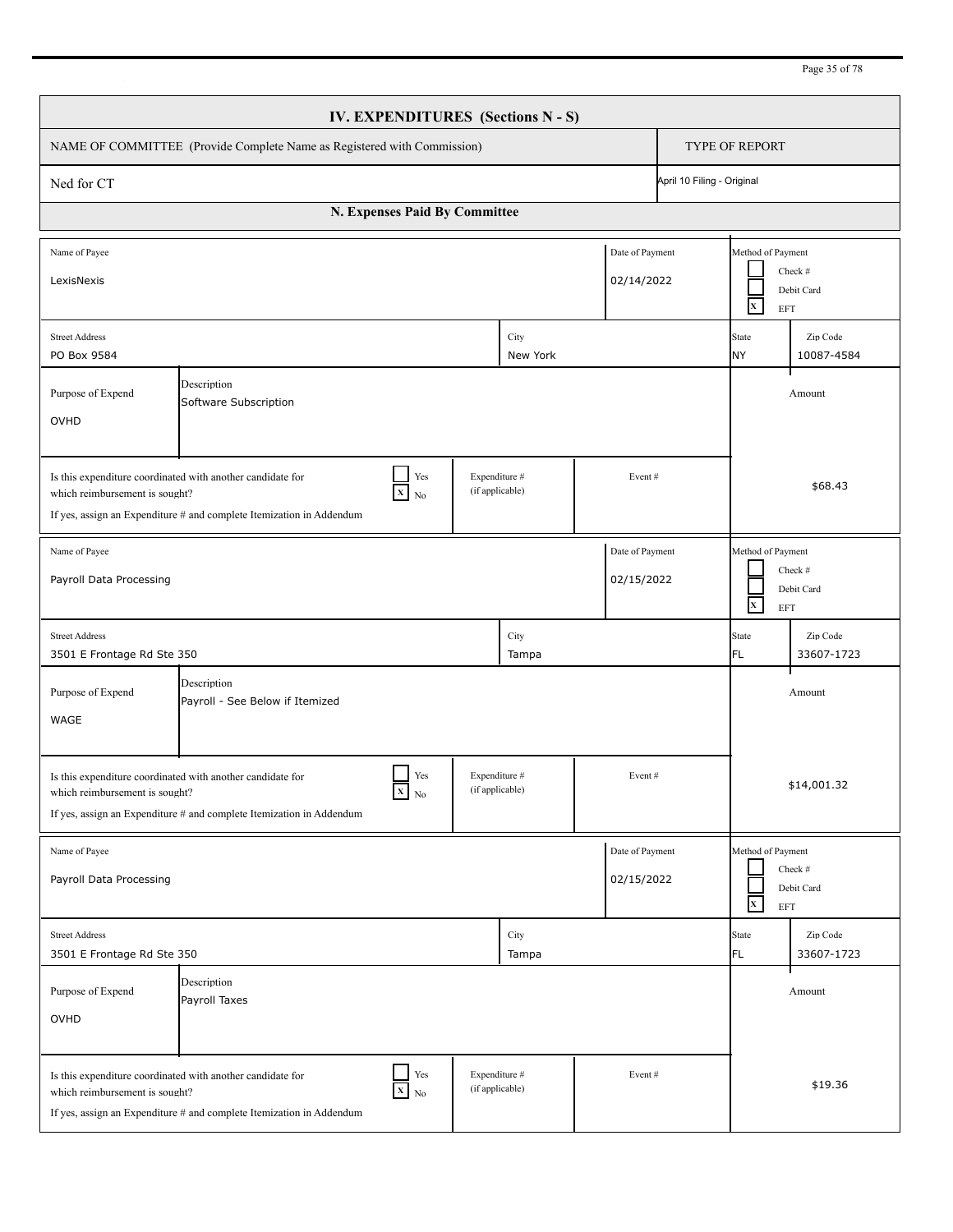| Page 35 of 78 |  |  |
|---------------|--|--|
|               |  |  |

| <b>IV. EXPENDITURES</b> (Sections N - S)                                                                                                                                                                                                        |                                                |  |               |  |                                                                  |                                                                            |                        |  |  |
|-------------------------------------------------------------------------------------------------------------------------------------------------------------------------------------------------------------------------------------------------|------------------------------------------------|--|---------------|--|------------------------------------------------------------------|----------------------------------------------------------------------------|------------------------|--|--|
| NAME OF COMMITTEE (Provide Complete Name as Registered with Commission)                                                                                                                                                                         |                                                |  |               |  |                                                                  | <b>TYPE OF REPORT</b>                                                      |                        |  |  |
| Ned for CT                                                                                                                                                                                                                                      |                                                |  |               |  | April 10 Filing - Original                                       |                                                                            |                        |  |  |
|                                                                                                                                                                                                                                                 | N. Expenses Paid By Committee                  |  |               |  |                                                                  |                                                                            |                        |  |  |
| Date of Payment<br>Name of Payee<br>02/14/2022<br>LexisNexis                                                                                                                                                                                    |                                                |  |               |  |                                                                  | Method of Payment<br>Check #<br>Debit Card<br>$\mathbf{x}$<br><b>EFT</b>   |                        |  |  |
| <b>Street Address</b><br>City<br>PO Box 9584<br>New York                                                                                                                                                                                        |                                                |  |               |  | State<br><b>NY</b>                                               | Zip Code<br>10087-4584                                                     |                        |  |  |
| Description<br>Purpose of Expend<br>Software Subscription<br>OVHD                                                                                                                                                                               |                                                |  |               |  |                                                                  |                                                                            | Amount                 |  |  |
| Yes<br>Expenditure #<br>Is this expenditure coordinated with another candidate for<br>Event#<br>(if applicable)<br>$\mathbf{x}$<br>which reimbursement is sought?<br>No<br>If yes, assign an Expenditure # and complete Itemization in Addendum |                                                |  |               |  |                                                                  | \$68.43                                                                    |                        |  |  |
| Date of Payment<br>Name of Payee<br>Payroll Data Processing<br>02/15/2022                                                                                                                                                                       |                                                |  |               |  |                                                                  | Method of Payment<br>Check $#$<br>Debit Card<br>$\mathbf{x}$<br><b>EFT</b> |                        |  |  |
| <b>Street Address</b><br>City<br>3501 E Frontage Rd Ste 350<br>Tampa                                                                                                                                                                            |                                                |  |               |  | State<br>FL                                                      | Zip Code<br>33607-1723                                                     |                        |  |  |
| Purpose of Expend<br>WAGE                                                                                                                                                                                                                       | Description<br>Payroll - See Below if Itemized |  |               |  |                                                                  |                                                                            | Amount                 |  |  |
| Yes<br>Expenditure #<br>Event#<br>Is this expenditure coordinated with another candidate for<br>(if applicable)<br>$X$ No<br>which reimbursement is sought?<br>If yes, assign an Expenditure # and complete Itemization in Addendum             |                                                |  |               |  |                                                                  | \$14,001.32                                                                |                        |  |  |
| Date of Payment<br>Name of Payee<br>Payroll Data Processing<br>02/15/2022                                                                                                                                                                       |                                                |  |               |  | Method of Payment<br>Check #<br>Debit Card<br>$\mathbf x$<br>EFT |                                                                            |                        |  |  |
| <b>Street Address</b><br>3501 E Frontage Rd Ste 350                                                                                                                                                                                             |                                                |  | City<br>Tampa |  |                                                                  | State<br>FL                                                                | Zip Code<br>33607-1723 |  |  |
| Purpose of Expend<br>OVHD                                                                                                                                                                                                                       | Description<br>Payroll Taxes                   |  |               |  |                                                                  |                                                                            | Amount                 |  |  |
| Yes<br>Expenditure #<br>Is this expenditure coordinated with another candidate for<br>Event#<br>(if applicable)<br>$\overline{X}$ No<br>which reimbursement is sought?<br>If yes, assign an Expenditure # and complete Itemization in Addendum  |                                                |  |               |  |                                                                  | \$19.36                                                                    |                        |  |  |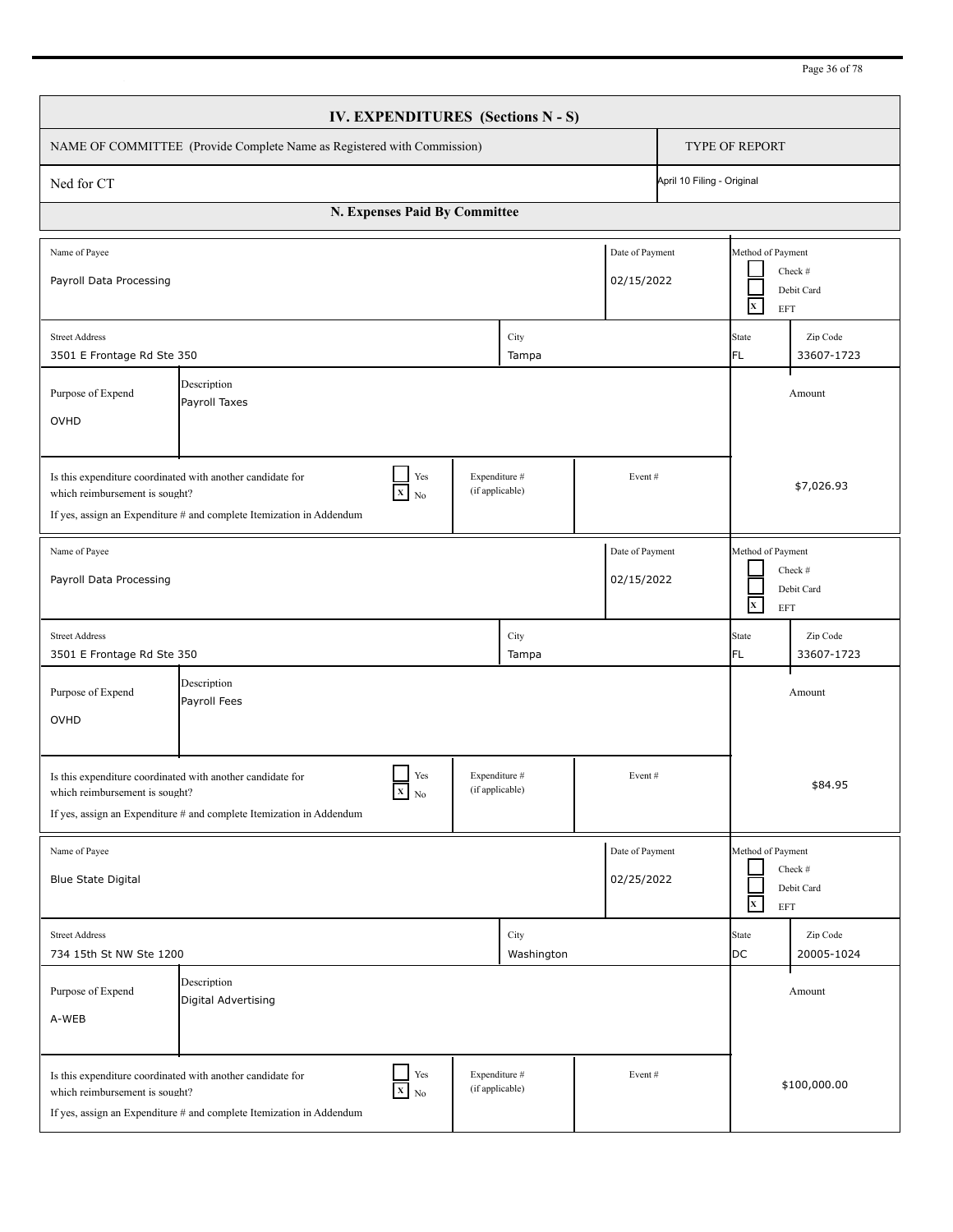| Page 36 of 78 |
|---------------|
|---------------|

| <b>IV. EXPENDITURES</b> (Sections N - S)                                                                                                                                                                                                                                             |                                       |  |                    |               |                                                                   |                                                                   |                        |  |
|--------------------------------------------------------------------------------------------------------------------------------------------------------------------------------------------------------------------------------------------------------------------------------------|---------------------------------------|--|--------------------|---------------|-------------------------------------------------------------------|-------------------------------------------------------------------|------------------------|--|
| NAME OF COMMITTEE (Provide Complete Name as Registered with Commission)                                                                                                                                                                                                              |                                       |  |                    |               |                                                                   | <b>TYPE OF REPORT</b>                                             |                        |  |
| April 10 Filing - Original<br>Ned for CT                                                                                                                                                                                                                                             |                                       |  |                    |               |                                                                   |                                                                   |                        |  |
| N. Expenses Paid By Committee                                                                                                                                                                                                                                                        |                                       |  |                    |               |                                                                   |                                                                   |                        |  |
| Date of Payment<br>Name of Payee<br>02/15/2022<br>Payroll Data Processing                                                                                                                                                                                                            |                                       |  |                    |               |                                                                   | Method of Payment<br>$\mathbf{x}$<br>EFT                          | Check #<br>Debit Card  |  |
| <b>Street Address</b><br>City<br>3501 E Frontage Rd Ste 350<br>Tampa                                                                                                                                                                                                                 |                                       |  |                    | State<br>IFL. | Zip Code<br>33607-1723                                            |                                                                   |                        |  |
| Description<br>Purpose of Expend<br>Payroll Taxes<br>OVHD                                                                                                                                                                                                                            |                                       |  |                    |               |                                                                   | Amount                                                            |                        |  |
| Yes<br>Expenditure #<br>Is this expenditure coordinated with another candidate for<br>Event#<br>(if applicable)<br>$\boxed{\textbf{x}}$ No<br>which reimbursement is sought?<br>If yes, assign an Expenditure $#$ and complete Itemization in Addendum                               |                                       |  |                    |               |                                                                   | \$7,026.93                                                        |                        |  |
| Date of Payment<br>Name of Payee<br>Payroll Data Processing<br>02/15/2022                                                                                                                                                                                                            |                                       |  |                    |               | Method of Payment<br>Check #<br>Debit Card<br>$\mathbf{x}$<br>EFT |                                                                   |                        |  |
| <b>Street Address</b><br>City<br>3501 E Frontage Rd Ste 350<br>Tampa                                                                                                                                                                                                                 |                                       |  |                    |               | State<br>FL.                                                      | Zip Code<br>33607-1723                                            |                        |  |
| Purpose of Expend<br>OVHD                                                                                                                                                                                                                                                            | Description<br>Amount<br>Payroll Fees |  |                    |               |                                                                   |                                                                   |                        |  |
| Yes<br>Expenditure #<br>Event#<br>Is this expenditure coordinated with another candidate for<br>$\boldsymbol{\mathrm{x}}$ $\boldsymbol{\mathrm{_{No}}}$<br>(if applicable)<br>which reimbursement is sought?<br>If yes, assign an Expenditure # and complete Itemization in Addendum |                                       |  |                    |               | \$84.95                                                           |                                                                   |                        |  |
| Date of Payment<br>Name of Payee<br>02/25/2022<br>Blue State Digital                                                                                                                                                                                                                 |                                       |  |                    |               |                                                                   | Method of Payment<br>Check #<br>Debit Card<br>$\mathbf{x}$<br>EFT |                        |  |
| <b>Street Address</b><br>734 15th St NW Ste 1200                                                                                                                                                                                                                                     |                                       |  | City<br>Washington |               |                                                                   | State<br>DC                                                       | Zip Code<br>20005-1024 |  |
| Purpose of Expend<br>A-WEB                                                                                                                                                                                                                                                           | Description<br>Digital Advertising    |  |                    |               |                                                                   |                                                                   | Amount                 |  |
| Yes<br>Expenditure #<br>Event#<br>Is this expenditure coordinated with another candidate for<br>(if applicable)<br>$X$ No<br>which reimbursement is sought?<br>If yes, assign an Expenditure # and complete Itemization in Addendum                                                  |                                       |  |                    |               |                                                                   | \$100,000.00                                                      |                        |  |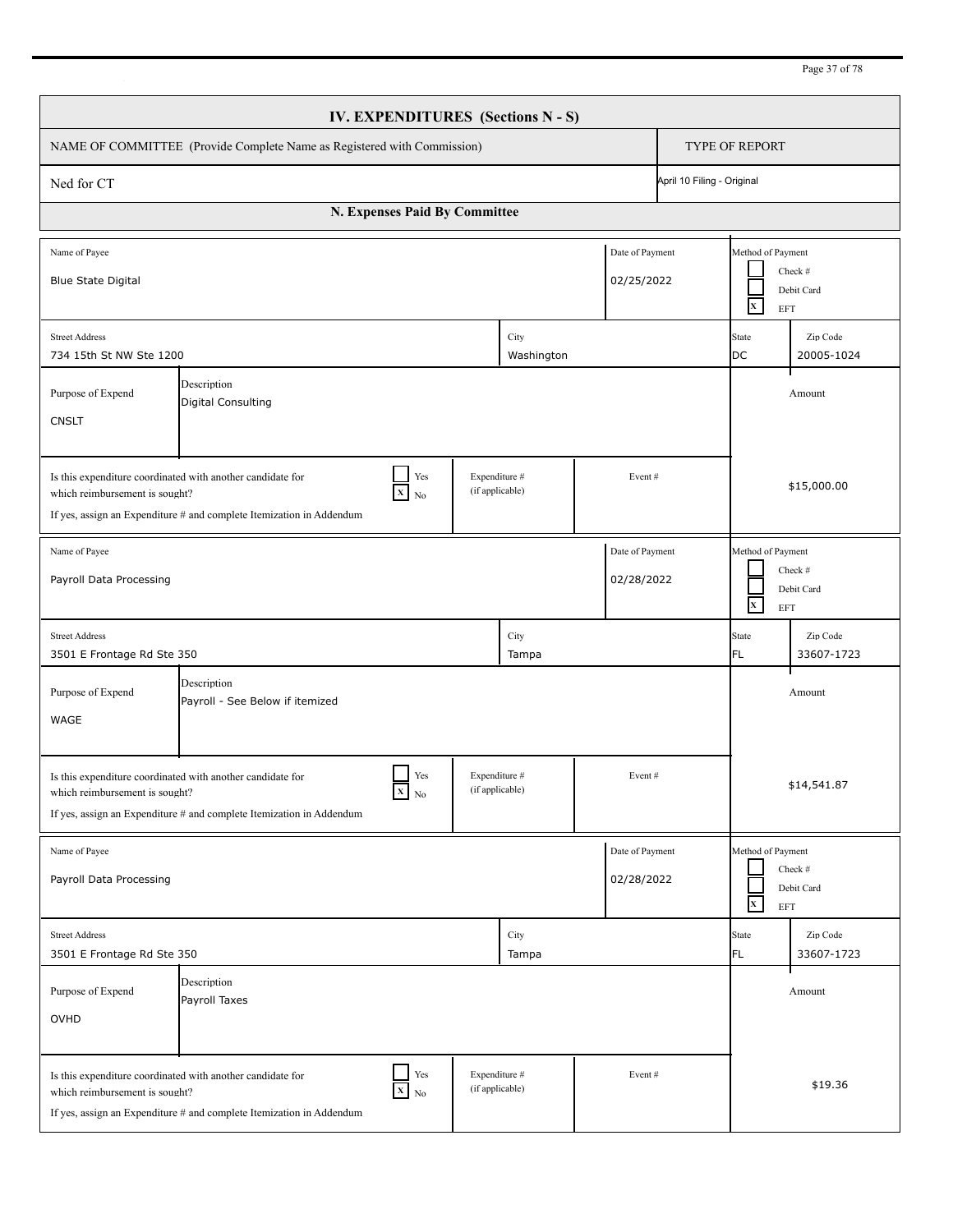| Page 37 of 78 |  |  |
|---------------|--|--|
|               |  |  |

|                                                                                                                                                                                                                                       |                                                                                                                                    |                               |                                  | IV. EXPENDITURES (Sections N - S) |                               |  |                                                 |                        |  |
|---------------------------------------------------------------------------------------------------------------------------------------------------------------------------------------------------------------------------------------|------------------------------------------------------------------------------------------------------------------------------------|-------------------------------|----------------------------------|-----------------------------------|-------------------------------|--|-------------------------------------------------|------------------------|--|
| NAME OF COMMITTEE (Provide Complete Name as Registered with Commission)                                                                                                                                                               | <b>TYPE OF REPORT</b>                                                                                                              |                               |                                  |                                   |                               |  |                                                 |                        |  |
| April 10 Filing - Original<br>Ned for CT                                                                                                                                                                                              |                                                                                                                                    |                               |                                  |                                   |                               |  |                                                 |                        |  |
|                                                                                                                                                                                                                                       |                                                                                                                                    | N. Expenses Paid By Committee |                                  |                                   |                               |  |                                                 |                        |  |
| Name of Payee<br><b>Blue State Digital</b>                                                                                                                                                                                            |                                                                                                                                    |                               |                                  |                                   | Date of Payment<br>02/25/2022 |  | Method of Payment<br>$\mathbf{x}$<br><b>EFT</b> | Check #<br>Debit Card  |  |
| <b>Street Address</b><br>734 15th St NW Ste 1200                                                                                                                                                                                      |                                                                                                                                    |                               |                                  | City<br>Washington                |                               |  | State<br>DC                                     | Zip Code<br>20005-1024 |  |
| Description<br>Purpose of Expend<br><b>Digital Consulting</b><br><b>CNSLT</b>                                                                                                                                                         |                                                                                                                                    |                               |                                  |                                   |                               |  | Amount                                          |                        |  |
| Yes<br>Expenditure #<br>Is this expenditure coordinated with another candidate for<br>Event#<br>(if applicable)<br>$X$ No<br>which reimbursement is sought?<br>If yes, assign an Expenditure $#$ and complete Itemization in Addendum |                                                                                                                                    |                               |                                  |                                   |                               |  | \$15,000.00                                     |                        |  |
| Name of Payee<br>Payroll Data Processing                                                                                                                                                                                              |                                                                                                                                    |                               |                                  |                                   | Date of Payment<br>02/28/2022 |  | Method of Payment<br>$\mathbf{X}$<br>EFT        | Check #<br>Debit Card  |  |
| <b>Street Address</b><br>3501 E Frontage Rd Ste 350                                                                                                                                                                                   |                                                                                                                                    |                               |                                  | City<br>Tampa                     |                               |  | <b>State</b><br>FL.                             | Zip Code<br>33607-1723 |  |
| Purpose of Expend<br><b>WAGE</b>                                                                                                                                                                                                      | Description<br>Payroll - See Below if itemized                                                                                     |                               |                                  |                                   |                               |  |                                                 | Amount                 |  |
| which reimbursement is sought?                                                                                                                                                                                                        | Is this expenditure coordinated with another candidate for<br>If yes, assign an Expenditure # and complete Itemization in Addendum | Yes<br>$X$ No                 | Expenditure #<br>(if applicable) |                                   | Event#                        |  |                                                 | \$14,541.87            |  |
| Name of Payee<br>Payroll Data Processing                                                                                                                                                                                              |                                                                                                                                    |                               |                                  |                                   | Date of Payment<br>02/28/2022 |  | Method of Payment<br>$\mathbf x$<br>EFT         | Check #<br>Debit Card  |  |
| <b>Street Address</b><br>3501 E Frontage Rd Ste 350                                                                                                                                                                                   |                                                                                                                                    |                               |                                  | City<br>Tampa                     |                               |  | State<br>FL                                     | Zip Code<br>33607-1723 |  |
| Purpose of Expend<br>OVHD                                                                                                                                                                                                             | Description<br>Payroll Taxes                                                                                                       |                               |                                  |                                   |                               |  |                                                 | Amount                 |  |
| which reimbursement is sought?                                                                                                                                                                                                        | Is this expenditure coordinated with another candidate for<br>If yes, assign an Expenditure # and complete Itemization in Addendum | Yes<br>$X$ No                 | Expenditure #<br>(if applicable) |                                   | Event#                        |  |                                                 | \$19.36                |  |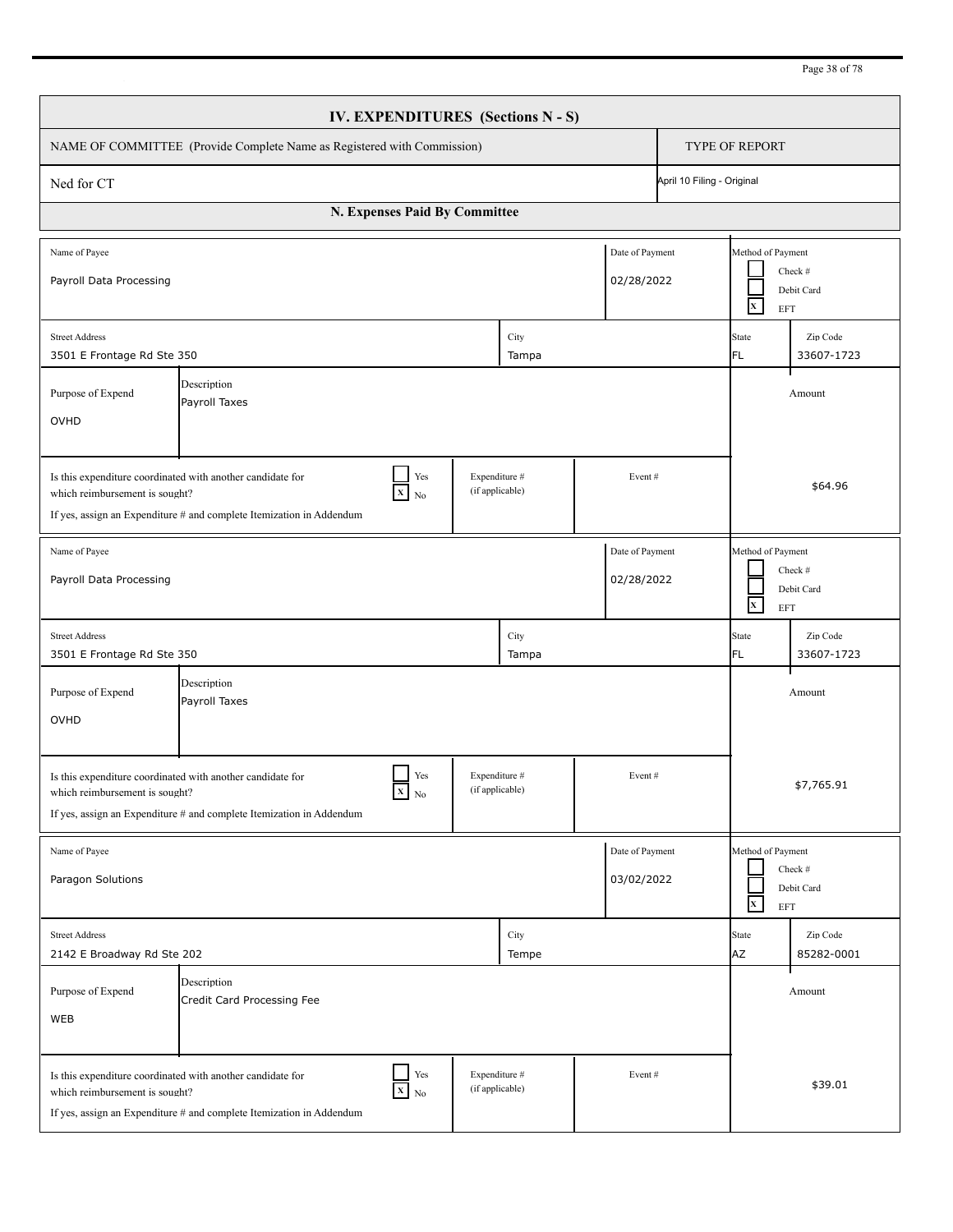|                                                                                                                                                                                                                                     |                                                                                                                                    |               |                                  | IV. EXPENDITURES (Sections N - S) |                               |        |                                                 |                        |  |  |
|-------------------------------------------------------------------------------------------------------------------------------------------------------------------------------------------------------------------------------------|------------------------------------------------------------------------------------------------------------------------------------|---------------|----------------------------------|-----------------------------------|-------------------------------|--------|-------------------------------------------------|------------------------|--|--|
| NAME OF COMMITTEE (Provide Complete Name as Registered with Commission)                                                                                                                                                             |                                                                                                                                    |               |                                  |                                   |                               |        |                                                 | <b>TYPE OF REPORT</b>  |  |  |
| April 10 Filing - Original<br>Ned for CT                                                                                                                                                                                            |                                                                                                                                    |               |                                  |                                   |                               |        |                                                 |                        |  |  |
|                                                                                                                                                                                                                                     | N. Expenses Paid By Committee                                                                                                      |               |                                  |                                   |                               |        |                                                 |                        |  |  |
| Name of Payee<br>Payroll Data Processing                                                                                                                                                                                            |                                                                                                                                    |               |                                  |                                   | Date of Payment<br>02/28/2022 |        | Method of Payment<br>$\mathbf{x}$<br><b>EFT</b> | Check #<br>Debit Card  |  |  |
| <b>Street Address</b><br>3501 E Frontage Rd Ste 350                                                                                                                                                                                 |                                                                                                                                    |               |                                  | City<br>Tampa                     |                               |        | State<br>FL.                                    | Zip Code<br>33607-1723 |  |  |
| Description<br>Purpose of Expend<br>Payroll Taxes<br>OVHD                                                                                                                                                                           |                                                                                                                                    |               |                                  |                                   |                               | Amount |                                                 |                        |  |  |
| Yes<br>Expenditure #<br>Is this expenditure coordinated with another candidate for<br>Event#<br>(if applicable)<br>$X$ No<br>which reimbursement is sought?<br>If yes, assign an Expenditure # and complete Itemization in Addendum |                                                                                                                                    |               |                                  |                                   |                               |        | \$64.96                                         |                        |  |  |
| Name of Payee<br>Payroll Data Processing                                                                                                                                                                                            |                                                                                                                                    |               |                                  |                                   | Date of Payment<br>02/28/2022 |        | Method of Payment<br>$\mathbf{X}$<br>EFT        | Check #<br>Debit Card  |  |  |
| <b>Street Address</b><br>3501 E Frontage Rd Ste 350                                                                                                                                                                                 |                                                                                                                                    |               |                                  | City<br>Tampa                     |                               |        | <b>State</b><br>FL.                             | Zip Code<br>33607-1723 |  |  |
| Purpose of Expend<br>OVHD                                                                                                                                                                                                           | Description<br>Payroll Taxes                                                                                                       |               |                                  |                                   |                               |        |                                                 | Amount                 |  |  |
| Is this expenditure coordinated with another candidate for<br>which reimbursement is sought?                                                                                                                                        | If yes, assign an Expenditure # and complete Itemization in Addendum                                                               | Yes<br>$X$ No | Expenditure #<br>(if applicable) |                                   | Event#                        |        |                                                 | \$7,765.91             |  |  |
| Name of Payee<br>Paragon Solutions                                                                                                                                                                                                  |                                                                                                                                    |               |                                  |                                   | Date of Payment<br>03/02/2022 |        | Method of Payment<br>$\mathbf x$<br>EFT         | Check #<br>Debit Card  |  |  |
| <b>Street Address</b><br>2142 E Broadway Rd Ste 202                                                                                                                                                                                 |                                                                                                                                    |               |                                  | City<br>Tempe                     |                               |        | State<br>AZ                                     | Zip Code<br>85282-0001 |  |  |
| Purpose of Expend<br>WEB                                                                                                                                                                                                            | Description<br>Credit Card Processing Fee                                                                                          |               |                                  |                                   |                               |        |                                                 | Amount                 |  |  |
| which reimbursement is sought?                                                                                                                                                                                                      | Is this expenditure coordinated with another candidate for<br>If yes, assign an Expenditure # and complete Itemization in Addendum | Yes<br>$X$ No | Expenditure #<br>(if applicable) |                                   | Event#                        |        |                                                 | \$39.01                |  |  |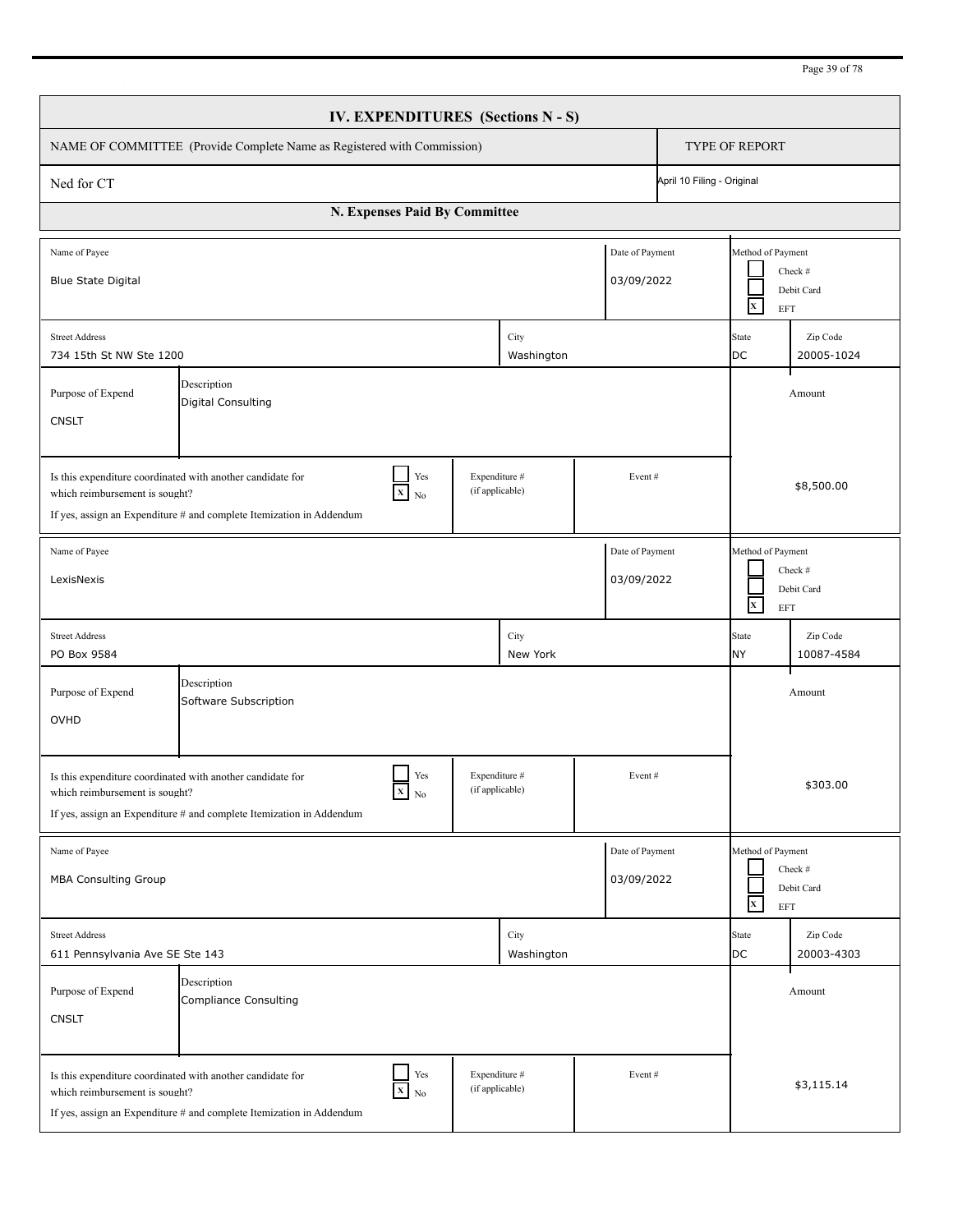| Page 39 of 78 |
|---------------|
|---------------|

|                                                                                                                                                                                                                                       |                                                                                                                                    |                               |                                  | IV. EXPENDITURES (Sections N - S) |                               |  |                                                 |                        |  |  |
|---------------------------------------------------------------------------------------------------------------------------------------------------------------------------------------------------------------------------------------|------------------------------------------------------------------------------------------------------------------------------------|-------------------------------|----------------------------------|-----------------------------------|-------------------------------|--|-------------------------------------------------|------------------------|--|--|
| NAME OF COMMITTEE (Provide Complete Name as Registered with Commission)                                                                                                                                                               |                                                                                                                                    |                               |                                  |                                   |                               |  |                                                 | <b>TYPE OF REPORT</b>  |  |  |
| April 10 Filing - Original<br>Ned for CT                                                                                                                                                                                              |                                                                                                                                    |                               |                                  |                                   |                               |  |                                                 |                        |  |  |
|                                                                                                                                                                                                                                       |                                                                                                                                    | N. Expenses Paid By Committee |                                  |                                   |                               |  |                                                 |                        |  |  |
| Name of Payee<br><b>Blue State Digital</b>                                                                                                                                                                                            |                                                                                                                                    |                               |                                  |                                   | Date of Payment<br>03/09/2022 |  | Method of Payment<br>$\mathbf{x}$<br><b>EFT</b> | Check #<br>Debit Card  |  |  |
| <b>Street Address</b><br>734 15th St NW Ste 1200                                                                                                                                                                                      |                                                                                                                                    |                               |                                  | City<br>Washington                |                               |  | State<br>DC                                     | Zip Code<br>20005-1024 |  |  |
| Description<br>Purpose of Expend<br><b>Digital Consulting</b><br><b>CNSLT</b>                                                                                                                                                         |                                                                                                                                    |                               |                                  |                                   |                               |  | Amount                                          |                        |  |  |
| Yes<br>Expenditure #<br>Is this expenditure coordinated with another candidate for<br>Event#<br>(if applicable)<br>$X$ No<br>which reimbursement is sought?<br>If yes, assign an Expenditure $#$ and complete Itemization in Addendum |                                                                                                                                    |                               |                                  |                                   |                               |  | \$8,500.00                                      |                        |  |  |
| Name of Payee<br>LexisNexis                                                                                                                                                                                                           |                                                                                                                                    |                               |                                  |                                   | Date of Payment<br>03/09/2022 |  | Method of Payment<br>$\mathbf{x}$<br>EFT        | Check #<br>Debit Card  |  |  |
| <b>Street Address</b><br>PO Box 9584                                                                                                                                                                                                  |                                                                                                                                    |                               |                                  | City<br>New York                  |                               |  | <b>State</b><br><b>NY</b>                       | Zip Code<br>10087-4584 |  |  |
| Purpose of Expend<br>OVHD                                                                                                                                                                                                             | Description<br>Software Subscription                                                                                               |                               |                                  |                                   |                               |  |                                                 | Amount                 |  |  |
| which reimbursement is sought?                                                                                                                                                                                                        | Is this expenditure coordinated with another candidate for<br>If yes, assign an Expenditure # and complete Itemization in Addendum | Yes<br>$X$ No                 | Expenditure #<br>(if applicable) |                                   | Event#                        |  |                                                 | \$303.00               |  |  |
| Name of Payee<br><b>MBA Consulting Group</b>                                                                                                                                                                                          |                                                                                                                                    |                               |                                  |                                   | Date of Payment<br>03/09/2022 |  | Method of Payment<br>$\mathbf x$<br>EFT         | Check #<br>Debit Card  |  |  |
| <b>Street Address</b><br>611 Pennsylvania Ave SE Ste 143                                                                                                                                                                              |                                                                                                                                    |                               |                                  | City<br>Washington                |                               |  | State<br>DC                                     | Zip Code<br>20003-4303 |  |  |
| Purpose of Expend<br><b>CNSLT</b>                                                                                                                                                                                                     | Description<br>Compliance Consulting                                                                                               |                               |                                  |                                   |                               |  |                                                 | Amount                 |  |  |
| which reimbursement is sought?                                                                                                                                                                                                        | Is this expenditure coordinated with another candidate for<br>If yes, assign an Expenditure # and complete Itemization in Addendum | Yes<br>$X$ No                 | Expenditure #<br>(if applicable) |                                   | Event#                        |  |                                                 | \$3,115.14             |  |  |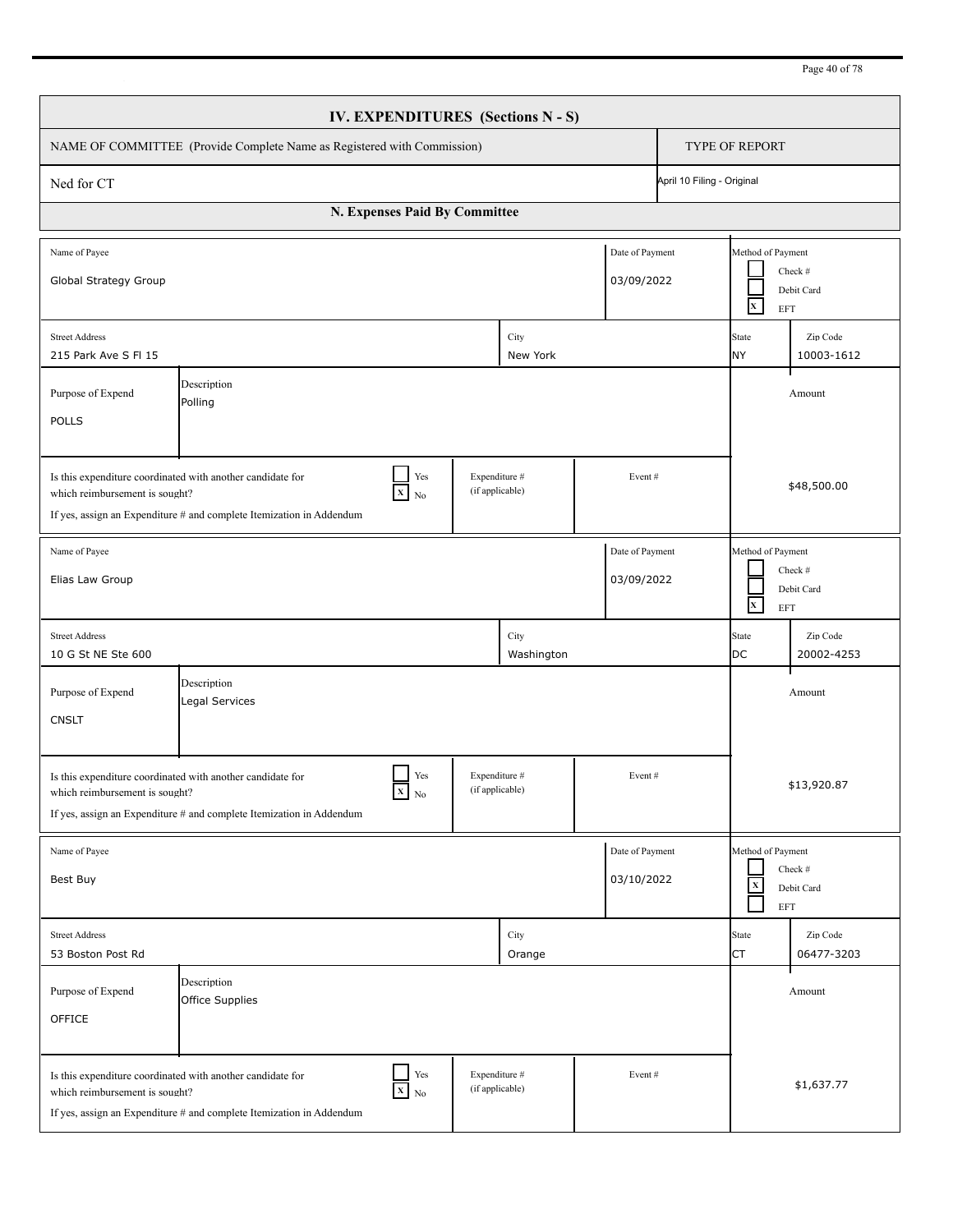| Page 40 of 78 |
|---------------|
|---------------|

|                                                                                                                                                                                                                                     | <b>IV. EXPENDITURES</b> (Sections N - S)                                                                                                                                       |                                  |                    |                               |  |                                                   |                        |  |
|-------------------------------------------------------------------------------------------------------------------------------------------------------------------------------------------------------------------------------------|--------------------------------------------------------------------------------------------------------------------------------------------------------------------------------|----------------------------------|--------------------|-------------------------------|--|---------------------------------------------------|------------------------|--|
| NAME OF COMMITTEE (Provide Complete Name as Registered with Commission)                                                                                                                                                             | <b>TYPE OF REPORT</b>                                                                                                                                                          |                                  |                    |                               |  |                                                   |                        |  |
| Ned for CT                                                                                                                                                                                                                          | April 10 Filing - Original                                                                                                                                                     |                                  |                    |                               |  |                                                   |                        |  |
|                                                                                                                                                                                                                                     | N. Expenses Paid By Committee                                                                                                                                                  |                                  |                    |                               |  |                                                   |                        |  |
| Name of Payee<br>Global Strategy Group                                                                                                                                                                                              |                                                                                                                                                                                |                                  |                    | Date of Payment<br>03/09/2022 |  | Method of Payment<br>$\mathbf{x}$<br><b>EFT</b>   | Check #<br>Debit Card  |  |
| <b>Street Address</b><br>215 Park Ave S FI 15                                                                                                                                                                                       |                                                                                                                                                                                |                                  | City<br>New York   |                               |  | State<br><b>NY</b>                                | Zip Code<br>10003-1612 |  |
| Purpose of Expend<br><b>POLLS</b>                                                                                                                                                                                                   | Description<br>Polling                                                                                                                                                         |                                  |                    |                               |  |                                                   | Amount                 |  |
| Is this expenditure coordinated with another candidate for<br>Yes<br>Expenditure #<br>Event#<br>(if applicable)<br>$X$ No<br>which reimbursement is sought?<br>If yes, assign an Expenditure # and complete Itemization in Addendum |                                                                                                                                                                                |                                  |                    |                               |  | \$48,500.00                                       |                        |  |
| Name of Payee<br>Elias Law Group                                                                                                                                                                                                    |                                                                                                                                                                                |                                  |                    | Date of Payment<br>03/09/2022 |  | Method of Payment<br>$\mathbf{x}^-$<br><b>EFT</b> | Check #<br>Debit Card  |  |
| <b>Street Address</b><br>10 G St NE Ste 600                                                                                                                                                                                         |                                                                                                                                                                                |                                  | City<br>Washington |                               |  | State<br>DC                                       | Zip Code<br>20002-4253 |  |
| Purpose of Expend<br><b>CNSLT</b>                                                                                                                                                                                                   | Description<br>Legal Services                                                                                                                                                  |                                  |                    |                               |  |                                                   | Amount                 |  |
| which reimbursement is sought?                                                                                                                                                                                                      | Yes<br>Is this expenditure coordinated with another candidate for<br>$\boldsymbol{\mathrm{X}}$ No<br>If yes, assign an Expenditure # and complete Itemization in Addendum      | Expenditure #<br>(if applicable) |                    | Event#                        |  |                                                   | \$13,920.87            |  |
| Name of Payee<br>Best Buy                                                                                                                                                                                                           |                                                                                                                                                                                |                                  |                    | Date of Payment<br>03/10/2022 |  | Method of Payment<br>$\mathbf X$<br>EFT           | Check #<br>Debit Card  |  |
| <b>Street Address</b><br>53 Boston Post Rd                                                                                                                                                                                          |                                                                                                                                                                                |                                  | City<br>Orange     |                               |  | State<br>CT                                       | Zip Code<br>06477-3203 |  |
| Purpose of Expend<br>OFFICE                                                                                                                                                                                                         | Description<br>Office Supplies                                                                                                                                                 |                                  |                    |                               |  |                                                   | Amount                 |  |
| which reimbursement is sought?                                                                                                                                                                                                      | $\Box$<br>$\operatorname{Yes}$<br>Is this expenditure coordinated with another candidate for<br>$X$ No<br>If yes, assign an Expenditure # and complete Itemization in Addendum | Expenditure #<br>(if applicable) |                    | Event#                        |  |                                                   | \$1,637.77             |  |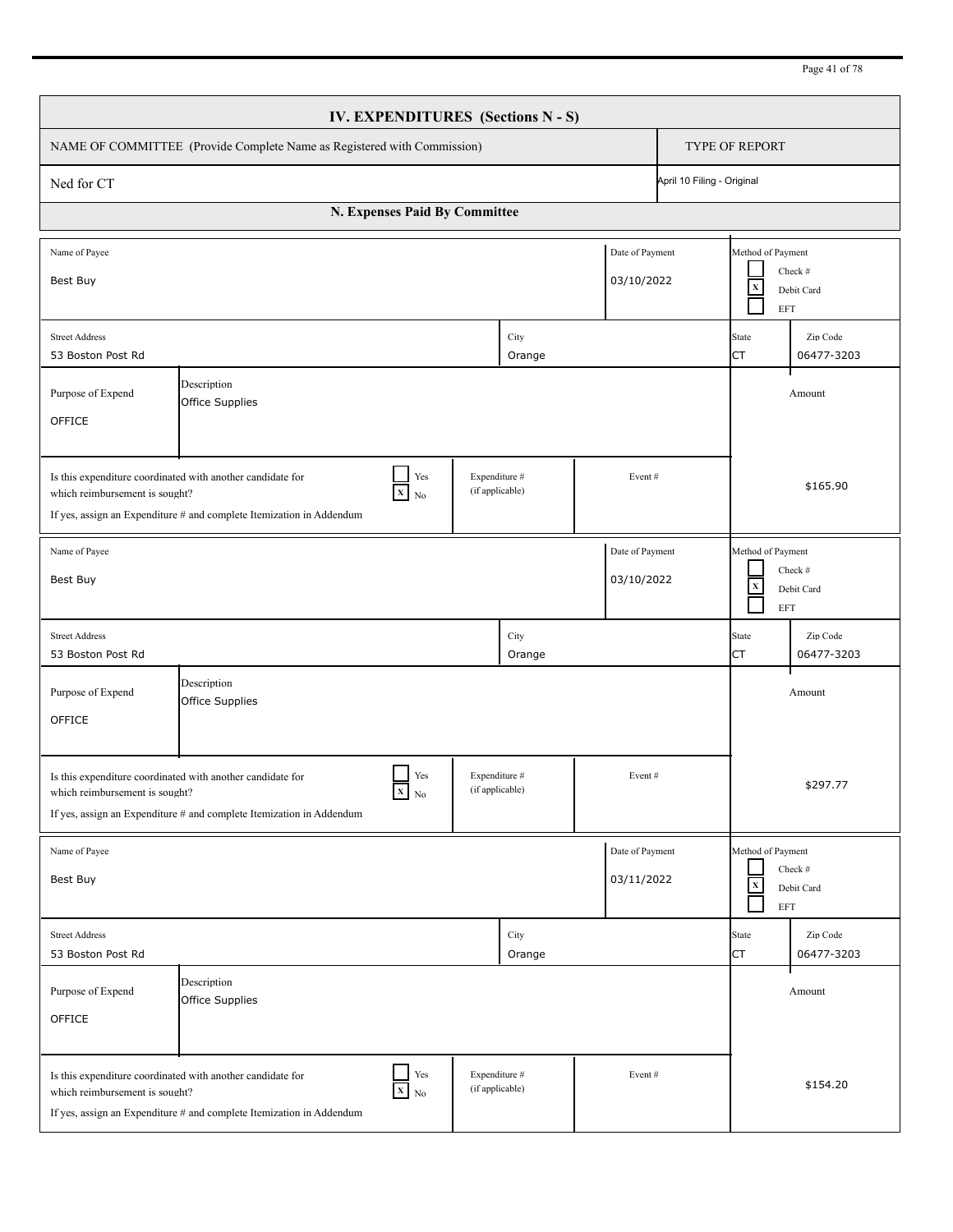| Page 41 of 78 |
|---------------|
|---------------|

|                                                                                                                                                                                                                                     | IV. EXPENDITURES (Sections N - S)                                                                                                                          |                                  |                |                               |  |                                                          |                        |  |
|-------------------------------------------------------------------------------------------------------------------------------------------------------------------------------------------------------------------------------------|------------------------------------------------------------------------------------------------------------------------------------------------------------|----------------------------------|----------------|-------------------------------|--|----------------------------------------------------------|------------------------|--|
| NAME OF COMMITTEE (Provide Complete Name as Registered with Commission)                                                                                                                                                             | TYPE OF REPORT                                                                                                                                             |                                  |                |                               |  |                                                          |                        |  |
| Ned for CT                                                                                                                                                                                                                          | April 10 Filing - Original                                                                                                                                 |                                  |                |                               |  |                                                          |                        |  |
|                                                                                                                                                                                                                                     | N. Expenses Paid By Committee                                                                                                                              |                                  |                |                               |  |                                                          |                        |  |
| Name of Payee<br>Best Buy                                                                                                                                                                                                           |                                                                                                                                                            |                                  |                | Date of Payment<br>03/10/2022 |  | Method of Payment<br>$\mathbf X$<br>EFT                  | Check #<br>Debit Card  |  |
| <b>Street Address</b><br>53 Boston Post Rd                                                                                                                                                                                          |                                                                                                                                                            |                                  | City<br>Orange |                               |  | State<br>СT                                              | Zip Code<br>06477-3203 |  |
| Purpose of Expend<br>OFFICE                                                                                                                                                                                                         | Description<br>Office Supplies                                                                                                                             |                                  |                |                               |  |                                                          | Amount                 |  |
| Yes<br>Expenditure #<br>Is this expenditure coordinated with another candidate for<br>Event#<br>(if applicable)<br>$X$ No<br>which reimbursement is sought?<br>If yes, assign an Expenditure # and complete Itemization in Addendum |                                                                                                                                                            |                                  |                |                               |  | \$165.90                                                 |                        |  |
| Name of Payee<br>Best Buy                                                                                                                                                                                                           |                                                                                                                                                            |                                  |                | Date of Payment<br>03/10/2022 |  | Method of Payment<br>$\mathbf X$<br><b>EFT</b>           | Check #<br>Debit Card  |  |
| <b>Street Address</b><br>53 Boston Post Rd                                                                                                                                                                                          |                                                                                                                                                            |                                  | City<br>Orange |                               |  | <b>State</b><br>CT                                       | Zip Code<br>06477-3203 |  |
| Purpose of Expend<br>OFFICE                                                                                                                                                                                                         | Description<br>Office Supplies                                                                                                                             |                                  |                |                               |  |                                                          | Amount                 |  |
| which reimbursement is sought?                                                                                                                                                                                                      | Yes<br>Is this expenditure coordinated with another candidate for<br>$X_N$<br>If yes, assign an Expenditure # and complete Itemization in Addendum         | Expenditure #<br>(if applicable) |                | Event#                        |  |                                                          | \$297.77               |  |
| Name of Payee<br>Best Buy                                                                                                                                                                                                           |                                                                                                                                                            |                                  |                | Date of Payment<br>03/11/2022 |  | Method of Payment<br>$\mathbf x$<br>$\operatorname{EFT}$ | Check #<br>Debit Card  |  |
| <b>Street Address</b><br>53 Boston Post Rd                                                                                                                                                                                          |                                                                                                                                                            |                                  | City<br>Orange |                               |  | <b>State</b><br><b>CT</b>                                | Zip Code<br>06477-3203 |  |
| Purpose of Expend<br>OFFICE                                                                                                                                                                                                         | Description<br>Office Supplies                                                                                                                             |                                  |                |                               |  |                                                          | Amount                 |  |
| which reimbursement is sought?                                                                                                                                                                                                      | $\Box$ Yes<br>Is this expenditure coordinated with another candidate for<br>$X$ No<br>If yes, assign an Expenditure # and complete Itemization in Addendum | Expenditure #<br>(if applicable) |                | Event#                        |  |                                                          | \$154.20               |  |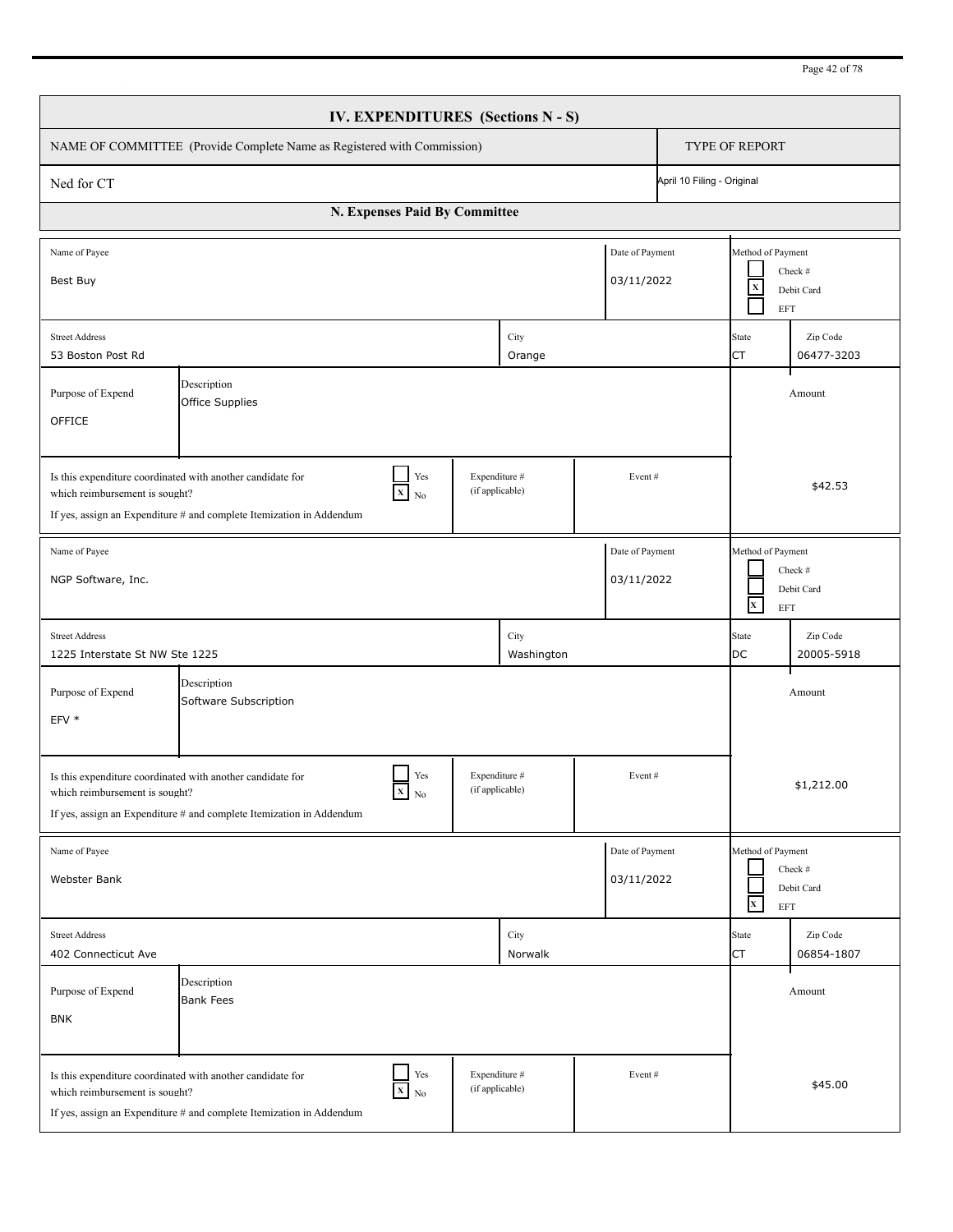|                                                                                                                                                                                                                                     | IV. EXPENDITURES (Sections N - S)                                                                                                                   |                 |                                  |                               |  |                                                |                        |  |
|-------------------------------------------------------------------------------------------------------------------------------------------------------------------------------------------------------------------------------------|-----------------------------------------------------------------------------------------------------------------------------------------------------|-----------------|----------------------------------|-------------------------------|--|------------------------------------------------|------------------------|--|
| NAME OF COMMITTEE (Provide Complete Name as Registered with Commission)                                                                                                                                                             | <b>TYPE OF REPORT</b>                                                                                                                               |                 |                                  |                               |  |                                                |                        |  |
| April 10 Filing - Original<br>Ned for CT                                                                                                                                                                                            |                                                                                                                                                     |                 |                                  |                               |  |                                                |                        |  |
|                                                                                                                                                                                                                                     | N. Expenses Paid By Committee                                                                                                                       |                 |                                  |                               |  |                                                |                        |  |
| Name of Payee<br>Best Buy                                                                                                                                                                                                           |                                                                                                                                                     |                 |                                  | Date of Payment<br>03/11/2022 |  | Method of Payment<br>$\mathbf X$<br><b>EFT</b> | Check #<br>Debit Card  |  |
| <b>Street Address</b><br>53 Boston Post Rd                                                                                                                                                                                          |                                                                                                                                                     |                 | City<br>Orange                   |                               |  | State<br><b>CT</b>                             | Zip Code<br>06477-3203 |  |
| Purpose of Expend<br>OFFICE                                                                                                                                                                                                         | Description<br>Office Supplies                                                                                                                      |                 |                                  |                               |  |                                                | Amount                 |  |
| Expenditure #<br>Yes<br>Is this expenditure coordinated with another candidate for<br>Event#<br>(if applicable)<br>$X$ No<br>which reimbursement is sought?<br>If yes, assign an Expenditure # and complete Itemization in Addendum |                                                                                                                                                     |                 |                                  |                               |  | \$42.53                                        |                        |  |
| Name of Payee<br>NGP Software, Inc.                                                                                                                                                                                                 |                                                                                                                                                     |                 |                                  | Date of Payment<br>03/11/2022 |  | Method of Payment<br>$\mathbf{x}$<br>EFT       | Check #<br>Debit Card  |  |
| <b>Street Address</b><br>1225 Interstate St NW Ste 1225                                                                                                                                                                             |                                                                                                                                                     |                 | City<br>Washington               |                               |  | State<br><b>DC</b>                             | Zip Code<br>20005-5918 |  |
| Purpose of Expend<br>EFV *                                                                                                                                                                                                          | Description<br>Software Subscription                                                                                                                |                 |                                  |                               |  |                                                | Amount                 |  |
| which reimbursement is sought?                                                                                                                                                                                                      | Yes<br>Is this expenditure coordinated with another candidate for<br>$X$ No<br>If yes, assign an Expenditure # and complete Itemization in Addendum | (if applicable) | Expenditure #                    | Event#                        |  |                                                | \$1,212.00             |  |
| Name of Payee<br>Webster Bank                                                                                                                                                                                                       |                                                                                                                                                     |                 |                                  | Date of Payment<br>03/11/2022 |  | Method of Payment<br>$\mathbf x$<br>EFT        | Check #<br>Debit Card  |  |
| <b>Street Address</b><br>402 Connecticut Ave                                                                                                                                                                                        |                                                                                                                                                     |                 | City<br>Norwalk                  |                               |  | State<br><b>CT</b>                             | Zip Code<br>06854-1807 |  |
| Purpose of Expend<br><b>BNK</b>                                                                                                                                                                                                     | Description<br><b>Bank Fees</b>                                                                                                                     |                 |                                  |                               |  |                                                | Amount                 |  |
| which reimbursement is sought?                                                                                                                                                                                                      | Yes<br>Is this expenditure coordinated with another candidate for<br>$X$ No<br>If yes, assign an Expenditure # and complete Itemization in Addendum |                 | Expenditure #<br>(if applicable) | Event#                        |  |                                                | \$45.00                |  |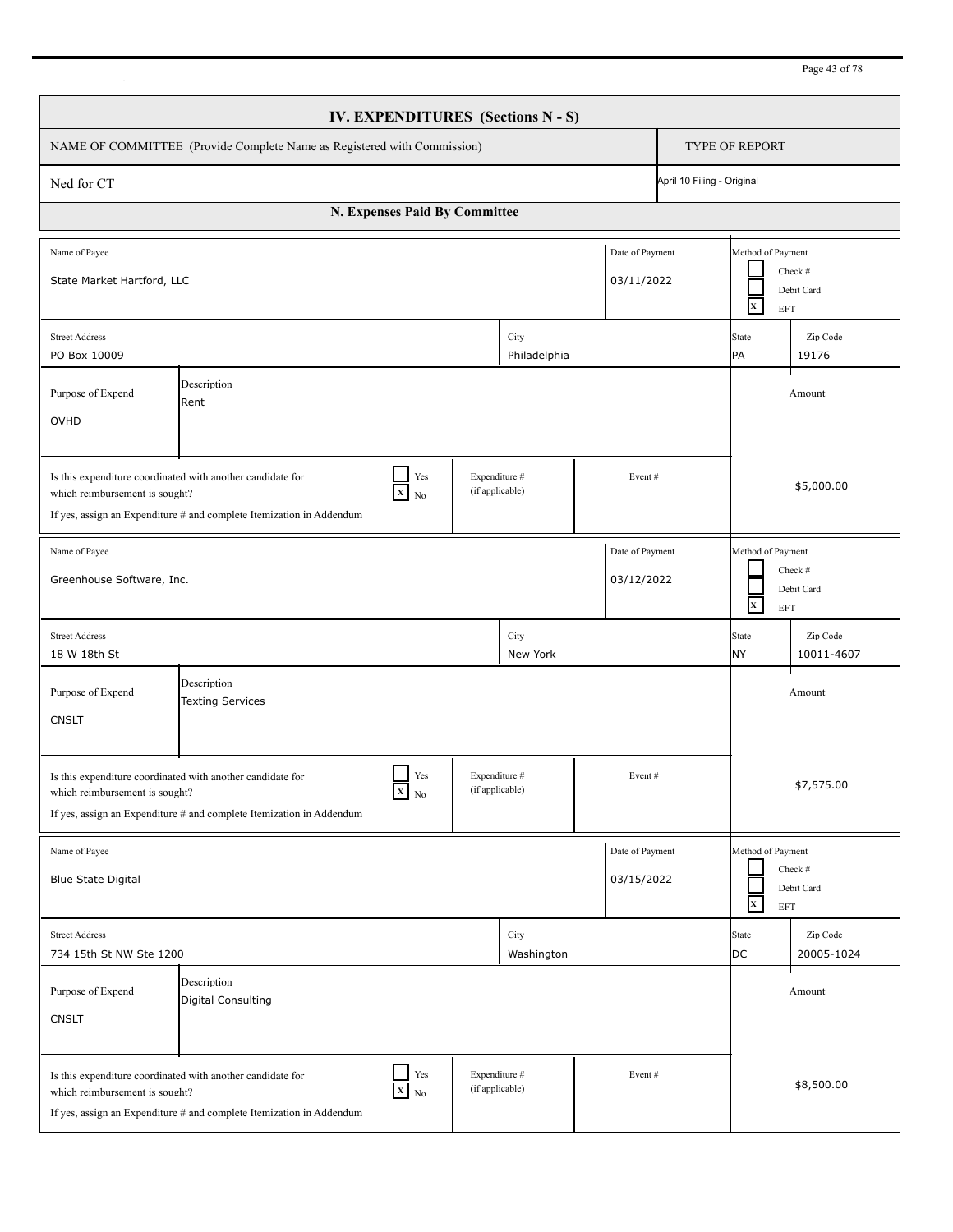| IV. EXPENDITURES (Sections N - S)                                                                                                                                                                                                     |                                                                                                                                              |     |                                  |        |                                                                          |                           |                        |  |
|---------------------------------------------------------------------------------------------------------------------------------------------------------------------------------------------------------------------------------------|----------------------------------------------------------------------------------------------------------------------------------------------|-----|----------------------------------|--------|--------------------------------------------------------------------------|---------------------------|------------------------|--|
| NAME OF COMMITTEE (Provide Complete Name as Registered with Commission)                                                                                                                                                               |                                                                                                                                              |     |                                  |        |                                                                          | <b>TYPE OF REPORT</b>     |                        |  |
| Ned for CT                                                                                                                                                                                                                            | April 10 Filing - Original                                                                                                                   |     |                                  |        |                                                                          |                           |                        |  |
| N. Expenses Paid By Committee                                                                                                                                                                                                         |                                                                                                                                              |     |                                  |        |                                                                          |                           |                        |  |
| Date of Payment<br>Name of Payee<br>State Market Hartford, LLC<br>03/11/2022                                                                                                                                                          |                                                                                                                                              |     |                                  |        | Method of Payment<br>Check #<br>Debit Card<br>$\mathbf{x}$<br><b>EFT</b> |                           |                        |  |
| City<br><b>Street Address</b><br>PO Box 10009<br>Philadelphia                                                                                                                                                                         |                                                                                                                                              |     |                                  |        |                                                                          | <b>State</b><br>PA        | Zip Code<br>19176      |  |
| Description<br>Purpose of Expend<br>Rent<br>OVHD                                                                                                                                                                                      |                                                                                                                                              |     |                                  |        |                                                                          | Amount                    |                        |  |
| Yes<br>Expenditure #<br>Is this expenditure coordinated with another candidate for<br>Event#<br>(if applicable)<br>$X$ No<br>which reimbursement is sought?<br>If yes, assign an Expenditure $#$ and complete Itemization in Addendum |                                                                                                                                              |     |                                  |        |                                                                          | \$5,000.00                |                        |  |
| Date of Payment<br>Name of Payee<br>Greenhouse Software, Inc.<br>03/12/2022                                                                                                                                                           |                                                                                                                                              |     |                                  |        | Method of Payment<br>Check #<br>Debit Card<br>$\mathbf{x}$<br>EFT        |                           |                        |  |
| <b>Street Address</b><br>18 W 18th St                                                                                                                                                                                                 |                                                                                                                                              |     | City<br>New York                 |        |                                                                          | <b>State</b><br><b>NY</b> | Zip Code<br>10011-4607 |  |
| Purpose of Expend<br><b>CNSLT</b>                                                                                                                                                                                                     | Description<br><b>Texting Services</b>                                                                                                       |     |                                  |        |                                                                          |                           | Amount                 |  |
| which reimbursement is sought?                                                                                                                                                                                                        | Is this expenditure coordinated with another candidate for<br>$X$ No<br>If yes, assign an Expenditure # and complete Itemization in Addendum | Yes | Expenditure #<br>(if applicable) | Event# |                                                                          | \$7,575.00                |                        |  |
| Date of Payment<br>Name of Payee<br>03/15/2022<br><b>Blue State Digital</b>                                                                                                                                                           |                                                                                                                                              |     |                                  |        | Method of Payment<br>Check #<br>Debit Card<br>$\mathbf x$<br>EFT         |                           |                        |  |
| <b>Street Address</b><br>734 15th St NW Ste 1200                                                                                                                                                                                      |                                                                                                                                              |     | City<br>Washington               |        |                                                                          | State<br>DC               | Zip Code<br>20005-1024 |  |
| Purpose of Expend<br><b>CNSLT</b>                                                                                                                                                                                                     | Description<br>Digital Consulting                                                                                                            |     |                                  |        |                                                                          |                           | Amount                 |  |
| which reimbursement is sought?                                                                                                                                                                                                        | Is this expenditure coordinated with another candidate for<br>$X$ No<br>If yes, assign an Expenditure # and complete Itemization in Addendum | Yes | Expenditure #<br>(if applicable) | Event# |                                                                          |                           | \$8,500.00             |  |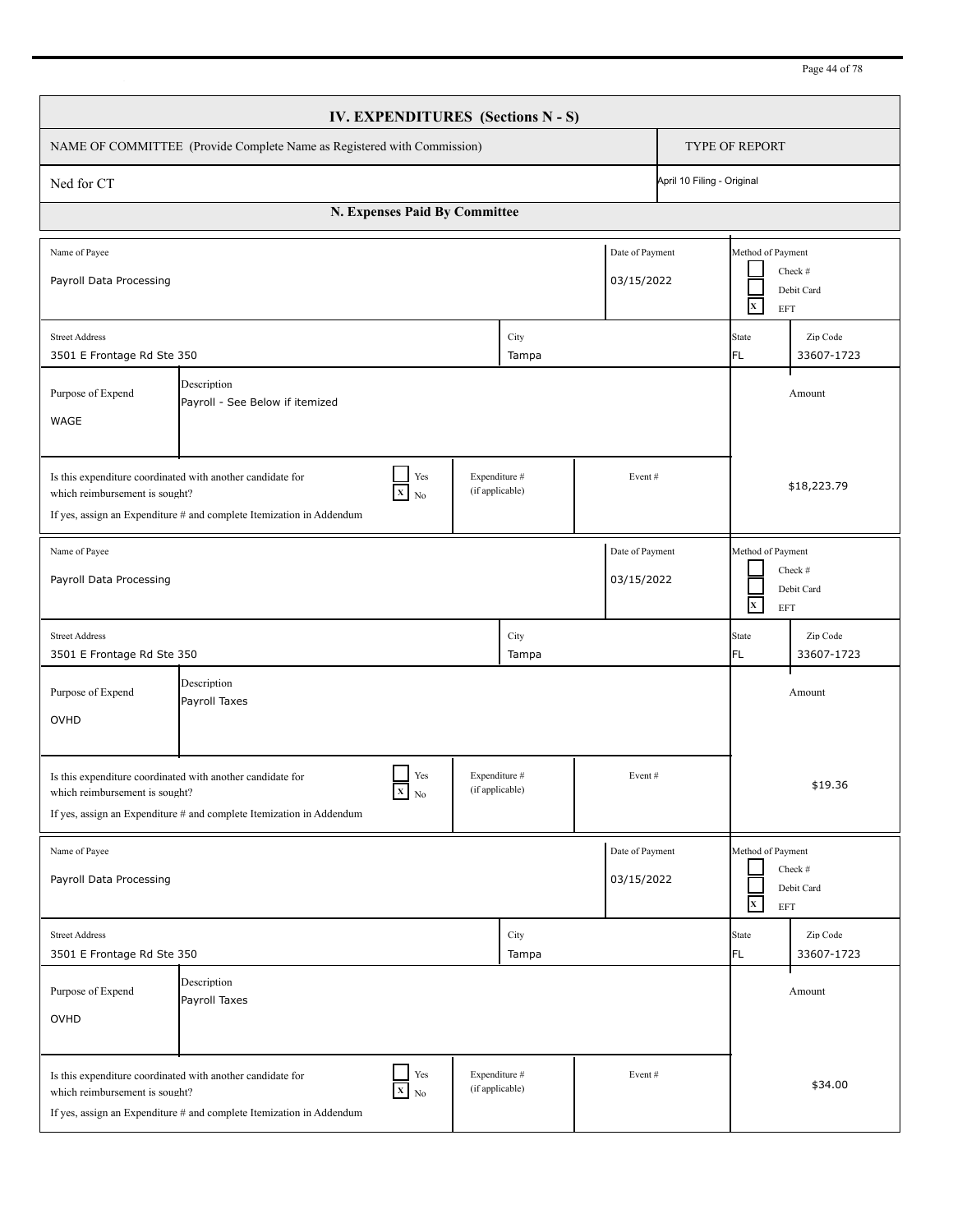| Page 44 of 78 |
|---------------|
|---------------|

| IV. EXPENDITURES (Sections N - S)                                                                                                                                                                                                   |                                                                                                                                                                                                                                     |  |               |  |                                                                          |                       |                        |  |  |
|-------------------------------------------------------------------------------------------------------------------------------------------------------------------------------------------------------------------------------------|-------------------------------------------------------------------------------------------------------------------------------------------------------------------------------------------------------------------------------------|--|---------------|--|--------------------------------------------------------------------------|-----------------------|------------------------|--|--|
|                                                                                                                                                                                                                                     | NAME OF COMMITTEE (Provide Complete Name as Registered with Commission)                                                                                                                                                             |  |               |  |                                                                          | <b>TYPE OF REPORT</b> |                        |  |  |
| April 10 Filing - Original<br>Ned for CT                                                                                                                                                                                            |                                                                                                                                                                                                                                     |  |               |  |                                                                          |                       |                        |  |  |
| N. Expenses Paid By Committee                                                                                                                                                                                                       |                                                                                                                                                                                                                                     |  |               |  |                                                                          |                       |                        |  |  |
| Date of Payment<br>Name of Payee<br>Payroll Data Processing<br>03/15/2022                                                                                                                                                           |                                                                                                                                                                                                                                     |  |               |  | Method of Payment<br>Check #<br>Debit Card<br>$\mathbf{x}$<br><b>EFT</b> |                       |                        |  |  |
| City<br><b>Street Address</b><br>3501 E Frontage Rd Ste 350<br>Tampa                                                                                                                                                                |                                                                                                                                                                                                                                     |  |               |  |                                                                          | State<br>FL.          | Zip Code<br>33607-1723 |  |  |
| Description<br>Purpose of Expend<br>Payroll - See Below if itemized<br>WAGE                                                                                                                                                         |                                                                                                                                                                                                                                     |  |               |  |                                                                          | Amount                |                        |  |  |
| Yes<br>Expenditure #<br>Is this expenditure coordinated with another candidate for<br>Event#<br>(if applicable)<br>$X$ No<br>which reimbursement is sought?<br>If yes, assign an Expenditure # and complete Itemization in Addendum |                                                                                                                                                                                                                                     |  |               |  |                                                                          | \$18,223.79           |                        |  |  |
| Date of Payment<br>Name of Payee<br>Payroll Data Processing<br>03/15/2022                                                                                                                                                           |                                                                                                                                                                                                                                     |  |               |  | Method of Payment<br>Check #<br>Debit Card<br>$\mathbf{X}$<br>EFT        |                       |                        |  |  |
| <b>Street Address</b><br>3501 E Frontage Rd Ste 350                                                                                                                                                                                 |                                                                                                                                                                                                                                     |  | City<br>Tampa |  |                                                                          | <b>State</b><br>FL.   | Zip Code<br>33607-1723 |  |  |
| Purpose of Expend<br>OVHD                                                                                                                                                                                                           | Description<br>Payroll Taxes                                                                                                                                                                                                        |  |               |  |                                                                          |                       | Amount                 |  |  |
| Yes<br>Expenditure #<br>Event#<br>Is this expenditure coordinated with another candidate for<br>$X$ No<br>(if applicable)<br>which reimbursement is sought?<br>If yes, assign an Expenditure # and complete Itemization in Addendum |                                                                                                                                                                                                                                     |  |               |  | \$19.36                                                                  |                       |                        |  |  |
| Name of Payee<br>Date of Payment<br>03/15/2022<br>Payroll Data Processing                                                                                                                                                           |                                                                                                                                                                                                                                     |  |               |  | Method of Payment<br>Check #<br>Debit Card<br>$\mathbf x$<br>EFT         |                       |                        |  |  |
| <b>Street Address</b><br>3501 E Frontage Rd Ste 350                                                                                                                                                                                 |                                                                                                                                                                                                                                     |  | City<br>Tampa |  |                                                                          | State<br>FL           | Zip Code<br>33607-1723 |  |  |
| Purpose of Expend<br>OVHD                                                                                                                                                                                                           | Description<br>Payroll Taxes                                                                                                                                                                                                        |  |               |  |                                                                          |                       | Amount                 |  |  |
|                                                                                                                                                                                                                                     | Yes<br>Expenditure #<br>Event#<br>Is this expenditure coordinated with another candidate for<br>$X$ No<br>(if applicable)<br>which reimbursement is sought?<br>If yes, assign an Expenditure # and complete Itemization in Addendum |  |               |  |                                                                          | \$34.00               |                        |  |  |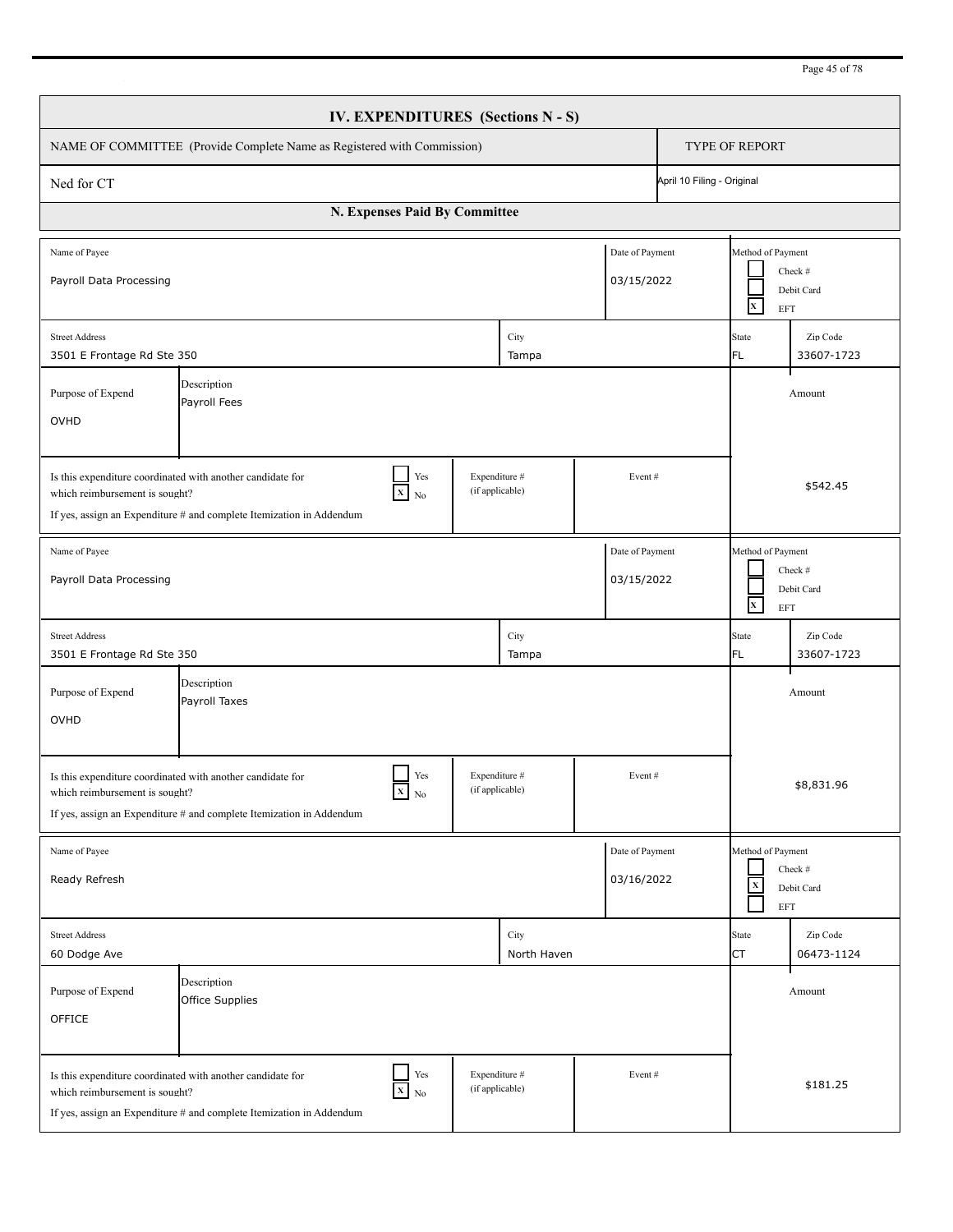| IV. EXPENDITURES (Sections N - S)                                                                                                                                                                                                       |                                                                                                                                              |                        |                                  |                               |                                                                  |                                                                   |                        |  |
|-----------------------------------------------------------------------------------------------------------------------------------------------------------------------------------------------------------------------------------------|----------------------------------------------------------------------------------------------------------------------------------------------|------------------------|----------------------------------|-------------------------------|------------------------------------------------------------------|-------------------------------------------------------------------|------------------------|--|
|                                                                                                                                                                                                                                         | NAME OF COMMITTEE (Provide Complete Name as Registered with Commission)                                                                      |                        |                                  |                               |                                                                  | TYPE OF REPORT                                                    |                        |  |
| April 10 Filing - Original<br>Ned for CT                                                                                                                                                                                                |                                                                                                                                              |                        |                                  |                               |                                                                  |                                                                   |                        |  |
| N. Expenses Paid By Committee                                                                                                                                                                                                           |                                                                                                                                              |                        |                                  |                               |                                                                  |                                                                   |                        |  |
| Date of Payment<br>Name of Payee<br>03/15/2022<br>Payroll Data Processing                                                                                                                                                               |                                                                                                                                              |                        |                                  |                               |                                                                  | Method of Payment<br>Check #<br>Debit Card<br>$\mathbf{x}$<br>EFT |                        |  |
| <b>Street Address</b><br>City<br>3501 E Frontage Rd Ste 350<br>Tampa                                                                                                                                                                    |                                                                                                                                              |                        |                                  |                               | State<br>FL.                                                     | Zip Code<br>33607-1723                                            |                        |  |
| Description<br>Purpose of Expend<br>Payroll Fees<br>OVHD                                                                                                                                                                                |                                                                                                                                              |                        |                                  |                               |                                                                  | Amount                                                            |                        |  |
| Yes<br>Expenditure #<br>Is this expenditure coordinated with another candidate for<br>Event#<br>(if applicable)<br>$X_{N0}$<br>which reimbursement is sought?<br>If yes, assign an Expenditure $#$ and complete Itemization in Addendum |                                                                                                                                              |                        |                                  |                               |                                                                  | \$542.45                                                          |                        |  |
| Date of Payment<br>Name of Payee<br>Payroll Data Processing<br>03/15/2022                                                                                                                                                               |                                                                                                                                              |                        |                                  |                               | Method of Payment<br>Check #<br>Debit Card<br>$\mathbf x$<br>EFT |                                                                   |                        |  |
| <b>Street Address</b><br>3501 E Frontage Rd Ste 350                                                                                                                                                                                     |                                                                                                                                              |                        | City<br>Tampa                    |                               |                                                                  | State<br>FL                                                       | Zip Code<br>33607-1723 |  |
| Purpose of Expend<br>OVHD                                                                                                                                                                                                               | Description<br>Payroll Taxes                                                                                                                 |                        |                                  |                               |                                                                  |                                                                   | Amount                 |  |
| Is this expenditure coordinated with another candidate for<br>which reimbursement is sought?                                                                                                                                            | $X$ No<br>If yes, assign an Expenditure # and complete Itemization in Addendum                                                               | Yes<br>(if applicable) | Expenditure #                    | Event#                        |                                                                  |                                                                   | \$8,831.96             |  |
| Name of Payee<br>Ready Refresh                                                                                                                                                                                                          |                                                                                                                                              |                        |                                  | Date of Payment<br>03/16/2022 |                                                                  | Method of Payment<br>$\mathbf x$<br>EFT                           | Check #<br>Debit Card  |  |
| <b>Street Address</b><br>60 Dodge Ave                                                                                                                                                                                                   |                                                                                                                                              |                        | City<br>North Haven              |                               |                                                                  | State<br><b>CT</b>                                                | Zip Code<br>06473-1124 |  |
| Purpose of Expend<br>OFFICE                                                                                                                                                                                                             | Description<br>Office Supplies                                                                                                               |                        |                                  |                               |                                                                  |                                                                   | Amount                 |  |
| which reimbursement is sought?                                                                                                                                                                                                          | Is this expenditure coordinated with another candidate for<br>$X$ No<br>If yes, assign an Expenditure # and complete Itemization in Addendum | Yes                    | Expenditure #<br>(if applicable) | Event#                        |                                                                  |                                                                   | \$181.25               |  |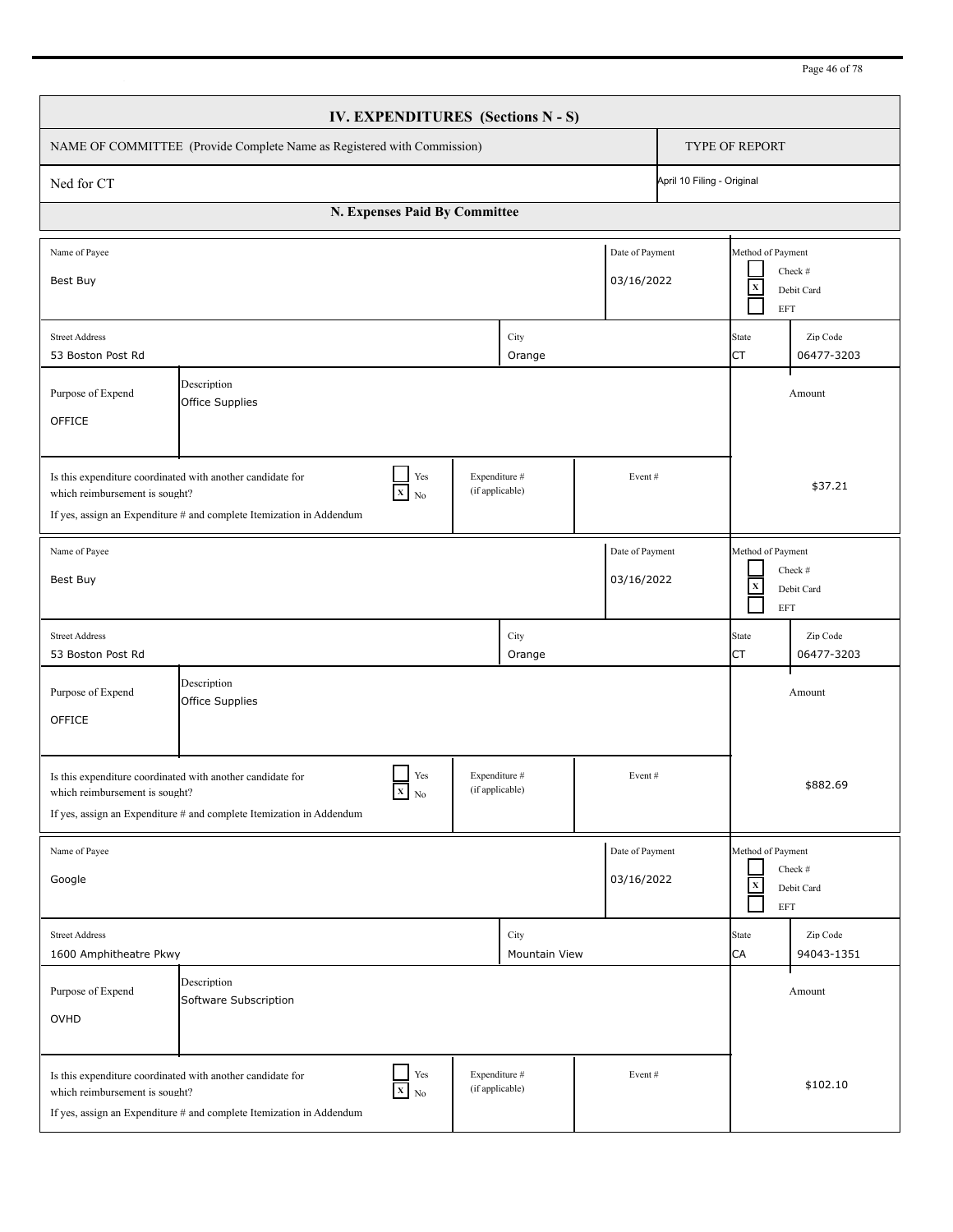| IV. EXPENDITURES (Sections N - S)                                                                                                                                                                                                   |                                      |  |                       |                                                                         |          |                                                          |                        |  |  |
|-------------------------------------------------------------------------------------------------------------------------------------------------------------------------------------------------------------------------------------|--------------------------------------|--|-----------------------|-------------------------------------------------------------------------|----------|----------------------------------------------------------|------------------------|--|--|
| NAME OF COMMITTEE (Provide Complete Name as Registered with Commission)                                                                                                                                                             |                                      |  |                       |                                                                         |          | TYPE OF REPORT                                           |                        |  |  |
| April 10 Filing - Original<br>Ned for CT                                                                                                                                                                                            |                                      |  |                       |                                                                         |          |                                                          |                        |  |  |
| N. Expenses Paid By Committee                                                                                                                                                                                                       |                                      |  |                       |                                                                         |          |                                                          |                        |  |  |
| Name of Payee<br>Best Buy                                                                                                                                                                                                           |                                      |  |                       | Date of Payment<br>03/16/2022                                           |          | Method of Payment<br>$\mathbf X$<br>EFT                  | Check #<br>Debit Card  |  |  |
| <b>Street Address</b><br>53 Boston Post Rd                                                                                                                                                                                          |                                      |  | City<br>Orange        |                                                                         |          | State<br>СT                                              | Zip Code<br>06477-3203 |  |  |
| Description<br>Purpose of Expend<br>Office Supplies<br>OFFICE                                                                                                                                                                       |                                      |  |                       |                                                                         |          | Amount                                                   |                        |  |  |
| Yes<br>Expenditure #<br>Is this expenditure coordinated with another candidate for<br>Event#<br>(if applicable)<br>$X$ No<br>which reimbursement is sought?<br>If yes, assign an Expenditure # and complete Itemization in Addendum |                                      |  |                       |                                                                         |          | \$37.21                                                  |                        |  |  |
| Date of Payment<br>Name of Payee<br>03/16/2022<br>Best Buy                                                                                                                                                                          |                                      |  |                       | Method of Payment<br>Check #<br>$\mathbf X$<br>Debit Card<br><b>EFT</b> |          |                                                          |                        |  |  |
| <b>Street Address</b><br>53 Boston Post Rd                                                                                                                                                                                          |                                      |  | City<br>Orange        |                                                                         |          | <b>State</b><br>CT                                       | Zip Code<br>06477-3203 |  |  |
| Purpose of Expend<br>OFFICE                                                                                                                                                                                                         | Description<br>Office Supplies       |  |                       |                                                                         |          |                                                          | Amount                 |  |  |
| Yes<br>Expenditure #<br>Event#<br>Is this expenditure coordinated with another candidate for<br>(if applicable)<br>$X_N$<br>which reimbursement is sought?<br>If yes, assign an Expenditure # and complete Itemization in Addendum  |                                      |  |                       |                                                                         | \$882.69 |                                                          |                        |  |  |
| Name of Payee<br>Google                                                                                                                                                                                                             |                                      |  |                       | Date of Payment<br>03/16/2022                                           |          | Method of Payment<br>$\mathbf x$<br>$\operatorname{EFT}$ | Check #<br>Debit Card  |  |  |
| <b>Street Address</b><br>1600 Amphitheatre Pkwy                                                                                                                                                                                     |                                      |  | City<br>Mountain View |                                                                         |          | <b>State</b><br>CA                                       | Zip Code<br>94043-1351 |  |  |
| Purpose of Expend<br>OVHD                                                                                                                                                                                                           | Description<br>Software Subscription |  |                       |                                                                         |          |                                                          | Amount                 |  |  |
| Yes<br>Expenditure #<br>Event#<br>Is this expenditure coordinated with another candidate for<br>$X$ No<br>(if applicable)<br>which reimbursement is sought?<br>If yes, assign an Expenditure # and complete Itemization in Addendum |                                      |  |                       |                                                                         | \$102.10 |                                                          |                        |  |  |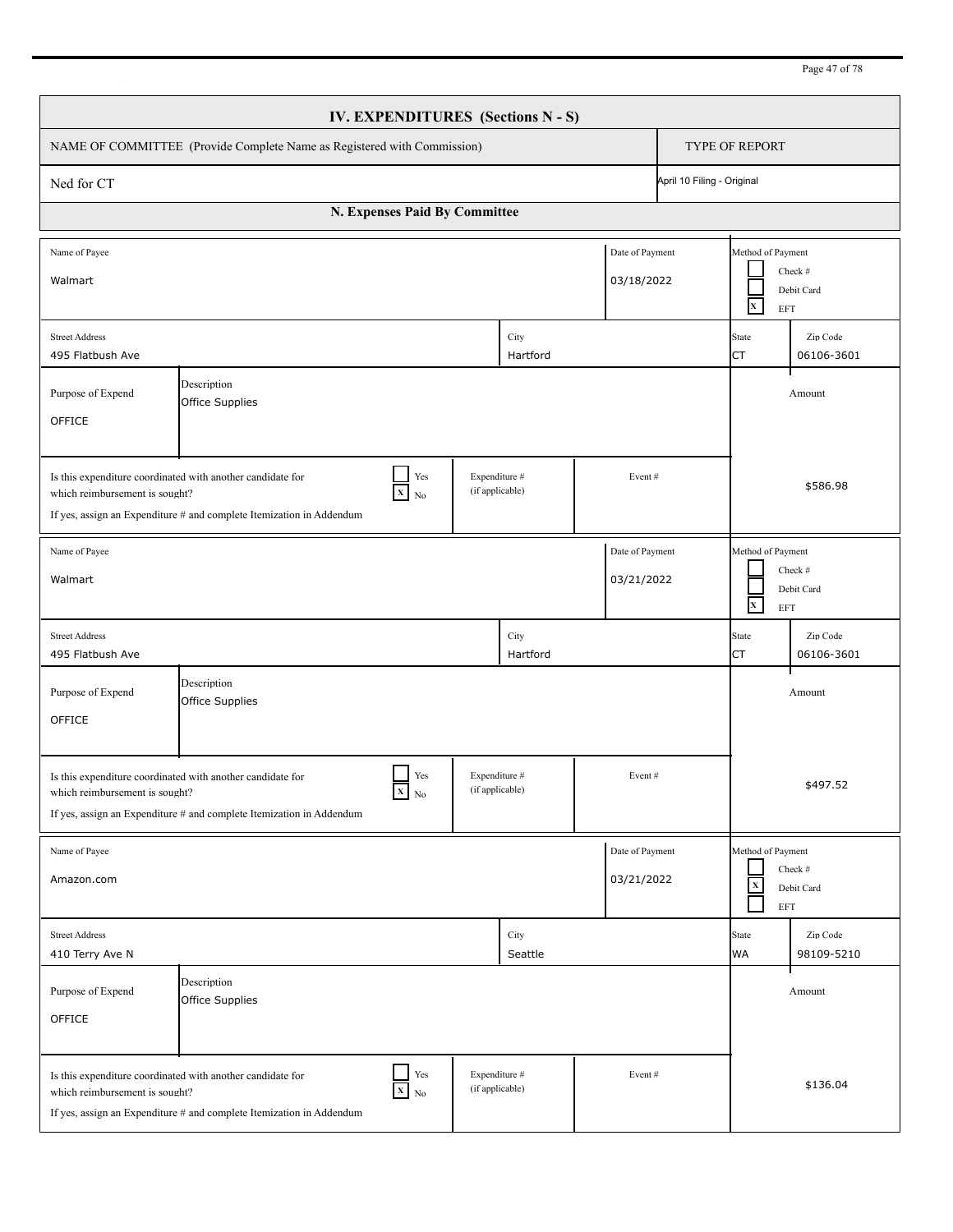| IV. EXPENDITURES (Sections N - S)                                                                                                                                                                                                          |                                |  |                  |  |                                                                          |                                                                                   |                        |  |  |
|--------------------------------------------------------------------------------------------------------------------------------------------------------------------------------------------------------------------------------------------|--------------------------------|--|------------------|--|--------------------------------------------------------------------------|-----------------------------------------------------------------------------------|------------------------|--|--|
| NAME OF COMMITTEE (Provide Complete Name as Registered with Commission)                                                                                                                                                                    |                                |  |                  |  |                                                                          | TYPE OF REPORT                                                                    |                        |  |  |
| April 10 Filing - Original<br>Ned for CT                                                                                                                                                                                                   |                                |  |                  |  |                                                                          |                                                                                   |                        |  |  |
| N. Expenses Paid By Committee                                                                                                                                                                                                              |                                |  |                  |  |                                                                          |                                                                                   |                        |  |  |
| Name of Payee<br>Date of Payment<br>03/18/2022<br>Walmart                                                                                                                                                                                  |                                |  |                  |  |                                                                          | Method of Payment<br>Check #<br>Debit Card<br>$\mathbf{x}$<br>EFT                 |                        |  |  |
| <b>Street Address</b><br>City<br>495 Flatbush Ave<br>Hartford                                                                                                                                                                              |                                |  |                  |  |                                                                          | <b>State</b><br>CT                                                                | Zip Code<br>06106-3601 |  |  |
| Description<br>Purpose of Expend<br>Office Supplies<br>OFFICE                                                                                                                                                                              |                                |  |                  |  |                                                                          |                                                                                   | Amount                 |  |  |
| Yes<br>Expenditure #<br>Is this expenditure coordinated with another candidate for<br>Event#<br>(if applicable)<br>$X$ No<br>which reimbursement is sought?<br>If yes, assign an Expenditure # and complete Itemization in Addendum        |                                |  |                  |  |                                                                          | \$586.98                                                                          |                        |  |  |
| Date of Payment<br>Name of Payee<br>03/21/2022<br>Walmart                                                                                                                                                                                  |                                |  |                  |  | Method of Payment<br>Check #<br>Debit Card<br>$\mathbf{x}$<br><b>EFT</b> |                                                                                   |                        |  |  |
| <b>Street Address</b><br>495 Flatbush Ave                                                                                                                                                                                                  |                                |  | City<br>Hartford |  |                                                                          | <b>State</b><br>CT                                                                | Zip Code<br>06106-3601 |  |  |
| Purpose of Expend<br>OFFICE                                                                                                                                                                                                                | Description<br>Office Supplies |  |                  |  |                                                                          |                                                                                   | Amount                 |  |  |
| Yes<br>Expenditure #<br>Event#<br>Is this expenditure coordinated with another candidate for<br>(if applicable)<br>$X_N$<br>which reimbursement is sought?<br>If yes, assign an Expenditure # and complete Itemization in Addendum         |                                |  |                  |  |                                                                          | \$497.52                                                                          |                        |  |  |
| Date of Payment<br>Name of Payee<br>03/21/2022<br>Amazon.com                                                                                                                                                                               |                                |  |                  |  |                                                                          | Method of Payment<br>Check #<br>$\mathbf x$<br>Debit Card<br>$\operatorname{EFT}$ |                        |  |  |
| <b>Street Address</b><br>410 Terry Ave N                                                                                                                                                                                                   |                                |  | City<br>Seattle  |  |                                                                          | <b>State</b><br><b>WA</b>                                                         | Zip Code<br>98109-5210 |  |  |
| Purpose of Expend<br>OFFICE                                                                                                                                                                                                                | Description<br>Office Supplies |  |                  |  |                                                                          |                                                                                   | Amount                 |  |  |
| $\Box$ Yes<br>Expenditure #<br>Event#<br>Is this expenditure coordinated with another candidate for<br>$X$ No<br>(if applicable)<br>which reimbursement is sought?<br>If yes, assign an Expenditure # and complete Itemization in Addendum |                                |  |                  |  | \$136.04                                                                 |                                                                                   |                        |  |  |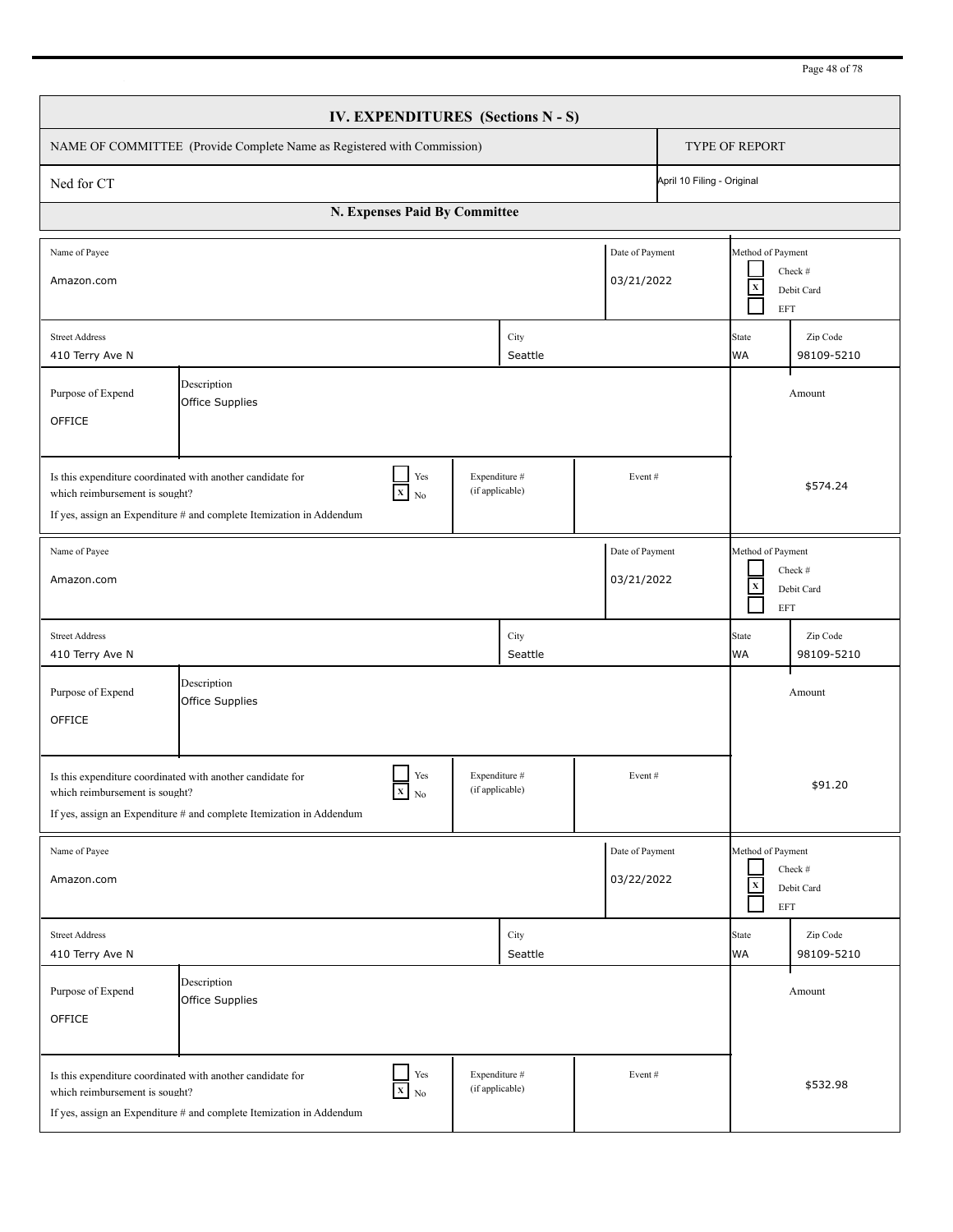| Page 48 of 78 |  |  |
|---------------|--|--|
|               |  |  |

| IV. EXPENDITURES (Sections N - S)                                                                                                                                                                                                              |                                                                                                                                                                                                                                     |                                  |                 |        |                                                                         |                                                                         |                        |  |
|------------------------------------------------------------------------------------------------------------------------------------------------------------------------------------------------------------------------------------------------|-------------------------------------------------------------------------------------------------------------------------------------------------------------------------------------------------------------------------------------|----------------------------------|-----------------|--------|-------------------------------------------------------------------------|-------------------------------------------------------------------------|------------------------|--|
| NAME OF COMMITTEE (Provide Complete Name as Registered with Commission)                                                                                                                                                                        |                                                                                                                                                                                                                                     |                                  |                 |        |                                                                         | <b>TYPE OF REPORT</b>                                                   |                        |  |
| April 10 Filing - Original<br>Ned for CT                                                                                                                                                                                                       |                                                                                                                                                                                                                                     |                                  |                 |        |                                                                         |                                                                         |                        |  |
| N. Expenses Paid By Committee                                                                                                                                                                                                                  |                                                                                                                                                                                                                                     |                                  |                 |        |                                                                         |                                                                         |                        |  |
| Date of Payment<br>Name of Payee<br>03/21/2022<br>Amazon.com                                                                                                                                                                                   |                                                                                                                                                                                                                                     |                                  |                 |        |                                                                         | Method of Payment<br>Check #<br>$\mathbf x$<br>Debit Card<br><b>EFT</b> |                        |  |
| City<br><b>Street Address</b><br>Seattle<br>410 Terry Ave N                                                                                                                                                                                    |                                                                                                                                                                                                                                     |                                  |                 |        | Zip Code<br><b>State</b><br><b>WA</b><br>98109-5210                     |                                                                         |                        |  |
| Description<br>Purpose of Expend<br>Office Supplies<br>OFFICE                                                                                                                                                                                  |                                                                                                                                                                                                                                     |                                  |                 |        |                                                                         |                                                                         | Amount                 |  |
| Yes<br>Expenditure #<br>Is this expenditure coordinated with another candidate for<br>Event#<br>$\mathbf{X}$ No<br>(if applicable)<br>which reimbursement is sought?<br>If yes, assign an Expenditure $#$ and complete Itemization in Addendum |                                                                                                                                                                                                                                     |                                  |                 |        |                                                                         | \$574.24                                                                |                        |  |
| Name of Payee<br>Date of Payment<br>03/21/2022<br>Amazon.com                                                                                                                                                                                   |                                                                                                                                                                                                                                     |                                  |                 |        | Method of Payment<br>Check #<br>$\mathbf x$<br>Debit Card<br><b>EFT</b> |                                                                         |                        |  |
| <b>Street Address</b><br>410 Terry Ave N                                                                                                                                                                                                       |                                                                                                                                                                                                                                     |                                  | City<br>Seattle |        |                                                                         | <b>State</b><br><b>WA</b>                                               | Zip Code<br>98109-5210 |  |
| Purpose of Expend<br>OFFICE                                                                                                                                                                                                                    | Description<br>Office Supplies                                                                                                                                                                                                      |                                  |                 |        |                                                                         |                                                                         | Amount                 |  |
|                                                                                                                                                                                                                                                | Yes<br>Expenditure #<br>Event#<br>Is this expenditure coordinated with another candidate for<br>(if applicable)<br>$X$ No<br>which reimbursement is sought?<br>If yes, assign an Expenditure # and complete Itemization in Addendum |                                  |                 |        |                                                                         |                                                                         | \$91.20                |  |
| Date of Payment<br>Name of Payee<br>03/22/2022<br>Amazon.com                                                                                                                                                                                   |                                                                                                                                                                                                                                     |                                  |                 |        |                                                                         | Method of Payment<br>Check #<br>$\mathbf x$<br>Debit Card<br><b>EFT</b> |                        |  |
| <b>Street Address</b><br>410 Terry Ave N                                                                                                                                                                                                       |                                                                                                                                                                                                                                     |                                  | City<br>Seattle |        |                                                                         | <b>State</b><br><b>WA</b>                                               | Zip Code<br>98109-5210 |  |
| Purpose of Expend<br>OFFICE                                                                                                                                                                                                                    | Description<br>Office Supplies                                                                                                                                                                                                      |                                  |                 |        |                                                                         |                                                                         | Amount                 |  |
| which reimbursement is sought?                                                                                                                                                                                                                 | $\operatorname{Yes}$<br>Is this expenditure coordinated with another candidate for<br>$\overline{\mathbf{x}}$ No<br>If yes, assign an Expenditure # and complete Itemization in Addendum                                            | Expenditure #<br>(if applicable) |                 | Event# |                                                                         |                                                                         | \$532.98               |  |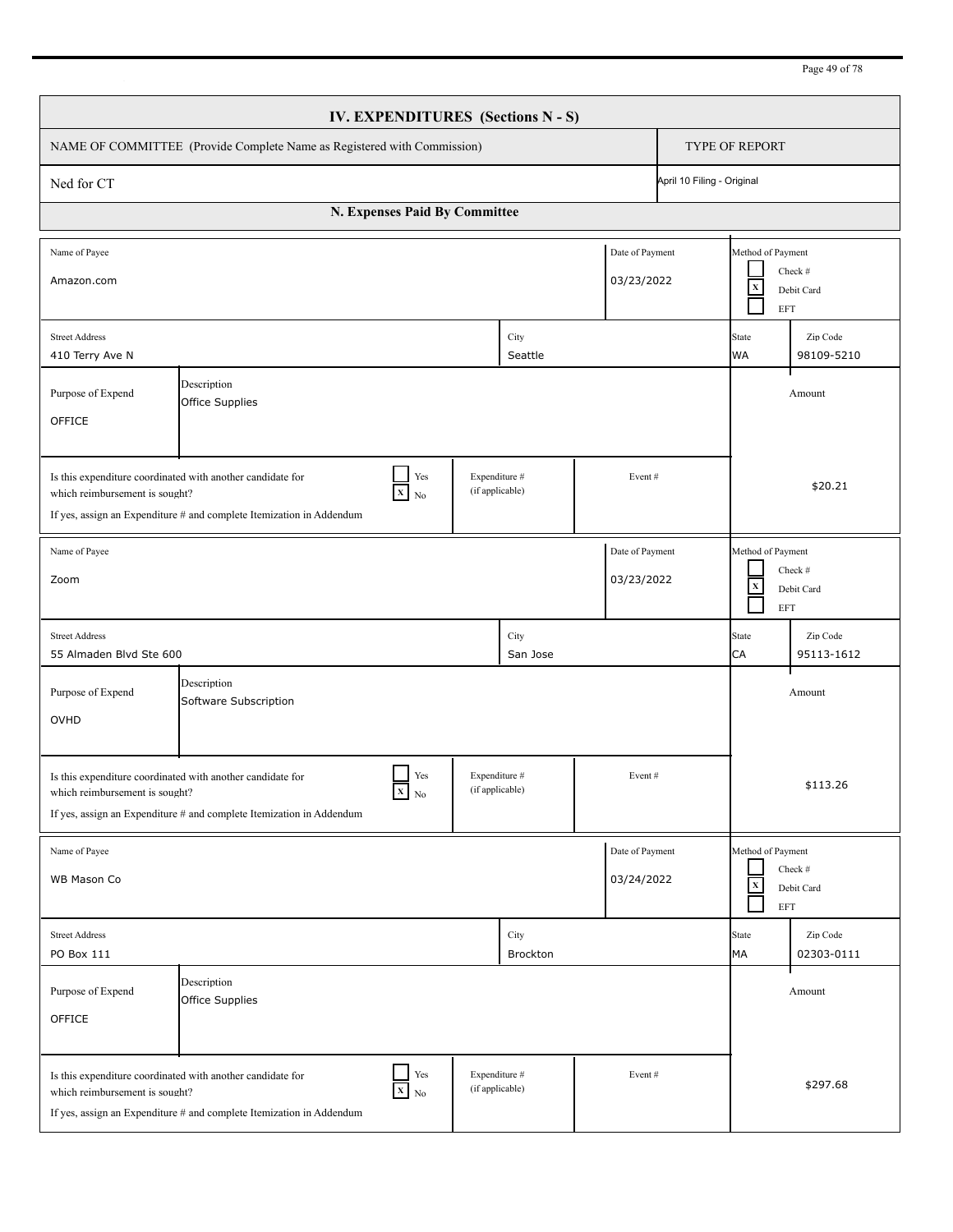| IV. EXPENDITURES (Sections N - S)                                                                                                                                                                                                   |                                                                                                                                                            |  |                                  |                               |                                                                                   |                                         |                        |  |
|-------------------------------------------------------------------------------------------------------------------------------------------------------------------------------------------------------------------------------------|------------------------------------------------------------------------------------------------------------------------------------------------------------|--|----------------------------------|-------------------------------|-----------------------------------------------------------------------------------|-----------------------------------------|------------------------|--|
| NAME OF COMMITTEE (Provide Complete Name as Registered with Commission)                                                                                                                                                             |                                                                                                                                                            |  |                                  |                               |                                                                                   | TYPE OF REPORT                          |                        |  |
| Ned for CT                                                                                                                                                                                                                          | April 10 Filing - Original                                                                                                                                 |  |                                  |                               |                                                                                   |                                         |                        |  |
| N. Expenses Paid By Committee                                                                                                                                                                                                       |                                                                                                                                                            |  |                                  |                               |                                                                                   |                                         |                        |  |
| Name of Payee<br>Amazon.com                                                                                                                                                                                                         |                                                                                                                                                            |  |                                  | Date of Payment<br>03/23/2022 |                                                                                   | Method of Payment<br>$\mathbf X$<br>EFT | Check #<br>Debit Card  |  |
| <b>Street Address</b><br>410 Terry Ave N                                                                                                                                                                                            |                                                                                                                                                            |  | City<br>Seattle                  |                               |                                                                                   | <b>State</b><br><b>WA</b>               | Zip Code<br>98109-5210 |  |
| Purpose of Expend<br>OFFICE                                                                                                                                                                                                         | Description<br>Office Supplies                                                                                                                             |  |                                  |                               |                                                                                   |                                         | Amount                 |  |
| Yes<br>Expenditure #<br>Is this expenditure coordinated with another candidate for<br>Event#<br>(if applicable)<br>$X$ No<br>which reimbursement is sought?<br>If yes, assign an Expenditure # and complete Itemization in Addendum |                                                                                                                                                            |  |                                  |                               |                                                                                   |                                         | \$20.21                |  |
| Date of Payment<br>Name of Payee<br>03/23/2022<br>Zoom                                                                                                                                                                              |                                                                                                                                                            |  |                                  |                               | Method of Payment<br>$\mathbf X$<br><b>EFT</b>                                    | Check #<br>Debit Card                   |                        |  |
| <b>Street Address</b><br>55 Almaden Blvd Ste 600                                                                                                                                                                                    |                                                                                                                                                            |  | City<br>San Jose                 |                               |                                                                                   | <b>State</b><br>CA                      | Zip Code<br>95113-1612 |  |
| Purpose of Expend<br>OVHD                                                                                                                                                                                                           | Description<br>Software Subscription                                                                                                                       |  |                                  |                               |                                                                                   |                                         | Amount                 |  |
| Yes<br>Expenditure #<br>Event#<br>Is this expenditure coordinated with another candidate for<br>(if applicable)<br>$X$ No<br>which reimbursement is sought?<br>If yes, assign an Expenditure # and complete Itemization in Addendum |                                                                                                                                                            |  |                                  |                               |                                                                                   |                                         | \$113.26               |  |
| Date of Payment<br>Name of Payee<br>03/24/2022<br>WB Mason Co                                                                                                                                                                       |                                                                                                                                                            |  |                                  |                               | Method of Payment<br>Check #<br>$\mathbf x$<br>Debit Card<br>$\operatorname{EFT}$ |                                         |                        |  |
| <b>Street Address</b><br>PO Box 111                                                                                                                                                                                                 |                                                                                                                                                            |  | City<br>Brockton                 |                               |                                                                                   | <b>State</b><br>MA                      | Zip Code<br>02303-0111 |  |
| Purpose of Expend<br>OFFICE                                                                                                                                                                                                         | Description<br>Office Supplies                                                                                                                             |  |                                  |                               |                                                                                   |                                         | Amount                 |  |
| which reimbursement is sought?                                                                                                                                                                                                      | $\Box$ Yes<br>Is this expenditure coordinated with another candidate for<br>$X$ No<br>If yes, assign an Expenditure # and complete Itemization in Addendum |  | Expenditure #<br>(if applicable) | Event#                        |                                                                                   |                                         | \$297.68               |  |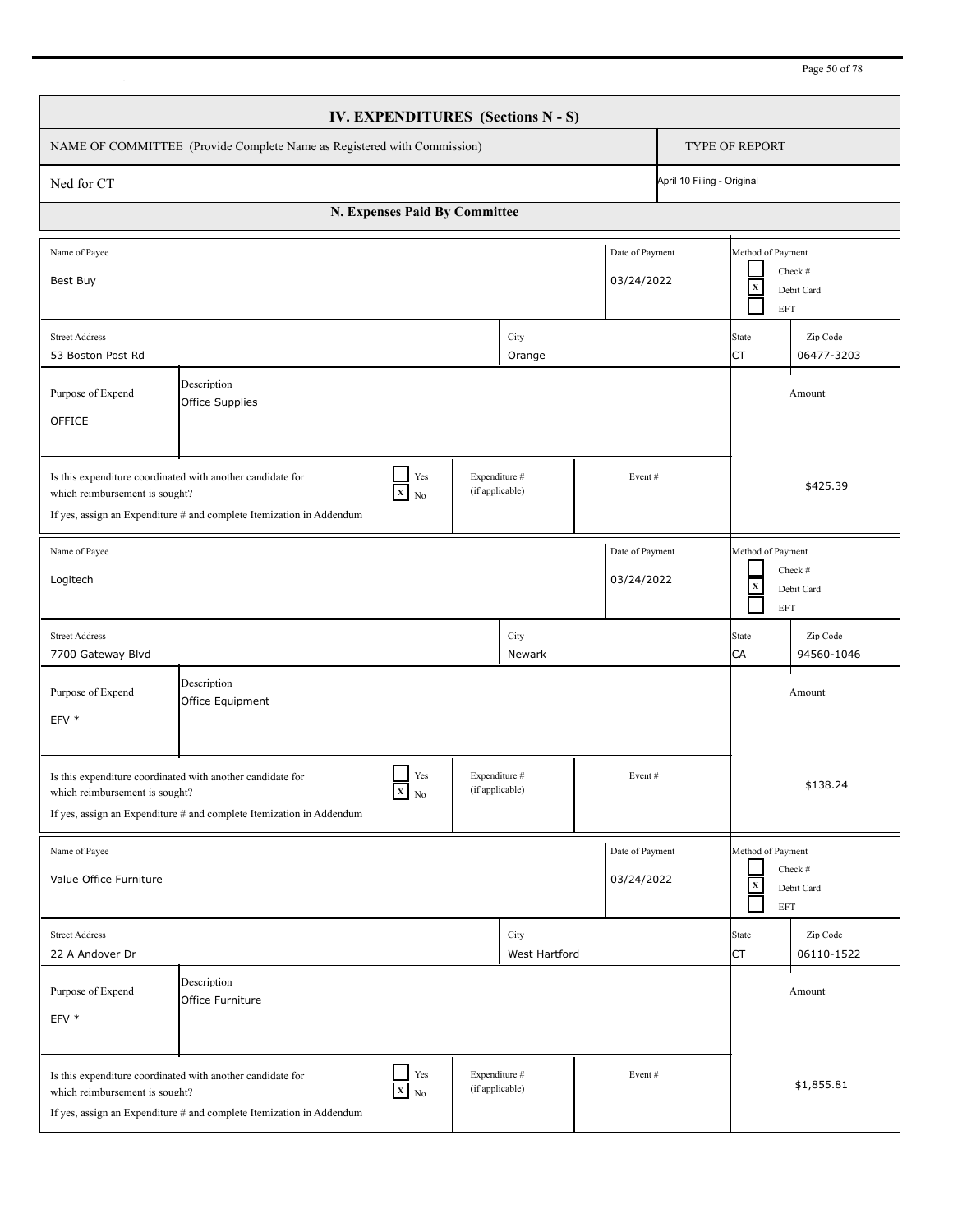| IV. EXPENDITURES (Sections N - S)                                                                                                                                                                                                   |                                                                                                                                              |     |                                  |                               |                                                |                                                          |                        |  |
|-------------------------------------------------------------------------------------------------------------------------------------------------------------------------------------------------------------------------------------|----------------------------------------------------------------------------------------------------------------------------------------------|-----|----------------------------------|-------------------------------|------------------------------------------------|----------------------------------------------------------|------------------------|--|
| NAME OF COMMITTEE (Provide Complete Name as Registered with Commission)                                                                                                                                                             |                                                                                                                                              |     |                                  |                               |                                                | TYPE OF REPORT                                           |                        |  |
| Ned for CT                                                                                                                                                                                                                          |                                                                                                                                              |     |                                  |                               | April 10 Filing - Original                     |                                                          |                        |  |
| N. Expenses Paid By Committee                                                                                                                                                                                                       |                                                                                                                                              |     |                                  |                               |                                                |                                                          |                        |  |
| Name of Payee<br>Best Buy                                                                                                                                                                                                           |                                                                                                                                              |     |                                  | Date of Payment<br>03/24/2022 |                                                | Method of Payment<br>$\mathbf X$<br>EFT                  | Check #<br>Debit Card  |  |
| <b>Street Address</b><br>53 Boston Post Rd                                                                                                                                                                                          |                                                                                                                                              |     | City<br>Orange                   |                               |                                                | State<br>CT                                              | Zip Code<br>06477-3203 |  |
| Purpose of Expend<br>OFFICE                                                                                                                                                                                                         | Description<br>Office Supplies                                                                                                               |     |                                  |                               |                                                |                                                          | Amount                 |  |
| Yes<br>Expenditure #<br>Is this expenditure coordinated with another candidate for<br>Event#<br>(if applicable)<br>$X$ No<br>which reimbursement is sought?<br>If yes, assign an Expenditure # and complete Itemization in Addendum |                                                                                                                                              |     |                                  |                               |                                                |                                                          | \$425.39               |  |
| Date of Payment<br>Name of Payee<br>03/24/2022<br>Logitech                                                                                                                                                                          |                                                                                                                                              |     |                                  |                               | Method of Payment<br>$\mathbf X$<br><b>EFT</b> | Check #<br>Debit Card                                    |                        |  |
| <b>Street Address</b><br>7700 Gateway Blvd                                                                                                                                                                                          |                                                                                                                                              |     | City<br>Newark                   |                               |                                                | <b>State</b><br>CA                                       | Zip Code<br>94560-1046 |  |
| Purpose of Expend<br>EFV *                                                                                                                                                                                                          | Description<br>Office Equipment                                                                                                              |     |                                  |                               |                                                |                                                          | Amount                 |  |
| Yes<br>Expenditure #<br>Event#<br>Is this expenditure coordinated with another candidate for<br>(if applicable)<br>$X_N$<br>which reimbursement is sought?<br>If yes, assign an Expenditure # and complete Itemization in Addendum  |                                                                                                                                              |     |                                  |                               |                                                |                                                          | \$138.24               |  |
| Name of Payee<br>Value Office Furniture                                                                                                                                                                                             |                                                                                                                                              |     |                                  | Date of Payment<br>03/24/2022 |                                                | Method of Payment<br>$\mathbf x$<br>$\operatorname{EFT}$ | Check #<br>Debit Card  |  |
| <b>Street Address</b><br>22 A Andover Dr                                                                                                                                                                                            |                                                                                                                                              |     | City<br>West Hartford            |                               |                                                | <b>State</b><br><b>CT</b>                                | Zip Code<br>06110-1522 |  |
| Purpose of Expend<br>EFV *                                                                                                                                                                                                          | Description<br>Office Furniture                                                                                                              |     |                                  |                               |                                                |                                                          | Amount                 |  |
| which reimbursement is sought?                                                                                                                                                                                                      | Is this expenditure coordinated with another candidate for<br>$X$ No<br>If yes, assign an Expenditure # and complete Itemization in Addendum | Yes | Expenditure #<br>(if applicable) | Event#                        |                                                |                                                          | \$1,855.81             |  |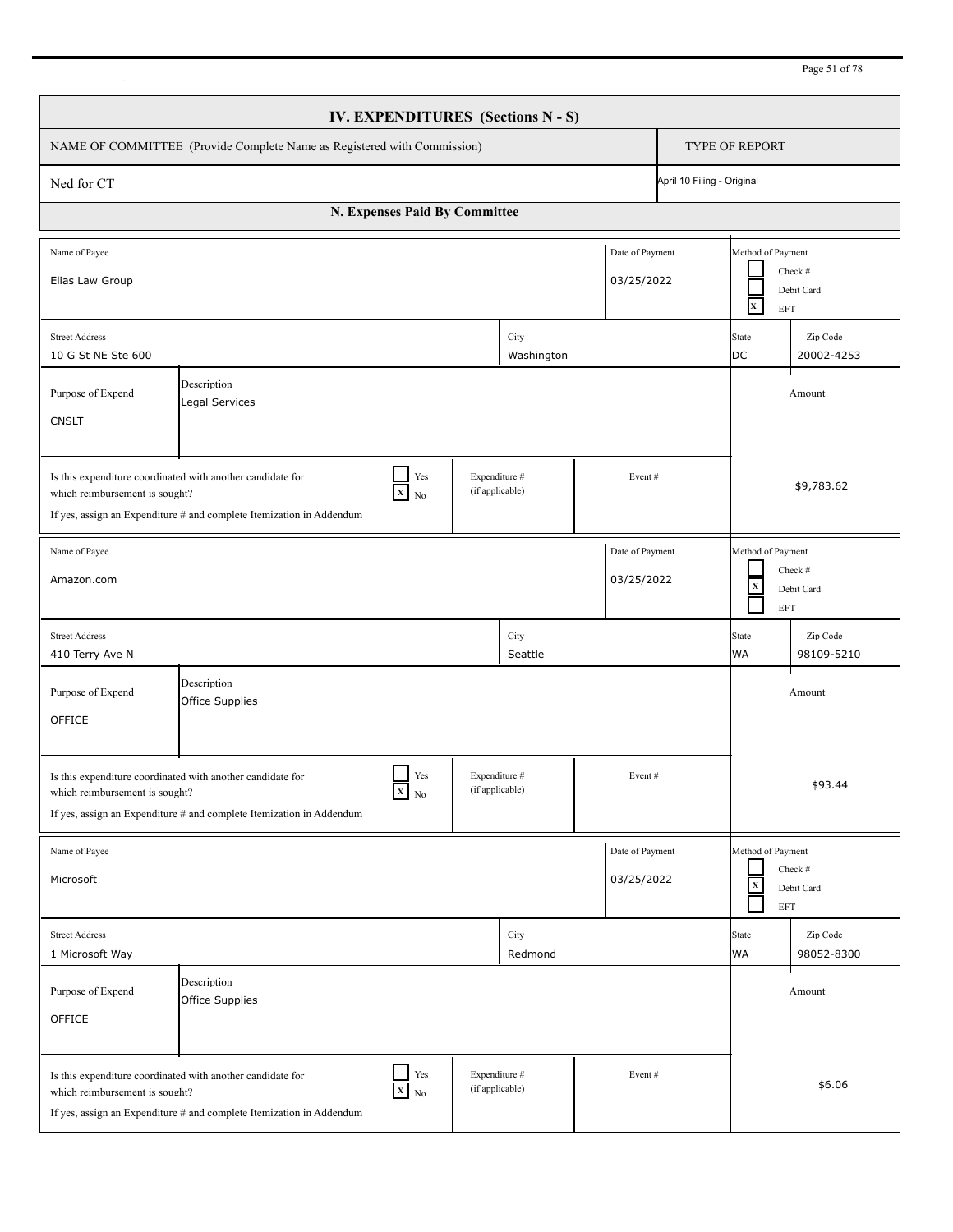| Page 51 of 78 |  |  |
|---------------|--|--|
|               |  |  |

| <b>IV. EXPENDITURES</b> (Sections N - S)                                                                                                                                                                                                     |                                                                                                                                                                                |                                  |                    |                                                                         |                            |                                                          |                        |  |
|----------------------------------------------------------------------------------------------------------------------------------------------------------------------------------------------------------------------------------------------|--------------------------------------------------------------------------------------------------------------------------------------------------------------------------------|----------------------------------|--------------------|-------------------------------------------------------------------------|----------------------------|----------------------------------------------------------|------------------------|--|
| NAME OF COMMITTEE (Provide Complete Name as Registered with Commission)                                                                                                                                                                      |                                                                                                                                                                                |                                  |                    |                                                                         |                            | <b>TYPE OF REPORT</b>                                    |                        |  |
| Ned for CT                                                                                                                                                                                                                                   |                                                                                                                                                                                |                                  |                    |                                                                         | April 10 Filing - Original |                                                          |                        |  |
| N. Expenses Paid By Committee                                                                                                                                                                                                                |                                                                                                                                                                                |                                  |                    |                                                                         |                            |                                                          |                        |  |
| Name of Payee<br>Elias Law Group                                                                                                                                                                                                             |                                                                                                                                                                                |                                  |                    | Date of Payment<br>03/25/2022                                           |                            | Method of Payment<br>$\mathbf{x}$<br><b>EFT</b>          | Check #<br>Debit Card  |  |
| <b>Street Address</b><br>10 G St NE Ste 600                                                                                                                                                                                                  |                                                                                                                                                                                |                                  | City<br>Washington |                                                                         |                            | State<br><b>DC</b>                                       | Zip Code<br>20002-4253 |  |
| Purpose of Expend<br><b>CNSLT</b>                                                                                                                                                                                                            | Description<br>Legal Services                                                                                                                                                  |                                  |                    |                                                                         |                            |                                                          | Amount                 |  |
| Expenditure #<br>Yes<br>Is this expenditure coordinated with another candidate for<br>Event#<br>(if applicable)<br>$X$ No<br>which reimbursement is sought?<br>If yes, assign an Expenditure # and complete Itemization in Addendum          |                                                                                                                                                                                |                                  |                    |                                                                         |                            | \$9,783.62                                               |                        |  |
| Name of Payee<br>Date of Payment<br>03/25/2022<br>Amazon.com                                                                                                                                                                                 |                                                                                                                                                                                |                                  |                    | Method of Payment<br>Check #<br>$\mathbf x$<br>Debit Card<br><b>EFT</b> |                            |                                                          |                        |  |
| <b>Street Address</b><br>410 Terry Ave N                                                                                                                                                                                                     |                                                                                                                                                                                |                                  | City<br>Seattle    |                                                                         |                            | State<br><b>WA</b>                                       | Zip Code<br>98109-5210 |  |
| Purpose of Expend<br>OFFICE                                                                                                                                                                                                                  | Description<br>Office Supplies                                                                                                                                                 |                                  |                    |                                                                         |                            |                                                          | Amount                 |  |
| Yes<br>Expenditure #<br>Event#<br>Is this expenditure coordinated with another candidate for<br>$\mathbf{X}$ No<br>(if applicable)<br>which reimbursement is sought?<br>If yes, assign an Expenditure # and complete Itemization in Addendum |                                                                                                                                                                                |                                  |                    |                                                                         |                            |                                                          | \$93.44                |  |
| Name of Payee<br>Microsoft                                                                                                                                                                                                                   |                                                                                                                                                                                |                                  |                    | Date of Payment<br>03/25/2022                                           |                            | Method of Payment<br>$\mathbf x$<br>$\operatorname{EFT}$ | Check #<br>Debit Card  |  |
| <b>Street Address</b><br>1 Microsoft Way                                                                                                                                                                                                     |                                                                                                                                                                                |                                  | City<br>Redmond    |                                                                         |                            | State<br>WA                                              | Zip Code<br>98052-8300 |  |
| Purpose of Expend<br>OFFICE                                                                                                                                                                                                                  | Description<br>Office Supplies                                                                                                                                                 |                                  |                    |                                                                         |                            |                                                          | Amount                 |  |
| which reimbursement is sought?                                                                                                                                                                                                               | $\Box$ Yes<br>Is this expenditure coordinated with another candidate for<br>$\overline{\mathbf{x}}$ No<br>If yes, assign an Expenditure # and complete Itemization in Addendum | Expenditure #<br>(if applicable) |                    | Event#                                                                  |                            |                                                          | \$6.06                 |  |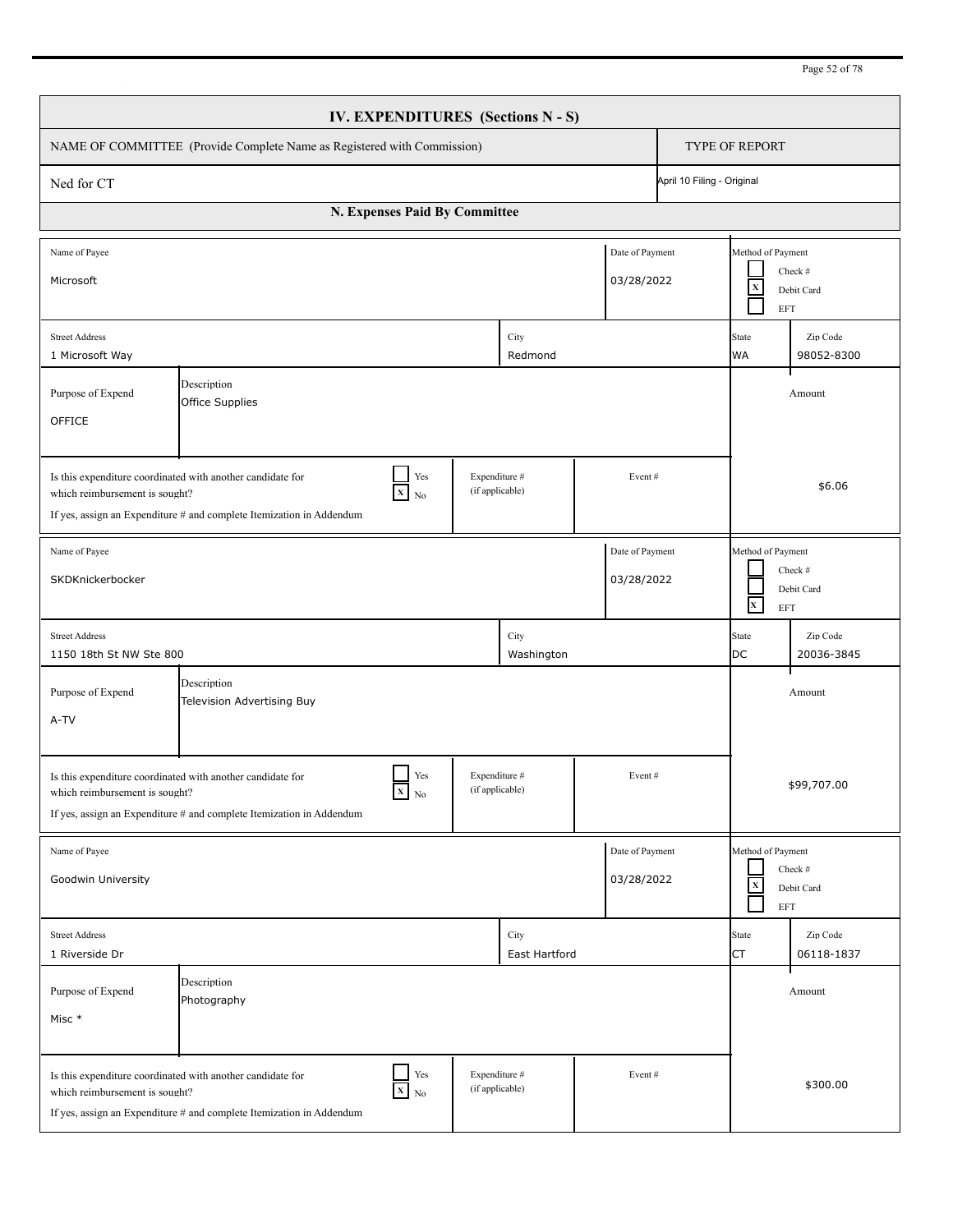| Page 52 of 78 |  |  |
|---------------|--|--|
|               |  |  |

| IV. EXPENDITURES (Sections N - S)                                                                                                                                                                                                            |                                                                                                                                                                                |  |                                  |                               |                                                   |                                                          |                        |  |
|----------------------------------------------------------------------------------------------------------------------------------------------------------------------------------------------------------------------------------------------|--------------------------------------------------------------------------------------------------------------------------------------------------------------------------------|--|----------------------------------|-------------------------------|---------------------------------------------------|----------------------------------------------------------|------------------------|--|
| NAME OF COMMITTEE (Provide Complete Name as Registered with Commission)                                                                                                                                                                      |                                                                                                                                                                                |  |                                  |                               |                                                   | <b>TYPE OF REPORT</b>                                    |                        |  |
| Ned for CT                                                                                                                                                                                                                                   |                                                                                                                                                                                |  |                                  |                               | April 10 Filing - Original                        |                                                          |                        |  |
| N. Expenses Paid By Committee                                                                                                                                                                                                                |                                                                                                                                                                                |  |                                  |                               |                                                   |                                                          |                        |  |
| Name of Payee<br>Microsoft                                                                                                                                                                                                                   |                                                                                                                                                                                |  |                                  | Date of Payment<br>03/28/2022 |                                                   | Method of Payment<br>$\mathbf x$<br><b>EFT</b>           | Check #<br>Debit Card  |  |
| <b>Street Address</b><br>1 Microsoft Way                                                                                                                                                                                                     |                                                                                                                                                                                |  | City<br>Redmond                  |                               |                                                   | State<br><b>WA</b>                                       | Zip Code<br>98052-8300 |  |
| Purpose of Expend<br>OFFICE                                                                                                                                                                                                                  | Description<br>Office Supplies                                                                                                                                                 |  |                                  |                               |                                                   |                                                          | Amount                 |  |
| Expenditure #<br>Yes<br>Is this expenditure coordinated with another candidate for<br>Event#<br>(if applicable)<br>$X$ No<br>which reimbursement is sought?<br>If yes, assign an Expenditure # and complete Itemization in Addendum          |                                                                                                                                                                                |  |                                  |                               |                                                   | \$6.06                                                   |                        |  |
| Name of Payee<br>Date of Payment<br>03/28/2022<br>SKDKnickerbocker                                                                                                                                                                           |                                                                                                                                                                                |  |                                  |                               | Method of Payment<br>$\mathbf{x}^-$<br><b>EFT</b> | Check #<br>Debit Card                                    |                        |  |
| <b>Street Address</b><br>1150 18th St NW Ste 800                                                                                                                                                                                             |                                                                                                                                                                                |  | City<br>Washington               |                               |                                                   | State<br>DC                                              | Zip Code<br>20036-3845 |  |
| Purpose of Expend<br>A-TV                                                                                                                                                                                                                    | Description<br>Television Advertising Buy                                                                                                                                      |  |                                  |                               |                                                   |                                                          | Amount                 |  |
| Yes<br>Expenditure #<br>Event#<br>Is this expenditure coordinated with another candidate for<br>$\mathbf{X}$ No<br>(if applicable)<br>which reimbursement is sought?<br>If yes, assign an Expenditure # and complete Itemization in Addendum |                                                                                                                                                                                |  |                                  |                               |                                                   |                                                          | \$99,707.00            |  |
| Name of Payee<br>Goodwin University                                                                                                                                                                                                          |                                                                                                                                                                                |  |                                  | Date of Payment<br>03/28/2022 |                                                   | Method of Payment<br>$\mathbf x$<br>$\operatorname{EFT}$ | Check #<br>Debit Card  |  |
| <b>Street Address</b><br>1 Riverside Dr                                                                                                                                                                                                      |                                                                                                                                                                                |  | City<br>East Hartford            |                               |                                                   | State<br>CT                                              | Zip Code<br>06118-1837 |  |
| Purpose of Expend<br>Misc *                                                                                                                                                                                                                  | Description<br>Photography                                                                                                                                                     |  |                                  |                               |                                                   |                                                          | Amount                 |  |
| which reimbursement is sought?                                                                                                                                                                                                               | $\Box$ Yes<br>Is this expenditure coordinated with another candidate for<br>$\overline{\mathbf{x}}$ No<br>If yes, assign an Expenditure # and complete Itemization in Addendum |  | Expenditure #<br>(if applicable) | Event#                        |                                                   |                                                          | \$300.00               |  |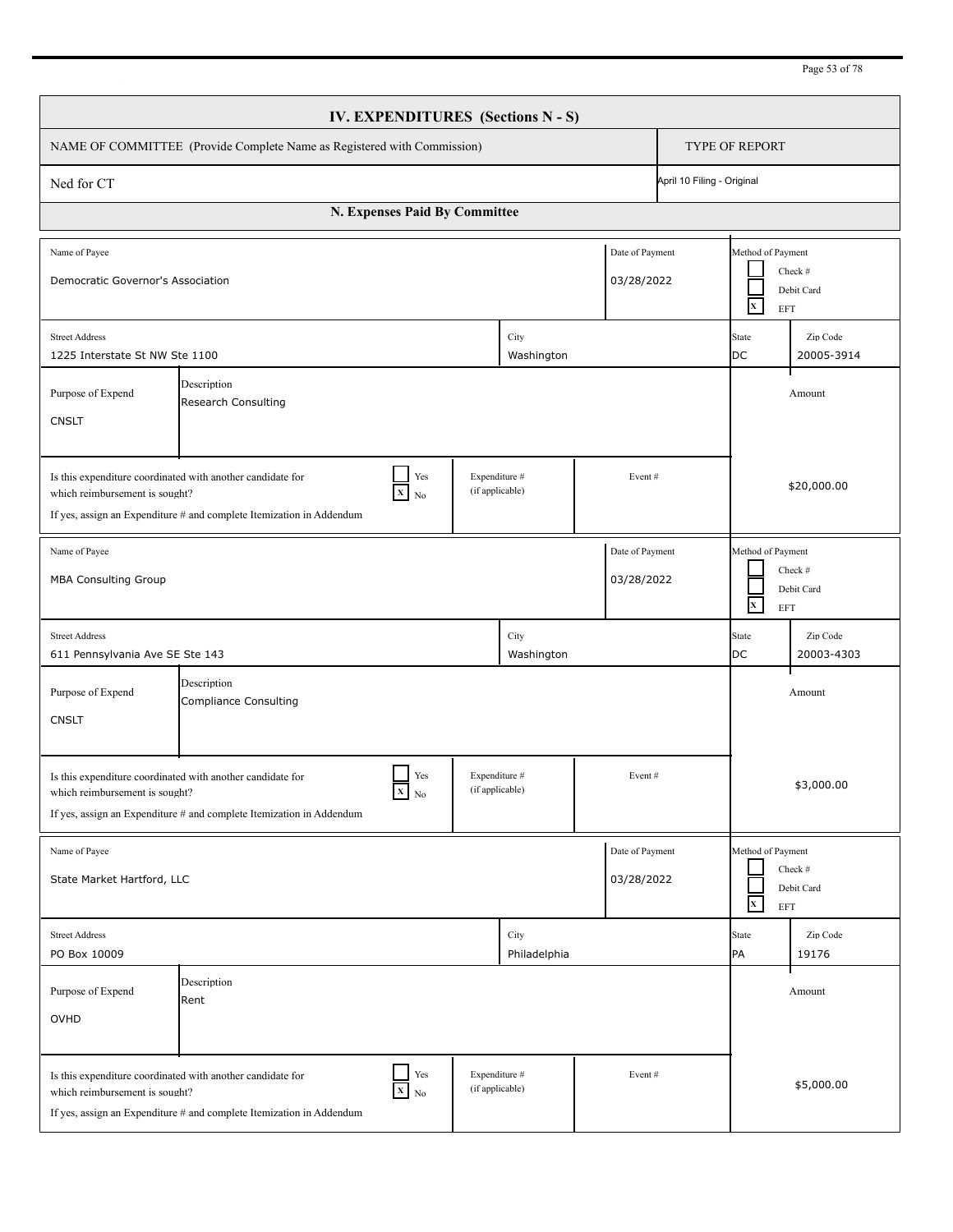| Page 53 of 78 |  |  |
|---------------|--|--|
|               |  |  |

| <b>IV. EXPENDITURES</b> (Sections N - S)                                                                                                                                                                                                                                             |                                                                                       |                 |                      |         |                                                                   |                        |                                                                   |  |  |
|--------------------------------------------------------------------------------------------------------------------------------------------------------------------------------------------------------------------------------------------------------------------------------------|---------------------------------------------------------------------------------------|-----------------|----------------------|---------|-------------------------------------------------------------------|------------------------|-------------------------------------------------------------------|--|--|
| NAME OF COMMITTEE (Provide Complete Name as Registered with Commission)                                                                                                                                                                                                              |                                                                                       |                 |                      |         |                                                                   |                        | <b>TYPE OF REPORT</b>                                             |  |  |
| Ned for CT                                                                                                                                                                                                                                                                           |                                                                                       |                 |                      |         | April 10 Filing - Original                                        |                        |                                                                   |  |  |
| N. Expenses Paid By Committee                                                                                                                                                                                                                                                        |                                                                                       |                 |                      |         |                                                                   |                        |                                                                   |  |  |
| Name of Payee                                                                                                                                                                                                                                                                        | Date of Payment<br>Democratic Governor's Association<br>03/28/2022                    |                 |                      |         |                                                                   |                        | Method of Payment<br>Check #<br>Debit Card<br>$\mathbf{X}$<br>EFT |  |  |
| <b>Street Address</b><br>1225 Interstate St NW Ste 1100                                                                                                                                                                                                                              |                                                                                       |                 | City<br>Washington   |         |                                                                   | State<br>DC            | Zip Code<br>20005-3914                                            |  |  |
| Description<br>Purpose of Expend<br>Amount<br>Research Consulting<br><b>CNSLT</b>                                                                                                                                                                                                    |                                                                                       |                 |                      |         |                                                                   |                        |                                                                   |  |  |
| Yes<br>Expenditure #<br>Is this expenditure coordinated with another candidate for<br>Event#<br>(if applicable)<br>$\overline{\mathbf{x}}$ No<br>which reimbursement is sought?<br>If yes, assign an Expenditure $#$ and complete Itemization in Addendum                            |                                                                                       |                 |                      |         |                                                                   |                        | \$20,000.00                                                       |  |  |
| Date of Payment<br>Name of Payee<br><b>MBA Consulting Group</b><br>03/28/2022                                                                                                                                                                                                        |                                                                                       |                 |                      |         | Method of Payment<br>Check #<br>Debit Card<br>$\mathbf{x}$<br>EFT |                        |                                                                   |  |  |
| City<br><b>Street Address</b><br>Washington<br>611 Pennsylvania Ave SE Ste 143                                                                                                                                                                                                       |                                                                                       |                 |                      |         | State<br>DC                                                       | Zip Code<br>20003-4303 |                                                                   |  |  |
| Purpose of Expend<br><b>CNSLT</b>                                                                                                                                                                                                                                                    | Description<br>Compliance Consulting                                                  |                 |                      |         |                                                                   |                        | Amount                                                            |  |  |
| Yes<br>Expenditure #<br>Event#<br>Is this expenditure coordinated with another candidate for<br>$\boldsymbol{\mathrm{x}}$ $\boldsymbol{\mathrm{_{No}}}$<br>(if applicable)<br>which reimbursement is sought?<br>If yes, assign an Expenditure # and complete Itemization in Addendum |                                                                                       |                 |                      |         |                                                                   |                        | \$3,000.00                                                        |  |  |
| Date of Payment<br>Name of Payee<br>03/28/2022<br>State Market Hartford, LLC                                                                                                                                                                                                         |                                                                                       |                 |                      |         | Method of Payment<br>Check #<br>Debit Card<br>$\mathbf{x}$<br>EFT |                        |                                                                   |  |  |
| <b>Street Address</b><br>PO Box 10009                                                                                                                                                                                                                                                |                                                                                       |                 | City<br>Philadelphia |         |                                                                   | State<br>PA            | Zip Code<br>19176                                                 |  |  |
| Purpose of Expend<br>OVHD                                                                                                                                                                                                                                                            | Description<br>Rent                                                                   |                 |                      |         |                                                                   |                        | Amount                                                            |  |  |
| Is this expenditure coordinated with another candidate for<br>which reimbursement is sought?                                                                                                                                                                                         | Yes<br>$X$ No<br>If yes, assign an Expenditure # and complete Itemization in Addendum | (if applicable) | Expenditure #        | Event # |                                                                   |                        | \$5,000.00                                                        |  |  |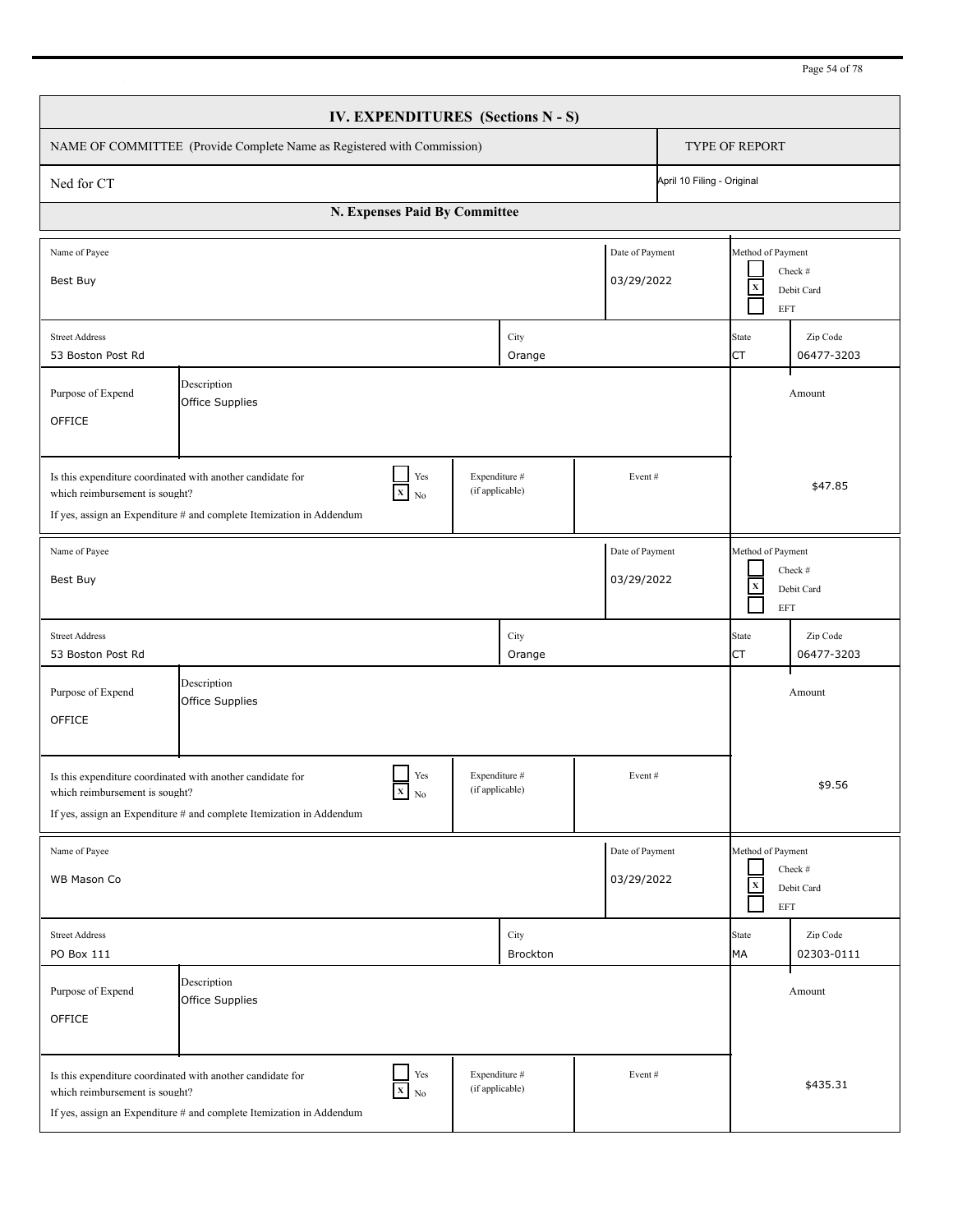| Page 54 of 78 |
|---------------|
|---------------|

| IV. EXPENDITURES (Sections N - S)                                                                                                                                                                                                            |                                                                                                                                    |               |                                  |                  |                                         |                            |                                         |                        |
|----------------------------------------------------------------------------------------------------------------------------------------------------------------------------------------------------------------------------------------------|------------------------------------------------------------------------------------------------------------------------------------|---------------|----------------------------------|------------------|-----------------------------------------|----------------------------|-----------------------------------------|------------------------|
| NAME OF COMMITTEE (Provide Complete Name as Registered with Commission)                                                                                                                                                                      |                                                                                                                                    |               |                                  |                  |                                         | TYPE OF REPORT             |                                         |                        |
| Ned for CT                                                                                                                                                                                                                                   |                                                                                                                                    |               |                                  |                  |                                         | April 10 Filing - Original |                                         |                        |
| N. Expenses Paid By Committee                                                                                                                                                                                                                |                                                                                                                                    |               |                                  |                  |                                         |                            |                                         |                        |
| Name of Payee<br>Best Buy                                                                                                                                                                                                                    |                                                                                                                                    |               |                                  |                  | Date of Payment<br>03/29/2022           |                            | Method of Payment<br>$\mathbf x$<br>EFT | Check #<br>Debit Card  |
| <b>Street Address</b><br>53 Boston Post Rd                                                                                                                                                                                                   |                                                                                                                                    |               |                                  | City<br>Orange   |                                         |                            | State<br><b>CT</b>                      | Zip Code<br>06477-3203 |
| Purpose of Expend<br>OFFICE                                                                                                                                                                                                                  | Description<br>Office Supplies                                                                                                     |               |                                  |                  |                                         |                            |                                         | Amount                 |
| Yes<br>Expenditure #<br>Is this expenditure coordinated with another candidate for<br>Event#<br>$\mathbf{X}$ No<br>(if applicable)<br>which reimbursement is sought?<br>If yes, assign an Expenditure # and complete Itemization in Addendum |                                                                                                                                    |               |                                  |                  |                                         | \$47.85                    |                                         |                        |
| Date of Payment<br>Name of Payee<br>03/29/2022<br>Best Buy                                                                                                                                                                                   |                                                                                                                                    |               |                                  |                  | Method of Payment<br>$\mathbf x$<br>EFT | Check #<br>Debit Card      |                                         |                        |
| <b>Street Address</b><br>53 Boston Post Rd                                                                                                                                                                                                   |                                                                                                                                    |               |                                  | City<br>Orange   |                                         |                            | State<br>CT                             | Zip Code<br>06477-3203 |
| Purpose of Expend<br>OFFICE                                                                                                                                                                                                                  | Description<br>Office Supplies                                                                                                     |               |                                  |                  |                                         |                            |                                         | Amount                 |
| Yes<br>Expenditure #<br>Is this expenditure coordinated with another candidate for<br>Event#<br>$X$ No<br>(if applicable)<br>which reimbursement is sought?<br>If yes, assign an Expenditure # and complete Itemization in Addendum          |                                                                                                                                    |               |                                  |                  |                                         | \$9.56                     |                                         |                        |
| Name of Payee<br>WB Mason Co                                                                                                                                                                                                                 |                                                                                                                                    |               |                                  |                  | Date of Payment<br>03/29/2022           |                            | Method of Payment<br>$\mathbf x$<br>EFT | Check #<br>Debit Card  |
| <b>Street Address</b><br>PO Box 111                                                                                                                                                                                                          |                                                                                                                                    |               |                                  | City<br>Brockton |                                         |                            | State<br>MA                             | Zip Code<br>02303-0111 |
| Purpose of Expend<br>OFFICE                                                                                                                                                                                                                  | Description<br>Office Supplies                                                                                                     |               |                                  |                  |                                         |                            |                                         | Amount                 |
| which reimbursement is sought?                                                                                                                                                                                                               | Is this expenditure coordinated with another candidate for<br>If yes, assign an Expenditure # and complete Itemization in Addendum | Yes<br>$X$ No | Expenditure #<br>(if applicable) |                  | Event#                                  |                            |                                         | \$435.31               |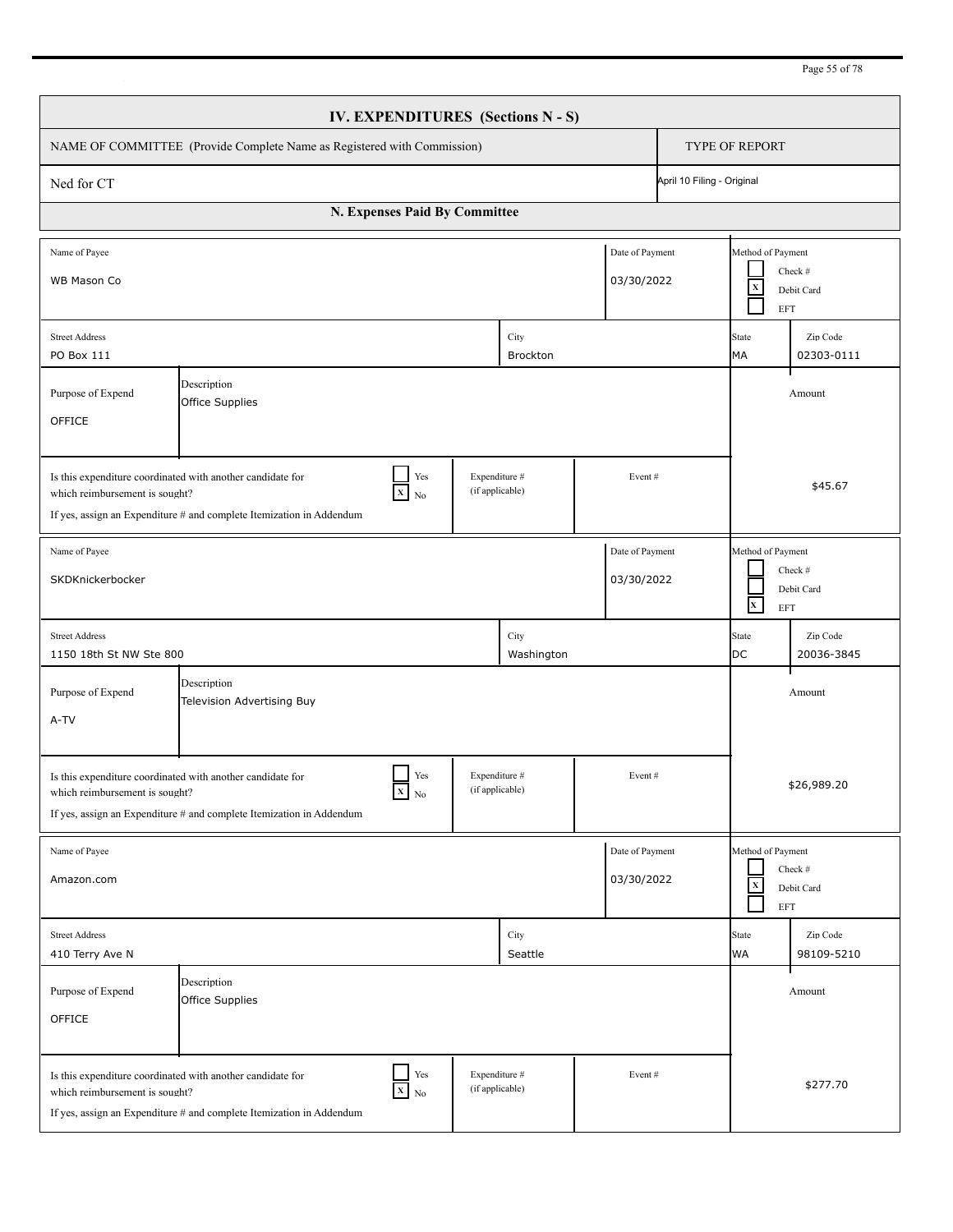| Page 55 of 78 |  |  |  |  |
|---------------|--|--|--|--|
|---------------|--|--|--|--|

| IV. EXPENDITURES (Sections N - S)                                                                                                                                                                                                            |                                                                                                                                                         |        |                                  |                               |                            |                                                                            |                        |  |  |
|----------------------------------------------------------------------------------------------------------------------------------------------------------------------------------------------------------------------------------------------|---------------------------------------------------------------------------------------------------------------------------------------------------------|--------|----------------------------------|-------------------------------|----------------------------|----------------------------------------------------------------------------|------------------------|--|--|
|                                                                                                                                                                                                                                              | NAME OF COMMITTEE (Provide Complete Name as Registered with Commission)                                                                                 |        |                                  |                               |                            | <b>TYPE OF REPORT</b>                                                      |                        |  |  |
| Ned for CT                                                                                                                                                                                                                                   |                                                                                                                                                         |        |                                  |                               | April 10 Filing - Original |                                                                            |                        |  |  |
| N. Expenses Paid By Committee                                                                                                                                                                                                                |                                                                                                                                                         |        |                                  |                               |                            |                                                                            |                        |  |  |
| Name of Payee<br>WB Mason Co                                                                                                                                                                                                                 |                                                                                                                                                         |        |                                  | Date of Payment<br>03/30/2022 |                            | Method of Payment<br>Check #<br>$\mathbf x$<br>Debit Card<br><b>EFT</b>    |                        |  |  |
| <b>Street Address</b><br>PO Box 111                                                                                                                                                                                                          |                                                                                                                                                         |        | City<br>Brockton                 |                               |                            | State<br>MA                                                                | Zip Code<br>02303-0111 |  |  |
| Purpose of Expend<br>OFFICE                                                                                                                                                                                                                  |                                                                                                                                                         | Amount |                                  |                               |                            |                                                                            |                        |  |  |
| Expenditure #<br>Is this expenditure coordinated with another candidate for<br>Yes<br>Event#<br>(if applicable)<br>$X$ No<br>which reimbursement is sought?<br>If yes, assign an Expenditure # and complete Itemization in Addendum          |                                                                                                                                                         |        |                                  |                               |                            |                                                                            | \$45.67                |  |  |
| Name of Payee<br>Date of Payment<br>03/30/2022<br>SKDKnickerbocker                                                                                                                                                                           |                                                                                                                                                         |        |                                  |                               |                            | Method of Payment<br>Check #<br>Debit Card<br>$\mathbf{x}^-$<br><b>EFT</b> |                        |  |  |
| <b>Street Address</b><br>1150 18th St NW Ste 800                                                                                                                                                                                             |                                                                                                                                                         |        | City<br>Washington               |                               |                            | State<br>DC                                                                | Zip Code<br>20036-3845 |  |  |
| Description<br>Purpose of Expend<br>Amount<br>Television Advertising Buy<br>A-TV                                                                                                                                                             |                                                                                                                                                         |        |                                  |                               |                            |                                                                            |                        |  |  |
| Yes<br>Expenditure #<br>Event#<br>Is this expenditure coordinated with another candidate for<br>$\mathbf{X}$ No<br>(if applicable)<br>which reimbursement is sought?<br>If yes, assign an Expenditure # and complete Itemization in Addendum |                                                                                                                                                         |        |                                  |                               |                            | \$26,989.20                                                                |                        |  |  |
| Date of Payment<br>Name of Payee<br>03/30/2022<br>Amazon.com                                                                                                                                                                                 |                                                                                                                                                         |        |                                  |                               |                            | Method of Payment<br>Check #<br>$\mathbf x$<br>Debit Card<br>EFT           |                        |  |  |
| <b>Street Address</b><br>410 Terry Ave N                                                                                                                                                                                                     |                                                                                                                                                         |        | City<br>Seattle                  |                               |                            | State<br>WA                                                                | Zip Code<br>98109-5210 |  |  |
| Purpose of Expend<br>OFFICE                                                                                                                                                                                                                  | Description<br>Office Supplies                                                                                                                          |        |                                  |                               |                            |                                                                            | Amount                 |  |  |
| which reimbursement is sought?                                                                                                                                                                                                               | $\frac{1}{x}$ Yes<br>Is this expenditure coordinated with another candidate for<br>If yes, assign an Expenditure # and complete Itemization in Addendum |        | Expenditure #<br>(if applicable) | Event#                        |                            |                                                                            | \$277.70               |  |  |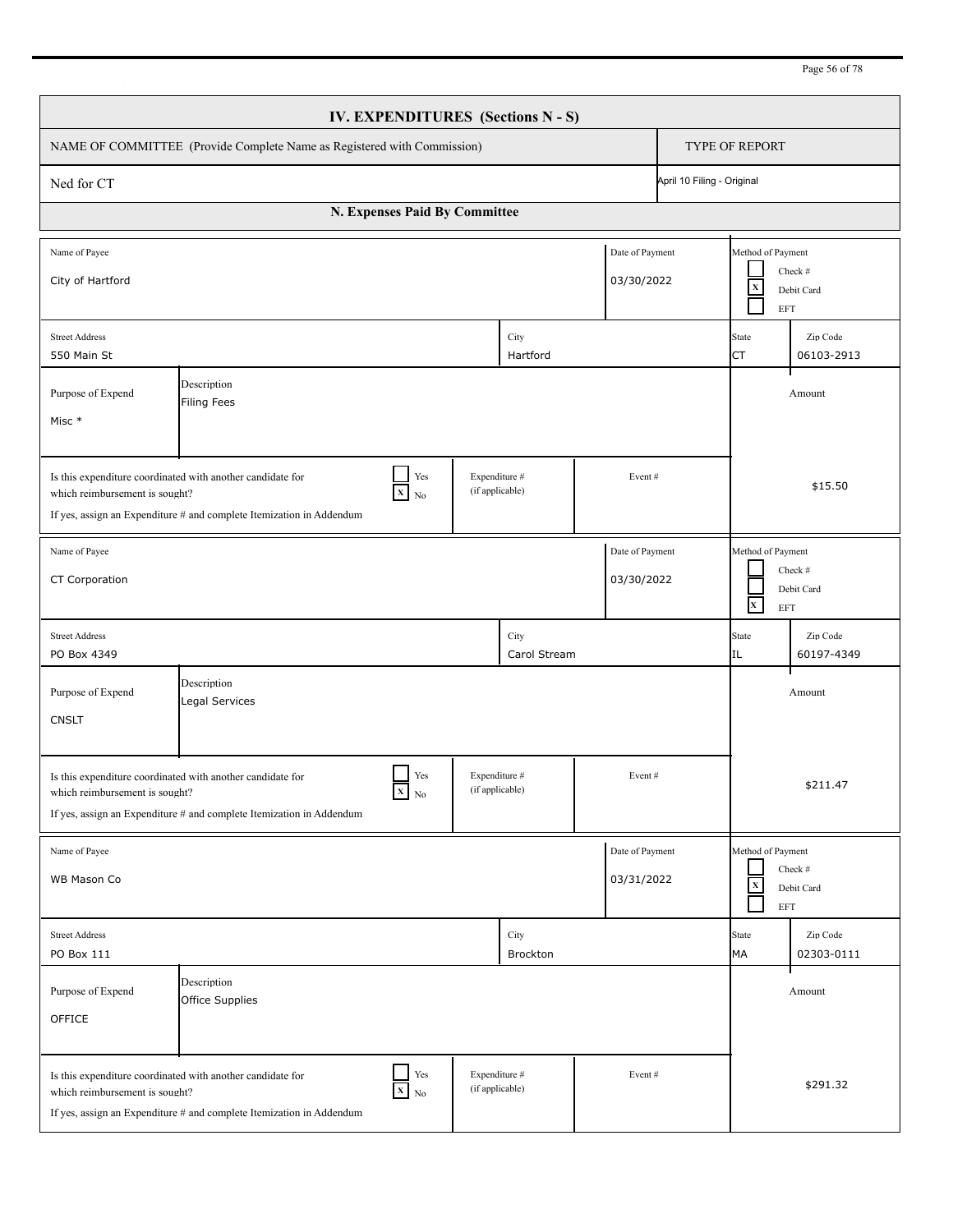| IV. EXPENDITURES (Sections N - S)                                                                                                                                                                                                   |                                                                                                                                    |                                |                                  |                      |                               |                                                                          |                                                                                               |                        |  |  |
|-------------------------------------------------------------------------------------------------------------------------------------------------------------------------------------------------------------------------------------|------------------------------------------------------------------------------------------------------------------------------------|--------------------------------|----------------------------------|----------------------|-------------------------------|--------------------------------------------------------------------------|-----------------------------------------------------------------------------------------------|------------------------|--|--|
|                                                                                                                                                                                                                                     | NAME OF COMMITTEE (Provide Complete Name as Registered with Commission)                                                            |                                |                                  |                      |                               |                                                                          | TYPE OF REPORT                                                                                |                        |  |  |
| Ned for CT                                                                                                                                                                                                                          |                                                                                                                                    |                                |                                  |                      |                               | April 10 Filing - Original                                               |                                                                                               |                        |  |  |
| N. Expenses Paid By Committee                                                                                                                                                                                                       |                                                                                                                                    |                                |                                  |                      |                               |                                                                          |                                                                                               |                        |  |  |
| Name of Payee<br>City of Hartford                                                                                                                                                                                                   |                                                                                                                                    |                                |                                  |                      | Date of Payment<br>03/30/2022 |                                                                          | Method of Payment<br>Check #<br>$\mathbf X$<br>Debit Card<br>EFT                              |                        |  |  |
| <b>Street Address</b><br>550 Main St                                                                                                                                                                                                |                                                                                                                                    |                                |                                  | City<br>Hartford     |                               |                                                                          | Zip Code<br>State<br>СT<br>06103-2913                                                         |                        |  |  |
| Description<br>Purpose of Expend<br>Amount<br><b>Filing Fees</b><br>Misc *                                                                                                                                                          |                                                                                                                                    |                                |                                  |                      |                               |                                                                          |                                                                                               |                        |  |  |
| Yes<br>Expenditure #<br>Is this expenditure coordinated with another candidate for<br>Event#<br>(if applicable)<br>$X$ No<br>which reimbursement is sought?<br>If yes, assign an Expenditure # and complete Itemization in Addendum |                                                                                                                                    |                                |                                  |                      |                               |                                                                          | \$15.50                                                                                       |                        |  |  |
| Date of Payment<br>Name of Payee<br>CT Corporation<br>03/30/2022                                                                                                                                                                    |                                                                                                                                    |                                |                                  |                      |                               | Method of Payment<br>Check #<br>Debit Card<br>$\mathbf{x}$<br><b>EFT</b> |                                                                                               |                        |  |  |
| <b>Street Address</b><br>PO Box 4349                                                                                                                                                                                                |                                                                                                                                    |                                |                                  | City<br>Carol Stream |                               |                                                                          | <b>State</b><br>IL                                                                            | Zip Code<br>60197-4349 |  |  |
| Description<br>Purpose of Expend<br>Amount<br>Legal Services<br><b>CNSLT</b>                                                                                                                                                        |                                                                                                                                    |                                |                                  |                      |                               |                                                                          |                                                                                               |                        |  |  |
| Yes<br>Expenditure #<br>Event#<br>Is this expenditure coordinated with another candidate for<br>(if applicable)<br>$X_N$<br>which reimbursement is sought?<br>If yes, assign an Expenditure # and complete Itemization in Addendum  |                                                                                                                                    |                                |                                  |                      |                               |                                                                          | \$211.47                                                                                      |                        |  |  |
| Date of Payment<br>Name of Payee<br>03/31/2022<br>WB Mason Co                                                                                                                                                                       |                                                                                                                                    |                                |                                  |                      |                               |                                                                          | Method of Payment<br>Check #<br>$\overline{\mathbf{x}}$<br>Debit Card<br>$\operatorname{EFT}$ |                        |  |  |
| <b>Street Address</b><br>PO Box 111                                                                                                                                                                                                 |                                                                                                                                    |                                |                                  | City<br>Brockton     |                               |                                                                          | <b>State</b><br>MA                                                                            | Zip Code<br>02303-0111 |  |  |
| Purpose of Expend<br>OFFICE                                                                                                                                                                                                         | Description<br>Office Supplies                                                                                                     |                                |                                  |                      |                               |                                                                          |                                                                                               | Amount                 |  |  |
| which reimbursement is sought?                                                                                                                                                                                                      | Is this expenditure coordinated with another candidate for<br>If yes, assign an Expenditure # and complete Itemization in Addendum | $\operatorname{Yes}$<br>$X$ No | Expenditure #<br>(if applicable) |                      | Event#                        |                                                                          |                                                                                               | \$291.32               |  |  |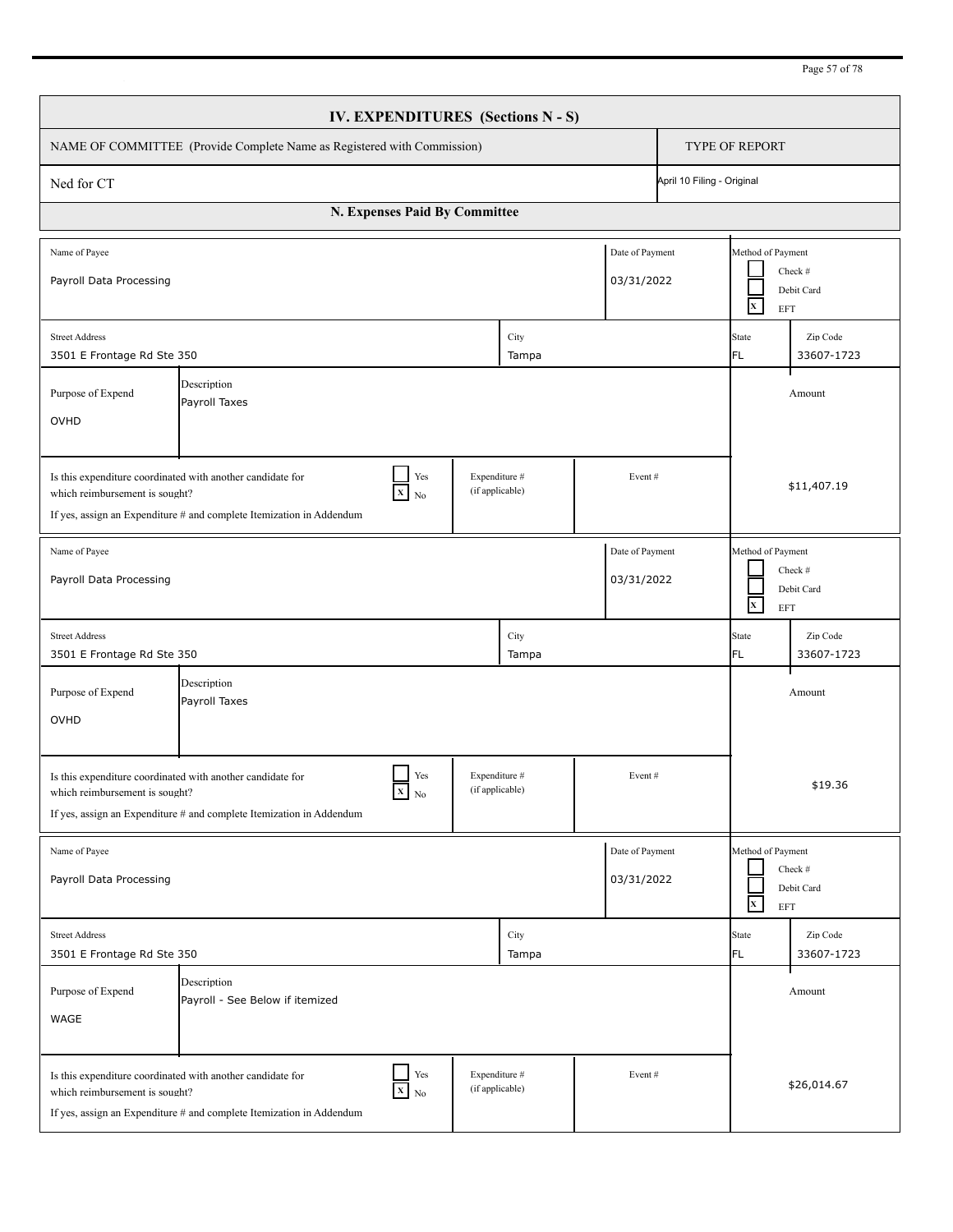| IV. EXPENDITURES (Sections N - S)                                                                                                                                                                                                     |                                                                                                                                                                                                                                     |               |                                  |               |                               |                                                                   |                                                                          |                        |  |  |
|---------------------------------------------------------------------------------------------------------------------------------------------------------------------------------------------------------------------------------------|-------------------------------------------------------------------------------------------------------------------------------------------------------------------------------------------------------------------------------------|---------------|----------------------------------|---------------|-------------------------------|-------------------------------------------------------------------|--------------------------------------------------------------------------|------------------------|--|--|
|                                                                                                                                                                                                                                       | NAME OF COMMITTEE (Provide Complete Name as Registered with Commission)                                                                                                                                                             |               |                                  |               |                               |                                                                   | <b>TYPE OF REPORT</b>                                                    |                        |  |  |
| Ned for CT                                                                                                                                                                                                                            | April 10 Filing - Original                                                                                                                                                                                                          |               |                                  |               |                               |                                                                   |                                                                          |                        |  |  |
| N. Expenses Paid By Committee                                                                                                                                                                                                         |                                                                                                                                                                                                                                     |               |                                  |               |                               |                                                                   |                                                                          |                        |  |  |
| Name of Payee<br>Payroll Data Processing                                                                                                                                                                                              |                                                                                                                                                                                                                                     |               |                                  |               | Date of Payment<br>03/31/2022 |                                                                   | Method of Payment<br>Check #<br>Debit Card<br>$\mathbf{x}$<br><b>EFT</b> |                        |  |  |
| <b>Street Address</b><br>3501 E Frontage Rd Ste 350                                                                                                                                                                                   |                                                                                                                                                                                                                                     |               |                                  | City<br>Tampa |                               |                                                                   | State<br>FL.                                                             | Zip Code<br>33607-1723 |  |  |
| Description<br>Purpose of Expend<br>Payroll Taxes<br>OVHD                                                                                                                                                                             |                                                                                                                                                                                                                                     |               |                                  |               |                               |                                                                   |                                                                          | Amount                 |  |  |
| Yes<br>Expenditure #<br>Is this expenditure coordinated with another candidate for<br>Event#<br>(if applicable)<br>$X$ No<br>which reimbursement is sought?<br>If yes, assign an Expenditure $#$ and complete Itemization in Addendum |                                                                                                                                                                                                                                     |               |                                  |               |                               |                                                                   | \$11,407.19                                                              |                        |  |  |
| Date of Payment<br>Name of Payee<br>Payroll Data Processing<br>03/31/2022                                                                                                                                                             |                                                                                                                                                                                                                                     |               |                                  |               |                               | Method of Payment<br>Check #<br>Debit Card<br>$\mathbf{X}$<br>EFT |                                                                          |                        |  |  |
| <b>Street Address</b><br>3501 E Frontage Rd Ste 350                                                                                                                                                                                   |                                                                                                                                                                                                                                     |               |                                  | City<br>Tampa |                               |                                                                   | <b>State</b><br>FL.                                                      | Zip Code<br>33607-1723 |  |  |
| Description<br>Purpose of Expend<br>Amount<br>Payroll Taxes<br>OVHD                                                                                                                                                                   |                                                                                                                                                                                                                                     |               |                                  |               |                               |                                                                   |                                                                          |                        |  |  |
|                                                                                                                                                                                                                                       | Yes<br>Expenditure #<br>Event#<br>Is this expenditure coordinated with another candidate for<br>$X$ No<br>(if applicable)<br>which reimbursement is sought?<br>If yes, assign an Expenditure # and complete Itemization in Addendum |               |                                  |               |                               |                                                                   | \$19.36                                                                  |                        |  |  |
| Name of Payee<br>Date of Payment<br>03/31/2022<br>Payroll Data Processing                                                                                                                                                             |                                                                                                                                                                                                                                     |               |                                  |               |                               | Method of Payment<br>Check #<br>Debit Card<br>$\mathbf{x}$<br>EFT |                                                                          |                        |  |  |
| <b>Street Address</b><br>3501 E Frontage Rd Ste 350                                                                                                                                                                                   |                                                                                                                                                                                                                                     |               |                                  | City<br>Tampa |                               |                                                                   | State<br>FL                                                              | Zip Code<br>33607-1723 |  |  |
| Purpose of Expend<br>WAGE                                                                                                                                                                                                             | Description<br>Payroll - See Below if itemized                                                                                                                                                                                      |               |                                  |               |                               |                                                                   |                                                                          | Amount                 |  |  |
| which reimbursement is sought?                                                                                                                                                                                                        | Is this expenditure coordinated with another candidate for<br>If yes, assign an Expenditure # and complete Itemization in Addendum                                                                                                  | Yes<br>$X$ No | Expenditure #<br>(if applicable) |               | Event#                        |                                                                   | \$26,014.67                                                              |                        |  |  |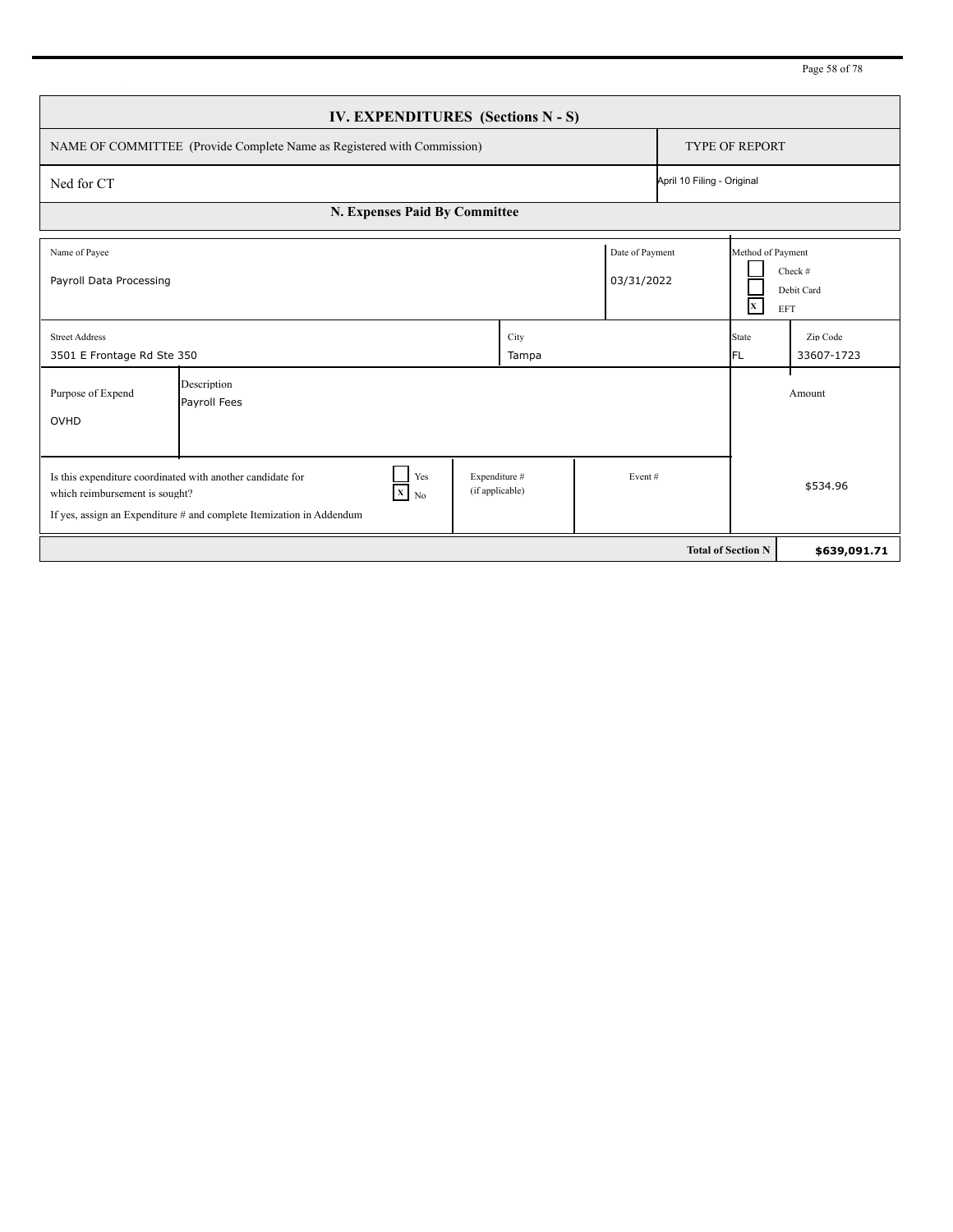| Page 58 of 78 |  |  |  |  |
|---------------|--|--|--|--|
|---------------|--|--|--|--|

| IV. EXPENDITURES (Sections N - S)                                                                                                                                                                                                                 |                             |               |                               |                           |                                              |                              |  |  |
|---------------------------------------------------------------------------------------------------------------------------------------------------------------------------------------------------------------------------------------------------|-----------------------------|---------------|-------------------------------|---------------------------|----------------------------------------------|------------------------------|--|--|
| NAME OF COMMITTEE (Provide Complete Name as Registered with Commission)                                                                                                                                                                           | <b>TYPE OF REPORT</b>       |               |                               |                           |                                              |                              |  |  |
| Ned for CT                                                                                                                                                                                                                                        | April 10 Filing - Original  |               |                               |                           |                                              |                              |  |  |
| N. Expenses Paid By Committee                                                                                                                                                                                                                     |                             |               |                               |                           |                                              |                              |  |  |
| Name of Payee<br>Payroll Data Processing                                                                                                                                                                                                          |                             |               | Date of Payment<br>03/31/2022 |                           | Method of Payment<br>$\overline{\mathbf{x}}$ | Check #<br>Debit Card<br>EFT |  |  |
| <b>Street Address</b><br>3501 E Frontage Rd Ste 350                                                                                                                                                                                               |                             | City<br>Tampa |                               |                           | <b>State</b><br><b>FL</b>                    | Zip Code<br>33607-1723       |  |  |
| Purpose of Expend<br><b>OVHD</b>                                                                                                                                                                                                                  | Description<br>Payroll Fees |               |                               |                           |                                              | Amount                       |  |  |
| Yes<br>Expenditure #<br>Event#<br>Is this expenditure coordinated with another candidate for<br>$\overline{x}$<br>(if applicable)<br>which reimbursement is sought?<br>No<br>If yes, assign an Expenditure # and complete Itemization in Addendum |                             |               |                               |                           |                                              | \$534.96                     |  |  |
|                                                                                                                                                                                                                                                   |                             |               |                               | <b>Total of Section N</b> |                                              | \$639,091.71                 |  |  |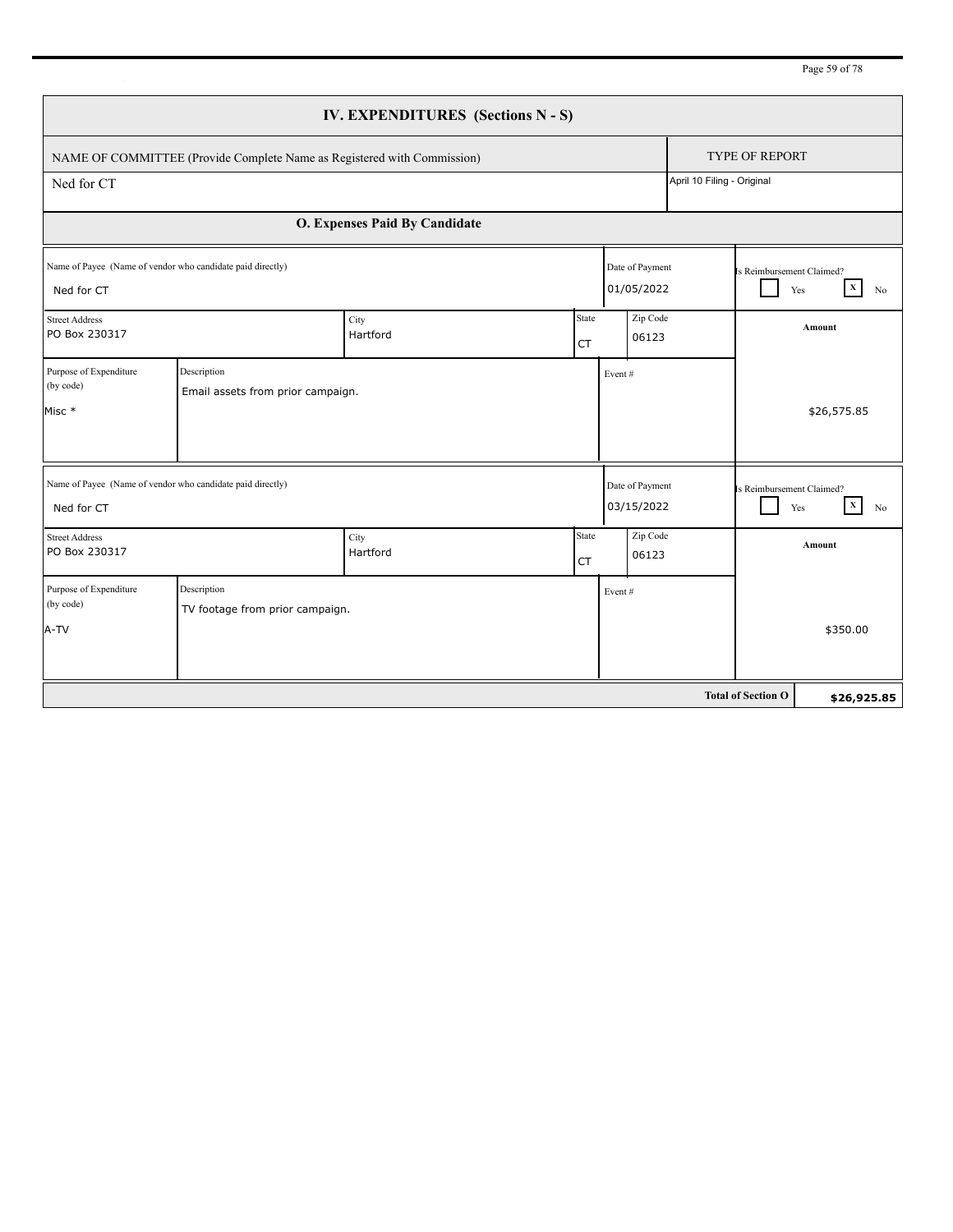| Page 59 of 78 |  |  |
|---------------|--|--|
|               |  |  |

| IV. EXPENDITURES (Sections N - S)                                        |                                                                         |                               |                    |                               |                            |                           |                          |  |        |
|--------------------------------------------------------------------------|-------------------------------------------------------------------------|-------------------------------|--------------------|-------------------------------|----------------------------|---------------------------|--------------------------|--|--------|
|                                                                          | NAME OF COMMITTEE (Provide Complete Name as Registered with Commission) |                               |                    |                               | <b>TYPE OF REPORT</b>      |                           |                          |  |        |
| Ned for CT                                                               |                                                                         |                               |                    |                               | April 10 Filing - Original |                           |                          |  |        |
|                                                                          |                                                                         | O. Expenses Paid By Candidate |                    |                               |                            |                           |                          |  |        |
| Name of Payee (Name of vendor who candidate paid directly)<br>Ned for CT |                                                                         |                               |                    | Date of Payment<br>01/05/2022 |                            | Is Reimbursement Claimed? | $\mathbf x$<br>Yes<br>No |  |        |
| <b>Street Address</b><br>PO Box 230317                                   |                                                                         | City<br>Hartford              | State<br><b>CT</b> | Zip Code<br>06123             |                            |                           |                          |  | Amount |
| Purpose of Expenditure<br>(by code)<br>Misc *                            | Description<br>Email assets from prior campaign.                        |                               |                    | Event#                        |                            |                           | \$26,575.85              |  |        |
| Name of Payee (Name of vendor who candidate paid directly)<br>Ned for CT |                                                                         |                               |                    | Date of Payment<br>03/15/2022 |                            | Is Reimbursement Claimed? | $\mathbf X$<br>Yes<br>No |  |        |
| <b>Street Address</b><br>PO Box 230317                                   |                                                                         | City<br>Hartford              | State<br><b>CT</b> | Zip Code<br>06123             |                            |                           | Amount                   |  |        |
| Purpose of Expenditure<br>(by code)<br>A-TV                              | Description<br>TV footage from prior campaign.                          |                               |                    | Event#                        |                            |                           | \$350.00                 |  |        |
|                                                                          |                                                                         |                               |                    |                               |                            | <b>Total of Section O</b> | \$26,925.85              |  |        |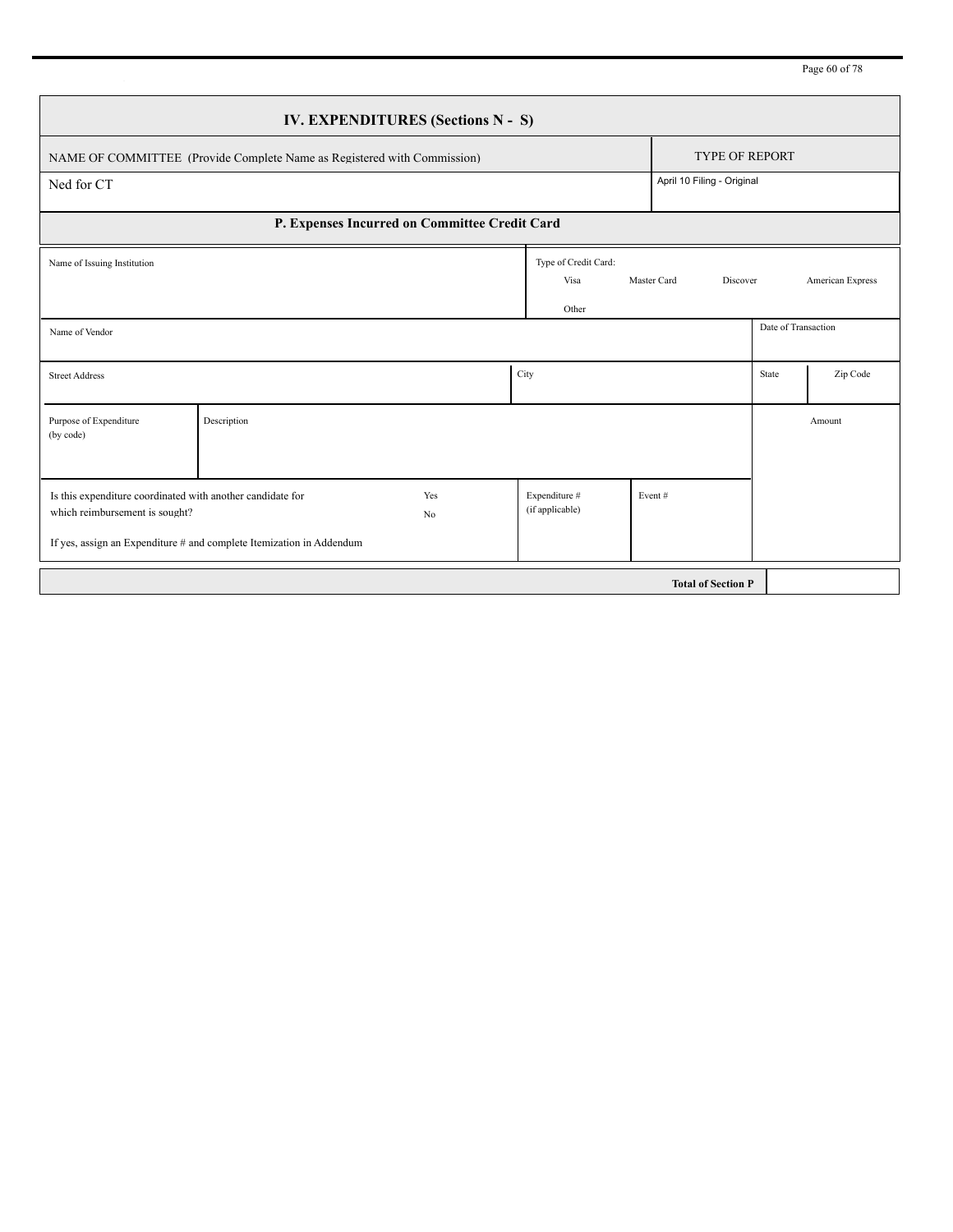Page 60 of 78

| IV. EXPENDITURES (Sections N - S)                                                            |                                                                                               |      |                                       |                         |                            |                  |  |  |
|----------------------------------------------------------------------------------------------|-----------------------------------------------------------------------------------------------|------|---------------------------------------|-------------------------|----------------------------|------------------|--|--|
| NAME OF COMMITTEE (Provide Complete Name as Registered with Commission)                      | <b>TYPE OF REPORT</b>                                                                         |      |                                       |                         |                            |                  |  |  |
| Ned for CT                                                                                   |                                                                                               |      |                                       |                         | April 10 Filing - Original |                  |  |  |
| P. Expenses Incurred on Committee Credit Card                                                |                                                                                               |      |                                       |                         |                            |                  |  |  |
| Name of Issuing Institution                                                                  |                                                                                               |      | Type of Credit Card:<br>Visa<br>Other | Master Card<br>Discover |                            | American Express |  |  |
| Name of Vendor                                                                               |                                                                                               |      |                                       |                         | Date of Transaction        |                  |  |  |
| <b>Street Address</b>                                                                        |                                                                                               | City |                                       |                         | State                      | Zip Code         |  |  |
| Purpose of Expenditure<br>(by code)                                                          | Description                                                                                   |      |                                       |                         |                            | Amount           |  |  |
| Is this expenditure coordinated with another candidate for<br>which reimbursement is sought? | Yes<br>N <sub>0</sub><br>If yes, assign an Expenditure # and complete Itemization in Addendum |      | Expenditure #<br>(if applicable)      | Event#                  |                            |                  |  |  |
| <b>Total of Section P</b>                                                                    |                                                                                               |      |                                       |                         |                            |                  |  |  |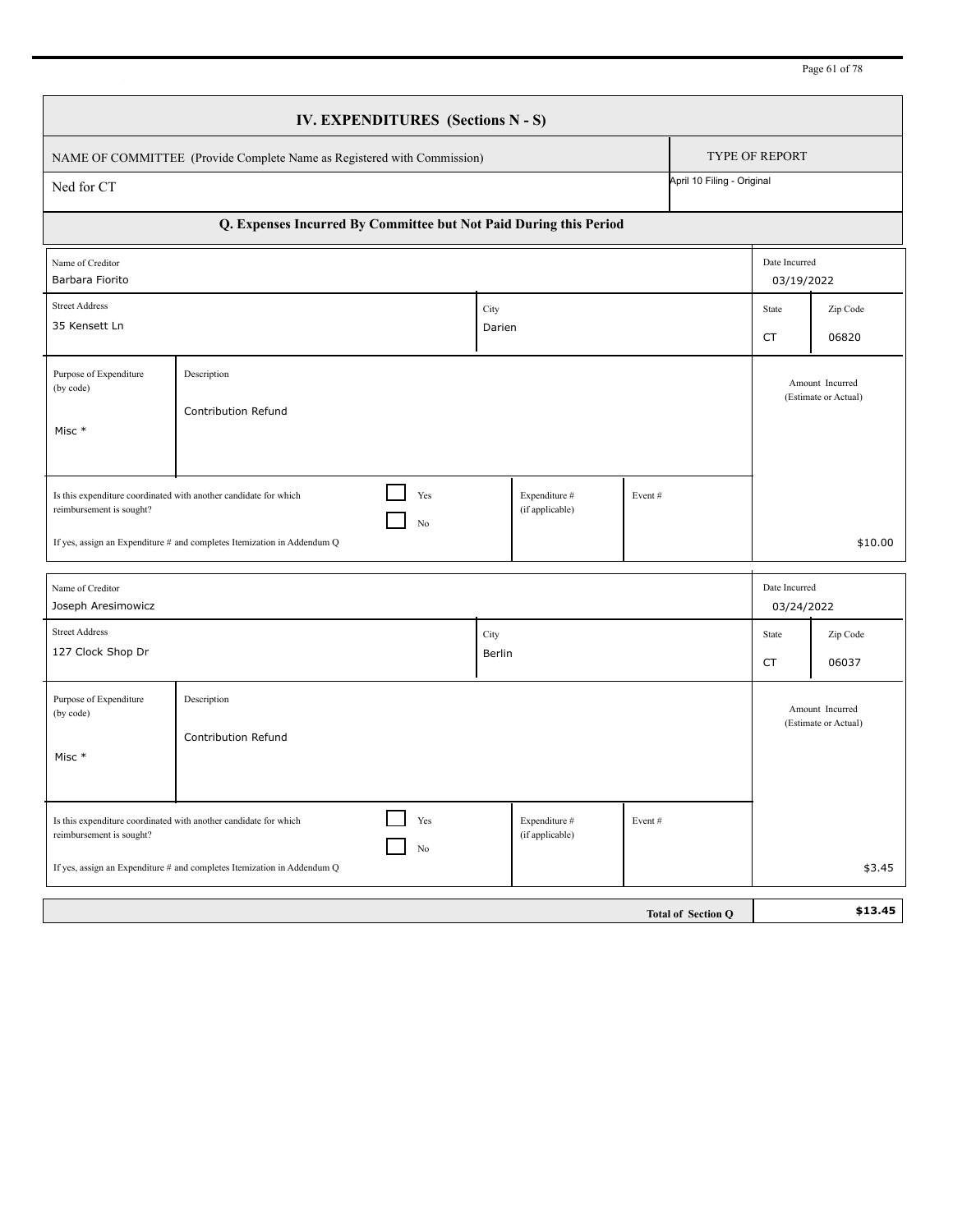|                                               | NAME OF COMMITTEE (Provide Complete Name as Registered with Commission)                                                                                  |                |                                  |        |                            | <b>TYPE OF REPORT</b>       |                   |  |
|-----------------------------------------------|----------------------------------------------------------------------------------------------------------------------------------------------------------|----------------|----------------------------------|--------|----------------------------|-----------------------------|-------------------|--|
| Ned for CT                                    |                                                                                                                                                          |                |                                  |        | April 10 Filing - Original |                             |                   |  |
|                                               | Q. Expenses Incurred By Committee but Not Paid During this Period                                                                                        |                |                                  |        |                            |                             |                   |  |
| Name of Creditor<br>Barbara Fiorito           |                                                                                                                                                          |                |                                  |        |                            | Date Incurred<br>03/19/2022 |                   |  |
| <b>Street Address</b><br>35 Kensett Ln        |                                                                                                                                                          | City<br>Darien |                                  |        |                            | State<br><b>CT</b>          | Zip Code<br>06820 |  |
| Purpose of Expenditure<br>(by code)<br>Misc * | Description<br>Contribution Refund                                                                                                                       |                |                                  |        |                            |                             |                   |  |
| reimbursement is sought?                      | Is this expenditure coordinated with another candidate for which<br>Yes<br>No<br>If yes, assign an Expenditure # and completes Itemization in Addendum Q |                | Expenditure #<br>(if applicable) | Event# |                            | \$10.00                     |                   |  |
| Name of Creditor<br>Joseph Aresimowicz        |                                                                                                                                                          |                |                                  |        |                            | Date Incurred<br>03/24/2022 |                   |  |
| <b>Street Address</b><br>127 Clock Shop Dr    |                                                                                                                                                          | City<br>Berlin |                                  |        |                            | State<br>CT                 | Zip Code<br>06037 |  |
| Purpose of Expenditure<br>(by code)<br>Misc * | Description<br>Contribution Refund                                                                                                                       |                |                                  |        |                            |                             |                   |  |
| reimbursement is sought?                      | Yes<br>Is this expenditure coordinated with another candidate for which<br>No<br>If yes, assign an Expenditure # and completes Itemization in Addendum Q |                | Expenditure #<br>(if applicable) | Event# |                            |                             | \$3.45            |  |
|                                               |                                                                                                                                                          |                |                                  |        | <b>Total of Section Q</b>  |                             | \$13.45           |  |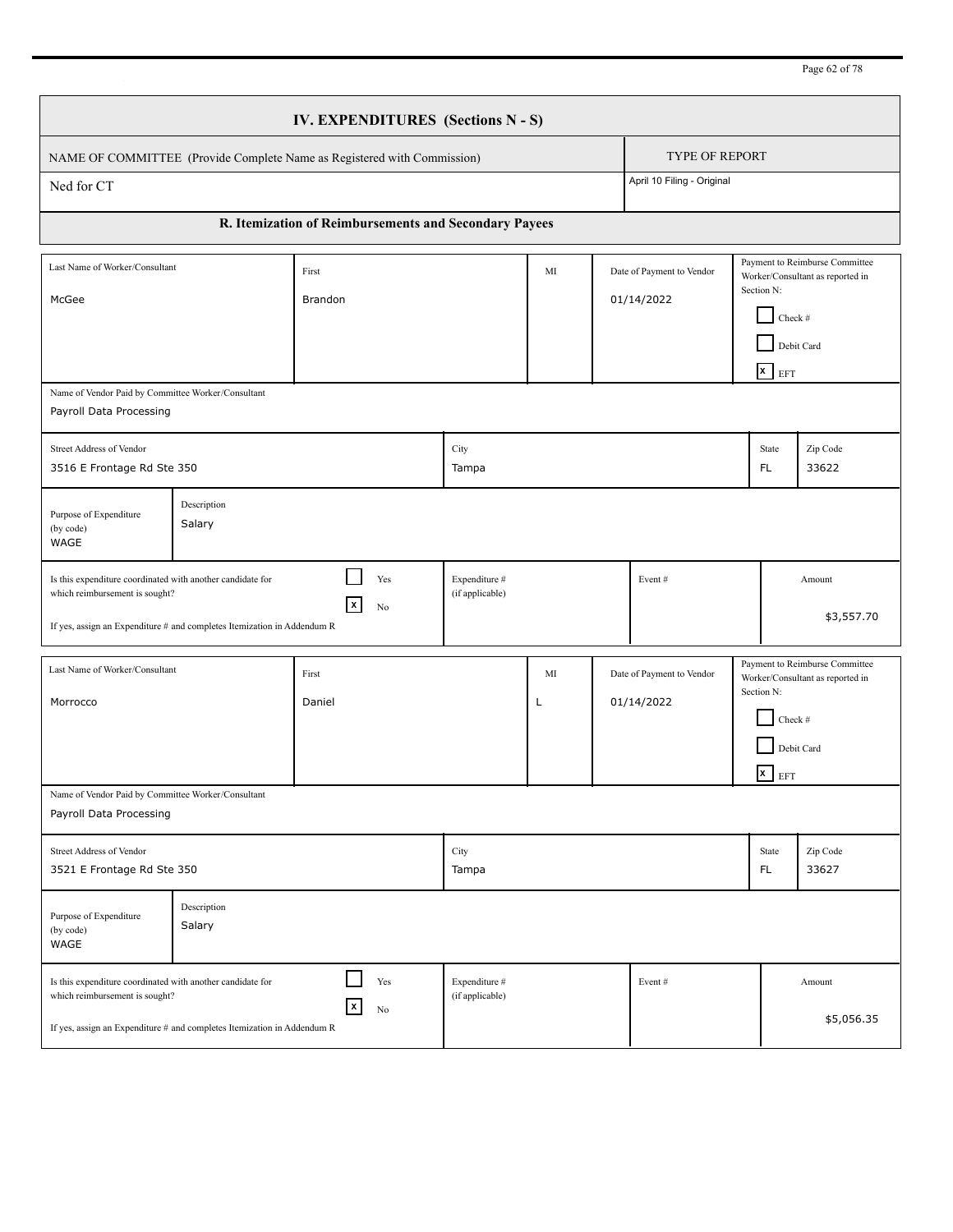Page 62 of 78

|                                                                                                                                                                                                                                                       | IV. EXPENDITURES (Sections N - S) |                                                                         |                                  |         |  |                                         |                      |                                                         |                                                                    |  |
|-------------------------------------------------------------------------------------------------------------------------------------------------------------------------------------------------------------------------------------------------------|-----------------------------------|-------------------------------------------------------------------------|----------------------------------|---------|--|-----------------------------------------|----------------------|---------------------------------------------------------|--------------------------------------------------------------------|--|
|                                                                                                                                                                                                                                                       |                                   | NAME OF COMMITTEE (Provide Complete Name as Registered with Commission) |                                  |         |  | <b>TYPE OF REPORT</b>                   |                      |                                                         |                                                                    |  |
| Ned for CT                                                                                                                                                                                                                                            |                                   |                                                                         |                                  |         |  | April 10 Filing - Original              |                      |                                                         |                                                                    |  |
|                                                                                                                                                                                                                                                       |                                   | R. Itemization of Reimbursements and Secondary Payees                   |                                  |         |  |                                         |                      |                                                         |                                                                    |  |
| Last Name of Worker/Consultant<br>McGee                                                                                                                                                                                                               |                                   | First<br>Brandon                                                        |                                  | MI      |  | Date of Payment to Vendor<br>01/14/2022 |                      | Section N:<br>Check #<br>Debit Card<br>$\mathbf{x}$ EFT | Payment to Reimburse Committee<br>Worker/Consultant as reported in |  |
| Name of Vendor Paid by Committee Worker/Consultant<br>Payroll Data Processing                                                                                                                                                                         |                                   |                                                                         |                                  |         |  |                                         |                      |                                                         |                                                                    |  |
| Street Address of Vendor<br>3516 E Frontage Rd Ste 350                                                                                                                                                                                                |                                   |                                                                         | City<br>Tampa                    |         |  |                                         |                      | State<br>FL.                                            | Zip Code<br>33622                                                  |  |
| Purpose of Expenditure<br>(by code)<br>WAGE                                                                                                                                                                                                           | Description<br>Salary             |                                                                         |                                  |         |  |                                         |                      |                                                         |                                                                    |  |
| Is this expenditure coordinated with another candidate for<br>which reimbursement is sought?<br>If yes, assign an Expenditure # and completes Itemization in Addendum R                                                                               |                                   | Yes<br>$\vert x \vert$<br>No                                            | Expenditure #<br>(if applicable) |         |  | Event#                                  |                      |                                                         | Amount<br>\$3,557.70                                               |  |
| Last Name of Worker/Consultant<br>Morrocco                                                                                                                                                                                                            |                                   | First<br>Daniel                                                         |                                  | MI<br>L |  | Date of Payment to Vendor<br>01/14/2022 |                      | Section N:<br>Check #<br>Debit Card<br>$x$ EFT          | Payment to Reimburse Committee<br>Worker/Consultant as reported in |  |
| Name of Vendor Paid by Committee Worker/Consultant<br>Payroll Data Processing                                                                                                                                                                         |                                   |                                                                         |                                  |         |  |                                         |                      |                                                         |                                                                    |  |
| Street Address of Vendor<br>3521 E Frontage Rd Ste 350                                                                                                                                                                                                |                                   |                                                                         | City<br>Tampa                    |         |  |                                         |                      | State<br>FL.                                            | Zip Code<br>33627                                                  |  |
| Purpose of Expenditure<br>(by code)<br>WAGE                                                                                                                                                                                                           | Description<br>Salary             |                                                                         |                                  |         |  |                                         |                      |                                                         |                                                                    |  |
| Yes<br>Expenditure #<br>Is this expenditure coordinated with another candidate for<br>Event#<br>(if applicable)<br>which reimbursement is sought?<br>$\vert x \vert$<br>No<br>If yes, assign an Expenditure # and completes Itemization in Addendum R |                                   |                                                                         |                                  |         |  |                                         | Amount<br>\$5,056.35 |                                                         |                                                                    |  |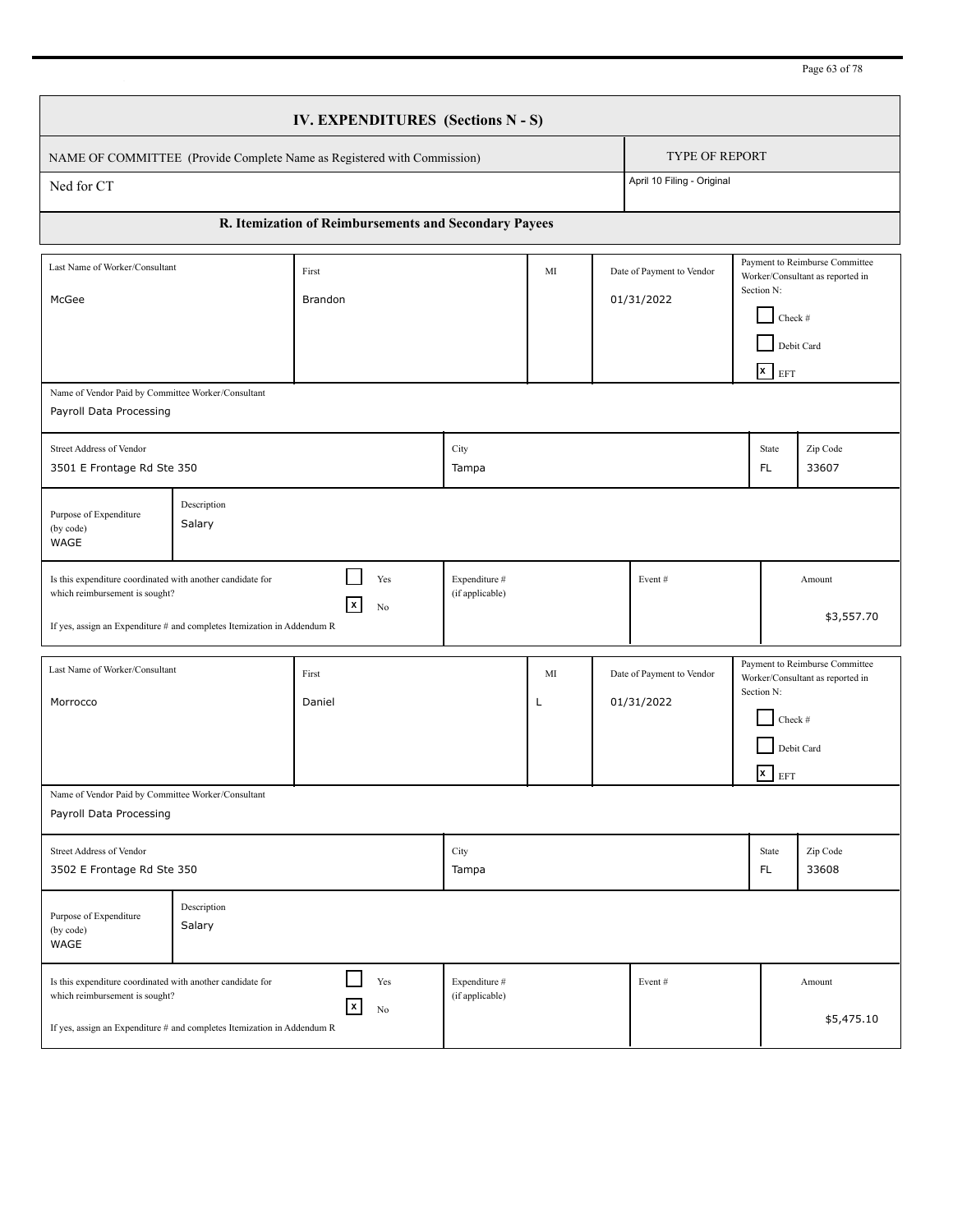Page 63 of 78

|                                                                                                                                                                                                                                                                                  | IV. EXPENDITURES (Sections N - S) |                                                                         |                                  |         |  |                                         |  |                                                         |                                                                    |  |
|----------------------------------------------------------------------------------------------------------------------------------------------------------------------------------------------------------------------------------------------------------------------------------|-----------------------------------|-------------------------------------------------------------------------|----------------------------------|---------|--|-----------------------------------------|--|---------------------------------------------------------|--------------------------------------------------------------------|--|
|                                                                                                                                                                                                                                                                                  |                                   | NAME OF COMMITTEE (Provide Complete Name as Registered with Commission) |                                  |         |  | <b>TYPE OF REPORT</b>                   |  |                                                         |                                                                    |  |
| Ned for CT                                                                                                                                                                                                                                                                       |                                   |                                                                         |                                  |         |  | April 10 Filing - Original              |  |                                                         |                                                                    |  |
|                                                                                                                                                                                                                                                                                  |                                   | R. Itemization of Reimbursements and Secondary Payees                   |                                  |         |  |                                         |  |                                                         |                                                                    |  |
| Last Name of Worker/Consultant<br>McGee                                                                                                                                                                                                                                          |                                   | First<br>Brandon                                                        |                                  | MI      |  | Date of Payment to Vendor<br>01/31/2022 |  | Section N:<br>Check #<br>Debit Card<br>$\mathbf{x}$ EFT | Payment to Reimburse Committee<br>Worker/Consultant as reported in |  |
| Name of Vendor Paid by Committee Worker/Consultant<br>Payroll Data Processing                                                                                                                                                                                                    |                                   |                                                                         |                                  |         |  |                                         |  |                                                         |                                                                    |  |
| Street Address of Vendor<br>3501 E Frontage Rd Ste 350                                                                                                                                                                                                                           |                                   |                                                                         | City<br>Tampa                    |         |  |                                         |  | State<br>FL.                                            | Zip Code<br>33607                                                  |  |
| Purpose of Expenditure<br>(by code)<br>WAGE                                                                                                                                                                                                                                      | Description<br>Salary             |                                                                         |                                  |         |  |                                         |  |                                                         |                                                                    |  |
| Is this expenditure coordinated with another candidate for<br>which reimbursement is sought?<br>If yes, assign an Expenditure # and completes Itemization in Addendum R                                                                                                          |                                   | Yes<br>$\vert x \vert$<br>No                                            | Expenditure #<br>(if applicable) |         |  | Event#                                  |  |                                                         | Amount<br>\$3,557.70                                               |  |
| Last Name of Worker/Consultant<br>Morrocco                                                                                                                                                                                                                                       |                                   | First<br>Daniel                                                         |                                  | MI<br>L |  | Date of Payment to Vendor<br>01/31/2022 |  | Section N:<br>Check #<br>Debit Card<br>$x$ EFT          | Payment to Reimburse Committee<br>Worker/Consultant as reported in |  |
| Name of Vendor Paid by Committee Worker/Consultant<br>Payroll Data Processing                                                                                                                                                                                                    |                                   |                                                                         |                                  |         |  |                                         |  |                                                         |                                                                    |  |
| Street Address of Vendor<br>3502 E Frontage Rd Ste 350                                                                                                                                                                                                                           |                                   |                                                                         | City<br>Tampa                    |         |  |                                         |  | State<br>FL.                                            | Zip Code<br>33608                                                  |  |
| Purpose of Expenditure<br>(by code)<br>WAGE                                                                                                                                                                                                                                      | Description<br>Salary             |                                                                         |                                  |         |  |                                         |  |                                                         |                                                                    |  |
| Yes<br>Expenditure #<br>Is this expenditure coordinated with another candidate for<br>Event#<br>Amount<br>(if applicable)<br>which reimbursement is sought?<br>$\pmb{\mathsf{x}}$<br>No<br>\$5,475.10<br>If yes, assign an Expenditure # and completes Itemization in Addendum R |                                   |                                                                         |                                  |         |  |                                         |  |                                                         |                                                                    |  |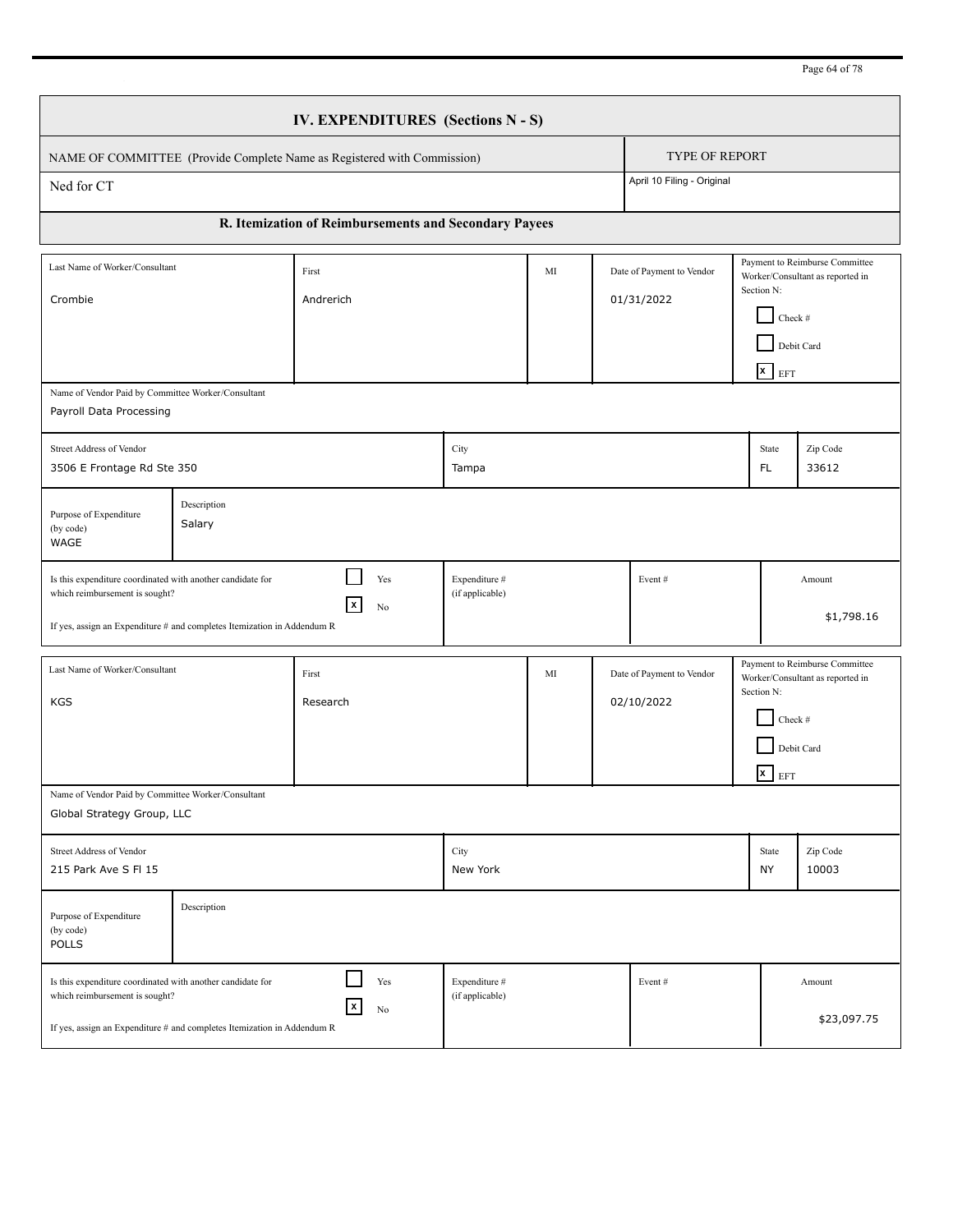Page 64 of 78

|                                                                                                                                                                                                                                                   | <b>IV. EXPENDITURES</b> (Sections N - S) |                                                                         |                                  |    |  |                                         |             |                                                         |                                                                                  |  |
|---------------------------------------------------------------------------------------------------------------------------------------------------------------------------------------------------------------------------------------------------|------------------------------------------|-------------------------------------------------------------------------|----------------------------------|----|--|-----------------------------------------|-------------|---------------------------------------------------------|----------------------------------------------------------------------------------|--|
|                                                                                                                                                                                                                                                   |                                          | NAME OF COMMITTEE (Provide Complete Name as Registered with Commission) |                                  |    |  | <b>TYPE OF REPORT</b>                   |             |                                                         |                                                                                  |  |
| Ned for CT                                                                                                                                                                                                                                        |                                          |                                                                         |                                  |    |  | April 10 Filing - Original              |             |                                                         |                                                                                  |  |
|                                                                                                                                                                                                                                                   |                                          | R. Itemization of Reimbursements and Secondary Payees                   |                                  |    |  |                                         |             |                                                         |                                                                                  |  |
| Last Name of Worker/Consultant<br>Crombie                                                                                                                                                                                                         |                                          | First<br>Andrerich                                                      |                                  | MI |  | Date of Payment to Vendor<br>01/31/2022 |             | Section N:<br>Check #<br>$\mathbf{x}$ EFT               | Payment to Reimburse Committee<br>Worker/Consultant as reported in<br>Debit Card |  |
| Name of Vendor Paid by Committee Worker/Consultant<br>Payroll Data Processing                                                                                                                                                                     |                                          |                                                                         |                                  |    |  |                                         |             |                                                         |                                                                                  |  |
| Street Address of Vendor<br>3506 E Frontage Rd Ste 350                                                                                                                                                                                            |                                          |                                                                         | City<br>Tampa                    |    |  |                                         |             | State<br>FL                                             | Zip Code<br>33612                                                                |  |
| Purpose of Expenditure<br>(by code)<br>WAGE                                                                                                                                                                                                       | Description<br>Salary                    |                                                                         |                                  |    |  |                                         |             |                                                         |                                                                                  |  |
| Is this expenditure coordinated with another candidate for<br>which reimbursement is sought?<br>If yes, assign an Expenditure # and completes Itemization in Addendum R                                                                           |                                          | Yes<br>$\mathbf{x}$<br>No                                               | Expenditure #<br>(if applicable) |    |  | Event#                                  |             |                                                         | Amount<br>\$1,798.16                                                             |  |
| Last Name of Worker/Consultant<br><b>KGS</b>                                                                                                                                                                                                      |                                          | First<br>Research                                                       |                                  | MI |  | Date of Payment to Vendor<br>02/10/2022 |             | Section N:<br>Check #<br>Debit Card<br>$\mathbf{x}$ EFT | Payment to Reimburse Committee<br>Worker/Consultant as reported in               |  |
| Name of Vendor Paid by Committee Worker/Consultant<br>Global Strategy Group, LLC                                                                                                                                                                  |                                          |                                                                         |                                  |    |  |                                         |             |                                                         |                                                                                  |  |
| Street Address of Vendor<br>215 Park Ave S FI 15                                                                                                                                                                                                  |                                          |                                                                         | City<br>New York                 |    |  |                                         |             | State<br><b>NY</b>                                      | Zip Code<br>10003                                                                |  |
| Purpose of Expenditure<br>(by code)<br><b>POLLS</b>                                                                                                                                                                                               | Description                              |                                                                         |                                  |    |  |                                         |             |                                                         |                                                                                  |  |
| Yes<br>Expenditure #<br>Is this expenditure coordinated with another candidate for<br>Event#<br>Amount<br>(if applicable)<br>which reimbursement is sought?<br>X<br>No<br>If yes, assign an Expenditure # and completes Itemization in Addendum R |                                          |                                                                         |                                  |    |  |                                         | \$23,097.75 |                                                         |                                                                                  |  |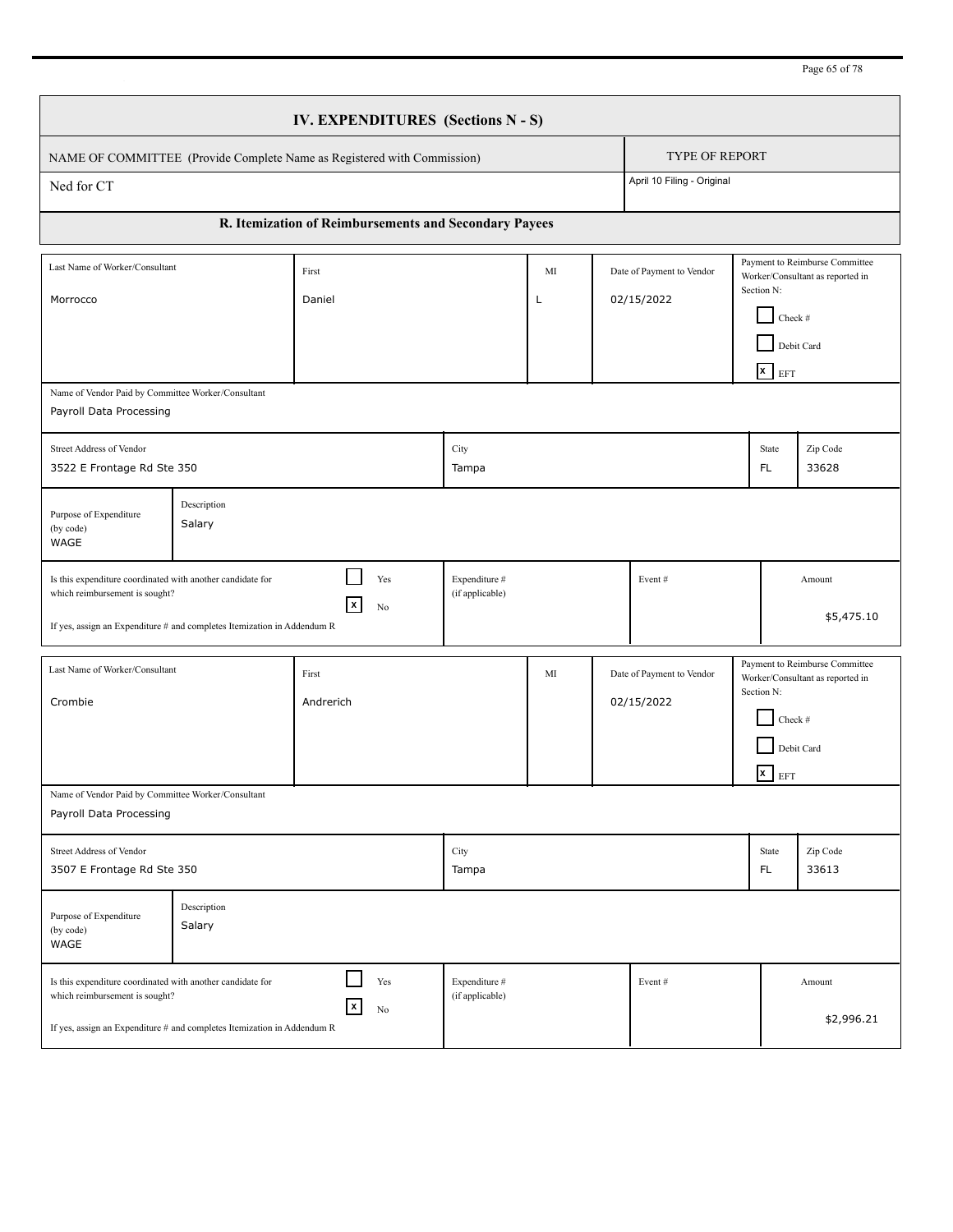Page 65 of 78

|                                                                                                                                                                                                                                                   | IV. EXPENDITURES (Sections N - S) |                                                                         |                                  |         |  |                                         |            |                                                         |                                                                    |  |
|---------------------------------------------------------------------------------------------------------------------------------------------------------------------------------------------------------------------------------------------------|-----------------------------------|-------------------------------------------------------------------------|----------------------------------|---------|--|-----------------------------------------|------------|---------------------------------------------------------|--------------------------------------------------------------------|--|
|                                                                                                                                                                                                                                                   |                                   | NAME OF COMMITTEE (Provide Complete Name as Registered with Commission) |                                  |         |  | <b>TYPE OF REPORT</b>                   |            |                                                         |                                                                    |  |
| Ned for CT                                                                                                                                                                                                                                        |                                   |                                                                         |                                  |         |  | April 10 Filing - Original              |            |                                                         |                                                                    |  |
|                                                                                                                                                                                                                                                   |                                   | R. Itemization of Reimbursements and Secondary Payees                   |                                  |         |  |                                         |            |                                                         |                                                                    |  |
| Last Name of Worker/Consultant<br>Morrocco                                                                                                                                                                                                        |                                   | First<br>Daniel                                                         |                                  | MI<br>L |  | Date of Payment to Vendor<br>02/15/2022 |            | Section N:<br>Check #<br>Debit Card<br>$\mathbf{x}$ EFT | Payment to Reimburse Committee<br>Worker/Consultant as reported in |  |
| Name of Vendor Paid by Committee Worker/Consultant<br>Payroll Data Processing                                                                                                                                                                     |                                   |                                                                         |                                  |         |  |                                         |            |                                                         |                                                                    |  |
| Street Address of Vendor<br>3522 E Frontage Rd Ste 350                                                                                                                                                                                            |                                   |                                                                         | City<br>Tampa                    |         |  |                                         |            | State<br>FL.                                            | Zip Code<br>33628                                                  |  |
| Purpose of Expenditure<br>(by code)<br>WAGE                                                                                                                                                                                                       | Description<br>Salary             |                                                                         |                                  |         |  |                                         |            |                                                         |                                                                    |  |
| Is this expenditure coordinated with another candidate for<br>which reimbursement is sought?<br>If yes, assign an Expenditure # and completes Itemization in Addendum R                                                                           |                                   | Yes<br>$\mathbf{x}$<br>No                                               | Expenditure #<br>(if applicable) |         |  | Event#                                  |            |                                                         | Amount<br>\$5,475.10                                               |  |
| Last Name of Worker/Consultant<br>Crombie                                                                                                                                                                                                         |                                   | First<br>Andrerich                                                      |                                  | MI      |  | Date of Payment to Vendor<br>02/15/2022 |            | Section N:<br>Check #<br>Debit Card<br>$\mathbf{x}$ EFT | Payment to Reimburse Committee<br>Worker/Consultant as reported in |  |
| Name of Vendor Paid by Committee Worker/Consultant<br>Payroll Data Processing                                                                                                                                                                     |                                   |                                                                         |                                  |         |  |                                         |            |                                                         |                                                                    |  |
| Street Address of Vendor<br>3507 E Frontage Rd Ste 350                                                                                                                                                                                            |                                   |                                                                         | City<br>Tampa                    |         |  |                                         |            | State<br>FL.                                            | Zip Code<br>33613                                                  |  |
| Purpose of Expenditure<br>(by code)<br>WAGE                                                                                                                                                                                                       | Description<br>Salary             |                                                                         |                                  |         |  |                                         |            |                                                         |                                                                    |  |
| Yes<br>Expenditure #<br>Is this expenditure coordinated with another candidate for<br>Event#<br>Amount<br>(if applicable)<br>which reimbursement is sought?<br>x<br>No<br>If yes, assign an Expenditure # and completes Itemization in Addendum R |                                   |                                                                         |                                  |         |  |                                         | \$2,996.21 |                                                         |                                                                    |  |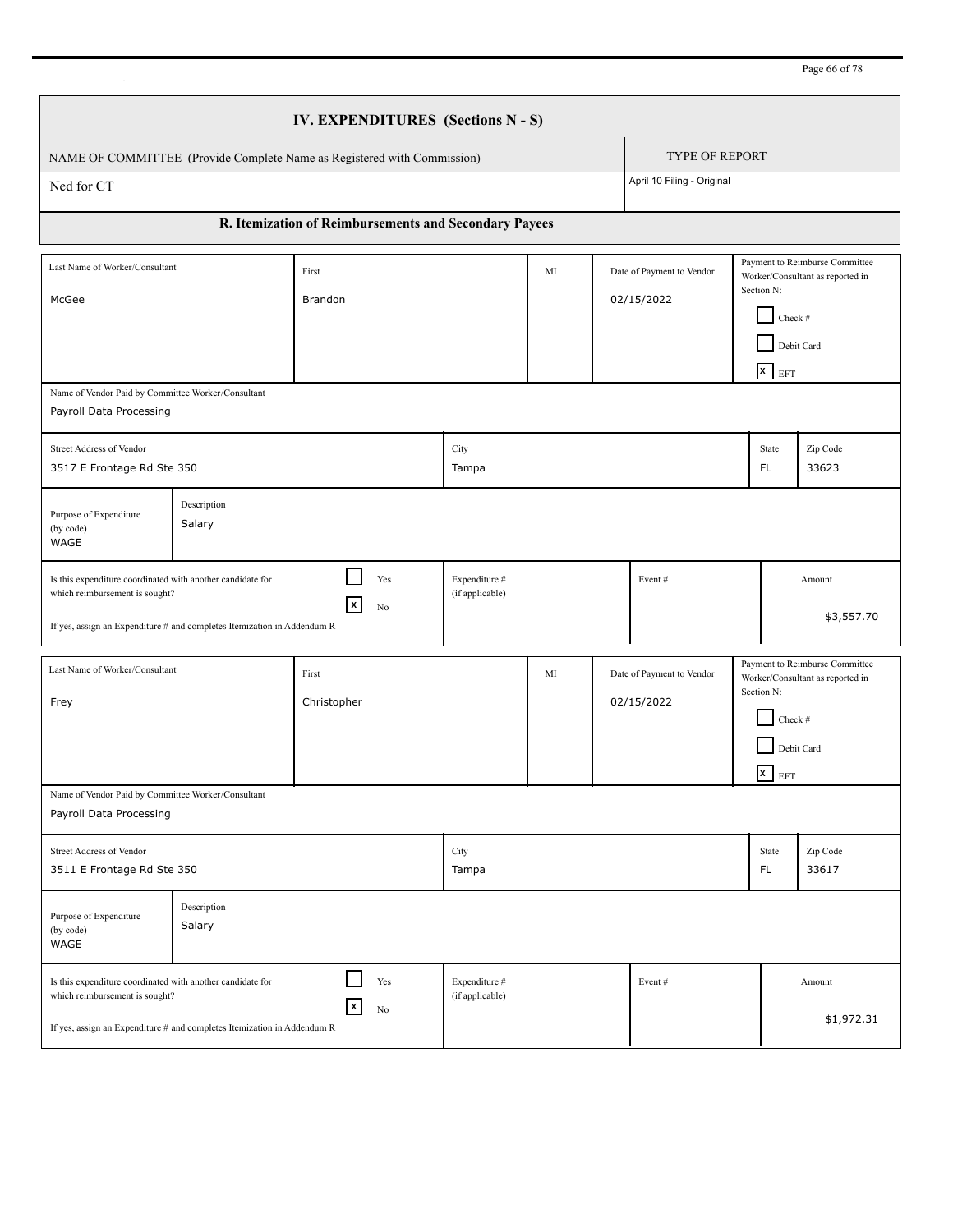Page 66 of 78

|                                                                                                                                                                                                                                                                                  | IV. EXPENDITURES (Sections N - S) |                                                                         |                                  |    |  |                                         |  |                                                         |                                                                    |  |
|----------------------------------------------------------------------------------------------------------------------------------------------------------------------------------------------------------------------------------------------------------------------------------|-----------------------------------|-------------------------------------------------------------------------|----------------------------------|----|--|-----------------------------------------|--|---------------------------------------------------------|--------------------------------------------------------------------|--|
|                                                                                                                                                                                                                                                                                  |                                   | NAME OF COMMITTEE (Provide Complete Name as Registered with Commission) |                                  |    |  | <b>TYPE OF REPORT</b>                   |  |                                                         |                                                                    |  |
| Ned for CT                                                                                                                                                                                                                                                                       |                                   |                                                                         |                                  |    |  | April 10 Filing - Original              |  |                                                         |                                                                    |  |
|                                                                                                                                                                                                                                                                                  |                                   | R. Itemization of Reimbursements and Secondary Payees                   |                                  |    |  |                                         |  |                                                         |                                                                    |  |
| Last Name of Worker/Consultant<br>McGee                                                                                                                                                                                                                                          |                                   | First<br>Brandon                                                        |                                  | MI |  | Date of Payment to Vendor<br>02/15/2022 |  | Section N:<br>Check #<br>Debit Card<br>$\mathbf{x}$ EFT | Payment to Reimburse Committee<br>Worker/Consultant as reported in |  |
| Name of Vendor Paid by Committee Worker/Consultant<br>Payroll Data Processing                                                                                                                                                                                                    |                                   |                                                                         |                                  |    |  |                                         |  |                                                         |                                                                    |  |
| Street Address of Vendor<br>3517 E Frontage Rd Ste 350                                                                                                                                                                                                                           |                                   |                                                                         | City<br>Tampa                    |    |  |                                         |  | State<br>FL.                                            | Zip Code<br>33623                                                  |  |
| Purpose of Expenditure<br>(by code)<br>WAGE                                                                                                                                                                                                                                      | Description<br>Salary             |                                                                         |                                  |    |  |                                         |  |                                                         |                                                                    |  |
| Is this expenditure coordinated with another candidate for<br>which reimbursement is sought?<br>If yes, assign an Expenditure # and completes Itemization in Addendum R                                                                                                          |                                   | Yes<br>$\vert x \vert$<br>No                                            | Expenditure #<br>(if applicable) |    |  | Event#                                  |  |                                                         | Amount<br>\$3,557.70                                               |  |
| Last Name of Worker/Consultant<br>Frey                                                                                                                                                                                                                                           |                                   | First<br>Christopher                                                    |                                  | MI |  | Date of Payment to Vendor<br>02/15/2022 |  | Section N:<br>Check #<br>Debit Card<br>$x$ EFT          | Payment to Reimburse Committee<br>Worker/Consultant as reported in |  |
| Name of Vendor Paid by Committee Worker/Consultant<br>Payroll Data Processing                                                                                                                                                                                                    |                                   |                                                                         |                                  |    |  |                                         |  |                                                         |                                                                    |  |
| Street Address of Vendor<br>3511 E Frontage Rd Ste 350                                                                                                                                                                                                                           |                                   |                                                                         | City<br>Tampa                    |    |  |                                         |  | State<br>FL.                                            | Zip Code<br>33617                                                  |  |
| Purpose of Expenditure<br>(by code)<br>WAGE                                                                                                                                                                                                                                      | Description<br>Salary             |                                                                         |                                  |    |  |                                         |  |                                                         |                                                                    |  |
| Yes<br>Expenditure #<br>Is this expenditure coordinated with another candidate for<br>Event#<br>Amount<br>(if applicable)<br>which reimbursement is sought?<br>$\pmb{\mathsf{x}}$<br>No<br>\$1,972.31<br>If yes, assign an Expenditure # and completes Itemization in Addendum R |                                   |                                                                         |                                  |    |  |                                         |  |                                                         |                                                                    |  |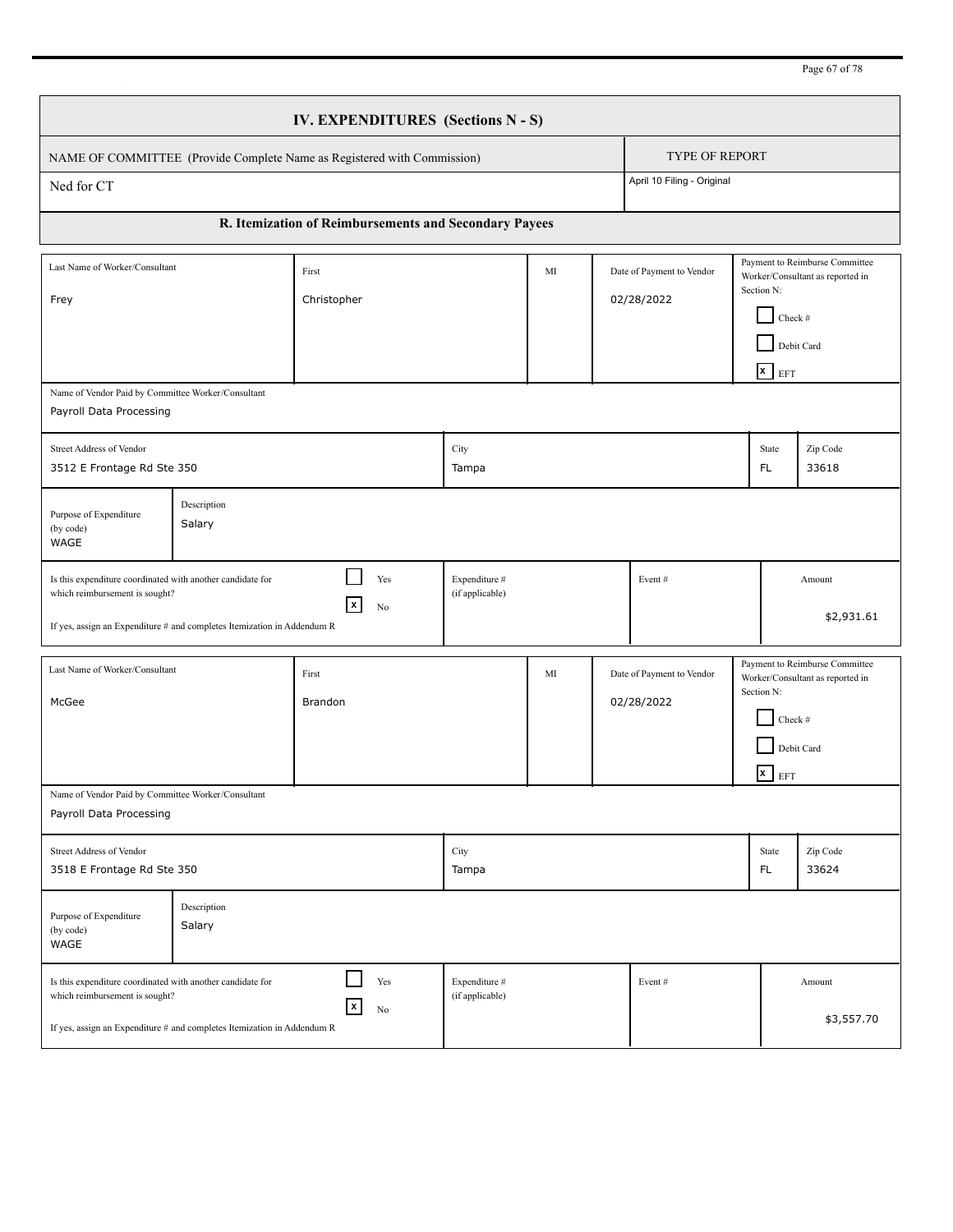Page 67 of 78

|                                                                                                                                                                                                                                                                               | IV. EXPENDITURES (Sections N - S) |                                                                         |                                  |    |  |                                         |  |                                                         |                                                                                  |  |
|-------------------------------------------------------------------------------------------------------------------------------------------------------------------------------------------------------------------------------------------------------------------------------|-----------------------------------|-------------------------------------------------------------------------|----------------------------------|----|--|-----------------------------------------|--|---------------------------------------------------------|----------------------------------------------------------------------------------|--|
|                                                                                                                                                                                                                                                                               |                                   | NAME OF COMMITTEE (Provide Complete Name as Registered with Commission) |                                  |    |  | <b>TYPE OF REPORT</b>                   |  |                                                         |                                                                                  |  |
| Ned for CT                                                                                                                                                                                                                                                                    |                                   |                                                                         |                                  |    |  | April 10 Filing - Original              |  |                                                         |                                                                                  |  |
|                                                                                                                                                                                                                                                                               |                                   | R. Itemization of Reimbursements and Secondary Payees                   |                                  |    |  |                                         |  |                                                         |                                                                                  |  |
| Last Name of Worker/Consultant<br>Frey                                                                                                                                                                                                                                        |                                   | First<br>Christopher                                                    |                                  | MI |  | Date of Payment to Vendor<br>02/28/2022 |  | Section N:<br>Check #<br>$x$ EFT                        | Payment to Reimburse Committee<br>Worker/Consultant as reported in<br>Debit Card |  |
| Name of Vendor Paid by Committee Worker/Consultant<br>Payroll Data Processing                                                                                                                                                                                                 |                                   |                                                                         |                                  |    |  |                                         |  |                                                         |                                                                                  |  |
| Street Address of Vendor<br>3512 E Frontage Rd Ste 350                                                                                                                                                                                                                        |                                   |                                                                         | City<br>Tampa                    |    |  |                                         |  | State<br>FL.                                            | Zip Code<br>33618                                                                |  |
| Purpose of Expenditure<br>(by code)<br>WAGE                                                                                                                                                                                                                                   | Description<br>Salary             |                                                                         |                                  |    |  |                                         |  |                                                         |                                                                                  |  |
| Is this expenditure coordinated with another candidate for<br>which reimbursement is sought?<br>If yes, assign an Expenditure # and completes Itemization in Addendum R                                                                                                       |                                   | Yes<br>$\vert x \vert$<br>No                                            | Expenditure #<br>(if applicable) |    |  | Event#                                  |  |                                                         | Amount<br>\$2,931.61                                                             |  |
| Last Name of Worker/Consultant<br>McGee                                                                                                                                                                                                                                       |                                   | First<br>Brandon                                                        |                                  | MI |  | Date of Payment to Vendor<br>02/28/2022 |  | Section N:<br>Check #<br>Debit Card<br>$\mathbf{x}$ EFT | Payment to Reimburse Committee<br>Worker/Consultant as reported in               |  |
| Name of Vendor Paid by Committee Worker/Consultant<br>Payroll Data Processing                                                                                                                                                                                                 |                                   |                                                                         |                                  |    |  |                                         |  |                                                         |                                                                                  |  |
| Street Address of Vendor<br>3518 E Frontage Rd Ste 350                                                                                                                                                                                                                        |                                   |                                                                         | City<br>Tampa                    |    |  |                                         |  | State<br>FL.                                            | Zip Code<br>33624                                                                |  |
| Purpose of Expenditure<br>(by code)<br>WAGE                                                                                                                                                                                                                                   | Description<br>Salary             |                                                                         |                                  |    |  |                                         |  |                                                         |                                                                                  |  |
| Yes<br>Expenditure #<br>Is this expenditure coordinated with another candidate for<br>Event#<br>Amount<br>(if applicable)<br>which reimbursement is sought?<br>$\vert x \vert$<br>No<br>\$3,557.70<br>If yes, assign an Expenditure # and completes Itemization in Addendum R |                                   |                                                                         |                                  |    |  |                                         |  |                                                         |                                                                                  |  |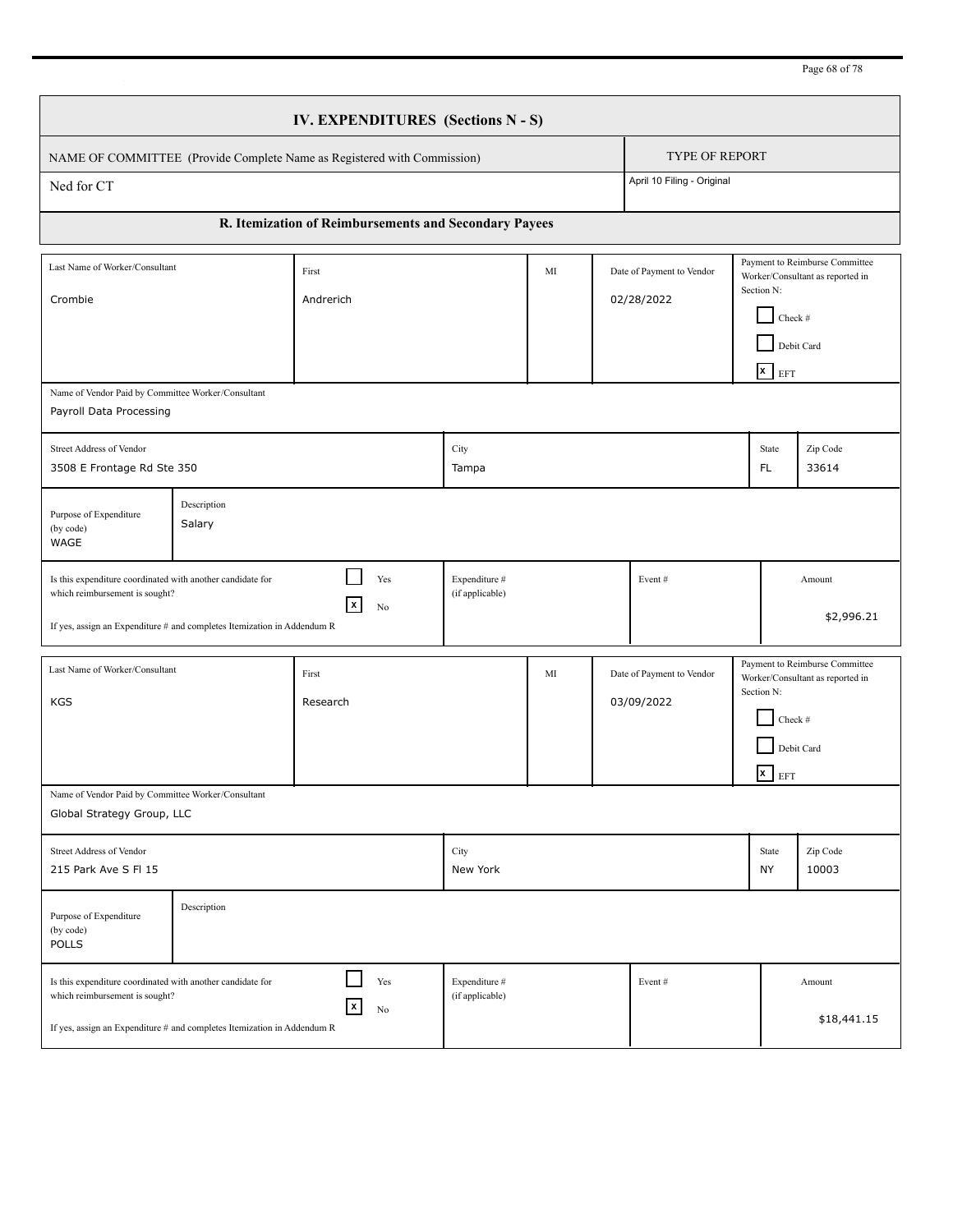Page 68 of 78

|                                                                                                                                                                         | IV. EXPENDITURES (Sections N - S) |                                                                         |                                  |    |        |                                         |  |                                                         |                                                                                  |  |
|-------------------------------------------------------------------------------------------------------------------------------------------------------------------------|-----------------------------------|-------------------------------------------------------------------------|----------------------------------|----|--------|-----------------------------------------|--|---------------------------------------------------------|----------------------------------------------------------------------------------|--|
|                                                                                                                                                                         |                                   | NAME OF COMMITTEE (Provide Complete Name as Registered with Commission) |                                  |    |        | <b>TYPE OF REPORT</b>                   |  |                                                         |                                                                                  |  |
| Ned for CT                                                                                                                                                              |                                   |                                                                         |                                  |    |        | April 10 Filing - Original              |  |                                                         |                                                                                  |  |
|                                                                                                                                                                         |                                   | R. Itemization of Reimbursements and Secondary Payees                   |                                  |    |        |                                         |  |                                                         |                                                                                  |  |
| Last Name of Worker/Consultant<br>Crombie                                                                                                                               |                                   | First<br>Andrerich                                                      |                                  | MI |        | Date of Payment to Vendor<br>02/28/2022 |  | Section N:<br>Check #<br>$\mathbf{x}$ EFT               | Payment to Reimburse Committee<br>Worker/Consultant as reported in<br>Debit Card |  |
| Name of Vendor Paid by Committee Worker/Consultant<br>Payroll Data Processing                                                                                           |                                   |                                                                         |                                  |    |        |                                         |  |                                                         |                                                                                  |  |
| Street Address of Vendor<br>3508 E Frontage Rd Ste 350                                                                                                                  |                                   |                                                                         | City<br>Tampa                    |    |        |                                         |  | State<br>FL.                                            | Zip Code<br>33614                                                                |  |
| Purpose of Expenditure<br>(by code)<br>WAGE                                                                                                                             | Description<br>Salary             |                                                                         |                                  |    |        |                                         |  |                                                         |                                                                                  |  |
| Is this expenditure coordinated with another candidate for<br>which reimbursement is sought?<br>If yes, assign an Expenditure # and completes Itemization in Addendum R |                                   | Yes<br>$\mathbf{x}$<br>No                                               | Expenditure #<br>(if applicable) |    |        | Event#                                  |  |                                                         | Amount<br>\$2,996.21                                                             |  |
| Last Name of Worker/Consultant<br><b>KGS</b>                                                                                                                            |                                   | First<br>Research                                                       |                                  | MI |        | Date of Payment to Vendor<br>03/09/2022 |  | Section N:<br>Check #<br>Debit Card<br>$\mathbf{x}$ EFT | Payment to Reimburse Committee<br>Worker/Consultant as reported in               |  |
| Name of Vendor Paid by Committee Worker/Consultant<br>Global Strategy Group, LLC                                                                                        |                                   |                                                                         |                                  |    |        |                                         |  |                                                         |                                                                                  |  |
| Street Address of Vendor<br>215 Park Ave S FI 15                                                                                                                        |                                   |                                                                         | City<br>New York                 |    |        |                                         |  | State<br>NY                                             | Zip Code<br>10003                                                                |  |
| Purpose of Expenditure<br>(by code)<br><b>POLLS</b>                                                                                                                     | Description                       |                                                                         |                                  |    |        |                                         |  |                                                         |                                                                                  |  |
| Is this expenditure coordinated with another candidate for<br>which reimbursement is sought?<br>If yes, assign an Expenditure # and completes Itemization in Addendum R |                                   | Expenditure #<br>(if applicable)                                        |                                  |    | Event# |                                         |  | Amount<br>\$18,441.15                                   |                                                                                  |  |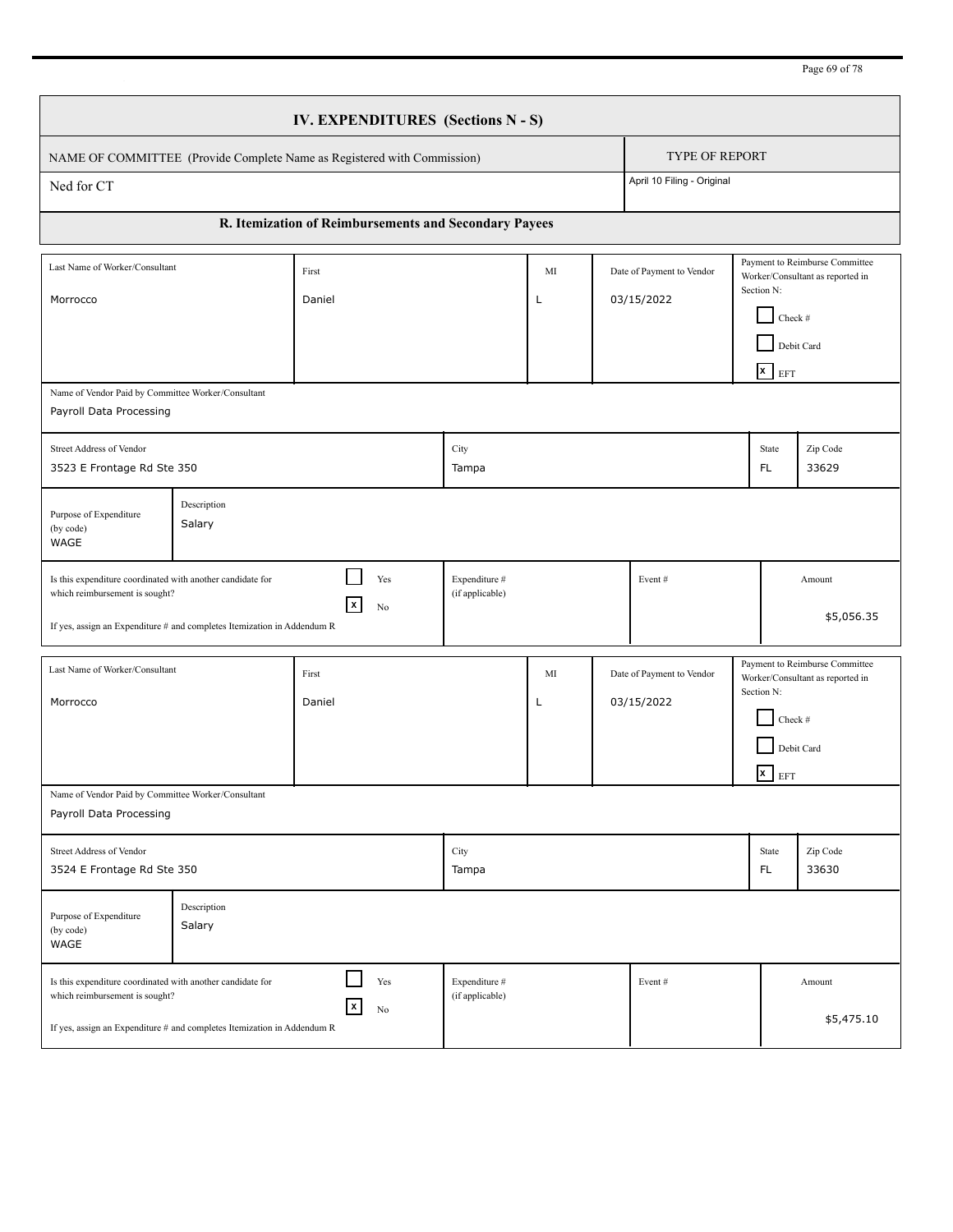Page 69 of 78

|                                                                                                                                                                                                                                                                    | IV. EXPENDITURES (Sections N - S) |                                                                         |                                  |         |  |                                         |            |                                                                                                                               |                                                                    |  |
|--------------------------------------------------------------------------------------------------------------------------------------------------------------------------------------------------------------------------------------------------------------------|-----------------------------------|-------------------------------------------------------------------------|----------------------------------|---------|--|-----------------------------------------|------------|-------------------------------------------------------------------------------------------------------------------------------|--------------------------------------------------------------------|--|
|                                                                                                                                                                                                                                                                    |                                   | NAME OF COMMITTEE (Provide Complete Name as Registered with Commission) |                                  |         |  | <b>TYPE OF REPORT</b>                   |            |                                                                                                                               |                                                                    |  |
| Ned for CT                                                                                                                                                                                                                                                         |                                   |                                                                         |                                  |         |  | April 10 Filing - Original              |            |                                                                                                                               |                                                                    |  |
|                                                                                                                                                                                                                                                                    |                                   | R. Itemization of Reimbursements and Secondary Payees                   |                                  |         |  |                                         |            |                                                                                                                               |                                                                    |  |
| Last Name of Worker/Consultant<br>Morrocco                                                                                                                                                                                                                         |                                   | First<br>Daniel                                                         |                                  | MI<br>L |  | Date of Payment to Vendor<br>03/15/2022 |            | Payment to Reimburse Committee<br>Worker/Consultant as reported in<br>Section N:<br>Check #<br>Debit Card<br>$\mathbf{x}$ EFT |                                                                    |  |
| Name of Vendor Paid by Committee Worker/Consultant<br>Payroll Data Processing                                                                                                                                                                                      |                                   |                                                                         |                                  |         |  |                                         |            |                                                                                                                               |                                                                    |  |
| Street Address of Vendor<br>3523 E Frontage Rd Ste 350                                                                                                                                                                                                             |                                   |                                                                         | City<br>Tampa                    |         |  |                                         |            | State<br>FL.                                                                                                                  | Zip Code<br>33629                                                  |  |
| Purpose of Expenditure<br>(by code)<br>WAGE                                                                                                                                                                                                                        | Description<br>Salary             |                                                                         |                                  |         |  |                                         |            |                                                                                                                               |                                                                    |  |
| Is this expenditure coordinated with another candidate for<br>which reimbursement is sought?<br>If yes, assign an Expenditure # and completes Itemization in Addendum R                                                                                            |                                   | Yes<br>$\vert x \vert$<br>No                                            | Expenditure #<br>(if applicable) |         |  | Event#                                  |            |                                                                                                                               | Amount<br>\$5,056.35                                               |  |
| Last Name of Worker/Consultant<br>Morrocco                                                                                                                                                                                                                         |                                   | First<br>Daniel                                                         |                                  | MI<br>L |  | Date of Payment to Vendor<br>03/15/2022 | Section N: | Check #<br>Debit Card<br>$x$ EFT                                                                                              | Payment to Reimburse Committee<br>Worker/Consultant as reported in |  |
| Name of Vendor Paid by Committee Worker/Consultant<br>Payroll Data Processing                                                                                                                                                                                      |                                   |                                                                         |                                  |         |  |                                         |            |                                                                                                                               |                                                                    |  |
| Street Address of Vendor<br>3524 E Frontage Rd Ste 350                                                                                                                                                                                                             |                                   |                                                                         | City<br>Tampa                    |         |  |                                         |            | State<br>FL.                                                                                                                  | Zip Code<br>33630                                                  |  |
| Purpose of Expenditure<br>(by code)<br>WAGE                                                                                                                                                                                                                        | Description<br>Salary             |                                                                         |                                  |         |  |                                         |            |                                                                                                                               |                                                                    |  |
| Yes<br>Expenditure #<br>Is this expenditure coordinated with another candidate for<br>Event#<br>Amount<br>(if applicable)<br>which reimbursement is sought?<br>$\pmb{\mathsf{x}}$<br>No<br>If yes, assign an Expenditure # and completes Itemization in Addendum R |                                   |                                                                         |                                  |         |  |                                         | \$5,475.10 |                                                                                                                               |                                                                    |  |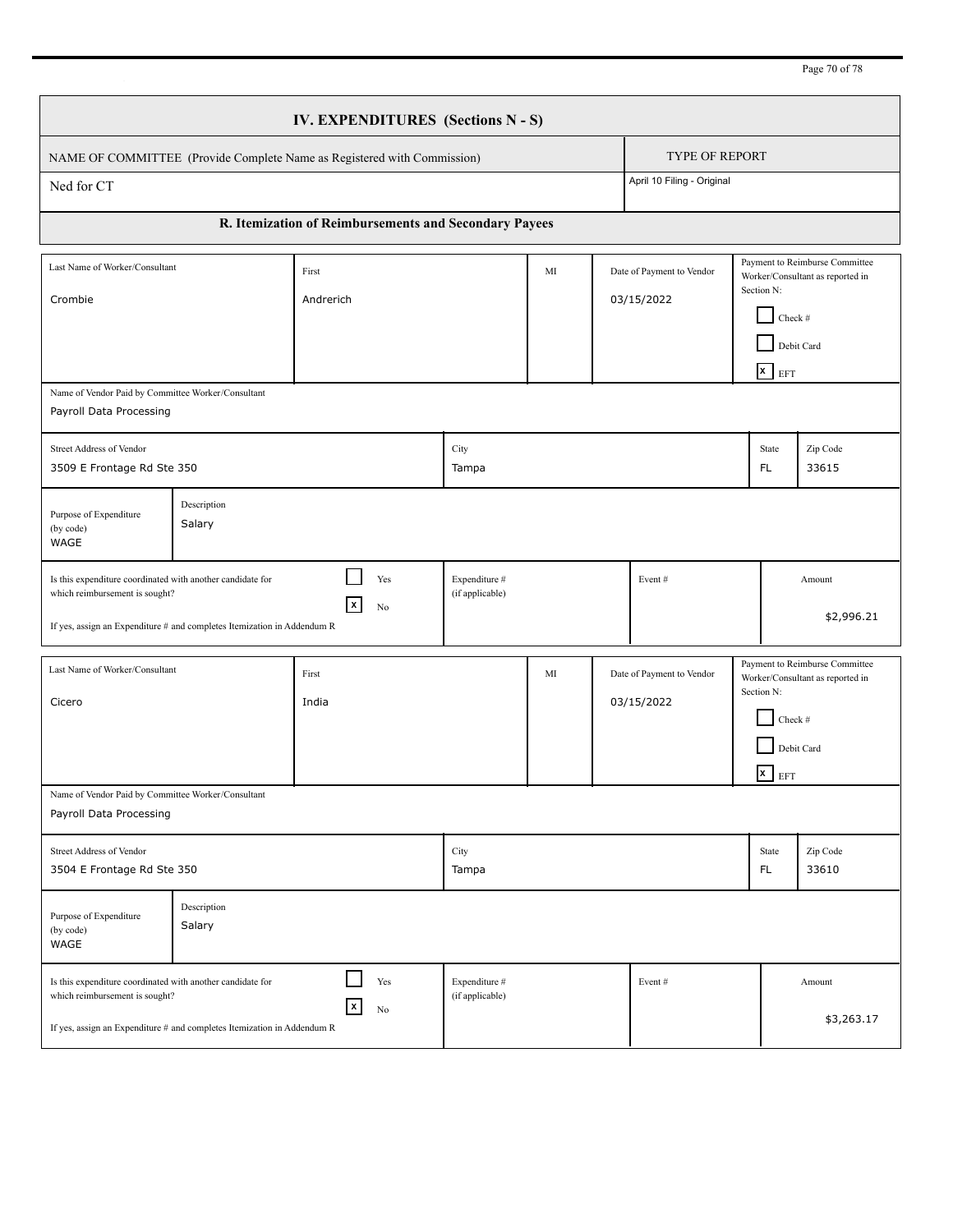Page 70 of 78

|                                                                                                                                                                                                                                                     | IV. EXPENDITURES (Sections N - S) |                                                                         |                                  |    |  |                                         |                                                                                                                      |                                  |                                                                                  |  |
|-----------------------------------------------------------------------------------------------------------------------------------------------------------------------------------------------------------------------------------------------------|-----------------------------------|-------------------------------------------------------------------------|----------------------------------|----|--|-----------------------------------------|----------------------------------------------------------------------------------------------------------------------|----------------------------------|----------------------------------------------------------------------------------|--|
|                                                                                                                                                                                                                                                     |                                   | NAME OF COMMITTEE (Provide Complete Name as Registered with Commission) |                                  |    |  | <b>TYPE OF REPORT</b>                   |                                                                                                                      |                                  |                                                                                  |  |
| Ned for CT                                                                                                                                                                                                                                          |                                   |                                                                         |                                  |    |  | April 10 Filing - Original              |                                                                                                                      |                                  |                                                                                  |  |
|                                                                                                                                                                                                                                                     |                                   | R. Itemization of Reimbursements and Secondary Payees                   |                                  |    |  |                                         |                                                                                                                      |                                  |                                                                                  |  |
| Last Name of Worker/Consultant<br>Crombie                                                                                                                                                                                                           |                                   | First<br>Andrerich                                                      |                                  | MI |  | Date of Payment to Vendor<br>03/15/2022 | Payment to Reimburse Committee<br>Worker/Consultant as reported in<br>Section N:<br>Check #<br>Debit Card<br>$x$ EFT |                                  |                                                                                  |  |
| Name of Vendor Paid by Committee Worker/Consultant<br>Payroll Data Processing                                                                                                                                                                       |                                   |                                                                         |                                  |    |  |                                         |                                                                                                                      |                                  |                                                                                  |  |
| Street Address of Vendor<br>3509 E Frontage Rd Ste 350                                                                                                                                                                                              |                                   |                                                                         | City<br>Tampa                    |    |  |                                         |                                                                                                                      | State<br>FL.                     | Zip Code<br>33615                                                                |  |
| Purpose of Expenditure<br>(by code)<br>WAGE                                                                                                                                                                                                         | Description<br>Salary             |                                                                         |                                  |    |  |                                         |                                                                                                                      |                                  |                                                                                  |  |
| Is this expenditure coordinated with another candidate for<br>which reimbursement is sought?<br>If yes, assign an Expenditure # and completes Itemization in Addendum R                                                                             |                                   | Yes<br>X<br>No                                                          | Expenditure #<br>(if applicable) |    |  | Event#                                  |                                                                                                                      |                                  | Amount<br>\$2,996.21                                                             |  |
| Last Name of Worker/Consultant<br>Cicero                                                                                                                                                                                                            |                                   | First<br>India                                                          |                                  | MI |  | Date of Payment to Vendor<br>03/15/2022 |                                                                                                                      | Section N:<br>Check #<br>$x$ EFT | Payment to Reimburse Committee<br>Worker/Consultant as reported in<br>Debit Card |  |
| Name of Vendor Paid by Committee Worker/Consultant<br>Payroll Data Processing                                                                                                                                                                       |                                   |                                                                         |                                  |    |  |                                         |                                                                                                                      |                                  |                                                                                  |  |
| Street Address of Vendor<br>3504 E Frontage Rd Ste 350                                                                                                                                                                                              |                                   |                                                                         | City<br>Tampa                    |    |  |                                         |                                                                                                                      | State<br>FL.                     | Zip Code<br>33610                                                                |  |
| Purpose of Expenditure<br>(by code)<br>WAGE                                                                                                                                                                                                         | Description<br>Salary             |                                                                         |                                  |    |  |                                         |                                                                                                                      |                                  |                                                                                  |  |
| Yes<br>Expenditure #<br>Is this expenditure coordinated with another candidate for<br>Event#<br>Amount<br>(if applicable)<br>which reimbursement is sought?<br>  X<br>No<br>If yes, assign an Expenditure # and completes Itemization in Addendum R |                                   |                                                                         |                                  |    |  |                                         | \$3,263.17                                                                                                           |                                  |                                                                                  |  |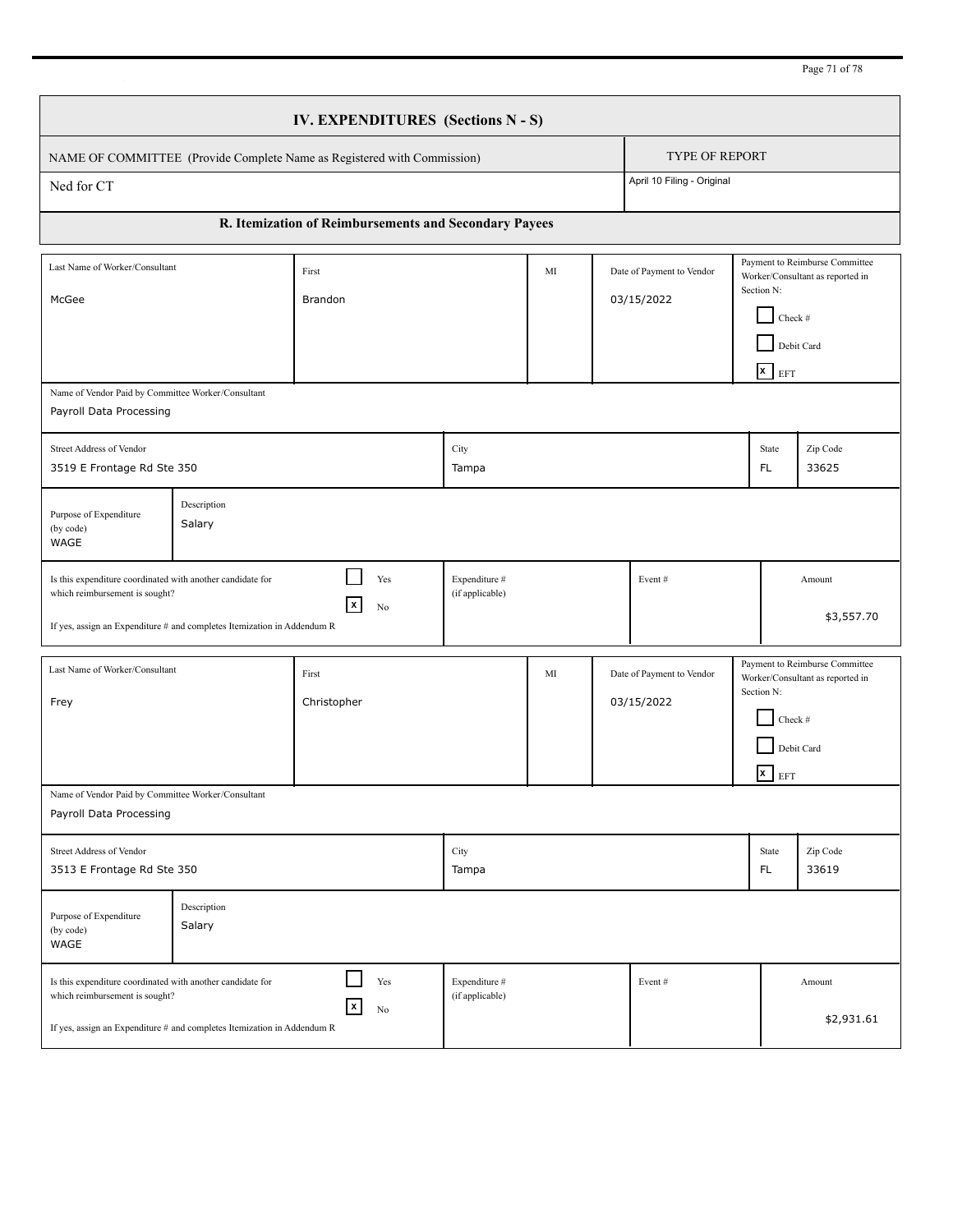Page 71 of 78

|                                                                                                                                                                                                                                                                 | IV. EXPENDITURES (Sections N - S) |                                                                         |                                  |    |  |                                         |                                                                                                                      |                                           |                                                                                  |  |
|-----------------------------------------------------------------------------------------------------------------------------------------------------------------------------------------------------------------------------------------------------------------|-----------------------------------|-------------------------------------------------------------------------|----------------------------------|----|--|-----------------------------------------|----------------------------------------------------------------------------------------------------------------------|-------------------------------------------|----------------------------------------------------------------------------------|--|
|                                                                                                                                                                                                                                                                 |                                   | NAME OF COMMITTEE (Provide Complete Name as Registered with Commission) |                                  |    |  | <b>TYPE OF REPORT</b>                   |                                                                                                                      |                                           |                                                                                  |  |
| Ned for CT                                                                                                                                                                                                                                                      |                                   |                                                                         |                                  |    |  | April 10 Filing - Original              |                                                                                                                      |                                           |                                                                                  |  |
|                                                                                                                                                                                                                                                                 |                                   | R. Itemization of Reimbursements and Secondary Payees                   |                                  |    |  |                                         |                                                                                                                      |                                           |                                                                                  |  |
| Last Name of Worker/Consultant<br>McGee                                                                                                                                                                                                                         |                                   | First<br><b>Brandon</b>                                                 |                                  | MI |  | Date of Payment to Vendor<br>03/15/2022 | Payment to Reimburse Committee<br>Worker/Consultant as reported in<br>Section N:<br>Check #<br>Debit Card<br>$x$ EFT |                                           |                                                                                  |  |
| Name of Vendor Paid by Committee Worker/Consultant<br>Payroll Data Processing                                                                                                                                                                                   |                                   |                                                                         |                                  |    |  |                                         |                                                                                                                      |                                           |                                                                                  |  |
| Street Address of Vendor<br>3519 E Frontage Rd Ste 350                                                                                                                                                                                                          |                                   |                                                                         | City<br>Tampa                    |    |  |                                         |                                                                                                                      | State<br>FL.                              | Zip Code<br>33625                                                                |  |
| Purpose of Expenditure<br>(by code)<br>WAGE                                                                                                                                                                                                                     | Description<br>Salary             |                                                                         |                                  |    |  |                                         |                                                                                                                      |                                           |                                                                                  |  |
| Is this expenditure coordinated with another candidate for<br>which reimbursement is sought?<br>If yes, assign an Expenditure # and completes Itemization in Addendum R                                                                                         |                                   | Yes<br>$\vert x \vert$<br>No                                            | Expenditure #<br>(if applicable) |    |  | Event#                                  |                                                                                                                      |                                           | Amount<br>\$3,557.70                                                             |  |
| Last Name of Worker/Consultant<br>Frey                                                                                                                                                                                                                          |                                   | First<br>Christopher                                                    |                                  | MI |  | Date of Payment to Vendor<br>03/15/2022 |                                                                                                                      | Section N:<br>Check #<br>$\mathbf{x}$ EFT | Payment to Reimburse Committee<br>Worker/Consultant as reported in<br>Debit Card |  |
| Name of Vendor Paid by Committee Worker/Consultant<br>Payroll Data Processing                                                                                                                                                                                   |                                   |                                                                         |                                  |    |  |                                         |                                                                                                                      |                                           |                                                                                  |  |
| Street Address of Vendor<br>3513 E Frontage Rd Ste 350                                                                                                                                                                                                          |                                   |                                                                         | City<br>Tampa                    |    |  |                                         |                                                                                                                      | State<br>FL.                              | Zip Code<br>33619                                                                |  |
| Purpose of Expenditure<br>(by code)<br>WAGE                                                                                                                                                                                                                     | Description<br>Salary             |                                                                         |                                  |    |  |                                         |                                                                                                                      |                                           |                                                                                  |  |
| Yes<br>Expenditure #<br>Is this expenditure coordinated with another candidate for<br>Event#<br>Amount<br>(if applicable)<br>which reimbursement is sought?<br>$\vert x \vert$<br>No<br>If yes, assign an Expenditure # and completes Itemization in Addendum R |                                   |                                                                         |                                  |    |  |                                         | \$2,931.61                                                                                                           |                                           |                                                                                  |  |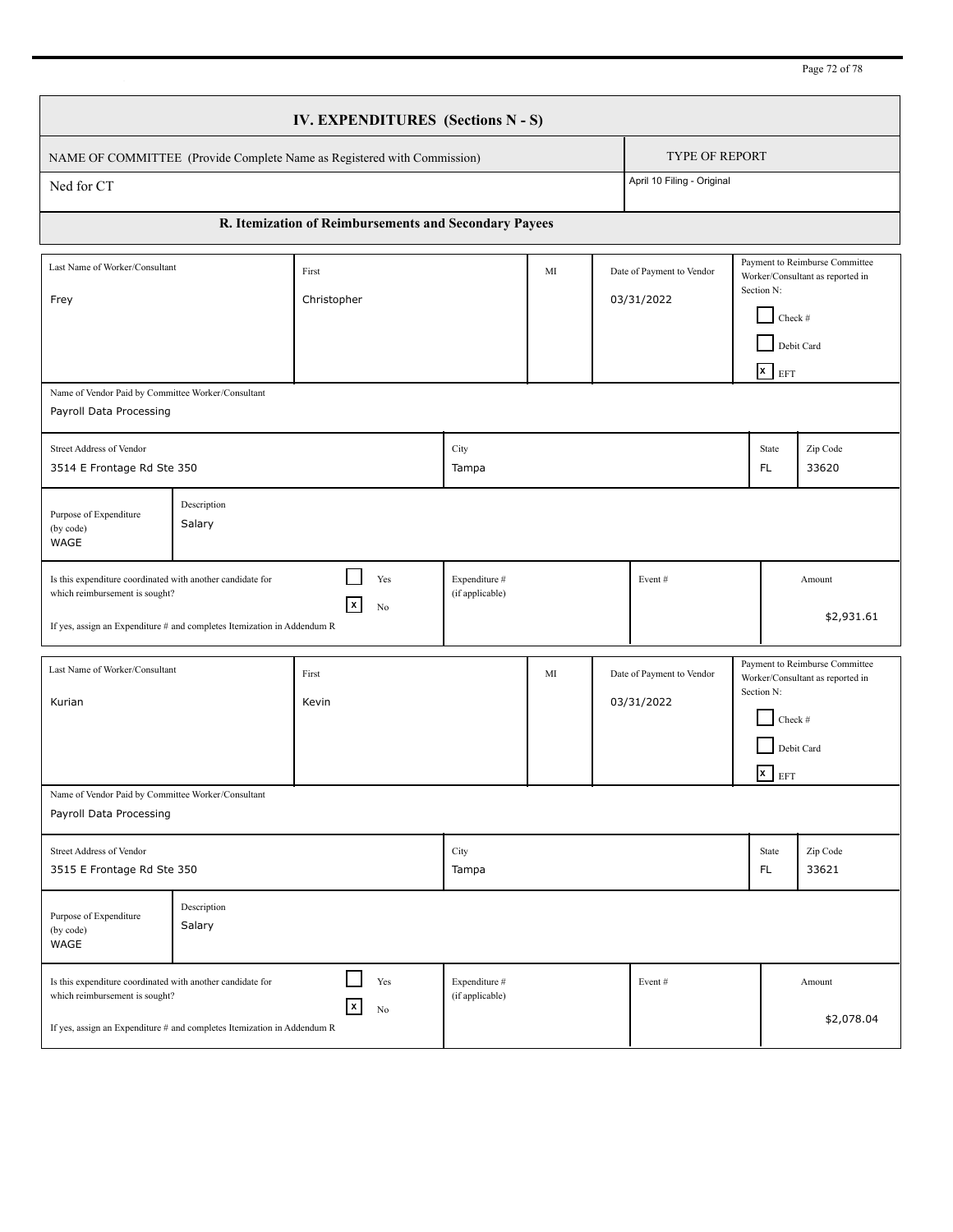Page 72 of 78

|                                                                                                                                                                                                                                                                               | IV. EXPENDITURES (Sections N - S) |                                                                         |                                  |    |  |                                         |                                                                                                                      |                                           |                                                                                  |  |
|-------------------------------------------------------------------------------------------------------------------------------------------------------------------------------------------------------------------------------------------------------------------------------|-----------------------------------|-------------------------------------------------------------------------|----------------------------------|----|--|-----------------------------------------|----------------------------------------------------------------------------------------------------------------------|-------------------------------------------|----------------------------------------------------------------------------------|--|
|                                                                                                                                                                                                                                                                               |                                   | NAME OF COMMITTEE (Provide Complete Name as Registered with Commission) |                                  |    |  | <b>TYPE OF REPORT</b>                   |                                                                                                                      |                                           |                                                                                  |  |
| Ned for CT                                                                                                                                                                                                                                                                    |                                   |                                                                         |                                  |    |  | April 10 Filing - Original              |                                                                                                                      |                                           |                                                                                  |  |
|                                                                                                                                                                                                                                                                               |                                   | R. Itemization of Reimbursements and Secondary Payees                   |                                  |    |  |                                         |                                                                                                                      |                                           |                                                                                  |  |
| Last Name of Worker/Consultant<br>Frey                                                                                                                                                                                                                                        |                                   | First<br>Christopher                                                    |                                  | MI |  | Date of Payment to Vendor<br>03/31/2022 | Payment to Reimburse Committee<br>Worker/Consultant as reported in<br>Section N:<br>Check #<br>Debit Card<br>$x$ EFT |                                           |                                                                                  |  |
| Name of Vendor Paid by Committee Worker/Consultant<br>Payroll Data Processing                                                                                                                                                                                                 |                                   |                                                                         |                                  |    |  |                                         |                                                                                                                      |                                           |                                                                                  |  |
| Street Address of Vendor<br>3514 E Frontage Rd Ste 350                                                                                                                                                                                                                        |                                   |                                                                         | City<br>Tampa                    |    |  |                                         |                                                                                                                      | State<br>FL.                              | Zip Code<br>33620                                                                |  |
| Purpose of Expenditure<br>(by code)<br>WAGE                                                                                                                                                                                                                                   | Description<br>Salary             |                                                                         |                                  |    |  |                                         |                                                                                                                      |                                           |                                                                                  |  |
| Is this expenditure coordinated with another candidate for<br>which reimbursement is sought?<br>If yes, assign an Expenditure # and completes Itemization in Addendum R                                                                                                       |                                   | Yes<br>$\vert x \vert$<br>No                                            | Expenditure #<br>(if applicable) |    |  | Event#                                  |                                                                                                                      |                                           | Amount<br>\$2,931.61                                                             |  |
| Last Name of Worker/Consultant<br>Kurian                                                                                                                                                                                                                                      |                                   | First<br>Kevin                                                          |                                  | MI |  | Date of Payment to Vendor<br>03/31/2022 |                                                                                                                      | Section N:<br>Check #<br>$\mathbf{x}$ EFT | Payment to Reimburse Committee<br>Worker/Consultant as reported in<br>Debit Card |  |
| Name of Vendor Paid by Committee Worker/Consultant<br>Payroll Data Processing                                                                                                                                                                                                 |                                   |                                                                         |                                  |    |  |                                         |                                                                                                                      |                                           |                                                                                  |  |
| Street Address of Vendor<br>3515 E Frontage Rd Ste 350                                                                                                                                                                                                                        |                                   |                                                                         | City<br>Tampa                    |    |  |                                         |                                                                                                                      | State<br>FL.                              | Zip Code<br>33621                                                                |  |
| Purpose of Expenditure<br>(by code)<br>WAGE                                                                                                                                                                                                                                   | Description<br>Salary             |                                                                         |                                  |    |  |                                         |                                                                                                                      |                                           |                                                                                  |  |
| Yes<br>Expenditure #<br>Is this expenditure coordinated with another candidate for<br>Event#<br>Amount<br>(if applicable)<br>which reimbursement is sought?<br>$\vert x \vert$<br>No<br>\$2,078.04<br>If yes, assign an Expenditure # and completes Itemization in Addendum R |                                   |                                                                         |                                  |    |  |                                         |                                                                                                                      |                                           |                                                                                  |  |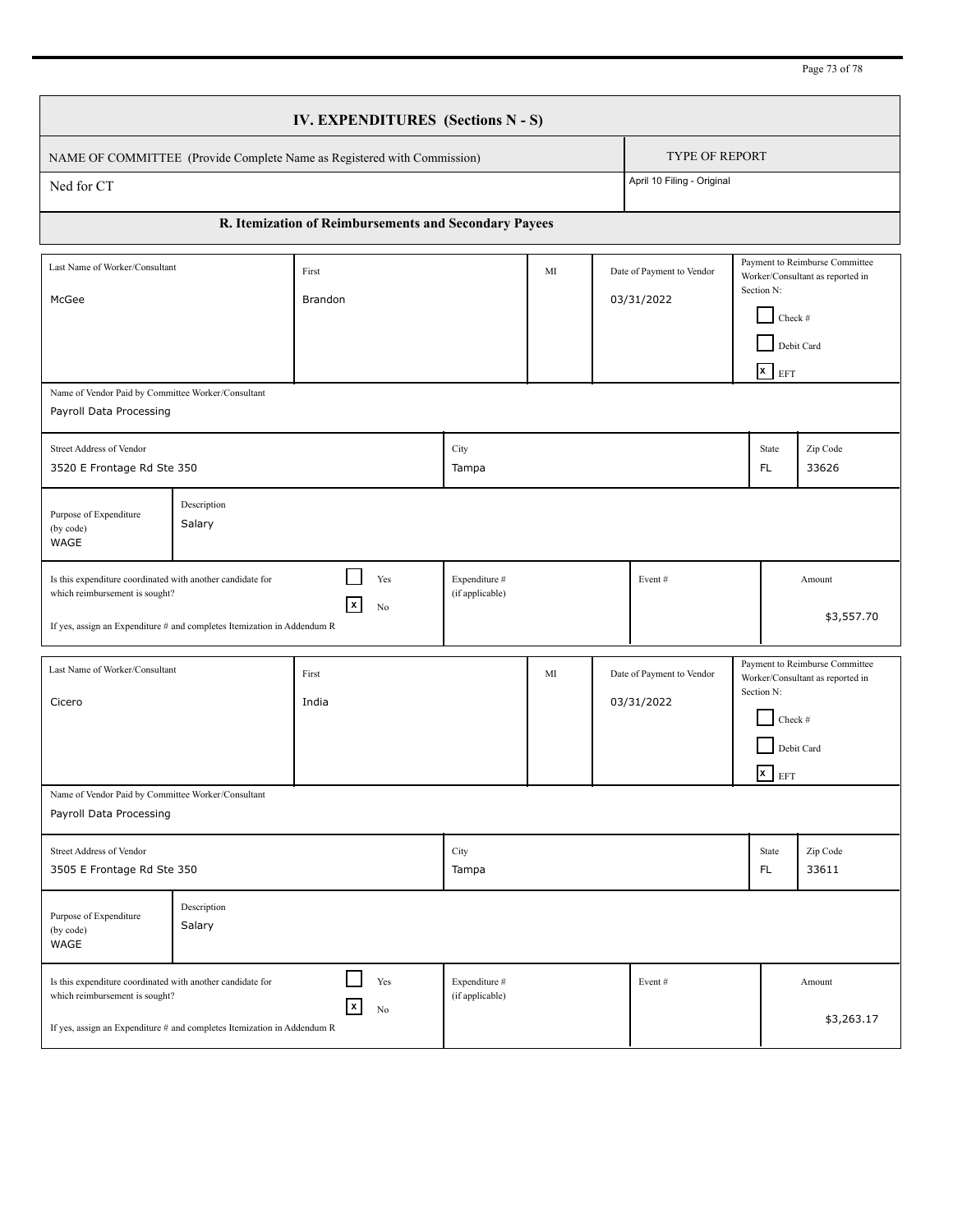Page 73 of 78

|                                                                                                                                                                         |                       | IV. EXPENDITURES (Sections N - S)                                       |                                  |    |                                         |            |                                                                                                                               |                                                                                  |
|-------------------------------------------------------------------------------------------------------------------------------------------------------------------------|-----------------------|-------------------------------------------------------------------------|----------------------------------|----|-----------------------------------------|------------|-------------------------------------------------------------------------------------------------------------------------------|----------------------------------------------------------------------------------|
|                                                                                                                                                                         |                       | NAME OF COMMITTEE (Provide Complete Name as Registered with Commission) |                                  |    | <b>TYPE OF REPORT</b>                   |            |                                                                                                                               |                                                                                  |
| Ned for CT                                                                                                                                                              |                       |                                                                         |                                  |    | April 10 Filing - Original              |            |                                                                                                                               |                                                                                  |
|                                                                                                                                                                         |                       | R. Itemization of Reimbursements and Secondary Payees                   |                                  |    |                                         |            |                                                                                                                               |                                                                                  |
| Last Name of Worker/Consultant<br>McGee                                                                                                                                 |                       | First<br>Brandon                                                        |                                  | MI | Date of Payment to Vendor<br>03/31/2022 |            | Payment to Reimburse Committee<br>Worker/Consultant as reported in<br>Section N:<br>Check #<br>Debit Card<br>$\mathbf{x}$ EFT |                                                                                  |
| Name of Vendor Paid by Committee Worker/Consultant<br>Payroll Data Processing                                                                                           |                       |                                                                         |                                  |    |                                         |            |                                                                                                                               |                                                                                  |
| Street Address of Vendor<br>3520 E Frontage Rd Ste 350                                                                                                                  |                       |                                                                         | City<br>Tampa                    |    |                                         |            | State<br>FL.                                                                                                                  | Zip Code<br>33626                                                                |
| Purpose of Expenditure<br>(by code)<br>WAGE                                                                                                                             | Description<br>Salary |                                                                         |                                  |    |                                         |            |                                                                                                                               |                                                                                  |
| Is this expenditure coordinated with another candidate for<br>which reimbursement is sought?<br>If yes, assign an Expenditure # and completes Itemization in Addendum R |                       | Yes<br>$\vert x \vert$<br>No                                            | Expenditure #<br>(if applicable) |    | Event#                                  |            |                                                                                                                               | Amount<br>\$3,557.70                                                             |
| Last Name of Worker/Consultant<br>Cicero                                                                                                                                |                       | First<br>India                                                          |                                  | MI | Date of Payment to Vendor<br>03/31/2022 | Section N: | Check #<br>$\overline{\mathbf{x}}$ EFT                                                                                        | Payment to Reimburse Committee<br>Worker/Consultant as reported in<br>Debit Card |
| Name of Vendor Paid by Committee Worker/Consultant<br>Payroll Data Processing                                                                                           |                       |                                                                         |                                  |    |                                         |            |                                                                                                                               |                                                                                  |
| Street Address of Vendor<br>3505 E Frontage Rd Ste 350                                                                                                                  |                       |                                                                         | City<br>Tampa                    |    |                                         |            | State<br>FL.                                                                                                                  | Zip Code<br>33611                                                                |
| Purpose of Expenditure<br>(by code)<br>WAGE                                                                                                                             | Description<br>Salary |                                                                         |                                  |    |                                         |            |                                                                                                                               |                                                                                  |
| Is this expenditure coordinated with another candidate for<br>which reimbursement is sought?<br>If yes, assign an Expenditure # and completes Itemization in Addendum R |                       | Yes<br>$\vert x \vert$<br>No                                            | Expenditure #<br>(if applicable) |    | Event#                                  |            |                                                                                                                               | Amount<br>\$3,263.17                                                             |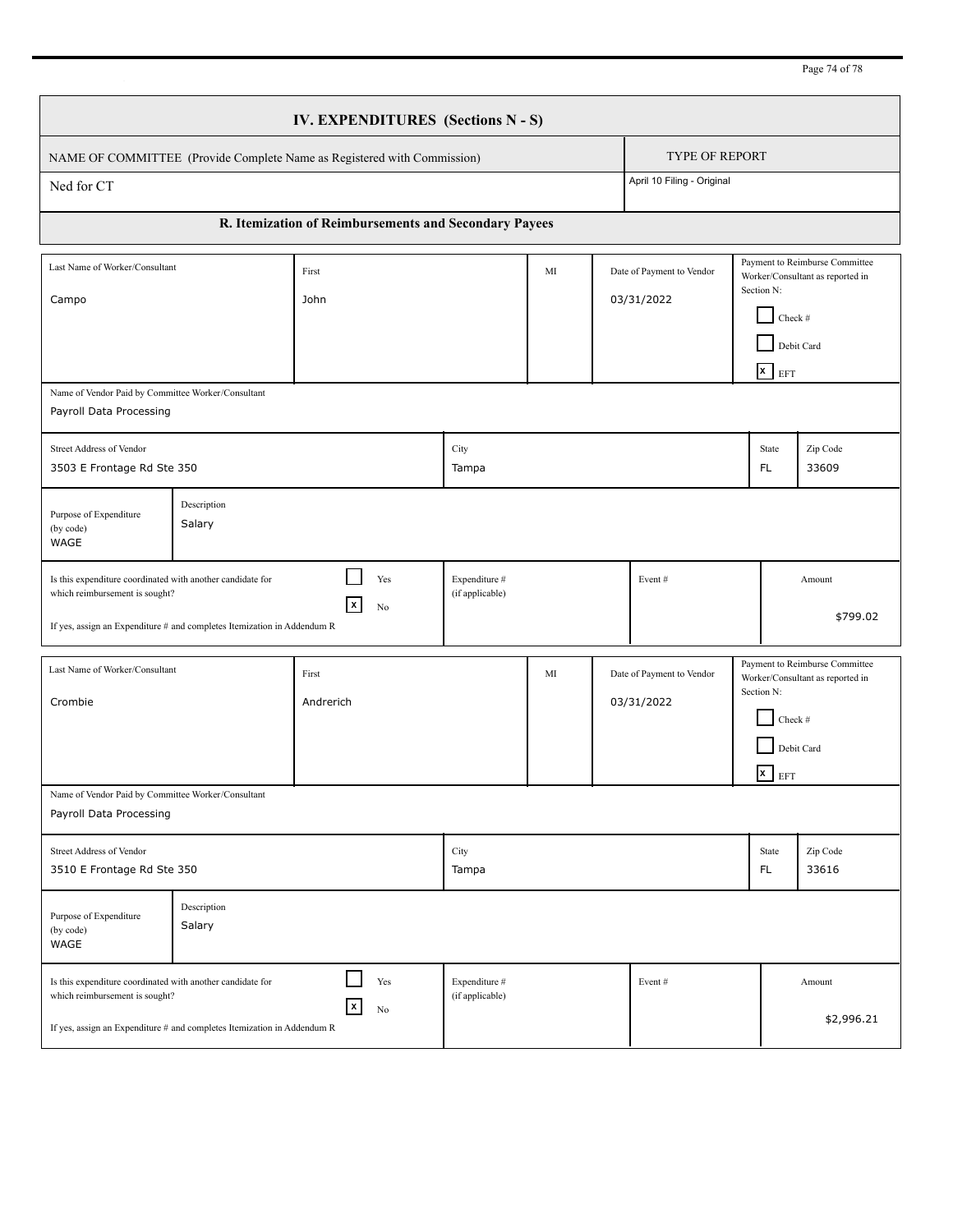Page 74 of 78

|                                                                                                                                                                         |                       | IV. EXPENDITURES (Sections N - S)                                       |                                  |    |                                         |                                         |  |                                                                                                                      |                                                                                  |
|-------------------------------------------------------------------------------------------------------------------------------------------------------------------------|-----------------------|-------------------------------------------------------------------------|----------------------------------|----|-----------------------------------------|-----------------------------------------|--|----------------------------------------------------------------------------------------------------------------------|----------------------------------------------------------------------------------|
|                                                                                                                                                                         |                       | NAME OF COMMITTEE (Provide Complete Name as Registered with Commission) |                                  |    |                                         | <b>TYPE OF REPORT</b>                   |  |                                                                                                                      |                                                                                  |
| Ned for CT                                                                                                                                                              |                       |                                                                         |                                  |    |                                         | April 10 Filing - Original              |  |                                                                                                                      |                                                                                  |
|                                                                                                                                                                         |                       | R. Itemization of Reimbursements and Secondary Payees                   |                                  |    |                                         |                                         |  |                                                                                                                      |                                                                                  |
| Last Name of Worker/Consultant<br>Campo                                                                                                                                 |                       | First<br>John                                                           |                                  | MI | Date of Payment to Vendor<br>03/31/2022 |                                         |  | Payment to Reimburse Committee<br>Worker/Consultant as reported in<br>Section N:<br>Check #<br>Debit Card<br>$x$ EFT |                                                                                  |
| Name of Vendor Paid by Committee Worker/Consultant<br>Payroll Data Processing                                                                                           |                       |                                                                         |                                  |    |                                         |                                         |  |                                                                                                                      |                                                                                  |
| Street Address of Vendor<br>3503 E Frontage Rd Ste 350                                                                                                                  |                       |                                                                         | City<br>Tampa                    |    |                                         |                                         |  | State<br>FL.                                                                                                         | Zip Code<br>33609                                                                |
| Purpose of Expenditure<br>(by code)<br>WAGE                                                                                                                             | Description<br>Salary |                                                                         |                                  |    |                                         |                                         |  |                                                                                                                      |                                                                                  |
| Is this expenditure coordinated with another candidate for<br>which reimbursement is sought?<br>If yes, assign an Expenditure # and completes Itemization in Addendum R |                       | Yes<br>X<br>No                                                          | Expenditure #<br>(if applicable) |    |                                         | Event#                                  |  |                                                                                                                      | Amount<br>\$799.02                                                               |
| Last Name of Worker/Consultant<br>Crombie                                                                                                                               |                       | First<br>Andrerich                                                      |                                  | MI |                                         | Date of Payment to Vendor<br>03/31/2022 |  | Section N:<br>Check #<br>$x$ EFT                                                                                     | Payment to Reimburse Committee<br>Worker/Consultant as reported in<br>Debit Card |
| Name of Vendor Paid by Committee Worker/Consultant<br>Payroll Data Processing                                                                                           |                       |                                                                         |                                  |    |                                         |                                         |  |                                                                                                                      |                                                                                  |
| Street Address of Vendor<br>3510 E Frontage Rd Ste 350                                                                                                                  |                       |                                                                         | City<br>Tampa                    |    |                                         |                                         |  | State<br>FL.                                                                                                         | Zip Code<br>33616                                                                |
| Purpose of Expenditure<br>(by code)<br>WAGE                                                                                                                             | Description<br>Salary |                                                                         |                                  |    |                                         |                                         |  |                                                                                                                      |                                                                                  |
| Is this expenditure coordinated with another candidate for<br>which reimbursement is sought?<br>If yes, assign an Expenditure # and completes Itemization in Addendum R |                       | Yes<br>  X<br>No                                                        | Expenditure #<br>(if applicable) |    |                                         | Event#                                  |  |                                                                                                                      | Amount<br>\$2,996.21                                                             |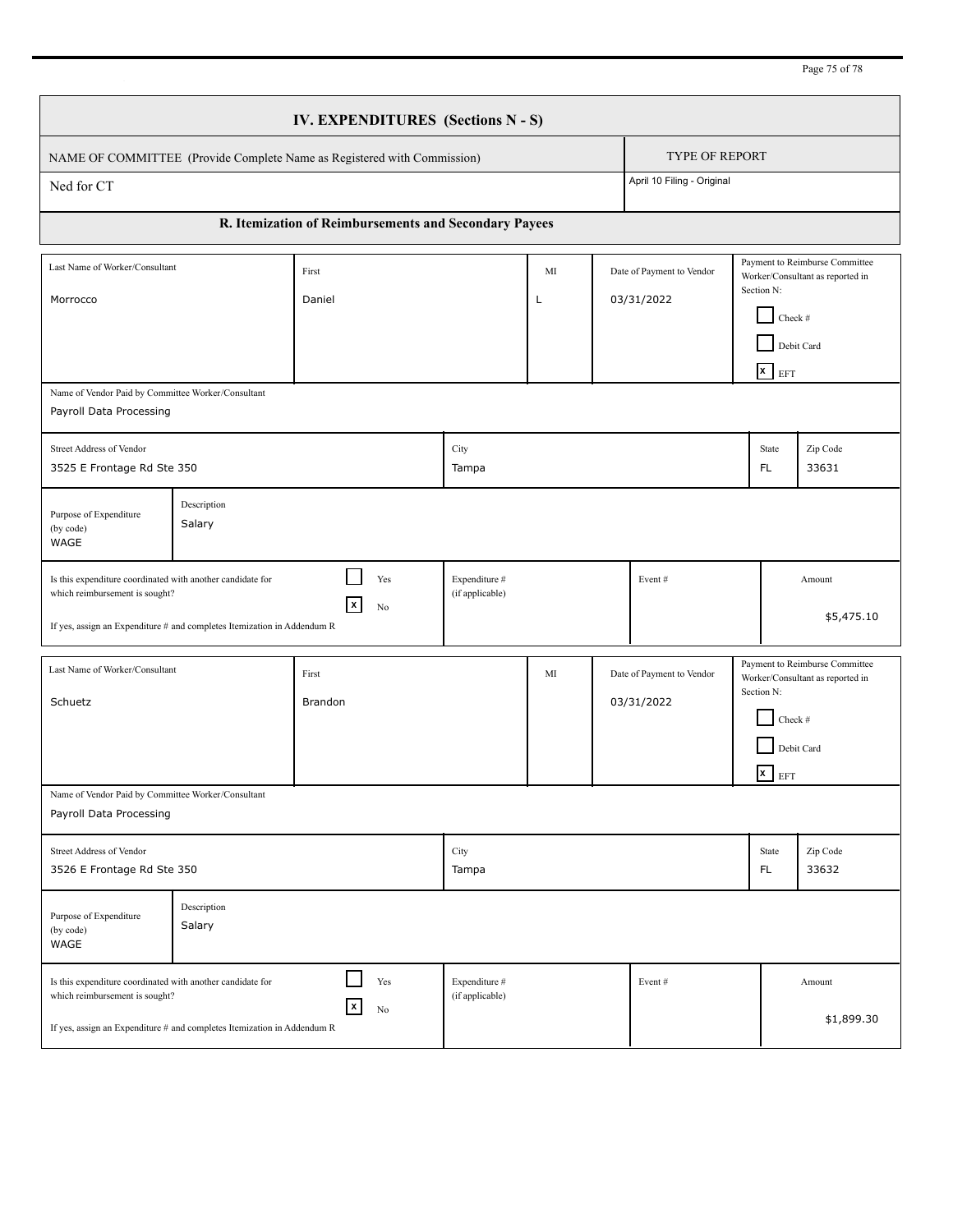Page 75 of 78

|                                                                                                                                                                         |                       | IV. EXPENDITURES (Sections N - S)                                       |                                  |         |                                         |                                         |            |                                                                                                                      |                                                                    |
|-------------------------------------------------------------------------------------------------------------------------------------------------------------------------|-----------------------|-------------------------------------------------------------------------|----------------------------------|---------|-----------------------------------------|-----------------------------------------|------------|----------------------------------------------------------------------------------------------------------------------|--------------------------------------------------------------------|
|                                                                                                                                                                         |                       | NAME OF COMMITTEE (Provide Complete Name as Registered with Commission) |                                  |         |                                         | <b>TYPE OF REPORT</b>                   |            |                                                                                                                      |                                                                    |
| Ned for CT                                                                                                                                                              |                       |                                                                         |                                  |         |                                         | April 10 Filing - Original              |            |                                                                                                                      |                                                                    |
|                                                                                                                                                                         |                       | R. Itemization of Reimbursements and Secondary Payees                   |                                  |         |                                         |                                         |            |                                                                                                                      |                                                                    |
| Last Name of Worker/Consultant<br>Morrocco                                                                                                                              |                       | First<br>Daniel                                                         |                                  | MI<br>L | Date of Payment to Vendor<br>03/31/2022 |                                         |            | Payment to Reimburse Committee<br>Worker/Consultant as reported in<br>Section N:<br>Check #<br>Debit Card<br>$x$ EFT |                                                                    |
| Name of Vendor Paid by Committee Worker/Consultant<br>Payroll Data Processing                                                                                           |                       |                                                                         |                                  |         |                                         |                                         |            |                                                                                                                      |                                                                    |
| Street Address of Vendor<br>3525 E Frontage Rd Ste 350                                                                                                                  |                       |                                                                         | City<br>Tampa                    |         |                                         |                                         |            | State<br>FL.                                                                                                         | Zip Code<br>33631                                                  |
| Purpose of Expenditure<br>(by code)<br>WAGE                                                                                                                             | Description<br>Salary |                                                                         |                                  |         |                                         |                                         |            |                                                                                                                      |                                                                    |
| Is this expenditure coordinated with another candidate for<br>which reimbursement is sought?<br>If yes, assign an Expenditure # and completes Itemization in Addendum R |                       | Yes<br>X.<br>No                                                         | Expenditure #<br>(if applicable) |         |                                         | Event#                                  |            |                                                                                                                      | Amount<br>\$5,475.10                                               |
| Last Name of Worker/Consultant<br>Schuetz                                                                                                                               |                       | First<br>Brandon                                                        |                                  | MI      |                                         | Date of Payment to Vendor<br>03/31/2022 | Section N: | Check $\#$<br>Debit Card<br>$\overline{\mathbf{x}}$ EFT                                                              | Payment to Reimburse Committee<br>Worker/Consultant as reported in |
| Name of Vendor Paid by Committee Worker/Consultant<br>Payroll Data Processing                                                                                           |                       |                                                                         |                                  |         |                                         |                                         |            |                                                                                                                      |                                                                    |
| Street Address of Vendor<br>3526 E Frontage Rd Ste 350                                                                                                                  |                       |                                                                         | City<br>Tampa                    |         |                                         |                                         |            | State<br>FL.                                                                                                         | Zip Code<br>33632                                                  |
| Purpose of Expenditure<br>(by code)<br>WAGE                                                                                                                             | Description<br>Salary |                                                                         |                                  |         |                                         |                                         |            |                                                                                                                      |                                                                    |
| Is this expenditure coordinated with another candidate for<br>which reimbursement is sought?<br>If yes, assign an Expenditure # and completes Itemization in Addendum R |                       | Yes<br> x<br>No                                                         | Expenditure #<br>(if applicable) |         |                                         | Event#                                  |            |                                                                                                                      | Amount<br>\$1,899.30                                               |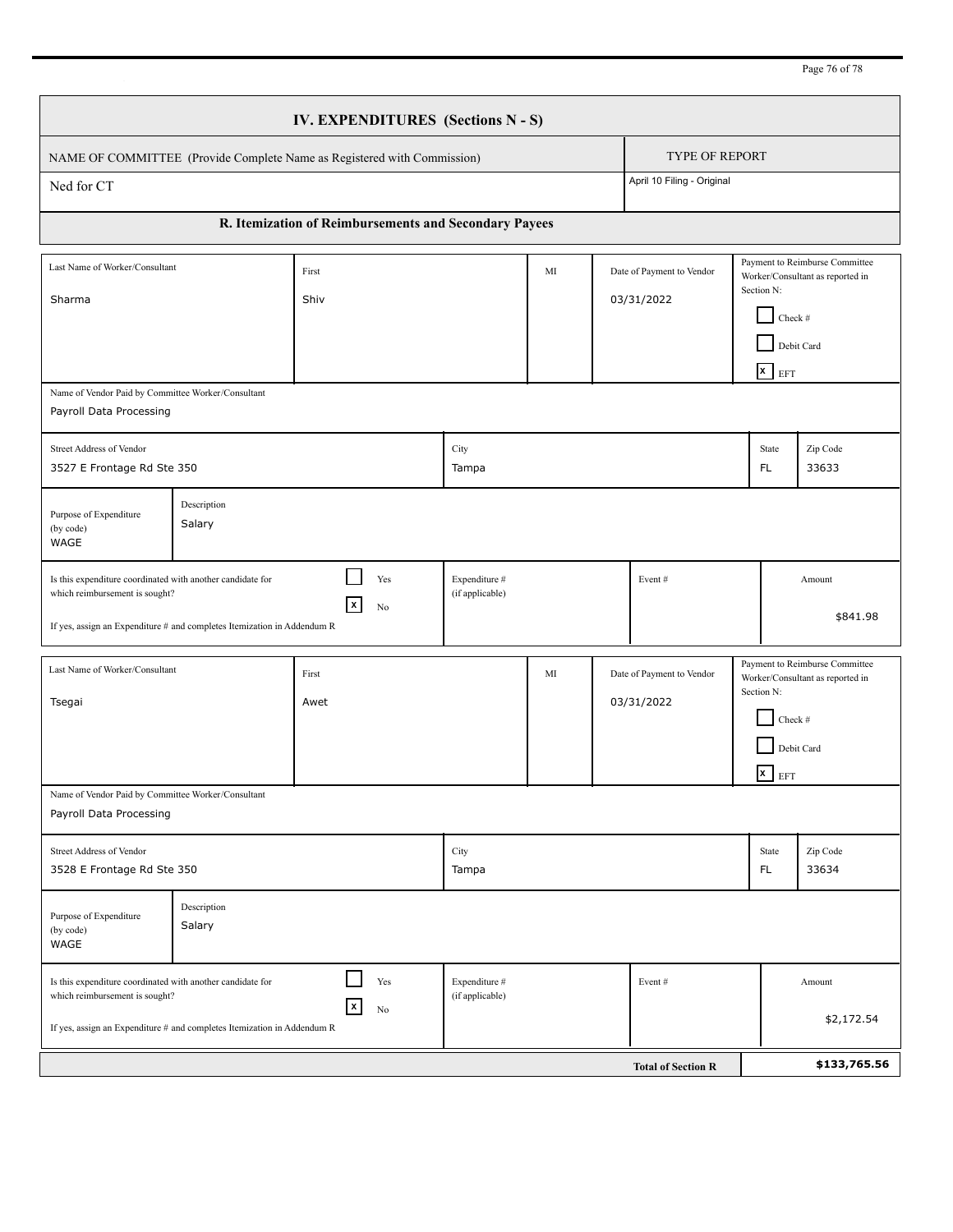Page 76 of 78

|                                                                                                                                                                         | IV. EXPENDITURES (Sections N - S)                     |                                  |    |                                         |            |                                                      |                                                                    |
|-------------------------------------------------------------------------------------------------------------------------------------------------------------------------|-------------------------------------------------------|----------------------------------|----|-----------------------------------------|------------|------------------------------------------------------|--------------------------------------------------------------------|
| NAME OF COMMITTEE (Provide Complete Name as Registered with Commission)                                                                                                 |                                                       |                                  |    | <b>TYPE OF REPORT</b>                   |            |                                                      |                                                                    |
| Ned for CT                                                                                                                                                              |                                                       |                                  |    | April 10 Filing - Original              |            |                                                      |                                                                    |
|                                                                                                                                                                         | R. Itemization of Reimbursements and Secondary Payees |                                  |    |                                         |            |                                                      |                                                                    |
| Last Name of Worker/Consultant<br>Sharma                                                                                                                                | First<br>Shiv                                         |                                  | MI | Date of Payment to Vendor<br>03/31/2022 | Section N: | Check #<br>Debit Card<br>$\mathbf{x}$ EFT            | Payment to Reimburse Committee<br>Worker/Consultant as reported in |
| Name of Vendor Paid by Committee Worker/Consultant<br>Payroll Data Processing                                                                                           |                                                       |                                  |    |                                         |            |                                                      |                                                                    |
| Street Address of Vendor<br>3527 E Frontage Rd Ste 350                                                                                                                  |                                                       | City<br>Tampa                    |    |                                         |            | State<br>FL.                                         | Zip Code<br>33633                                                  |
| Description<br>Purpose of Expenditure<br>Salary<br>(by code)<br>WAGE                                                                                                    |                                                       |                                  |    |                                         |            |                                                      |                                                                    |
| Is this expenditure coordinated with another candidate for<br>which reimbursement is sought?<br>If yes, assign an Expenditure # and completes Itemization in Addendum R | Yes<br>  x<br>No                                      | Expenditure #<br>(if applicable) |    | Event#                                  |            |                                                      | Amount<br>\$841.98                                                 |
| Last Name of Worker/Consultant<br>Tsegai                                                                                                                                | First<br>Awet                                         |                                  | MI | Date of Payment to Vendor<br>03/31/2022 | Section N: | Check #<br>Debit Card<br>$\overline{\mathbf{x}}$ EFT | Payment to Reimburse Committee<br>Worker/Consultant as reported in |
| Name of Vendor Paid by Committee Worker/Consultant<br>Payroll Data Processing                                                                                           |                                                       |                                  |    |                                         |            |                                                      |                                                                    |
| <b>Street Address of Vendor</b><br>3528 E Frontage Rd Ste 350                                                                                                           |                                                       | City<br>Tampa                    |    |                                         |            | State<br>FL.                                         | Zip Code<br>33634                                                  |
| Description<br>Purpose of Expenditure<br>Salary<br>(by code)<br>WAGE                                                                                                    |                                                       |                                  |    |                                         |            |                                                      |                                                                    |
| Is this expenditure coordinated with another candidate for<br>which reimbursement is sought?<br>If yes, assign an Expenditure # and completes Itemization in Addendum R | Yes<br> x<br>No                                       | Expenditure #<br>(if applicable) |    | Event#                                  |            |                                                      | Amount<br>\$2,172.54                                               |
|                                                                                                                                                                         |                                                       |                                  |    | <b>Total of Section R</b>               |            |                                                      | \$133,765.56                                                       |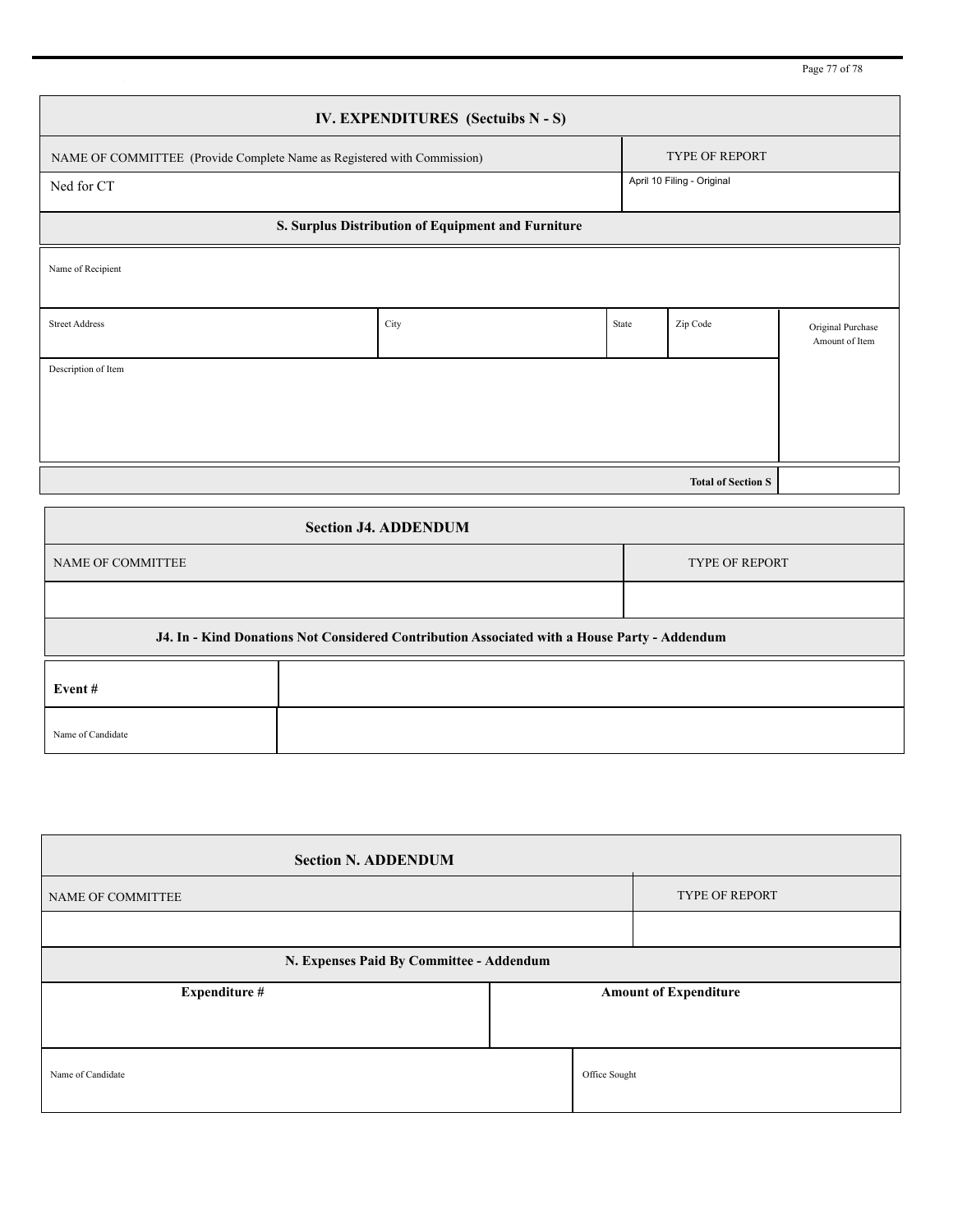Page 77 of 78

|                                                                         | IV. EXPENDITURES (Sectuibs N - S)                                                            |       |                            |                                     |
|-------------------------------------------------------------------------|----------------------------------------------------------------------------------------------|-------|----------------------------|-------------------------------------|
| NAME OF COMMITTEE (Provide Complete Name as Registered with Commission) |                                                                                              |       | <b>TYPE OF REPORT</b>      |                                     |
| Ned for CT                                                              |                                                                                              |       | April 10 Filing - Original |                                     |
|                                                                         | S. Surplus Distribution of Equipment and Furniture                                           |       |                            |                                     |
| Name of Recipient                                                       |                                                                                              |       |                            |                                     |
|                                                                         |                                                                                              |       |                            |                                     |
| <b>Street Address</b>                                                   | City                                                                                         | State | Zip Code                   | Original Purchase<br>Amount of Item |
| Description of Item                                                     |                                                                                              |       |                            |                                     |
|                                                                         |                                                                                              |       |                            |                                     |
|                                                                         |                                                                                              |       |                            |                                     |
|                                                                         |                                                                                              |       | <b>Total of Section S</b>  |                                     |
|                                                                         | <b>Section J4. ADDENDUM</b>                                                                  |       |                            |                                     |
| NAME OF COMMITTEE                                                       |                                                                                              |       | <b>TYPE OF REPORT</b>      |                                     |
|                                                                         |                                                                                              |       |                            |                                     |
|                                                                         | J4. In - Kind Donations Not Considered Contribution Associated with a House Party - Addendum |       |                            |                                     |
| Event#                                                                  |                                                                                              |       |                            |                                     |

| <b>Section N. ADDENDUM</b>               |               |                              |
|------------------------------------------|---------------|------------------------------|
| NAME OF COMMITTEE                        |               | <b>TYPE OF REPORT</b>        |
|                                          |               |                              |
| N. Expenses Paid By Committee - Addendum |               |                              |
| <b>Expenditure #</b>                     |               | <b>Amount of Expenditure</b> |
|                                          |               |                              |
| Name of Candidate                        | Office Sought |                              |

Name of Candidate